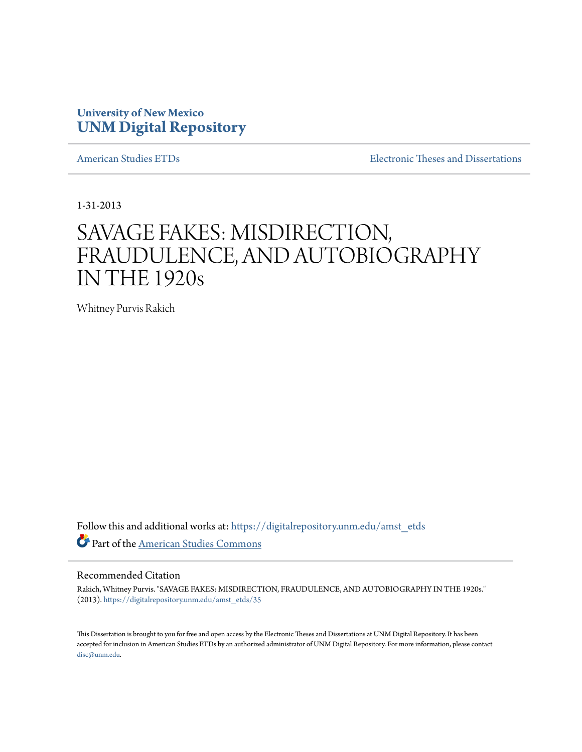# **University of New Mexico [UNM Digital Repository](https://digitalrepository.unm.edu?utm_source=digitalrepository.unm.edu%2Famst_etds%2F35&utm_medium=PDF&utm_campaign=PDFCoverPages)**

[American Studies ETDs](https://digitalrepository.unm.edu/amst_etds?utm_source=digitalrepository.unm.edu%2Famst_etds%2F35&utm_medium=PDF&utm_campaign=PDFCoverPages) **[Electronic Theses and Dissertations](https://digitalrepository.unm.edu/etds?utm_source=digitalrepository.unm.edu%2Famst_etds%2F35&utm_medium=PDF&utm_campaign=PDFCoverPages)** 

1-31-2013

# SAVAGE FAKES: MISDIRECTION, FRAUDULENCE, AND AUTOBIOGRAPHY IN THE 1920s

Whitney Purvis Rakich

Follow this and additional works at: [https://digitalrepository.unm.edu/amst\\_etds](https://digitalrepository.unm.edu/amst_etds?utm_source=digitalrepository.unm.edu%2Famst_etds%2F35&utm_medium=PDF&utm_campaign=PDFCoverPages) Part of the [American Studies Commons](http://network.bepress.com/hgg/discipline/439?utm_source=digitalrepository.unm.edu%2Famst_etds%2F35&utm_medium=PDF&utm_campaign=PDFCoverPages)

#### Recommended Citation

Rakich, Whitney Purvis. "SAVAGE FAKES: MISDIRECTION, FRAUDULENCE, AND AUTOBIOGRAPHY IN THE 1920s." (2013). [https://digitalrepository.unm.edu/amst\\_etds/35](https://digitalrepository.unm.edu/amst_etds/35?utm_source=digitalrepository.unm.edu%2Famst_etds%2F35&utm_medium=PDF&utm_campaign=PDFCoverPages)

This Dissertation is brought to you for free and open access by the Electronic Theses and Dissertations at UNM Digital Repository. It has been accepted for inclusion in American Studies ETDs by an authorized administrator of UNM Digital Repository. For more information, please contact [disc@unm.edu](mailto:disc@unm.edu).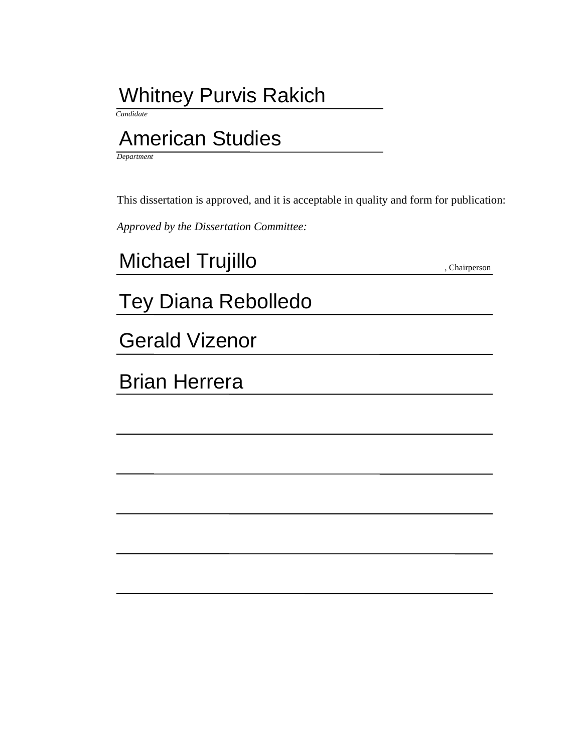# Whitney Purvis Rakich

 *Candidate*

# American Studies

*Department*

This dissertation is approved, and it is acceptable in quality and form for publication:

*Approved by the Dissertation Committee:*

, Chairperson Michael Trujillo

# Tey Diana Rebolledo

Gerald Vizenor

Brian Herrera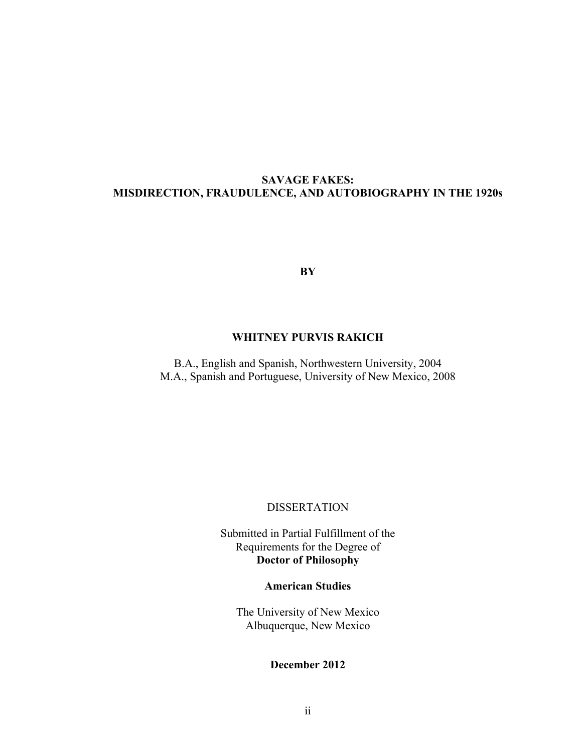# **SAVAGE FAKES: MISDIRECTION, FRAUDULENCE, AND AUTOBIOGRAPHY IN THE 1920s**

**BY**

### **WHITNEY PURVIS RAKICH**

B.A., English and Spanish, Northwestern University, 2004 M.A., Spanish and Portuguese, University of New Mexico, 2008

### DISSERTATION

Submitted in Partial Fulfillment of the Requirements for the Degree of **Doctor of Philosophy**

# **American Studies**

The University of New Mexico Albuquerque, New Mexico

# **December 2012**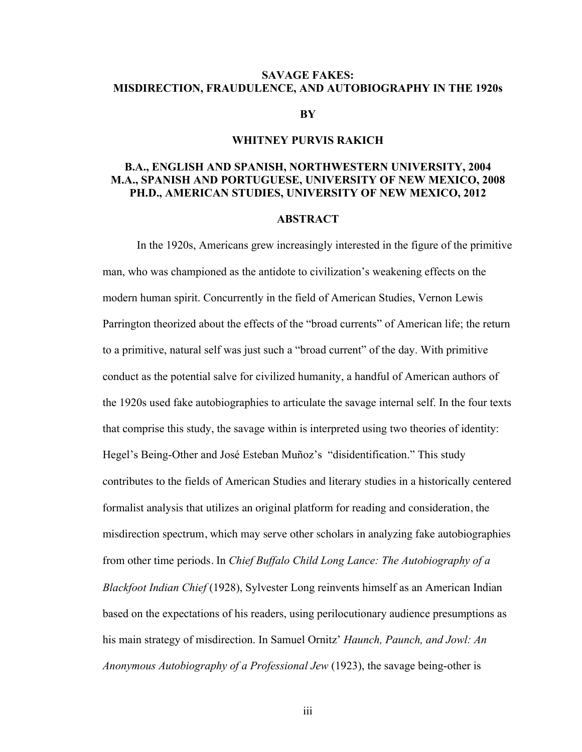#### **SAVAGE FAKES: MISDIRECTION, FRAUDULENCE, AND AUTOBIOGRAPHY IN THE 1920s**

#### **BY**

#### **WHITNEY PURVIS RAKICH**

### **B.A., ENGLISH AND SPANISH, NORTHWESTERN UNIVERSITY, 2004 M.A., SPANISH AND PORTUGUESE, UNIVERSITY OF NEW MEXICO, 2008 PH.D., AMERICAN STUDIES, UNIVERSITY OF NEW MEXICO, 2012**

#### **ABSTRACT**

In the 1920s, Americans grew increasingly interested in the figure of the primitive man, who was championed as the antidote to civilization's weakening effects on the modern human spirit. Concurrently in the field of American Studies, Vernon Lewis Parrington theorized about the effects of the "broad currents" of American life; the return to a primitive, natural self was just such a "broad current" of the day. With primitive conduct as the potential salve for civilized humanity, a handful of American authors of the 1920s used fake autobiographies to articulate the savage internal self. In the four texts that comprise this study, the savage within is interpreted using two theories of identity: Hegel's Being-Other and José Esteban Muñoz's "disidentification." This study contributes to the fields of American Studies and literary studies in a historically centered formalist analysis that utilizes an original platform for reading and consideration, the misdirection spectrum, which may serve other scholars in analyzing fake autobiographies from other time periods. In *Chief Buffalo Child Long Lance: The Autobiography of a Blackfoot Indian Chief* (1928), Sylvester Long reinvents himself as an American Indian based on the expectations of his readers, using perilocutionary audience presumptions as his main strategy of misdirection. In Samuel Ornitz' *Haunch, Paunch, and Jowl: An Anonymous Autobiography of a Professional Jew* (1923), the savage being-other is

iii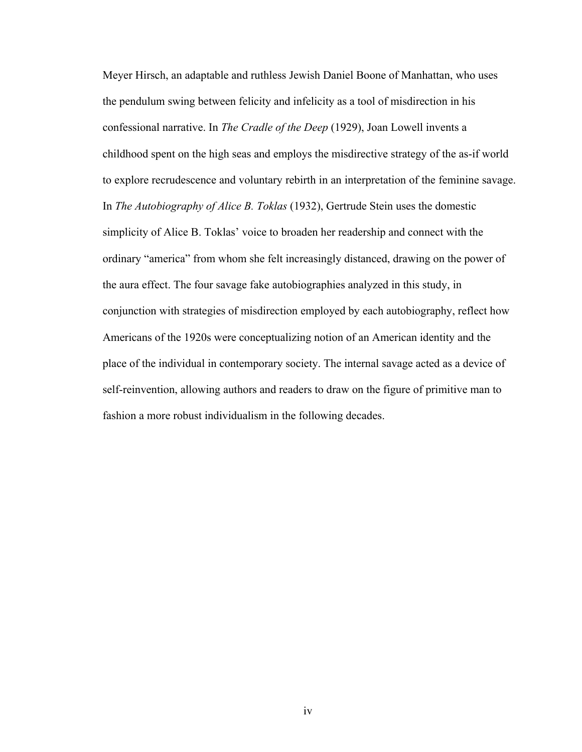Meyer Hirsch, an adaptable and ruthless Jewish Daniel Boone of Manhattan, who uses the pendulum swing between felicity and infelicity as a tool of misdirection in his confessional narrative. In *The Cradle of the Deep* (1929), Joan Lowell invents a childhood spent on the high seas and employs the misdirective strategy of the as-if world to explore recrudescence and voluntary rebirth in an interpretation of the feminine savage. In *The Autobiography of Alice B. Toklas* (1932), Gertrude Stein uses the domestic simplicity of Alice B. Toklas' voice to broaden her readership and connect with the ordinary "america" from whom she felt increasingly distanced, drawing on the power of the aura effect. The four savage fake autobiographies analyzed in this study, in conjunction with strategies of misdirection employed by each autobiography, reflect how Americans of the 1920s were conceptualizing notion of an American identity and the place of the individual in contemporary society. The internal savage acted as a device of self-reinvention, allowing authors and readers to draw on the figure of primitive man to fashion a more robust individualism in the following decades.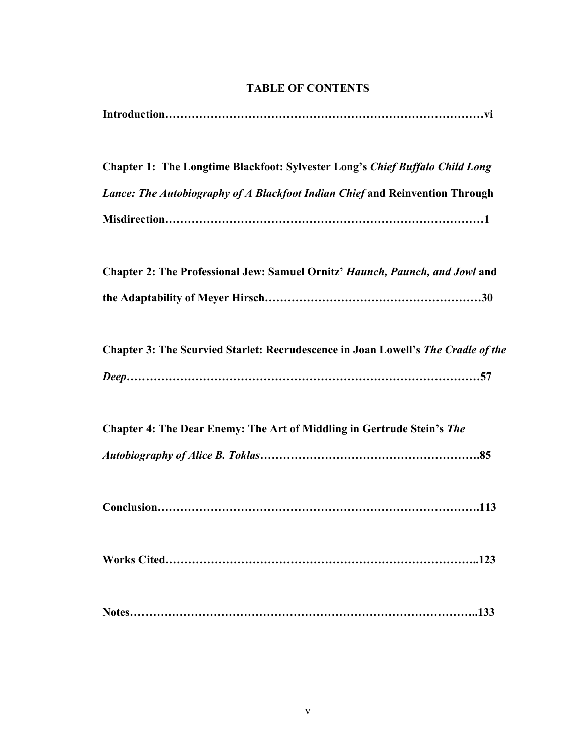# **TABLE OF CONTENTS**

**Chapter 1: The Longtime Blackfoot: Sylvester Long's** *Chief Buffalo Child Long Lance: The Autobiography of A Blackfoot Indian Chief* **and Reinvention Through Misdirection…………………………………………………………………………1**

| <b>Chapter 2: The Professional Jew: Samuel Ornitz' Haunch, Paunch, and Jowl and</b> |  |
|-------------------------------------------------------------------------------------|--|
|                                                                                     |  |

| <b>Chapter 3: The Scurvied Starlet: Recrudescence in Joan Lowell's The Cradle of the</b> |  |  |
|------------------------------------------------------------------------------------------|--|--|
|                                                                                          |  |  |

| <b>Chapter 4: The Dear Enemy: The Art of Middling in Gertrude Stein's The</b> |  |
|-------------------------------------------------------------------------------|--|
|                                                                               |  |

|--|

|--|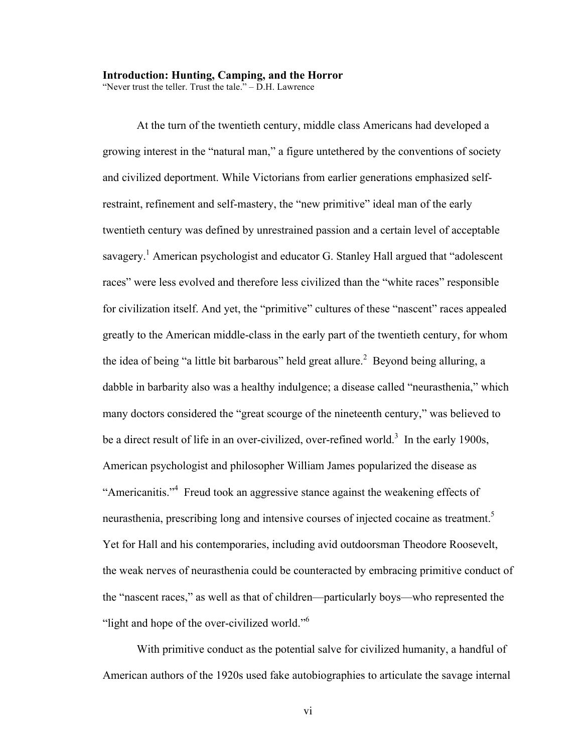#### **Introduction: Hunting, Camping, and the Horror**

"Never trust the teller. Trust the tale." – D.H. Lawrence

At the turn of the twentieth century, middle class Americans had developed a growing interest in the "natural man," a figure untethered by the conventions of society and civilized deportment. While Victorians from earlier generations emphasized selfrestraint, refinement and self-mastery, the "new primitive" ideal man of the early twentieth century was defined by unrestrained passion and a certain level of acceptable savagery.<sup>1</sup> American psychologist and educator G. Stanley Hall argued that "adolescent" races" were less evolved and therefore less civilized than the "white races" responsible for civilization itself. And yet, the "primitive" cultures of these "nascent" races appealed greatly to the American middle-class in the early part of the twentieth century, for whom the idea of being "a little bit barbarous" held great allure.<sup>2</sup> Beyond being alluring, a dabble in barbarity also was a healthy indulgence; a disease called "neurasthenia," which many doctors considered the "great scourge of the nineteenth century," was believed to be a direct result of life in an over-civilized, over-refined world.<sup>3</sup> In the early 1900s, American psychologist and philosopher William James popularized the disease as "Americanitis."<sup>4</sup> Freud took an aggressive stance against the weakening effects of neurasthenia, prescribing long and intensive courses of injected cocaine as treatment.<sup>5</sup> Yet for Hall and his contemporaries, including avid outdoorsman Theodore Roosevelt, the weak nerves of neurasthenia could be counteracted by embracing primitive conduct of the "nascent races," as well as that of children—particularly boys—who represented the "light and hope of the over-civilized world."<sup>6</sup>

With primitive conduct as the potential salve for civilized humanity, a handful of American authors of the 1920s used fake autobiographies to articulate the savage internal

vi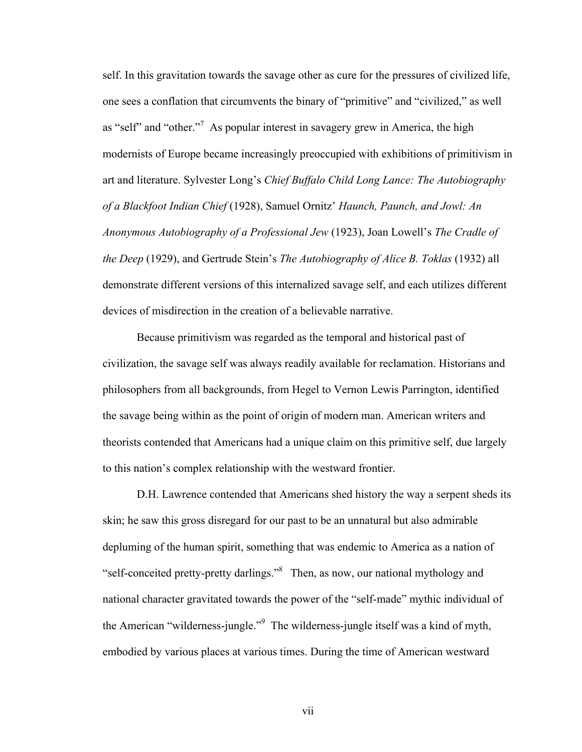self. In this gravitation towards the savage other as cure for the pressures of civilized life, one sees a conflation that circumvents the binary of "primitive" and "civilized," as well as "self" and "other."<sup>7</sup> As popular interest in savagery grew in America, the high modernists of Europe became increasingly preoccupied with exhibitions of primitivism in art and literature. Sylvester Long's *Chief Buffalo Child Long Lance: The Autobiography of a Blackfoot Indian Chief* (1928), Samuel Ornitz' *Haunch, Paunch, and Jowl: An Anonymous Autobiography of a Professional Jew* (1923), Joan Lowell's *The Cradle of the Deep* (1929), and Gertrude Stein's *The Autobiography of Alice B. Toklas* (1932) all demonstrate different versions of this internalized savage self, and each utilizes different devices of misdirection in the creation of a believable narrative.

Because primitivism was regarded as the temporal and historical past of civilization, the savage self was always readily available for reclamation. Historians and philosophers from all backgrounds, from Hegel to Vernon Lewis Parrington, identified the savage being within as the point of origin of modern man. American writers and theorists contended that Americans had a unique claim on this primitive self, due largely to this nation's complex relationship with the westward frontier.

D.H. Lawrence contended that Americans shed history the way a serpent sheds its skin; he saw this gross disregard for our past to be an unnatural but also admirable depluming of the human spirit, something that was endemic to America as a nation of "self-conceited pretty-pretty darlings."8 Then, as now, our national mythology and national character gravitated towards the power of the "self-made" mythic individual of the American "wilderness-jungle."<sup>9</sup> The wilderness-jungle itself was a kind of myth, embodied by various places at various times. During the time of American westward

vii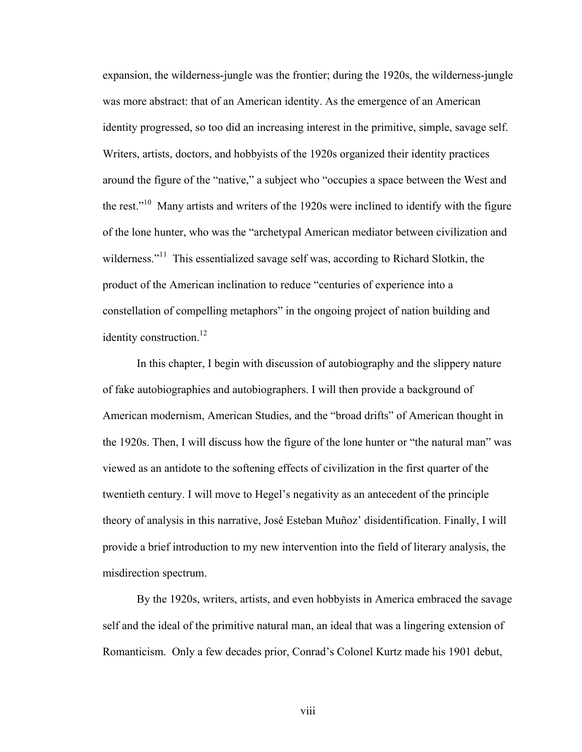expansion, the wilderness-jungle was the frontier; during the 1920s, the wilderness-jungle was more abstract: that of an American identity. As the emergence of an American identity progressed, so too did an increasing interest in the primitive, simple, savage self. Writers, artists, doctors, and hobbyists of the 1920s organized their identity practices around the figure of the "native," a subject who "occupies a space between the West and the rest."<sup>10</sup> Many artists and writers of the 1920s were inclined to identify with the figure of the lone hunter, who was the "archetypal American mediator between civilization and wilderness."<sup>11</sup> This essentialized savage self was, according to Richard Slotkin, the product of the American inclination to reduce "centuries of experience into a constellation of compelling metaphors" in the ongoing project of nation building and identity construction.<sup>12</sup>

In this chapter, I begin with discussion of autobiography and the slippery nature of fake autobiographies and autobiographers. I will then provide a background of American modernism, American Studies, and the "broad drifts" of American thought in the 1920s. Then, I will discuss how the figure of the lone hunter or "the natural man" was viewed as an antidote to the softening effects of civilization in the first quarter of the twentieth century. I will move to Hegel's negativity as an antecedent of the principle theory of analysis in this narrative, José Esteban Muñoz' disidentification. Finally, I will provide a brief introduction to my new intervention into the field of literary analysis, the misdirection spectrum.

By the 1920s, writers, artists, and even hobbyists in America embraced the savage self and the ideal of the primitive natural man, an ideal that was a lingering extension of Romanticism. Only a few decades prior, Conrad's Colonel Kurtz made his 1901 debut,

viii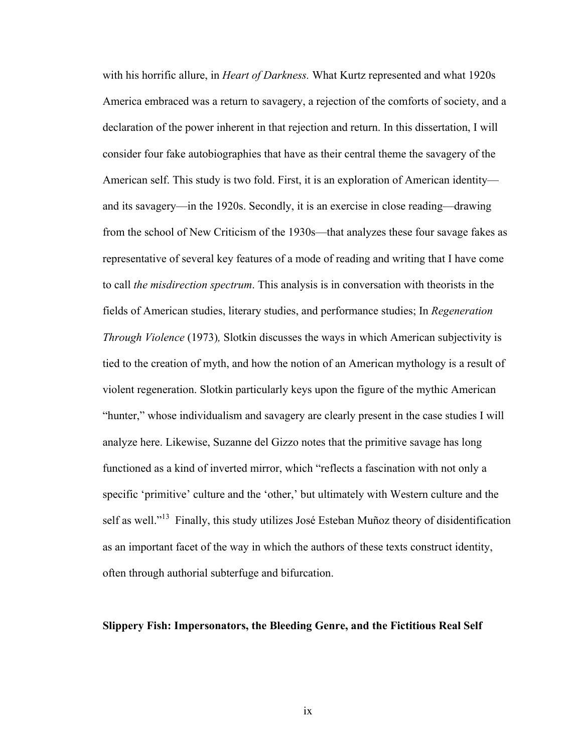with his horrific allure, in *Heart of Darkness.* What Kurtz represented and what 1920s America embraced was a return to savagery, a rejection of the comforts of society, and a declaration of the power inherent in that rejection and return. In this dissertation, I will consider four fake autobiographies that have as their central theme the savagery of the American self. This study is two fold. First, it is an exploration of American identity and its savagery—in the 1920s. Secondly, it is an exercise in close reading—drawing from the school of New Criticism of the 1930s—that analyzes these four savage fakes as representative of several key features of a mode of reading and writing that I have come to call *the misdirection spectrum*. This analysis is in conversation with theorists in the fields of American studies, literary studies, and performance studies; In *Regeneration Through Violence* (1973)*,* Slotkin discusses the ways in which American subjectivity is tied to the creation of myth, and how the notion of an American mythology is a result of violent regeneration. Slotkin particularly keys upon the figure of the mythic American "hunter," whose individualism and savagery are clearly present in the case studies I will analyze here. Likewise, Suzanne del Gizzo notes that the primitive savage has long functioned as a kind of inverted mirror, which "reflects a fascination with not only a specific 'primitive' culture and the 'other,' but ultimately with Western culture and the self as well."<sup>13</sup> Finally, this study utilizes José Esteban Muñoz theory of disidentification as an important facet of the way in which the authors of these texts construct identity, often through authorial subterfuge and bifurcation.

#### **Slippery Fish: Impersonators, the Bleeding Genre, and the Fictitious Real Self**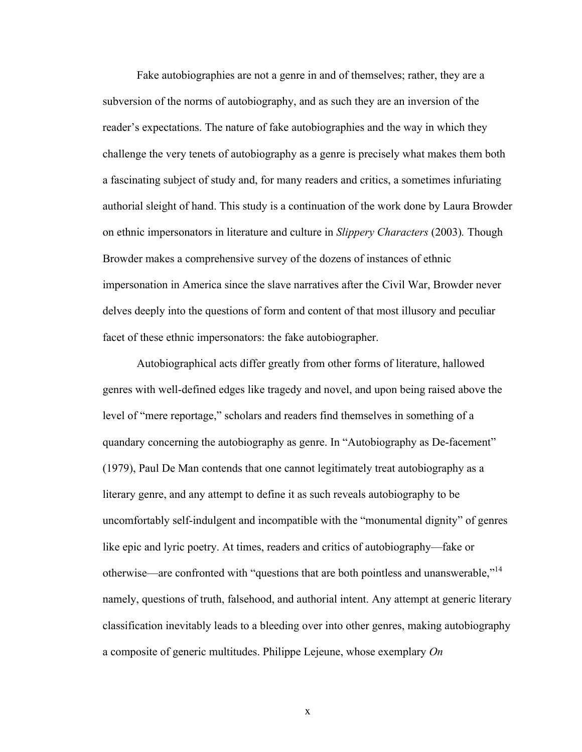Fake autobiographies are not a genre in and of themselves; rather, they are a subversion of the norms of autobiography, and as such they are an inversion of the reader's expectations. The nature of fake autobiographies and the way in which they challenge the very tenets of autobiography as a genre is precisely what makes them both a fascinating subject of study and, for many readers and critics, a sometimes infuriating authorial sleight of hand. This study is a continuation of the work done by Laura Browder on ethnic impersonators in literature and culture in *Slippery Characters* (2003)*.* Though Browder makes a comprehensive survey of the dozens of instances of ethnic impersonation in America since the slave narratives after the Civil War, Browder never delves deeply into the questions of form and content of that most illusory and peculiar facet of these ethnic impersonators: the fake autobiographer.

Autobiographical acts differ greatly from other forms of literature, hallowed genres with well-defined edges like tragedy and novel, and upon being raised above the level of "mere reportage," scholars and readers find themselves in something of a quandary concerning the autobiography as genre. In "Autobiography as De-facement" (1979), Paul De Man contends that one cannot legitimately treat autobiography as a literary genre, and any attempt to define it as such reveals autobiography to be uncomfortably self-indulgent and incompatible with the "monumental dignity" of genres like epic and lyric poetry. At times, readers and critics of autobiography—fake or otherwise—are confronted with "questions that are both pointless and unanswerable,"<sup>14</sup> namely, questions of truth, falsehood, and authorial intent. Any attempt at generic literary classification inevitably leads to a bleeding over into other genres, making autobiography a composite of generic multitudes. Philippe Lejeune, whose exemplary *On* 

x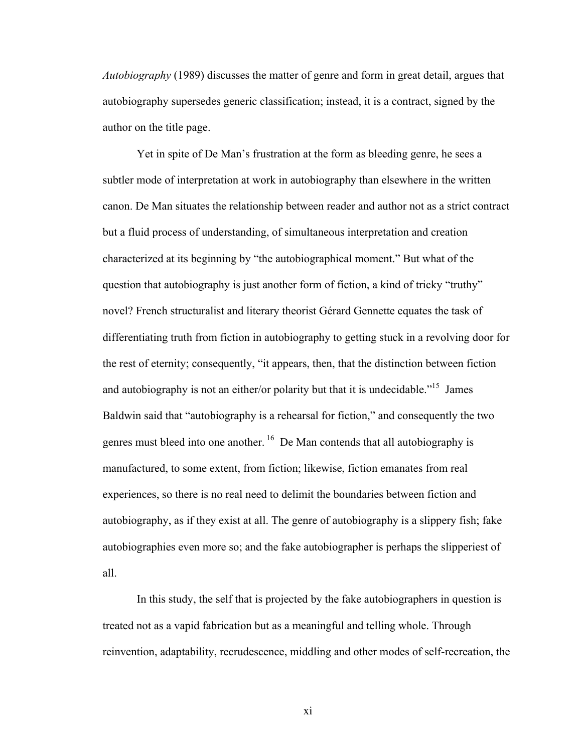*Autobiography* (1989) discusses the matter of genre and form in great detail, argues that autobiography supersedes generic classification; instead, it is a contract, signed by the author on the title page.

Yet in spite of De Man's frustration at the form as bleeding genre, he sees a subtler mode of interpretation at work in autobiography than elsewhere in the written canon. De Man situates the relationship between reader and author not as a strict contract but a fluid process of understanding, of simultaneous interpretation and creation characterized at its beginning by "the autobiographical moment." But what of the question that autobiography is just another form of fiction, a kind of tricky "truthy" novel? French structuralist and literary theorist Gérard Gennette equates the task of differentiating truth from fiction in autobiography to getting stuck in a revolving door for the rest of eternity; consequently, "it appears, then, that the distinction between fiction and autobiography is not an either/or polarity but that it is undecidable."<sup>15</sup> James Baldwin said that "autobiography is a rehearsal for fiction," and consequently the two genres must bleed into one another.<sup>16</sup> De Man contends that all autobiography is manufactured, to some extent, from fiction; likewise, fiction emanates from real experiences, so there is no real need to delimit the boundaries between fiction and autobiography, as if they exist at all. The genre of autobiography is a slippery fish; fake autobiographies even more so; and the fake autobiographer is perhaps the slipperiest of all.

In this study, the self that is projected by the fake autobiographers in question is treated not as a vapid fabrication but as a meaningful and telling whole. Through reinvention, adaptability, recrudescence, middling and other modes of self-recreation, the

xi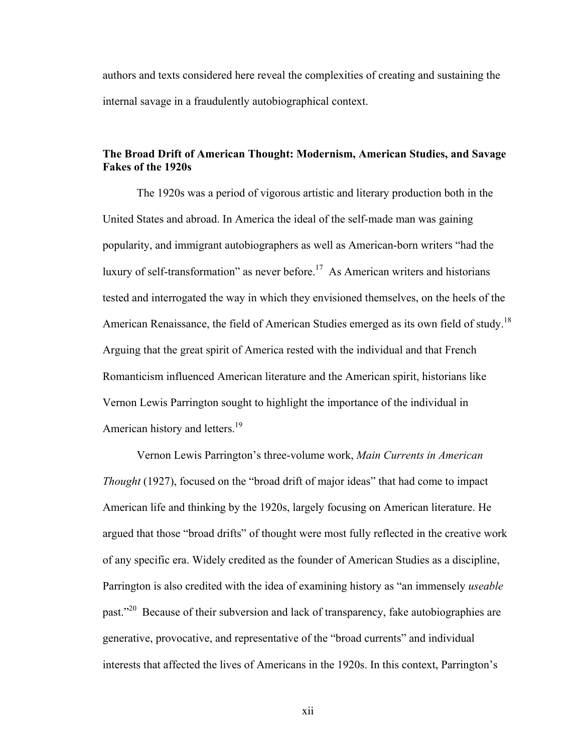authors and texts considered here reveal the complexities of creating and sustaining the internal savage in a fraudulently autobiographical context.

#### **The Broad Drift of American Thought: Modernism, American Studies, and Savage Fakes of the 1920s**

The 1920s was a period of vigorous artistic and literary production both in the United States and abroad. In America the ideal of the self-made man was gaining popularity, and immigrant autobiographers as well as American-born writers "had the luxury of self-transformation" as never before.<sup>17</sup> As American writers and historians tested and interrogated the way in which they envisioned themselves, on the heels of the American Renaissance, the field of American Studies emerged as its own field of study.<sup>18</sup> Arguing that the great spirit of America rested with the individual and that French Romanticism influenced American literature and the American spirit, historians like Vernon Lewis Parrington sought to highlight the importance of the individual in American history and letters.<sup>19</sup>

Vernon Lewis Parrington's three-volume work, *Main Currents in American Thought* (1927), focused on the "broad drift of major ideas" that had come to impact American life and thinking by the 1920s, largely focusing on American literature. He argued that those "broad drifts" of thought were most fully reflected in the creative work of any specific era. Widely credited as the founder of American Studies as a discipline, Parrington is also credited with the idea of examining history as "an immensely *useable*  past.<sup>220</sup> Because of their subversion and lack of transparency, fake autobiographies are generative, provocative, and representative of the "broad currents" and individual interests that affected the lives of Americans in the 1920s. In this context, Parrington's

xii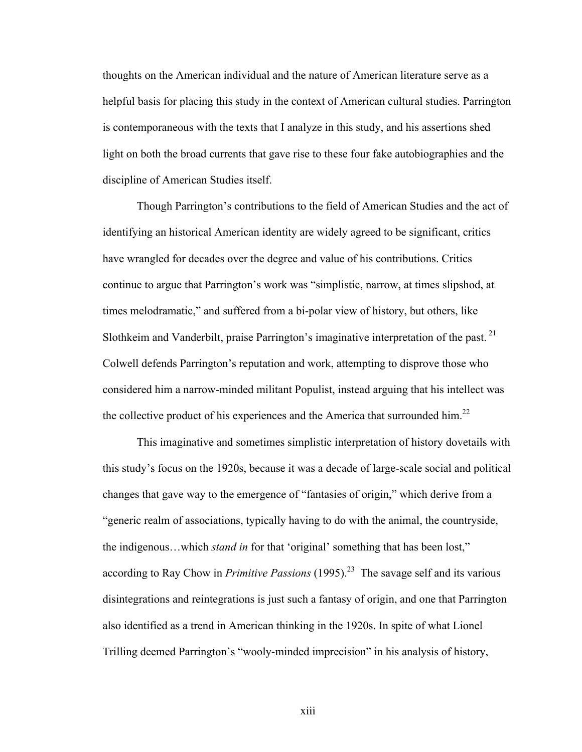thoughts on the American individual and the nature of American literature serve as a helpful basis for placing this study in the context of American cultural studies. Parrington is contemporaneous with the texts that I analyze in this study, and his assertions shed light on both the broad currents that gave rise to these four fake autobiographies and the discipline of American Studies itself.

Though Parrington's contributions to the field of American Studies and the act of identifying an historical American identity are widely agreed to be significant, critics have wrangled for decades over the degree and value of his contributions. Critics continue to argue that Parrington's work was "simplistic, narrow, at times slipshod, at times melodramatic," and suffered from a bi-polar view of history, but others, like Slothkeim and Vanderbilt, praise Parrington's imaginative interpretation of the past.  $21$ Colwell defends Parrington's reputation and work, attempting to disprove those who considered him a narrow-minded militant Populist, instead arguing that his intellect was the collective product of his experiences and the America that surrounded him.<sup>22</sup>

This imaginative and sometimes simplistic interpretation of history dovetails with this study's focus on the 1920s, because it was a decade of large-scale social and political changes that gave way to the emergence of "fantasies of origin," which derive from a "generic realm of associations, typically having to do with the animal, the countryside, the indigenous…which *stand in* for that 'original' something that has been lost," according to Ray Chow in *Primitive Passions* (1995).<sup>23</sup> The savage self and its various disintegrations and reintegrations is just such a fantasy of origin, and one that Parrington also identified as a trend in American thinking in the 1920s. In spite of what Lionel Trilling deemed Parrington's "wooly-minded imprecision" in his analysis of history,

xiii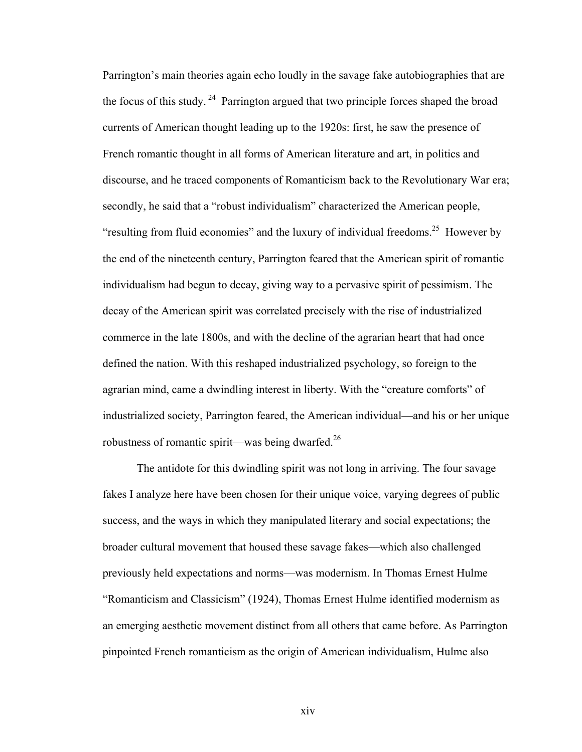Parrington's main theories again echo loudly in the savage fake autobiographies that are the focus of this study. <sup>24</sup> Parrington argued that two principle forces shaped the broad currents of American thought leading up to the 1920s: first, he saw the presence of French romantic thought in all forms of American literature and art, in politics and discourse, and he traced components of Romanticism back to the Revolutionary War era; secondly, he said that a "robust individualism" characterized the American people, "resulting from fluid economies" and the luxury of individual freedoms.<sup>25</sup> However by the end of the nineteenth century, Parrington feared that the American spirit of romantic individualism had begun to decay, giving way to a pervasive spirit of pessimism. The decay of the American spirit was correlated precisely with the rise of industrialized commerce in the late 1800s, and with the decline of the agrarian heart that had once defined the nation. With this reshaped industrialized psychology, so foreign to the agrarian mind, came a dwindling interest in liberty. With the "creature comforts" of industrialized society, Parrington feared, the American individual—and his or her unique robustness of romantic spirit—was being dwarfed.<sup>26</sup>

The antidote for this dwindling spirit was not long in arriving. The four savage fakes I analyze here have been chosen for their unique voice, varying degrees of public success, and the ways in which they manipulated literary and social expectations; the broader cultural movement that housed these savage fakes—which also challenged previously held expectations and norms—was modernism. In Thomas Ernest Hulme "Romanticism and Classicism" (1924), Thomas Ernest Hulme identified modernism as an emerging aesthetic movement distinct from all others that came before. As Parrington pinpointed French romanticism as the origin of American individualism, Hulme also

xiv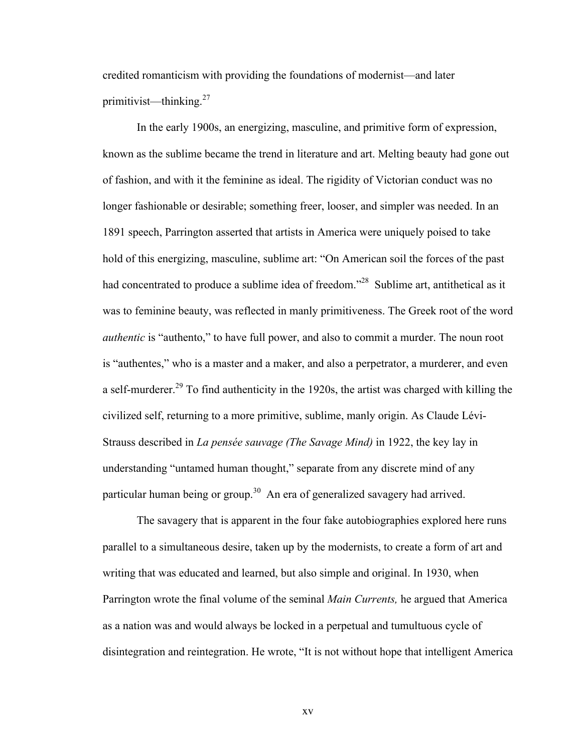credited romanticism with providing the foundations of modernist—and later primitivist—thinking.<sup>27</sup>

In the early 1900s, an energizing, masculine, and primitive form of expression, known as the sublime became the trend in literature and art. Melting beauty had gone out of fashion, and with it the feminine as ideal. The rigidity of Victorian conduct was no longer fashionable or desirable; something freer, looser, and simpler was needed. In an 1891 speech, Parrington asserted that artists in America were uniquely poised to take hold of this energizing, masculine, sublime art: "On American soil the forces of the past had concentrated to produce a sublime idea of freedom."<sup>28</sup> Sublime art, antithetical as it was to feminine beauty, was reflected in manly primitiveness. The Greek root of the word *authentic* is "authento," to have full power, and also to commit a murder. The noun root is "authentes," who is a master and a maker, and also a perpetrator, a murderer, and even a self-murderer.<sup>29</sup> To find authenticity in the 1920s, the artist was charged with killing the civilized self, returning to a more primitive, sublime, manly origin. As Claude Lévi-Strauss described in *La pensée sauvage (The Savage Mind)* in 1922, the key lay in understanding "untamed human thought," separate from any discrete mind of any particular human being or group.<sup>30</sup> An era of generalized savagery had arrived.

The savagery that is apparent in the four fake autobiographies explored here runs parallel to a simultaneous desire, taken up by the modernists, to create a form of art and writing that was educated and learned, but also simple and original. In 1930, when Parrington wrote the final volume of the seminal *Main Currents,* he argued that America as a nation was and would always be locked in a perpetual and tumultuous cycle of disintegration and reintegration. He wrote, "It is not without hope that intelligent America

xv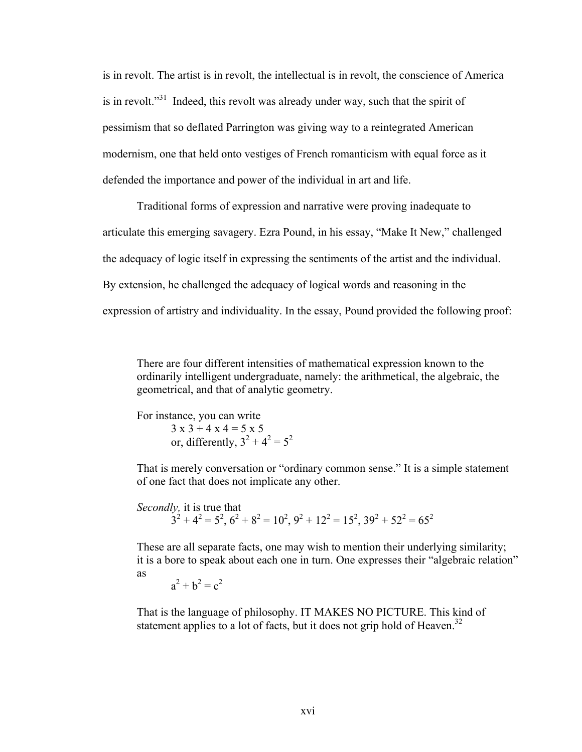is in revolt. The artist is in revolt, the intellectual is in revolt, the conscience of America is in revolt."<sup>31</sup> Indeed, this revolt was already under way, such that the spirit of pessimism that so deflated Parrington was giving way to a reintegrated American modernism, one that held onto vestiges of French romanticism with equal force as it defended the importance and power of the individual in art and life.

Traditional forms of expression and narrative were proving inadequate to articulate this emerging savagery. Ezra Pound, in his essay, "Make It New," challenged the adequacy of logic itself in expressing the sentiments of the artist and the individual. By extension, he challenged the adequacy of logical words and reasoning in the expression of artistry and individuality. In the essay, Pound provided the following proof:

There are four different intensities of mathematical expression known to the ordinarily intelligent undergraduate, namely: the arithmetical, the algebraic, the geometrical, and that of analytic geometry.

For instance, you can write  $3 x 3 + 4 x 4 = 5 x 5$ or, differently,  $3^2 + 4^2 = 5^2$ 

That is merely conversation or "ordinary common sense." It is a simple statement of one fact that does not implicate any other.

*Secondly,* it is true that  $3^2 + 4^2 = 5^2$ ,  $6^2 + 8^2 = 10^2$ ,  $9^2 + 12^2 = 15^2$ ,  $39^2 + 52^2 = 65^2$ 

These are all separate facts, one may wish to mention their underlying similarity; it is a bore to speak about each one in turn. One expresses their "algebraic relation" as

 $a^2 + b^2 = c^2$ 

That is the language of philosophy. IT MAKES NO PICTURE. This kind of statement applies to a lot of facts, but it does not grip hold of Heaven.<sup>32</sup>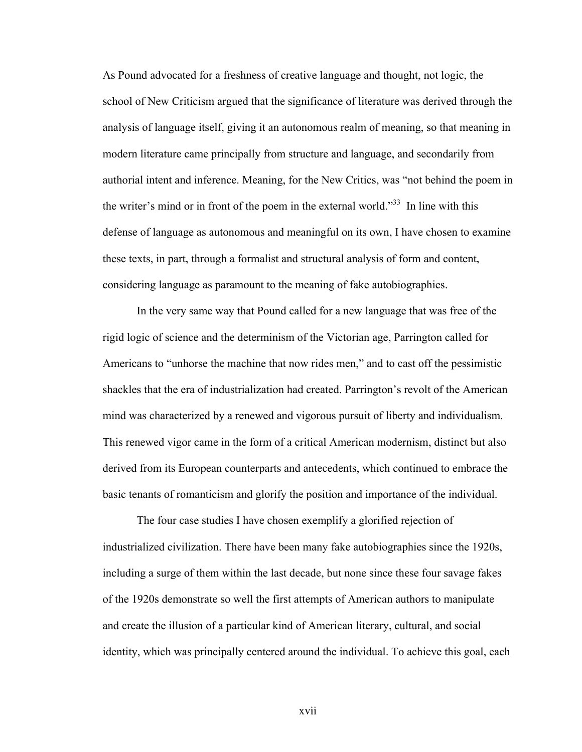As Pound advocated for a freshness of creative language and thought, not logic, the school of New Criticism argued that the significance of literature was derived through the analysis of language itself, giving it an autonomous realm of meaning, so that meaning in modern literature came principally from structure and language, and secondarily from authorial intent and inference. Meaning, for the New Critics, was "not behind the poem in the writer's mind or in front of the poem in the external world."33 In line with this defense of language as autonomous and meaningful on its own, I have chosen to examine these texts, in part, through a formalist and structural analysis of form and content, considering language as paramount to the meaning of fake autobiographies.

In the very same way that Pound called for a new language that was free of the rigid logic of science and the determinism of the Victorian age, Parrington called for Americans to "unhorse the machine that now rides men," and to cast off the pessimistic shackles that the era of industrialization had created. Parrington's revolt of the American mind was characterized by a renewed and vigorous pursuit of liberty and individualism. This renewed vigor came in the form of a critical American modernism, distinct but also derived from its European counterparts and antecedents, which continued to embrace the basic tenants of romanticism and glorify the position and importance of the individual.

The four case studies I have chosen exemplify a glorified rejection of industrialized civilization. There have been many fake autobiographies since the 1920s, including a surge of them within the last decade, but none since these four savage fakes of the 1920s demonstrate so well the first attempts of American authors to manipulate and create the illusion of a particular kind of American literary, cultural, and social identity, which was principally centered around the individual. To achieve this goal, each

xvii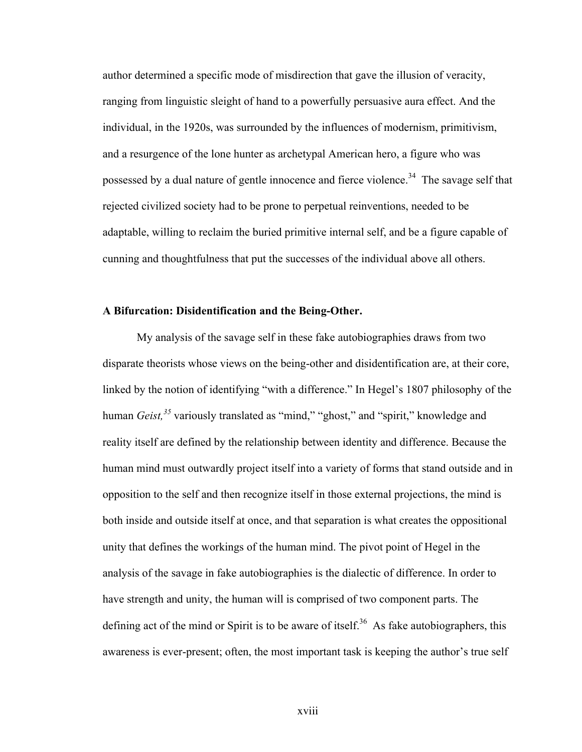author determined a specific mode of misdirection that gave the illusion of veracity, ranging from linguistic sleight of hand to a powerfully persuasive aura effect. And the individual, in the 1920s, was surrounded by the influences of modernism, primitivism, and a resurgence of the lone hunter as archetypal American hero, a figure who was possessed by a dual nature of gentle innocence and fierce violence.<sup>34</sup> The savage self that rejected civilized society had to be prone to perpetual reinventions, needed to be adaptable, willing to reclaim the buried primitive internal self, and be a figure capable of cunning and thoughtfulness that put the successes of the individual above all others.

#### **A Bifurcation: Disidentification and the Being-Other.**

My analysis of the savage self in these fake autobiographies draws from two disparate theorists whose views on the being-other and disidentification are, at their core, linked by the notion of identifying "with a difference." In Hegel's 1807 philosophy of the human *Geist*,<sup>35</sup> variously translated as "mind," "ghost," and "spirit," knowledge and reality itself are defined by the relationship between identity and difference. Because the human mind must outwardly project itself into a variety of forms that stand outside and in opposition to the self and then recognize itself in those external projections, the mind is both inside and outside itself at once, and that separation is what creates the oppositional unity that defines the workings of the human mind. The pivot point of Hegel in the analysis of the savage in fake autobiographies is the dialectic of difference. In order to have strength and unity, the human will is comprised of two component parts. The defining act of the mind or Spirit is to be aware of itself.<sup>36</sup> As fake autobiographers, this awareness is ever-present; often, the most important task is keeping the author's true self

xviii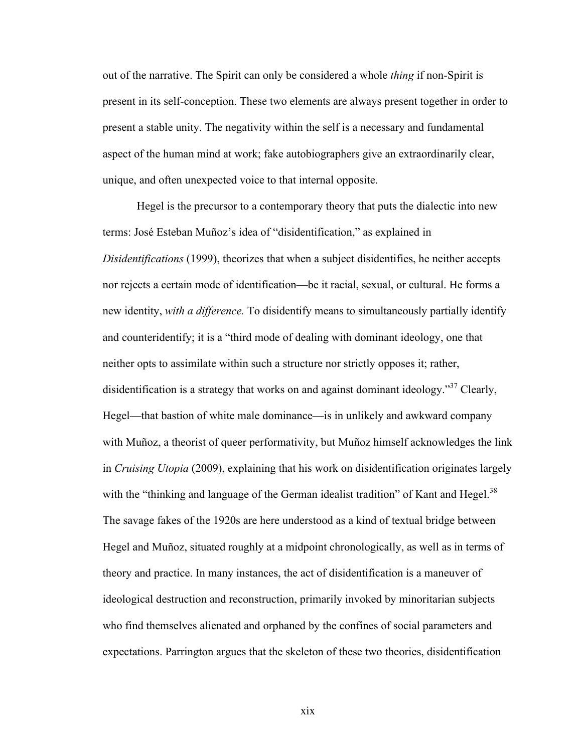out of the narrative. The Spirit can only be considered a whole *thing* if non-Spirit is present in its self-conception. These two elements are always present together in order to present a stable unity. The negativity within the self is a necessary and fundamental aspect of the human mind at work; fake autobiographers give an extraordinarily clear, unique, and often unexpected voice to that internal opposite.

Hegel is the precursor to a contemporary theory that puts the dialectic into new terms: José Esteban Muñoz's idea of "disidentification," as explained in *Disidentifications* (1999), theorizes that when a subject disidentifies, he neither accepts nor rejects a certain mode of identification—be it racial, sexual, or cultural. He forms a new identity, *with a difference.* To disidentify means to simultaneously partially identify and counteridentify; it is a "third mode of dealing with dominant ideology, one that neither opts to assimilate within such a structure nor strictly opposes it; rather, disidentification is a strategy that works on and against dominant ideology.<sup>37</sup> Clearly, Hegel—that bastion of white male dominance—is in unlikely and awkward company with Muñoz, a theorist of queer performativity, but Muñoz himself acknowledges the link in *Cruising Utopia* (2009), explaining that his work on disidentification originates largely with the "thinking and language of the German idealist tradition" of Kant and Hegel.<sup>38</sup> The savage fakes of the 1920s are here understood as a kind of textual bridge between Hegel and Muñoz, situated roughly at a midpoint chronologically, as well as in terms of theory and practice. In many instances, the act of disidentification is a maneuver of ideological destruction and reconstruction, primarily invoked by minoritarian subjects who find themselves alienated and orphaned by the confines of social parameters and expectations. Parrington argues that the skeleton of these two theories, disidentification

xix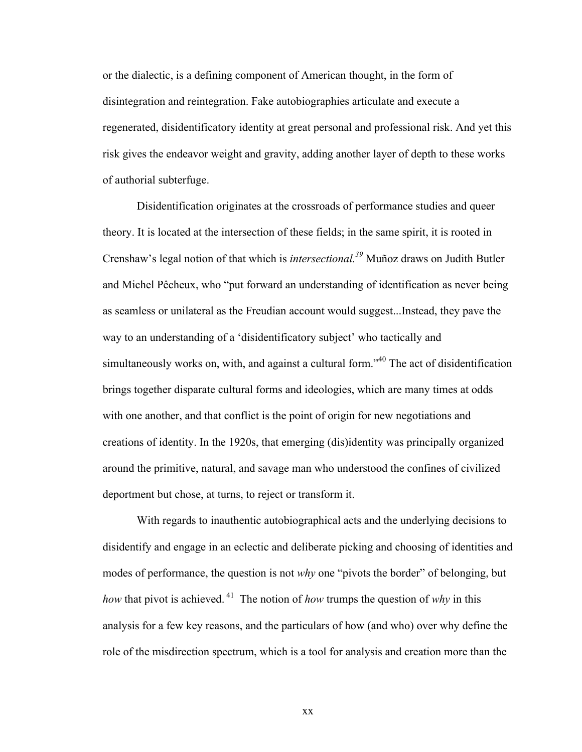or the dialectic, is a defining component of American thought, in the form of disintegration and reintegration. Fake autobiographies articulate and execute a regenerated, disidentificatory identity at great personal and professional risk. And yet this risk gives the endeavor weight and gravity, adding another layer of depth to these works of authorial subterfuge.

Disidentification originates at the crossroads of performance studies and queer theory. It is located at the intersection of these fields; in the same spirit, it is rooted in Crenshaw's legal notion of that which is *intersectional.39* Muñoz draws on Judith Butler and Michel Pêcheux, who "put forward an understanding of identification as never being as seamless or unilateral as the Freudian account would suggest...Instead, they pave the way to an understanding of a 'disidentificatory subject' who tactically and simultaneously works on, with, and against a cultural form.<sup>"40</sup> The act of disidentification brings together disparate cultural forms and ideologies, which are many times at odds with one another, and that conflict is the point of origin for new negotiations and creations of identity. In the 1920s, that emerging (dis)identity was principally organized around the primitive, natural, and savage man who understood the confines of civilized deportment but chose, at turns, to reject or transform it.

With regards to inauthentic autobiographical acts and the underlying decisions to disidentify and engage in an eclectic and deliberate picking and choosing of identities and modes of performance, the question is not *why* one "pivots the border" of belonging, but *how* that pivot is achieved. <sup>41</sup> The notion of *how* trumps the question of *why* in this analysis for a few key reasons, and the particulars of how (and who) over why define the role of the misdirection spectrum, which is a tool for analysis and creation more than the

xx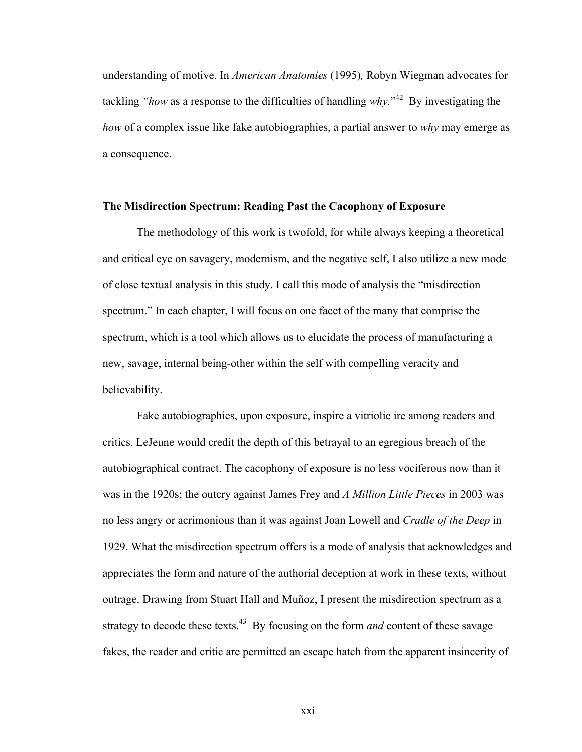understanding of motive. In *American Anatomies* (1995)*,* Robyn Wiegman advocates for tackling *"how* as a response to the difficulties of handling *why.*" <sup>42</sup> By investigating the *how* of a complex issue like fake autobiographies, a partial answer to *why* may emerge as a consequence.

#### **The Misdirection Spectrum: Reading Past the Cacophony of Exposure**

The methodology of this work is twofold, for while always keeping a theoretical and critical eye on savagery, modernism, and the negative self, I also utilize a new mode of close textual analysis in this study. I call this mode of analysis the "misdirection spectrum." In each chapter, I will focus on one facet of the many that comprise the spectrum, which is a tool which allows us to elucidate the process of manufacturing a new, savage, internal being-other within the self with compelling veracity and believability.

Fake autobiographies, upon exposure, inspire a vitriolic ire among readers and critics. LeJeune would credit the depth of this betrayal to an egregious breach of the autobiographical contract. The cacophony of exposure is no less vociferous now than it was in the 1920s; the outcry against James Frey and *A Million Little Pieces* in 2003 was no less angry or acrimonious than it was against Joan Lowell and *Cradle of the Deep* in 1929. What the misdirection spectrum offers is a mode of analysis that acknowledges and appreciates the form and nature of the authorial deception at work in these texts, without outrage. Drawing from Stuart Hall and Muñoz, I present the misdirection spectrum as a strategy to decode these texts.<sup>43</sup> By focusing on the form *and* content of these savage fakes, the reader and critic are permitted an escape hatch from the apparent insincerity of

xxi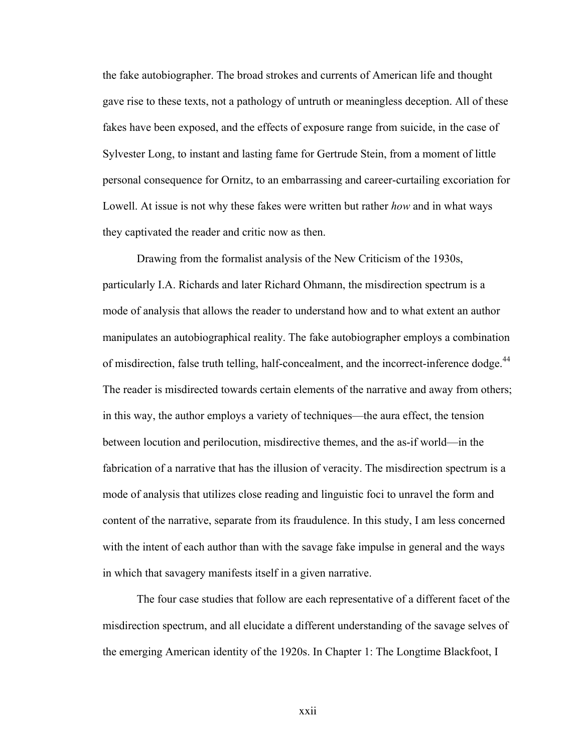the fake autobiographer. The broad strokes and currents of American life and thought gave rise to these texts, not a pathology of untruth or meaningless deception. All of these fakes have been exposed, and the effects of exposure range from suicide, in the case of Sylvester Long, to instant and lasting fame for Gertrude Stein, from a moment of little personal consequence for Ornitz, to an embarrassing and career-curtailing excoriation for Lowell. At issue is not why these fakes were written but rather *how* and in what ways they captivated the reader and critic now as then.

Drawing from the formalist analysis of the New Criticism of the 1930s, particularly I.A. Richards and later Richard Ohmann, the misdirection spectrum is a mode of analysis that allows the reader to understand how and to what extent an author manipulates an autobiographical reality. The fake autobiographer employs a combination of misdirection, false truth telling, half-concealment, and the incorrect-inference dodge.<sup>44</sup> The reader is misdirected towards certain elements of the narrative and away from others; in this way, the author employs a variety of techniques—the aura effect, the tension between locution and perilocution, misdirective themes, and the as-if world—in the fabrication of a narrative that has the illusion of veracity. The misdirection spectrum is a mode of analysis that utilizes close reading and linguistic foci to unravel the form and content of the narrative, separate from its fraudulence. In this study, I am less concerned with the intent of each author than with the savage fake impulse in general and the ways in which that savagery manifests itself in a given narrative.

The four case studies that follow are each representative of a different facet of the misdirection spectrum, and all elucidate a different understanding of the savage selves of the emerging American identity of the 1920s. In Chapter 1: The Longtime Blackfoot, I

xxii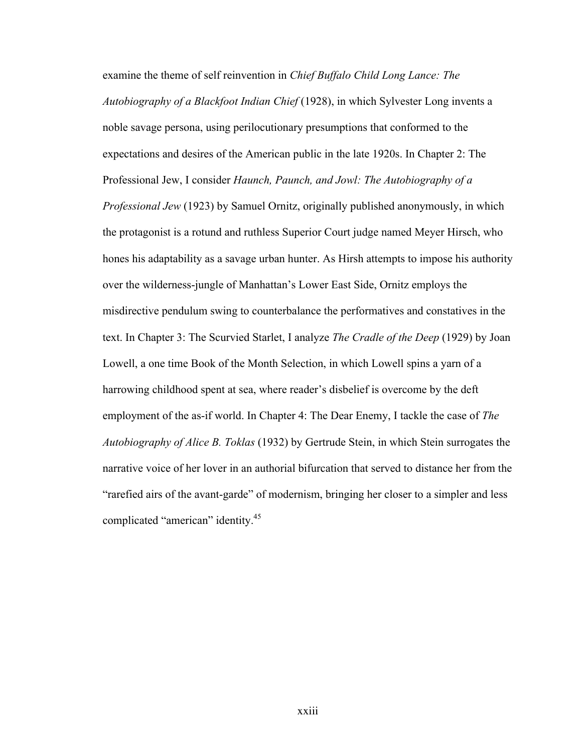examine the theme of self reinvention in *Chief Buffalo Child Long Lance: The Autobiography of a Blackfoot Indian Chief* (1928), in which Sylvester Long invents a noble savage persona, using perilocutionary presumptions that conformed to the expectations and desires of the American public in the late 1920s. In Chapter 2: The Professional Jew, I consider *Haunch, Paunch, and Jowl: The Autobiography of a Professional Jew* (1923) by Samuel Ornitz, originally published anonymously, in which the protagonist is a rotund and ruthless Superior Court judge named Meyer Hirsch, who hones his adaptability as a savage urban hunter. As Hirsh attempts to impose his authority over the wilderness-jungle of Manhattan's Lower East Side, Ornitz employs the misdirective pendulum swing to counterbalance the performatives and constatives in the text. In Chapter 3: The Scurvied Starlet, I analyze *The Cradle of the Deep* (1929) by Joan Lowell, a one time Book of the Month Selection, in which Lowell spins a yarn of a harrowing childhood spent at sea, where reader's disbelief is overcome by the deft employment of the as-if world. In Chapter 4: The Dear Enemy, I tackle the case of *The Autobiography of Alice B. Toklas* (1932) by Gertrude Stein, in which Stein surrogates the narrative voice of her lover in an authorial bifurcation that served to distance her from the "rarefied airs of the avant-garde" of modernism, bringing her closer to a simpler and less complicated "american" identity.<sup>45</sup>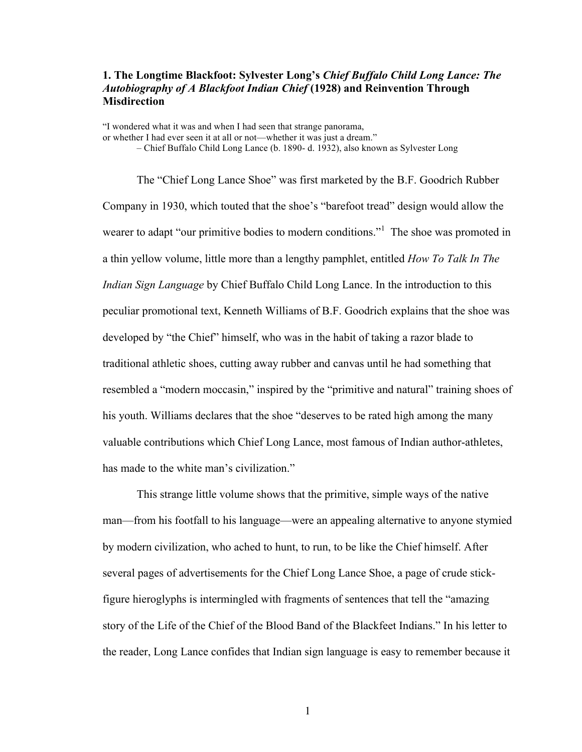### **1. The Longtime Blackfoot: Sylvester Long's** *Chief Buffalo Child Long Lance: The Autobiography of A Blackfoot Indian Chief* **(1928) and Reinvention Through Misdirection**

"I wondered what it was and when I had seen that strange panorama, or whether I had ever seen it at all or not—whether it was just a dream."

– Chief Buffalo Child Long Lance (b. 1890- d. 1932), also known as Sylvester Long

The "Chief Long Lance Shoe" was first marketed by the B.F. Goodrich Rubber Company in 1930, which touted that the shoe's "barefoot tread" design would allow the wearer to adapt "our primitive bodies to modern conditions."<sup>1</sup> The shoe was promoted in a thin yellow volume, little more than a lengthy pamphlet, entitled *How To Talk In The Indian Sign Language* by Chief Buffalo Child Long Lance. In the introduction to this peculiar promotional text, Kenneth Williams of B.F. Goodrich explains that the shoe was developed by "the Chief" himself, who was in the habit of taking a razor blade to traditional athletic shoes, cutting away rubber and canvas until he had something that resembled a "modern moccasin," inspired by the "primitive and natural" training shoes of his youth. Williams declares that the shoe "deserves to be rated high among the many valuable contributions which Chief Long Lance, most famous of Indian author-athletes, has made to the white man's civilization."

This strange little volume shows that the primitive, simple ways of the native man—from his footfall to his language—were an appealing alternative to anyone stymied by modern civilization, who ached to hunt, to run, to be like the Chief himself. After several pages of advertisements for the Chief Long Lance Shoe, a page of crude stickfigure hieroglyphs is intermingled with fragments of sentences that tell the "amazing story of the Life of the Chief of the Blood Band of the Blackfeet Indians." In his letter to the reader, Long Lance confides that Indian sign language is easy to remember because it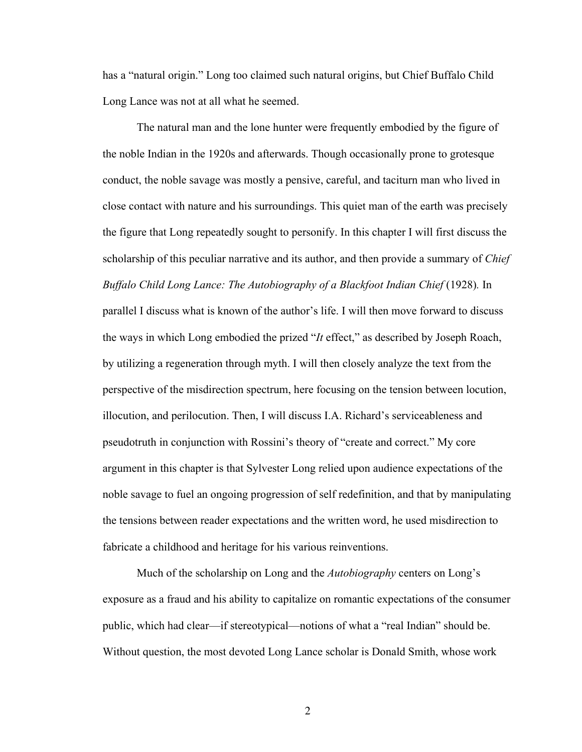has a "natural origin." Long too claimed such natural origins, but Chief Buffalo Child Long Lance was not at all what he seemed.

The natural man and the lone hunter were frequently embodied by the figure of the noble Indian in the 1920s and afterwards. Though occasionally prone to grotesque conduct, the noble savage was mostly a pensive, careful, and taciturn man who lived in close contact with nature and his surroundings. This quiet man of the earth was precisely the figure that Long repeatedly sought to personify. In this chapter I will first discuss the scholarship of this peculiar narrative and its author, and then provide a summary of *Chief Buffalo Child Long Lance: The Autobiography of a Blackfoot Indian Chief (1928).* In parallel I discuss what is known of the author's life. I will then move forward to discuss the ways in which Long embodied the prized "*It* effect," as described by Joseph Roach, by utilizing a regeneration through myth. I will then closely analyze the text from the perspective of the misdirection spectrum, here focusing on the tension between locution, illocution, and perilocution. Then, I will discuss I.A. Richard's serviceableness and pseudotruth in conjunction with Rossini's theory of "create and correct." My core argument in this chapter is that Sylvester Long relied upon audience expectations of the noble savage to fuel an ongoing progression of self redefinition, and that by manipulating the tensions between reader expectations and the written word, he used misdirection to fabricate a childhood and heritage for his various reinventions.

Much of the scholarship on Long and the *Autobiography* centers on Long's exposure as a fraud and his ability to capitalize on romantic expectations of the consumer public, which had clear—if stereotypical—notions of what a "real Indian" should be. Without question, the most devoted Long Lance scholar is Donald Smith, whose work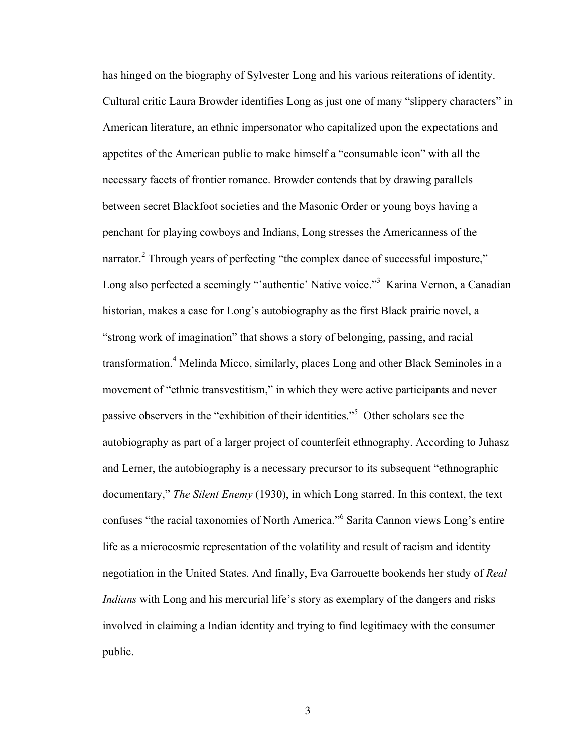has hinged on the biography of Sylvester Long and his various reiterations of identity. Cultural critic Laura Browder identifies Long as just one of many "slippery characters" in American literature, an ethnic impersonator who capitalized upon the expectations and appetites of the American public to make himself a "consumable icon" with all the necessary facets of frontier romance. Browder contends that by drawing parallels between secret Blackfoot societies and the Masonic Order or young boys having a penchant for playing cowboys and Indians, Long stresses the Americanness of the narrator.<sup>2</sup> Through years of perfecting "the complex dance of successful imposture," Long also perfected a seemingly "'authentic' Native voice."<sup>3</sup> Karina Vernon, a Canadian historian, makes a case for Long's autobiography as the first Black prairie novel, a "strong work of imagination" that shows a story of belonging, passing, and racial transformation.<sup>4</sup> Melinda Micco, similarly, places Long and other Black Seminoles in a movement of "ethnic transvestitism," in which they were active participants and never passive observers in the "exhibition of their identities."<sup>5</sup> Other scholars see the autobiography as part of a larger project of counterfeit ethnography. According to Juhasz and Lerner, the autobiography is a necessary precursor to its subsequent "ethnographic documentary," *The Silent Enemy* (1930), in which Long starred. In this context, the text confuses "the racial taxonomies of North America."<sup>6</sup> Sarita Cannon views Long's entire life as a microcosmic representation of the volatility and result of racism and identity negotiation in the United States. And finally, Eva Garrouette bookends her study of *Real Indians* with Long and his mercurial life's story as exemplary of the dangers and risks involved in claiming a Indian identity and trying to find legitimacy with the consumer public.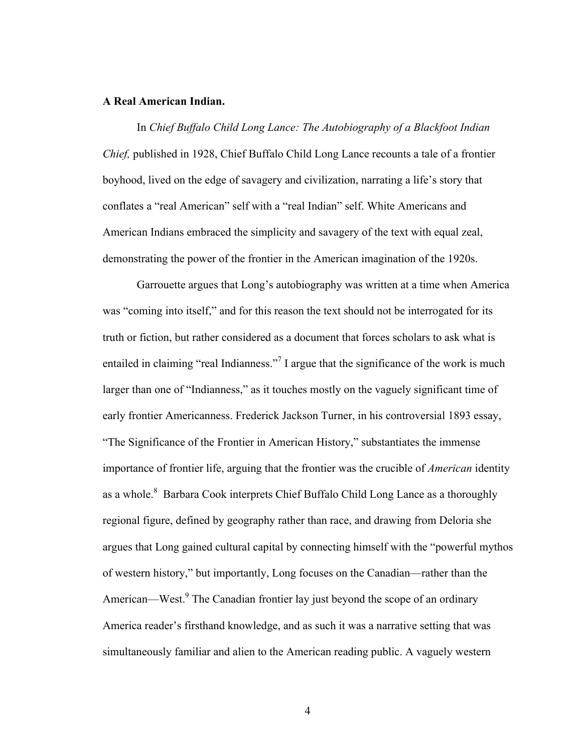#### **A Real American Indian.**

In *Chief Buffalo Child Long Lance: The Autobiography of a Blackfoot Indian Chief,* published in 1928, Chief Buffalo Child Long Lance recounts a tale of a frontier boyhood, lived on the edge of savagery and civilization, narrating a life's story that conflates a "real American" self with a "real Indian" self. White Americans and American Indians embraced the simplicity and savagery of the text with equal zeal, demonstrating the power of the frontier in the American imagination of the 1920s.

Garrouette argues that Long's autobiography was written at a time when America was "coming into itself," and for this reason the text should not be interrogated for its truth or fiction, but rather considered as a document that forces scholars to ask what is entailed in claiming "real Indianness."<sup>7</sup> I argue that the significance of the work is much larger than one of "Indianness," as it touches mostly on the vaguely significant time of early frontier Americanness. Frederick Jackson Turner, in his controversial 1893 essay, "The Significance of the Frontier in American History," substantiates the immense importance of frontier life, arguing that the frontier was the crucible of *American* identity as a whole.<sup>8</sup> Barbara Cook interprets Chief Buffalo Child Long Lance as a thoroughly regional figure, defined by geography rather than race, and drawing from Deloria she argues that Long gained cultural capital by connecting himself with the "powerful mythos of western history," but importantly, Long focuses on the Canadian—rather than the American—West.<sup>9</sup> The Canadian frontier lay just beyond the scope of an ordinary America reader's firsthand knowledge, and as such it was a narrative setting that was simultaneously familiar and alien to the American reading public. A vaguely western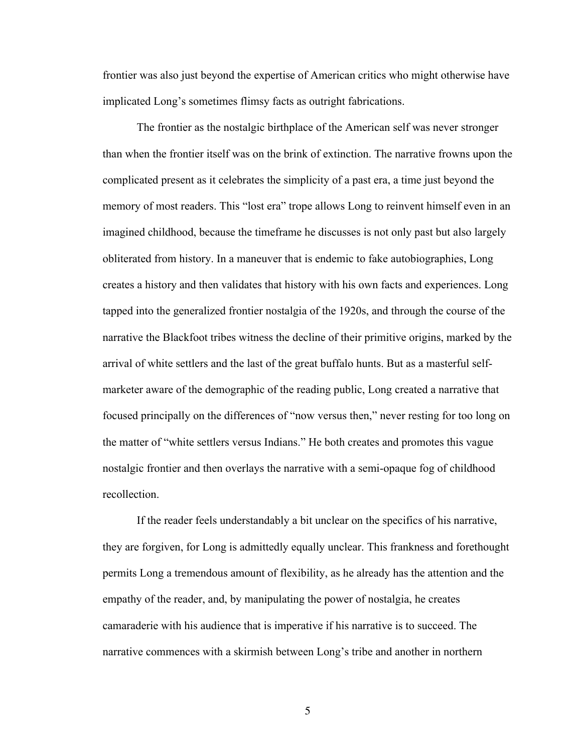frontier was also just beyond the expertise of American critics who might otherwise have implicated Long's sometimes flimsy facts as outright fabrications.

The frontier as the nostalgic birthplace of the American self was never stronger than when the frontier itself was on the brink of extinction. The narrative frowns upon the complicated present as it celebrates the simplicity of a past era, a time just beyond the memory of most readers. This "lost era" trope allows Long to reinvent himself even in an imagined childhood, because the timeframe he discusses is not only past but also largely obliterated from history. In a maneuver that is endemic to fake autobiographies, Long creates a history and then validates that history with his own facts and experiences. Long tapped into the generalized frontier nostalgia of the 1920s, and through the course of the narrative the Blackfoot tribes witness the decline of their primitive origins, marked by the arrival of white settlers and the last of the great buffalo hunts. But as a masterful selfmarketer aware of the demographic of the reading public, Long created a narrative that focused principally on the differences of "now versus then," never resting for too long on the matter of "white settlers versus Indians." He both creates and promotes this vague nostalgic frontier and then overlays the narrative with a semi-opaque fog of childhood recollection.

If the reader feels understandably a bit unclear on the specifics of his narrative, they are forgiven, for Long is admittedly equally unclear. This frankness and forethought permits Long a tremendous amount of flexibility, as he already has the attention and the empathy of the reader, and, by manipulating the power of nostalgia, he creates camaraderie with his audience that is imperative if his narrative is to succeed. The narrative commences with a skirmish between Long's tribe and another in northern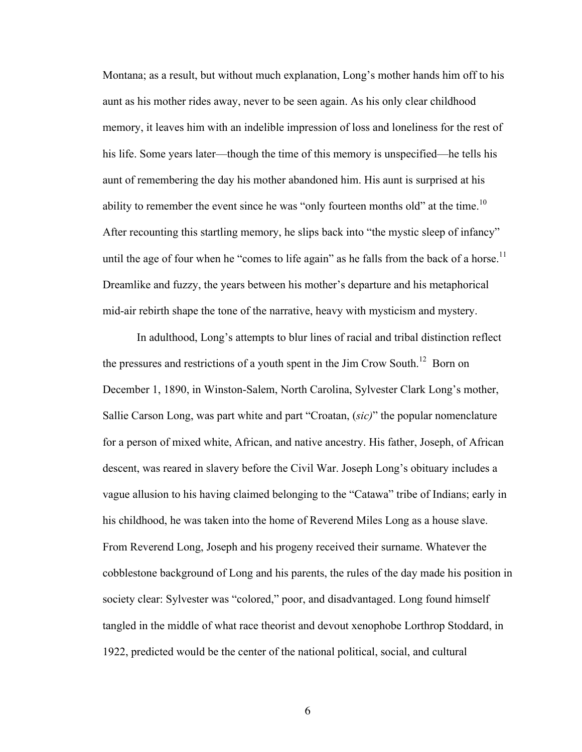Montana; as a result, but without much explanation, Long's mother hands him off to his aunt as his mother rides away, never to be seen again. As his only clear childhood memory, it leaves him with an indelible impression of loss and loneliness for the rest of his life. Some years later—though the time of this memory is unspecified—he tells his aunt of remembering the day his mother abandoned him. His aunt is surprised at his ability to remember the event since he was "only fourteen months old" at the time.<sup>10</sup> After recounting this startling memory, he slips back into "the mystic sleep of infancy" until the age of four when he "comes to life again" as he falls from the back of a horse.<sup>11</sup> Dreamlike and fuzzy, the years between his mother's departure and his metaphorical mid-air rebirth shape the tone of the narrative, heavy with mysticism and mystery.

In adulthood, Long's attempts to blur lines of racial and tribal distinction reflect the pressures and restrictions of a youth spent in the Jim Crow South.<sup>12</sup> Born on December 1, 1890, in Winston-Salem, North Carolina, Sylvester Clark Long's mother, Sallie Carson Long, was part white and part "Croatan, (*sic)*" the popular nomenclature for a person of mixed white, African, and native ancestry. His father, Joseph, of African descent, was reared in slavery before the Civil War. Joseph Long's obituary includes a vague allusion to his having claimed belonging to the "Catawa" tribe of Indians; early in his childhood, he was taken into the home of Reverend Miles Long as a house slave. From Reverend Long, Joseph and his progeny received their surname. Whatever the cobblestone background of Long and his parents, the rules of the day made his position in society clear: Sylvester was "colored," poor, and disadvantaged. Long found himself tangled in the middle of what race theorist and devout xenophobe Lorthrop Stoddard, in 1922, predicted would be the center of the national political, social, and cultural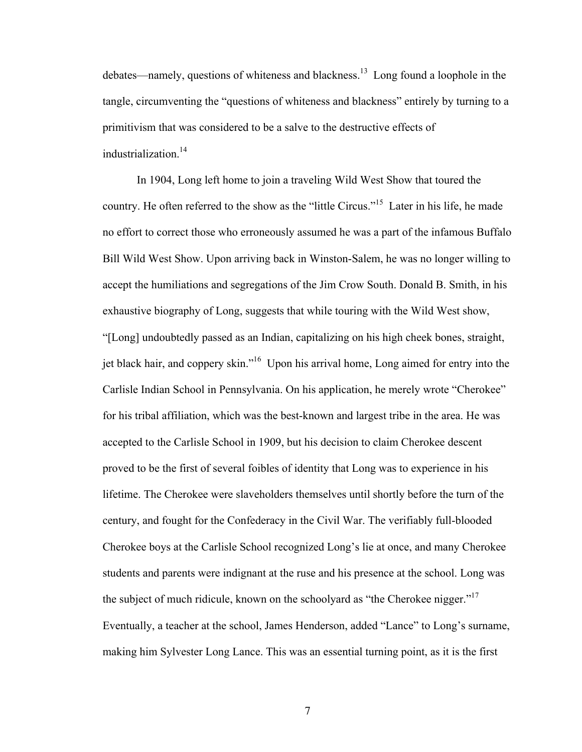debates—namely, questions of whiteness and blackness.<sup>13</sup> Long found a loophole in the tangle, circumventing the "questions of whiteness and blackness" entirely by turning to a primitivism that was considered to be a salve to the destructive effects of industrialization.<sup>14</sup>

In 1904, Long left home to join a traveling Wild West Show that toured the country. He often referred to the show as the "little Circus."<sup>15</sup> Later in his life, he made no effort to correct those who erroneously assumed he was a part of the infamous Buffalo Bill Wild West Show. Upon arriving back in Winston-Salem, he was no longer willing to accept the humiliations and segregations of the Jim Crow South. Donald B. Smith, in his exhaustive biography of Long, suggests that while touring with the Wild West show, "[Long] undoubtedly passed as an Indian, capitalizing on his high cheek bones, straight, jet black hair, and coppery skin."16 Upon his arrival home, Long aimed for entry into the Carlisle Indian School in Pennsylvania. On his application, he merely wrote "Cherokee" for his tribal affiliation, which was the best-known and largest tribe in the area. He was accepted to the Carlisle School in 1909, but his decision to claim Cherokee descent proved to be the first of several foibles of identity that Long was to experience in his lifetime. The Cherokee were slaveholders themselves until shortly before the turn of the century, and fought for the Confederacy in the Civil War. The verifiably full-blooded Cherokee boys at the Carlisle School recognized Long's lie at once, and many Cherokee students and parents were indignant at the ruse and his presence at the school. Long was the subject of much ridicule, known on the schoolyard as "the Cherokee nigger."<sup>17</sup> Eventually, a teacher at the school, James Henderson, added "Lance" to Long's surname, making him Sylvester Long Lance. This was an essential turning point, as it is the first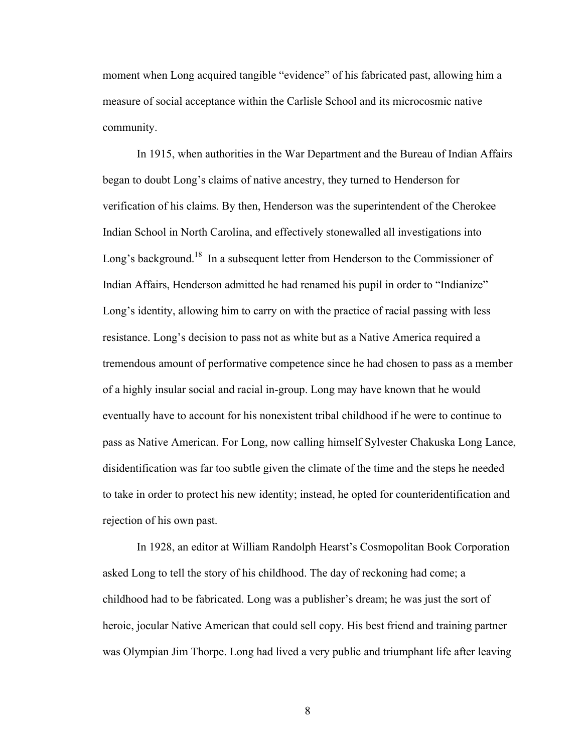moment when Long acquired tangible "evidence" of his fabricated past, allowing him a measure of social acceptance within the Carlisle School and its microcosmic native community.

In 1915, when authorities in the War Department and the Bureau of Indian Affairs began to doubt Long's claims of native ancestry, they turned to Henderson for verification of his claims. By then, Henderson was the superintendent of the Cherokee Indian School in North Carolina, and effectively stonewalled all investigations into Long's background.<sup>18</sup> In a subsequent letter from Henderson to the Commissioner of Indian Affairs, Henderson admitted he had renamed his pupil in order to "Indianize" Long's identity, allowing him to carry on with the practice of racial passing with less resistance. Long's decision to pass not as white but as a Native America required a tremendous amount of performative competence since he had chosen to pass as a member of a highly insular social and racial in-group. Long may have known that he would eventually have to account for his nonexistent tribal childhood if he were to continue to pass as Native American. For Long, now calling himself Sylvester Chakuska Long Lance, disidentification was far too subtle given the climate of the time and the steps he needed to take in order to protect his new identity; instead, he opted for counteridentification and rejection of his own past.

In 1928, an editor at William Randolph Hearst's Cosmopolitan Book Corporation asked Long to tell the story of his childhood. The day of reckoning had come; a childhood had to be fabricated. Long was a publisher's dream; he was just the sort of heroic, jocular Native American that could sell copy. His best friend and training partner was Olympian Jim Thorpe. Long had lived a very public and triumphant life after leaving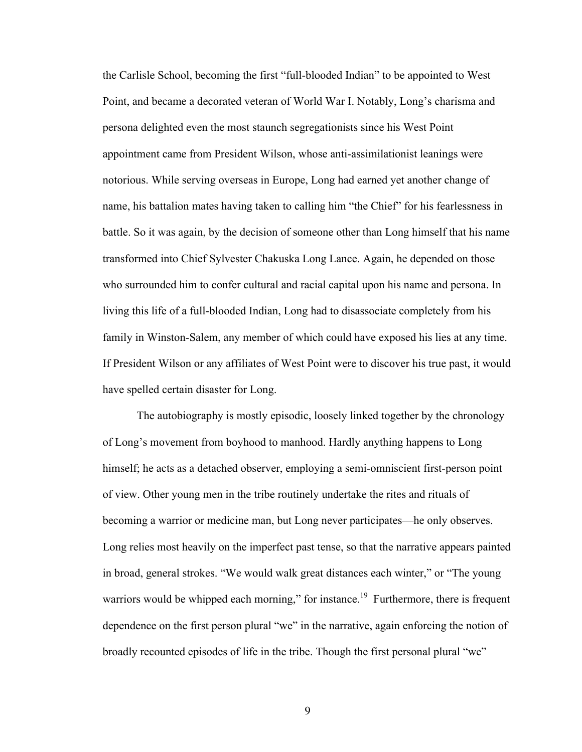the Carlisle School, becoming the first "full-blooded Indian" to be appointed to West Point, and became a decorated veteran of World War I. Notably, Long's charisma and persona delighted even the most staunch segregationists since his West Point appointment came from President Wilson, whose anti-assimilationist leanings were notorious. While serving overseas in Europe, Long had earned yet another change of name, his battalion mates having taken to calling him "the Chief" for his fearlessness in battle. So it was again, by the decision of someone other than Long himself that his name transformed into Chief Sylvester Chakuska Long Lance. Again, he depended on those who surrounded him to confer cultural and racial capital upon his name and persona. In living this life of a full-blooded Indian, Long had to disassociate completely from his family in Winston-Salem, any member of which could have exposed his lies at any time. If President Wilson or any affiliates of West Point were to discover his true past, it would have spelled certain disaster for Long.

The autobiography is mostly episodic, loosely linked together by the chronology of Long's movement from boyhood to manhood. Hardly anything happens to Long himself; he acts as a detached observer, employing a semi-omniscient first-person point of view. Other young men in the tribe routinely undertake the rites and rituals of becoming a warrior or medicine man, but Long never participates—he only observes. Long relies most heavily on the imperfect past tense, so that the narrative appears painted in broad, general strokes. "We would walk great distances each winter," or "The young warriors would be whipped each morning," for instance.<sup>19</sup> Furthermore, there is frequent dependence on the first person plural "we" in the narrative, again enforcing the notion of broadly recounted episodes of life in the tribe. Though the first personal plural "we"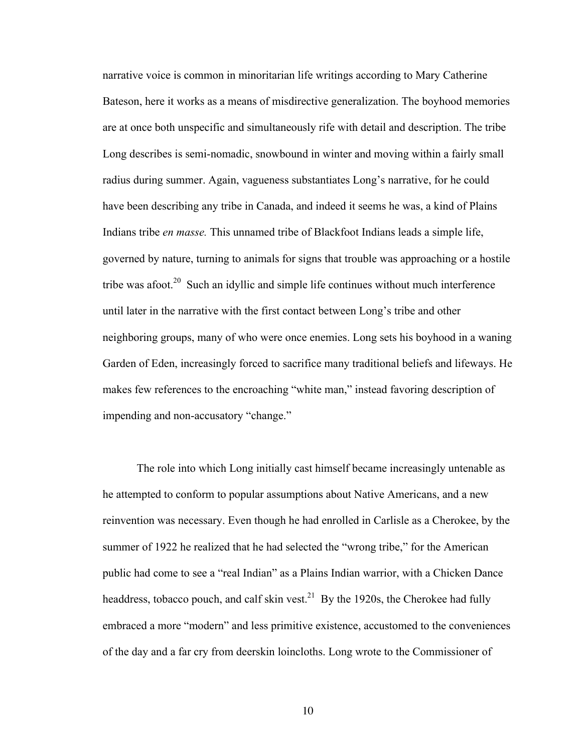narrative voice is common in minoritarian life writings according to Mary Catherine Bateson, here it works as a means of misdirective generalization. The boyhood memories are at once both unspecific and simultaneously rife with detail and description. The tribe Long describes is semi-nomadic, snowbound in winter and moving within a fairly small radius during summer. Again, vagueness substantiates Long's narrative, for he could have been describing any tribe in Canada, and indeed it seems he was, a kind of Plains Indians tribe *en masse.* This unnamed tribe of Blackfoot Indians leads a simple life, governed by nature, turning to animals for signs that trouble was approaching or a hostile tribe was afoot. $20$  Such an idyllic and simple life continues without much interference until later in the narrative with the first contact between Long's tribe and other neighboring groups, many of who were once enemies. Long sets his boyhood in a waning Garden of Eden, increasingly forced to sacrifice many traditional beliefs and lifeways. He makes few references to the encroaching "white man," instead favoring description of impending and non-accusatory "change."

The role into which Long initially cast himself became increasingly untenable as he attempted to conform to popular assumptions about Native Americans, and a new reinvention was necessary. Even though he had enrolled in Carlisle as a Cherokee, by the summer of 1922 he realized that he had selected the "wrong tribe," for the American public had come to see a "real Indian" as a Plains Indian warrior, with a Chicken Dance headdress, tobacco pouch, and calf skin vest.<sup>21</sup> By the 1920s, the Cherokee had fully embraced a more "modern" and less primitive existence, accustomed to the conveniences of the day and a far cry from deerskin loincloths. Long wrote to the Commissioner of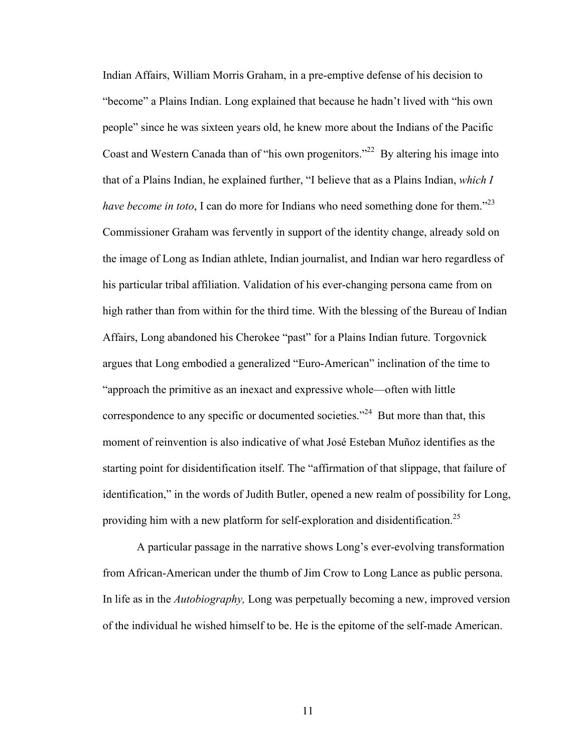Indian Affairs, William Morris Graham, in a pre-emptive defense of his decision to "become" a Plains Indian. Long explained that because he hadn't lived with "his own people" since he was sixteen years old, he knew more about the Indians of the Pacific Coast and Western Canada than of "his own progenitors."<sup>22</sup> By altering his image into that of a Plains Indian, he explained further, "I believe that as a Plains Indian, *which I have become in toto*, I can do more for Indians who need something done for them."<sup>23</sup> Commissioner Graham was fervently in support of the identity change, already sold on the image of Long as Indian athlete, Indian journalist, and Indian war hero regardless of his particular tribal affiliation. Validation of his ever-changing persona came from on high rather than from within for the third time. With the blessing of the Bureau of Indian Affairs, Long abandoned his Cherokee "past" for a Plains Indian future. Torgovnick argues that Long embodied a generalized "Euro-American" inclination of the time to "approach the primitive as an inexact and expressive whole—often with little correspondence to any specific or documented societies."<sup>24</sup> But more than that, this moment of reinvention is also indicative of what José Esteban Muñoz identifies as the starting point for disidentification itself. The "affirmation of that slippage, that failure of identification," in the words of Judith Butler, opened a new realm of possibility for Long, providing him with a new platform for self-exploration and disidentification.<sup>25</sup>

A particular passage in the narrative shows Long's ever-evolving transformation from African-American under the thumb of Jim Crow to Long Lance as public persona. In life as in the *Autobiography,* Long was perpetually becoming a new, improved version of the individual he wished himself to be. He is the epitome of the self-made American.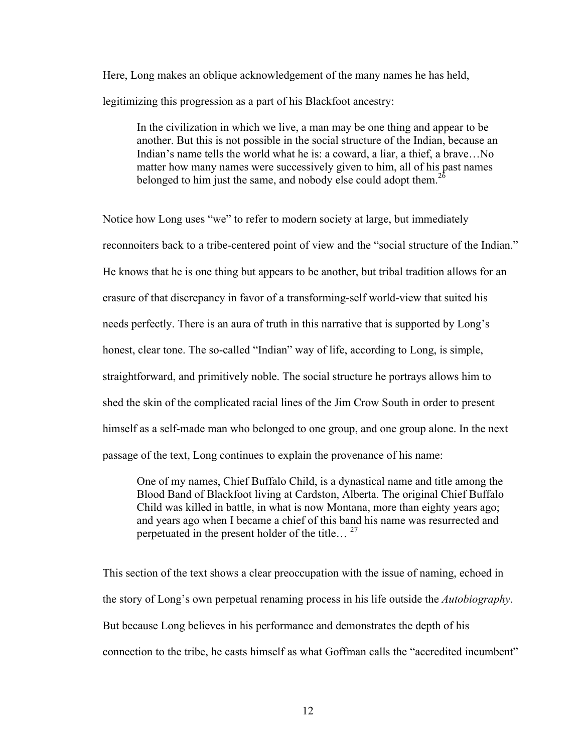Here, Long makes an oblique acknowledgement of the many names he has held, legitimizing this progression as a part of his Blackfoot ancestry:

In the civilization in which we live, a man may be one thing and appear to be another. But this is not possible in the social structure of the Indian, because an Indian's name tells the world what he is: a coward, a liar, a thief, a brave…No matter how many names were successively given to him, all of his past names belonged to him just the same, and nobody else could adopt them.<sup>26</sup>

Notice how Long uses "we" to refer to modern society at large, but immediately reconnoiters back to a tribe-centered point of view and the "social structure of the Indian." He knows that he is one thing but appears to be another, but tribal tradition allows for an erasure of that discrepancy in favor of a transforming-self world-view that suited his needs perfectly. There is an aura of truth in this narrative that is supported by Long's honest, clear tone. The so-called "Indian" way of life, according to Long, is simple, straightforward, and primitively noble. The social structure he portrays allows him to shed the skin of the complicated racial lines of the Jim Crow South in order to present himself as a self-made man who belonged to one group, and one group alone. In the next passage of the text, Long continues to explain the provenance of his name:

One of my names, Chief Buffalo Child, is a dynastical name and title among the Blood Band of Blackfoot living at Cardston, Alberta. The original Chief Buffalo Child was killed in battle, in what is now Montana, more than eighty years ago; and years ago when I became a chief of this band his name was resurrected and perpetuated in the present holder of the title...<sup>27</sup>

This section of the text shows a clear preoccupation with the issue of naming, echoed in the story of Long's own perpetual renaming process in his life outside the *Autobiography*. But because Long believes in his performance and demonstrates the depth of his connection to the tribe, he casts himself as what Goffman calls the "accredited incumbent"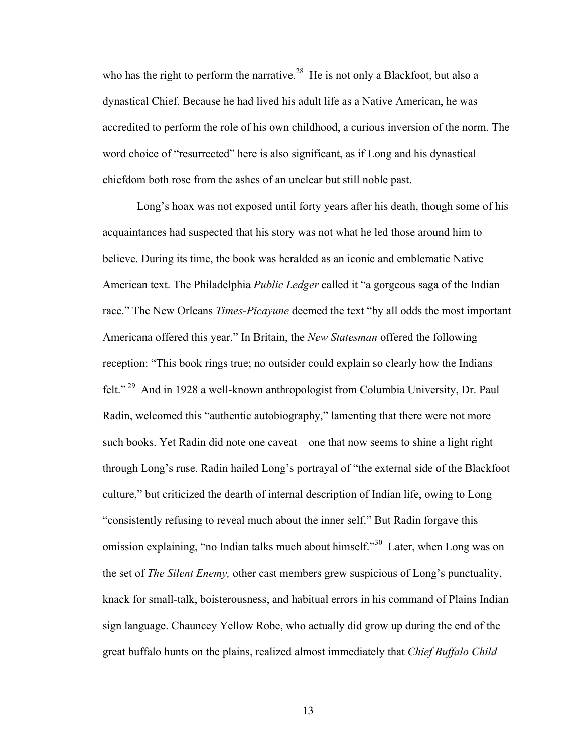who has the right to perform the narrative.<sup>28</sup> He is not only a Blackfoot, but also a dynastical Chief. Because he had lived his adult life as a Native American, he was accredited to perform the role of his own childhood, a curious inversion of the norm. The word choice of "resurrected" here is also significant, as if Long and his dynastical chiefdom both rose from the ashes of an unclear but still noble past.

Long's hoax was not exposed until forty years after his death, though some of his acquaintances had suspected that his story was not what he led those around him to believe. During its time, the book was heralded as an iconic and emblematic Native American text. The Philadelphia *Public Ledger* called it "a gorgeous saga of the Indian race." The New Orleans *Times-Picayune* deemed the text "by all odds the most important Americana offered this year." In Britain, the *New Statesman* offered the following reception: "This book rings true; no outsider could explain so clearly how the Indians felt." <sup>29</sup> And in 1928 a well-known anthropologist from Columbia University, Dr. Paul Radin, welcomed this "authentic autobiography," lamenting that there were not more such books. Yet Radin did note one caveat—one that now seems to shine a light right through Long's ruse. Radin hailed Long's portrayal of "the external side of the Blackfoot culture," but criticized the dearth of internal description of Indian life, owing to Long "consistently refusing to reveal much about the inner self." But Radin forgave this omission explaining, "no Indian talks much about himself."<sup>30</sup> Later, when Long was on the set of *The Silent Enemy,* other cast members grew suspicious of Long's punctuality, knack for small-talk, boisterousness, and habitual errors in his command of Plains Indian sign language. Chauncey Yellow Robe, who actually did grow up during the end of the great buffalo hunts on the plains, realized almost immediately that *Chief Buffalo Child*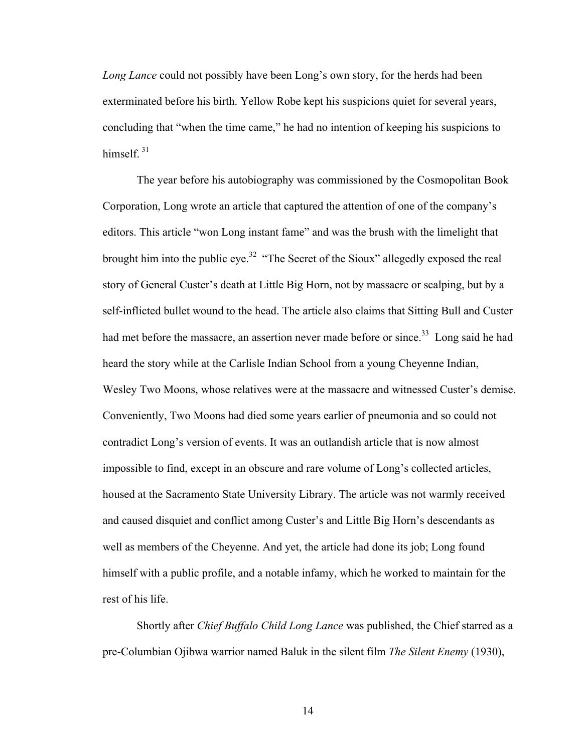*Long Lance* could not possibly have been Long's own story, for the herds had been exterminated before his birth. Yellow Robe kept his suspicions quiet for several years, concluding that "when the time came," he had no intention of keeping his suspicions to himsel $f<sup>31</sup>$ 

The year before his autobiography was commissioned by the Cosmopolitan Book Corporation, Long wrote an article that captured the attention of one of the company's editors. This article "won Long instant fame" and was the brush with the limelight that brought him into the public eye.<sup>32</sup> "The Secret of the Sioux" allegedly exposed the real story of General Custer's death at Little Big Horn, not by massacre or scalping, but by a self-inflicted bullet wound to the head. The article also claims that Sitting Bull and Custer had met before the massacre, an assertion never made before or since.<sup>33</sup> Long said he had heard the story while at the Carlisle Indian School from a young Cheyenne Indian, Wesley Two Moons, whose relatives were at the massacre and witnessed Custer's demise. Conveniently, Two Moons had died some years earlier of pneumonia and so could not contradict Long's version of events. It was an outlandish article that is now almost impossible to find, except in an obscure and rare volume of Long's collected articles, housed at the Sacramento State University Library. The article was not warmly received and caused disquiet and conflict among Custer's and Little Big Horn's descendants as well as members of the Cheyenne. And yet, the article had done its job; Long found himself with a public profile, and a notable infamy, which he worked to maintain for the rest of his life.

Shortly after *Chief Buffalo Child Long Lance* was published, the Chief starred as a pre-Columbian Ojibwa warrior named Baluk in the silent film *The Silent Enemy* (1930),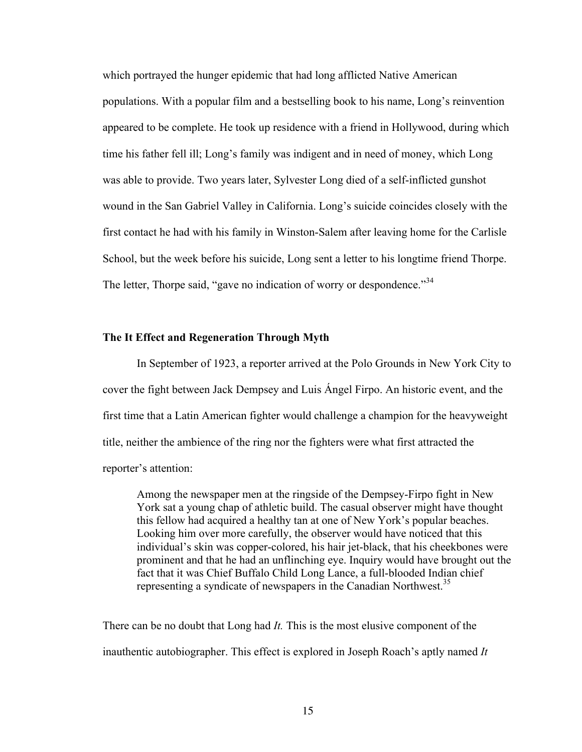which portrayed the hunger epidemic that had long afflicted Native American populations. With a popular film and a bestselling book to his name, Long's reinvention appeared to be complete. He took up residence with a friend in Hollywood, during which time his father fell ill; Long's family was indigent and in need of money, which Long was able to provide. Two years later, Sylvester Long died of a self-inflicted gunshot wound in the San Gabriel Valley in California. Long's suicide coincides closely with the first contact he had with his family in Winston-Salem after leaving home for the Carlisle School, but the week before his suicide, Long sent a letter to his longtime friend Thorpe. The letter, Thorpe said, "gave no indication of worry or despondence."<sup>34</sup>

### **The It Effect and Regeneration Through Myth**

In September of 1923, a reporter arrived at the Polo Grounds in New York City to cover the fight between Jack Dempsey and Luis Ángel Firpo. An historic event, and the first time that a Latin American fighter would challenge a champion for the heavyweight title, neither the ambience of the ring nor the fighters were what first attracted the reporter's attention:

Among the newspaper men at the ringside of the Dempsey-Firpo fight in New York sat a young chap of athletic build. The casual observer might have thought this fellow had acquired a healthy tan at one of New York's popular beaches. Looking him over more carefully, the observer would have noticed that this individual's skin was copper-colored, his hair jet-black, that his cheekbones were prominent and that he had an unflinching eye. Inquiry would have brought out the fact that it was Chief Buffalo Child Long Lance, a full-blooded Indian chief representing a syndicate of newspapers in the Canadian Northwest.<sup>35</sup>

There can be no doubt that Long had *It.* This is the most elusive component of the inauthentic autobiographer. This effect is explored in Joseph Roach's aptly named *It*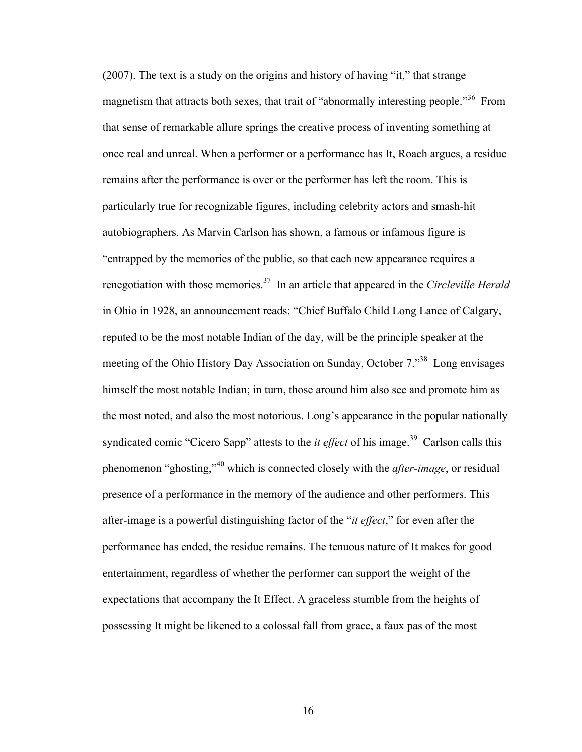(2007). The text is a study on the origins and history of having "it," that strange magnetism that attracts both sexes, that trait of "abnormally interesting people."<sup>36</sup> From that sense of remarkable allure springs the creative process of inventing something at once real and unreal. When a performer or a performance has It, Roach argues, a residue remains after the performance is over or the performer has left the room. This is particularly true for recognizable figures, including celebrity actors and smash-hit autobiographers. As Marvin Carlson has shown, a famous or infamous figure is "entrapped by the memories of the public, so that each new appearance requires a renegotiation with those memories.37 In an article that appeared in the *Circleville Herald*  in Ohio in 1928, an announcement reads: "Chief Buffalo Child Long Lance of Calgary, reputed to be the most notable Indian of the day, will be the principle speaker at the meeting of the Ohio History Day Association on Sunday, October 7.<sup>38</sup> Long envisages himself the most notable Indian; in turn, those around him also see and promote him as the most noted, and also the most notorious. Long's appearance in the popular nationally syndicated comic "Cicero Sapp" attests to the *it effect* of his image.<sup>39</sup> Carlson calls this phenomenon "ghosting,"<sup>40</sup> which is connected closely with the *after-image*, or residual presence of a performance in the memory of the audience and other performers. This after-image is a powerful distinguishing factor of the "*it effect*," for even after the performance has ended, the residue remains. The tenuous nature of It makes for good entertainment, regardless of whether the performer can support the weight of the expectations that accompany the It Effect. A graceless stumble from the heights of possessing It might be likened to a colossal fall from grace, a faux pas of the most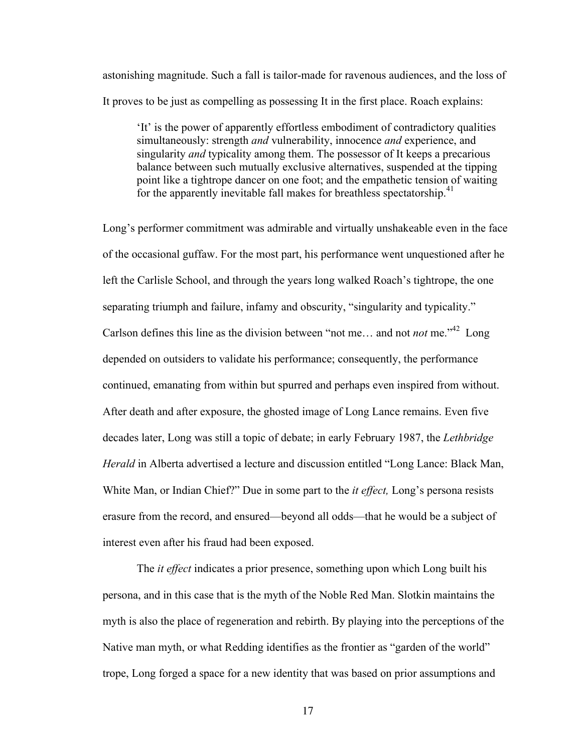astonishing magnitude. Such a fall is tailor-made for ravenous audiences, and the loss of It proves to be just as compelling as possessing It in the first place. Roach explains:

'It' is the power of apparently effortless embodiment of contradictory qualities simultaneously: strength *and* vulnerability, innocence *and* experience, and singularity *and* typicality among them. The possessor of It keeps a precarious balance between such mutually exclusive alternatives, suspended at the tipping point like a tightrope dancer on one foot; and the empathetic tension of waiting for the apparently inevitable fall makes for breathless spectatorship.<sup>41</sup>

Long's performer commitment was admirable and virtually unshakeable even in the face of the occasional guffaw. For the most part, his performance went unquestioned after he left the Carlisle School, and through the years long walked Roach's tightrope, the one separating triumph and failure, infamy and obscurity, "singularity and typicality." Carlson defines this line as the division between "not me... and not *not* me."<sup>42</sup> Long depended on outsiders to validate his performance; consequently, the performance continued, emanating from within but spurred and perhaps even inspired from without. After death and after exposure, the ghosted image of Long Lance remains. Even five decades later, Long was still a topic of debate; in early February 1987, the *Lethbridge Herald* in Alberta advertised a lecture and discussion entitled "Long Lance: Black Man, White Man, or Indian Chief?" Due in some part to the *it effect,* Long's persona resists erasure from the record, and ensured—beyond all odds—that he would be a subject of interest even after his fraud had been exposed.

The *it effect* indicates a prior presence, something upon which Long built his persona, and in this case that is the myth of the Noble Red Man. Slotkin maintains the myth is also the place of regeneration and rebirth. By playing into the perceptions of the Native man myth, or what Redding identifies as the frontier as "garden of the world" trope, Long forged a space for a new identity that was based on prior assumptions and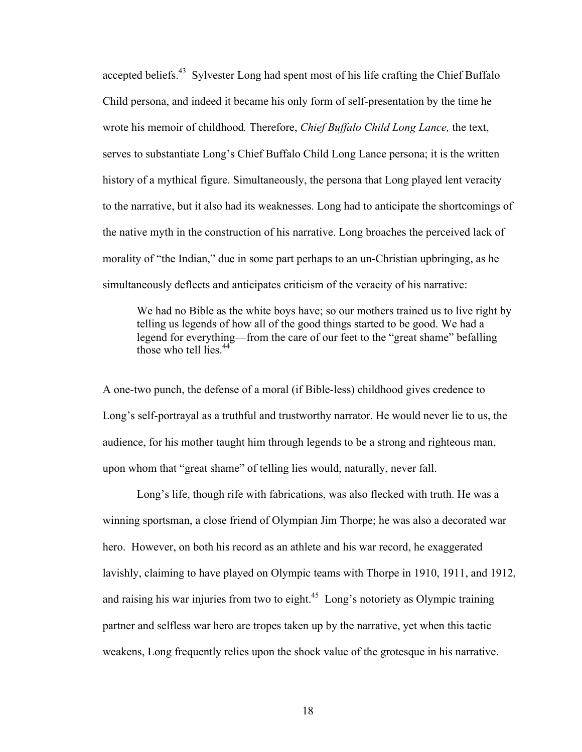accepted beliefs.<sup>43</sup> Sylvester Long had spent most of his life crafting the Chief Buffalo Child persona, and indeed it became his only form of self-presentation by the time he wrote his memoir of childhood*.* Therefore, *Chief Buffalo Child Long Lance,* the text, serves to substantiate Long's Chief Buffalo Child Long Lance persona; it is the written history of a mythical figure. Simultaneously, the persona that Long played lent veracity to the narrative, but it also had its weaknesses. Long had to anticipate the shortcomings of the native myth in the construction of his narrative. Long broaches the perceived lack of morality of "the Indian," due in some part perhaps to an un-Christian upbringing, as he simultaneously deflects and anticipates criticism of the veracity of his narrative:

We had no Bible as the white boys have; so our mothers trained us to live right by telling us legends of how all of the good things started to be good. We had a legend for everything—from the care of our feet to the "great shame" befalling those who tell lies. $44$ 

A one-two punch, the defense of a moral (if Bible-less) childhood gives credence to Long's self-portrayal as a truthful and trustworthy narrator. He would never lie to us, the audience, for his mother taught him through legends to be a strong and righteous man, upon whom that "great shame" of telling lies would, naturally, never fall.

Long's life, though rife with fabrications, was also flecked with truth. He was a winning sportsman, a close friend of Olympian Jim Thorpe; he was also a decorated war hero. However, on both his record as an athlete and his war record, he exaggerated lavishly, claiming to have played on Olympic teams with Thorpe in 1910, 1911, and 1912, and raising his war injuries from two to eight.<sup>45</sup> Long's notoriety as Olympic training partner and selfless war hero are tropes taken up by the narrative, yet when this tactic weakens, Long frequently relies upon the shock value of the grotesque in his narrative.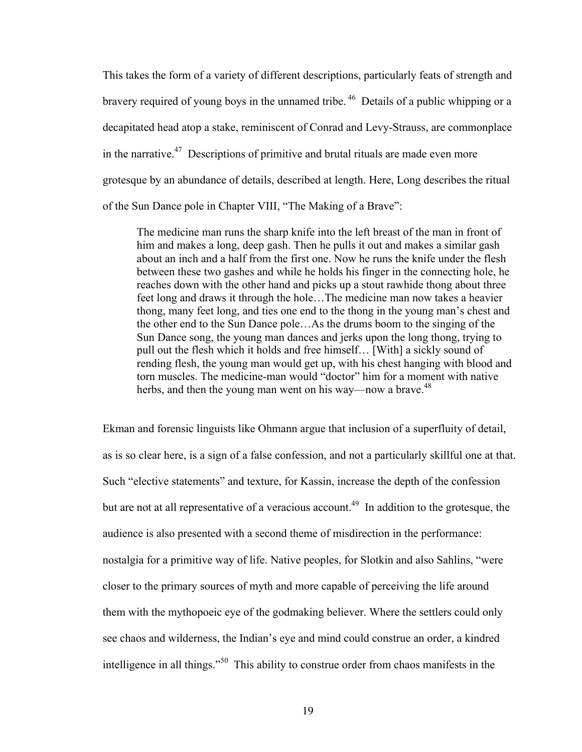This takes the form of a variety of different descriptions, particularly feats of strength and bravery required of young boys in the unnamed tribe.<sup>46</sup> Details of a public whipping or a decapitated head atop a stake, reminiscent of Conrad and Levy-Strauss, are commonplace in the narrative.<sup>47</sup> Descriptions of primitive and brutal rituals are made even more grotesque by an abundance of details, described at length. Here, Long describes the ritual of the Sun Dance pole in Chapter VIII, "The Making of a Brave":

The medicine man runs the sharp knife into the left breast of the man in front of him and makes a long, deep gash. Then he pulls it out and makes a similar gash about an inch and a half from the first one. Now he runs the knife under the flesh between these two gashes and while he holds his finger in the connecting hole, he reaches down with the other hand and picks up a stout rawhide thong about three feet long and draws it through the hole…The medicine man now takes a heavier thong, many feet long, and ties one end to the thong in the young man's chest and the other end to the Sun Dance pole…As the drums boom to the singing of the Sun Dance song, the young man dances and jerks upon the long thong, trying to pull out the flesh which it holds and free himself… [With] a sickly sound of rending flesh, the young man would get up, with his chest hanging with blood and torn muscles. The medicine-man would "doctor" him for a moment with native herbs, and then the young man went on his way—now a brave.<sup>48</sup>

Ekman and forensic linguists like Ohmann argue that inclusion of a superfluity of detail, as is so clear here, is a sign of a false confession, and not a particularly skillful one at that. Such "elective statements" and texture, for Kassin, increase the depth of the confession but are not at all representative of a veracious account.<sup>49</sup> In addition to the grotesque, the audience is also presented with a second theme of misdirection in the performance: nostalgia for a primitive way of life. Native peoples, for Slotkin and also Sahlins, "were closer to the primary sources of myth and more capable of perceiving the life around them with the mythopoeic eye of the godmaking believer. Where the settlers could only see chaos and wilderness, the Indian's eye and mind could construe an order, a kindred intelligence in all things."<sup>50</sup> This ability to construe order from chaos manifests in the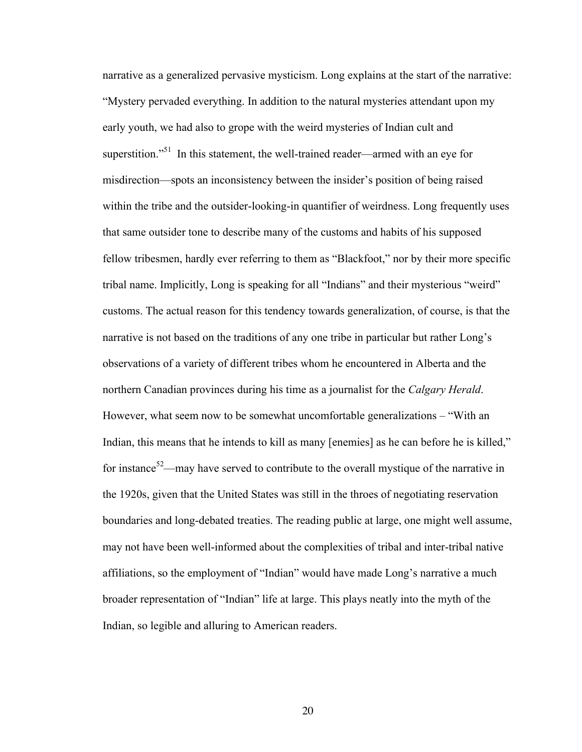narrative as a generalized pervasive mysticism. Long explains at the start of the narrative: "Mystery pervaded everything. In addition to the natural mysteries attendant upon my early youth, we had also to grope with the weird mysteries of Indian cult and superstition."<sup>51</sup> In this statement, the well-trained reader—armed with an eye for misdirection—spots an inconsistency between the insider's position of being raised within the tribe and the outsider-looking-in quantifier of weirdness. Long frequently uses that same outsider tone to describe many of the customs and habits of his supposed fellow tribesmen, hardly ever referring to them as "Blackfoot," nor by their more specific tribal name. Implicitly, Long is speaking for all "Indians" and their mysterious "weird" customs. The actual reason for this tendency towards generalization, of course, is that the narrative is not based on the traditions of any one tribe in particular but rather Long's observations of a variety of different tribes whom he encountered in Alberta and the northern Canadian provinces during his time as a journalist for the *Calgary Herald*. However, what seem now to be somewhat uncomfortable generalizations – "With an Indian, this means that he intends to kill as many [enemies] as he can before he is killed," for instance<sup>52</sup>—may have served to contribute to the overall mystique of the narrative in the 1920s, given that the United States was still in the throes of negotiating reservation boundaries and long-debated treaties. The reading public at large, one might well assume, may not have been well-informed about the complexities of tribal and inter-tribal native affiliations, so the employment of "Indian" would have made Long's narrative a much broader representation of "Indian" life at large. This plays neatly into the myth of the Indian, so legible and alluring to American readers.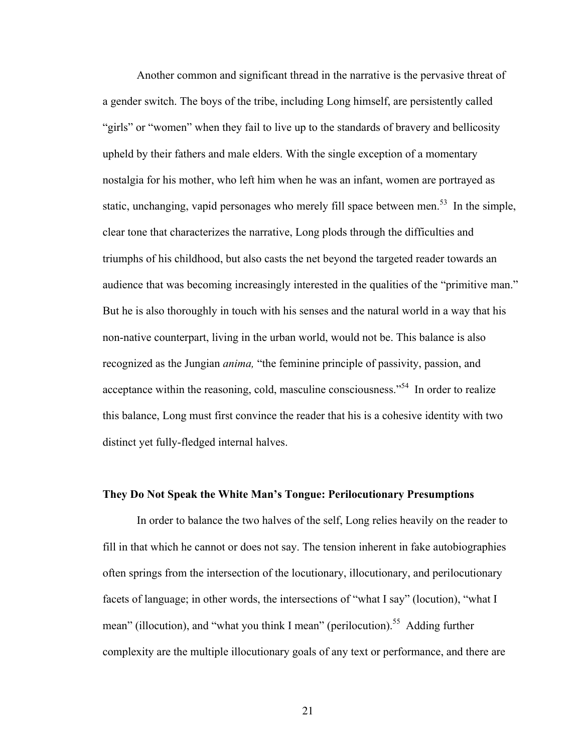Another common and significant thread in the narrative is the pervasive threat of a gender switch. The boys of the tribe, including Long himself, are persistently called "girls" or "women" when they fail to live up to the standards of bravery and bellicosity upheld by their fathers and male elders. With the single exception of a momentary nostalgia for his mother, who left him when he was an infant, women are portrayed as static, unchanging, vapid personages who merely fill space between men.<sup>53</sup> In the simple, clear tone that characterizes the narrative, Long plods through the difficulties and triumphs of his childhood, but also casts the net beyond the targeted reader towards an audience that was becoming increasingly interested in the qualities of the "primitive man." But he is also thoroughly in touch with his senses and the natural world in a way that his non-native counterpart, living in the urban world, would not be. This balance is also recognized as the Jungian *anima,* "the feminine principle of passivity, passion, and acceptance within the reasoning, cold, masculine consciousness."<sup>54</sup> In order to realize this balance, Long must first convince the reader that his is a cohesive identity with two distinct yet fully-fledged internal halves.

### **They Do Not Speak the White Man's Tongue: Perilocutionary Presumptions**

In order to balance the two halves of the self, Long relies heavily on the reader to fill in that which he cannot or does not say. The tension inherent in fake autobiographies often springs from the intersection of the locutionary, illocutionary, and perilocutionary facets of language; in other words, the intersections of "what I say" (locution), "what I mean" (illocution), and "what you think I mean" (perilocution).<sup>55</sup> Adding further complexity are the multiple illocutionary goals of any text or performance, and there are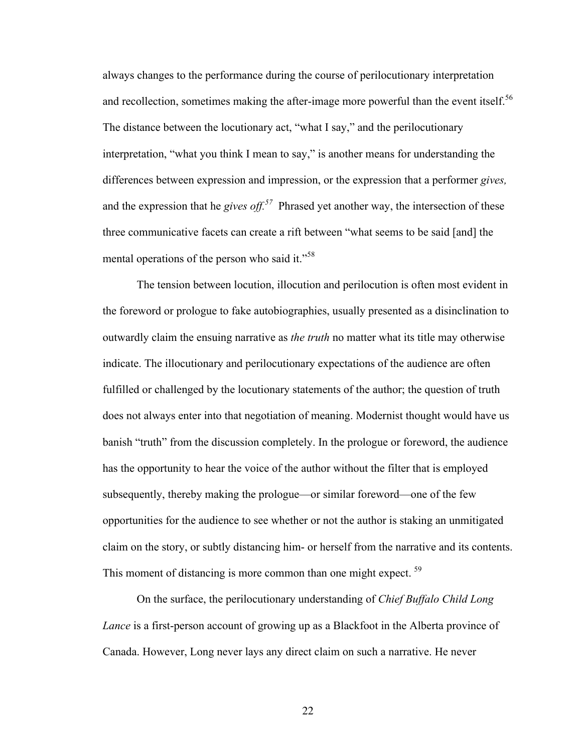always changes to the performance during the course of perilocutionary interpretation and recollection, sometimes making the after-image more powerful than the event itself.<sup>56</sup> The distance between the locutionary act, "what I say," and the perilocutionary interpretation, "what you think I mean to say," is another means for understanding the differences between expression and impression, or the expression that a performer *gives,*  and the expression that he *gives off*.<sup>57</sup> Phrased yet another way, the intersection of these three communicative facets can create a rift between "what seems to be said [and] the mental operations of the person who said it."<sup>58</sup>

The tension between locution, illocution and perilocution is often most evident in the foreword or prologue to fake autobiographies, usually presented as a disinclination to outwardly claim the ensuing narrative as *the truth* no matter what its title may otherwise indicate. The illocutionary and perilocutionary expectations of the audience are often fulfilled or challenged by the locutionary statements of the author; the question of truth does not always enter into that negotiation of meaning. Modernist thought would have us banish "truth" from the discussion completely. In the prologue or foreword, the audience has the opportunity to hear the voice of the author without the filter that is employed subsequently, thereby making the prologue—or similar foreword—one of the few opportunities for the audience to see whether or not the author is staking an unmitigated claim on the story, or subtly distancing him- or herself from the narrative and its contents. This moment of distancing is more common than one might expect.<sup>59</sup>

On the surface, the perilocutionary understanding of *Chief Buffalo Child Long Lance* is a first-person account of growing up as a Blackfoot in the Alberta province of Canada. However, Long never lays any direct claim on such a narrative. He never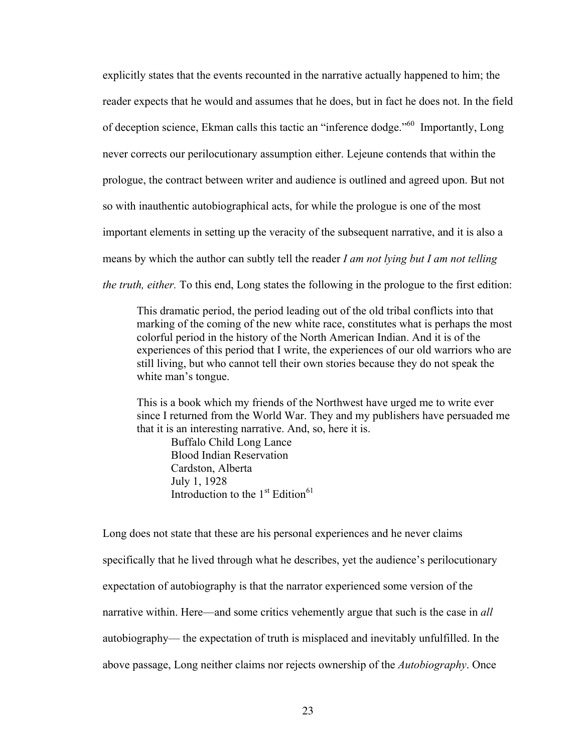explicitly states that the events recounted in the narrative actually happened to him; the reader expects that he would and assumes that he does, but in fact he does not. In the field of deception science, Ekman calls this tactic an "inference dodge."<sup>60</sup> Importantly, Long never corrects our perilocutionary assumption either. Lejeune contends that within the prologue, the contract between writer and audience is outlined and agreed upon. But not so with inauthentic autobiographical acts, for while the prologue is one of the most important elements in setting up the veracity of the subsequent narrative, and it is also a means by which the author can subtly tell the reader *I am not lying but I am not telling the truth, either.* To this end, Long states the following in the prologue to the first edition:

This dramatic period, the period leading out of the old tribal conflicts into that marking of the coming of the new white race, constitutes what is perhaps the most colorful period in the history of the North American Indian. And it is of the experiences of this period that I write, the experiences of our old warriors who are still living, but who cannot tell their own stories because they do not speak the white man's tongue.

This is a book which my friends of the Northwest have urged me to write ever since I returned from the World War. They and my publishers have persuaded me that it is an interesting narrative. And, so, here it is.

 Buffalo Child Long Lance Blood Indian Reservation Cardston, Alberta July 1, 1928 Introduction to the  $1<sup>st</sup>$  Edition<sup>61</sup>

Long does not state that these are his personal experiences and he never claims specifically that he lived through what he describes, yet the audience's perilocutionary expectation of autobiography is that the narrator experienced some version of the narrative within. Here—and some critics vehemently argue that such is the case in *all*  autobiography— the expectation of truth is misplaced and inevitably unfulfilled. In the above passage, Long neither claims nor rejects ownership of the *Autobiography*. Once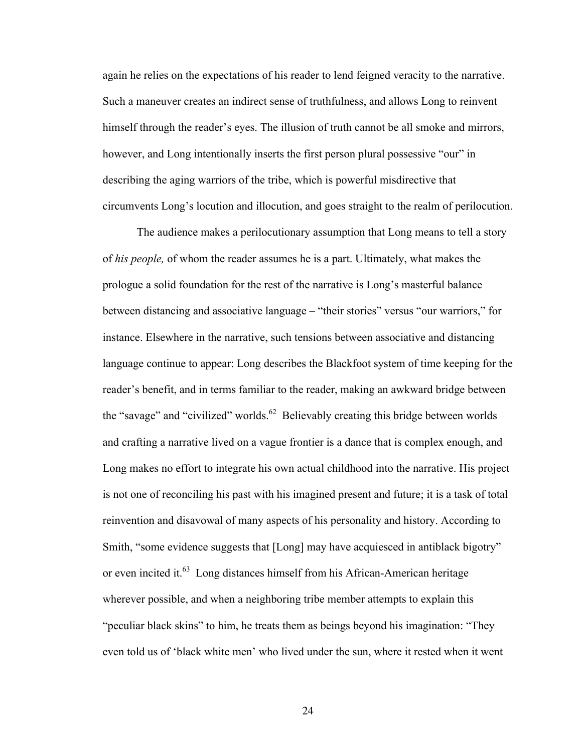again he relies on the expectations of his reader to lend feigned veracity to the narrative. Such a maneuver creates an indirect sense of truthfulness, and allows Long to reinvent himself through the reader's eyes. The illusion of truth cannot be all smoke and mirrors, however, and Long intentionally inserts the first person plural possessive "our" in describing the aging warriors of the tribe, which is powerful misdirective that circumvents Long's locution and illocution, and goes straight to the realm of perilocution.

The audience makes a perilocutionary assumption that Long means to tell a story of *his people,* of whom the reader assumes he is a part. Ultimately, what makes the prologue a solid foundation for the rest of the narrative is Long's masterful balance between distancing and associative language – "their stories" versus "our warriors," for instance. Elsewhere in the narrative, such tensions between associative and distancing language continue to appear: Long describes the Blackfoot system of time keeping for the reader's benefit, and in terms familiar to the reader, making an awkward bridge between the "savage" and "civilized" worlds.<sup>62</sup> Believably creating this bridge between worlds and crafting a narrative lived on a vague frontier is a dance that is complex enough, and Long makes no effort to integrate his own actual childhood into the narrative. His project is not one of reconciling his past with his imagined present and future; it is a task of total reinvention and disavowal of many aspects of his personality and history. According to Smith, "some evidence suggests that [Long] may have acquiesced in antiblack bigotry" or even incited it. $63$  Long distances himself from his African-American heritage wherever possible, and when a neighboring tribe member attempts to explain this "peculiar black skins" to him, he treats them as beings beyond his imagination: "They even told us of 'black white men' who lived under the sun, where it rested when it went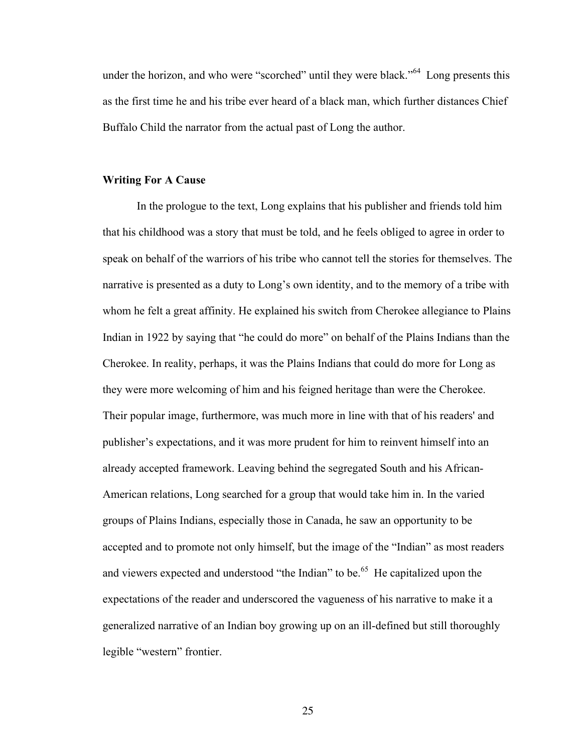under the horizon, and who were "scorched" until they were black.<sup>564</sup> Long presents this as the first time he and his tribe ever heard of a black man, which further distances Chief Buffalo Child the narrator from the actual past of Long the author.

### **Writing For A Cause**

In the prologue to the text, Long explains that his publisher and friends told him that his childhood was a story that must be told, and he feels obliged to agree in order to speak on behalf of the warriors of his tribe who cannot tell the stories for themselves. The narrative is presented as a duty to Long's own identity, and to the memory of a tribe with whom he felt a great affinity. He explained his switch from Cherokee allegiance to Plains Indian in 1922 by saying that "he could do more" on behalf of the Plains Indians than the Cherokee. In reality, perhaps, it was the Plains Indians that could do more for Long as they were more welcoming of him and his feigned heritage than were the Cherokee. Their popular image, furthermore, was much more in line with that of his readers' and publisher's expectations, and it was more prudent for him to reinvent himself into an already accepted framework. Leaving behind the segregated South and his African-American relations, Long searched for a group that would take him in. In the varied groups of Plains Indians, especially those in Canada, he saw an opportunity to be accepted and to promote not only himself, but the image of the "Indian" as most readers and viewers expected and understood "the Indian" to be.<sup>65</sup> He capitalized upon the expectations of the reader and underscored the vagueness of his narrative to make it a generalized narrative of an Indian boy growing up on an ill-defined but still thoroughly legible "western" frontier.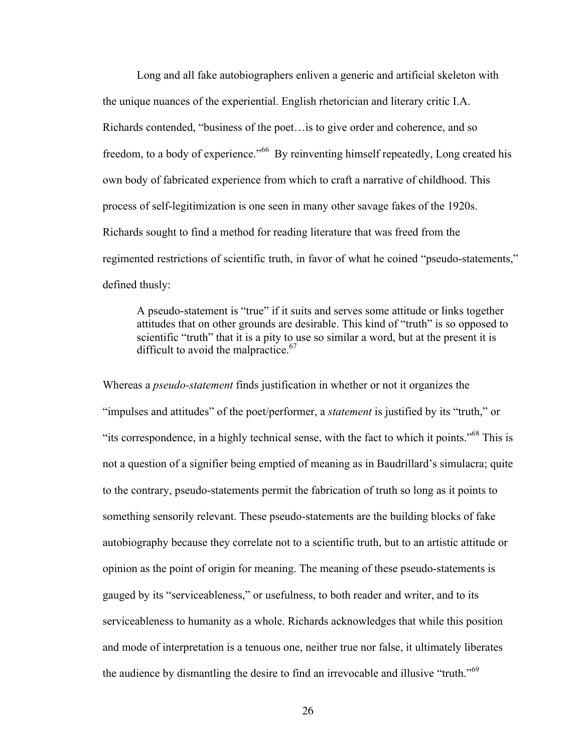Long and all fake autobiographers enliven a generic and artificial skeleton with the unique nuances of the experiential. English rhetorician and literary critic I.A. Richards contended, "business of the poet…is to give order and coherence, and so freedom, to a body of experience."<sup>66</sup> By reinventing himself repeatedly, Long created his own body of fabricated experience from which to craft a narrative of childhood. This process of self-legitimization is one seen in many other savage fakes of the 1920s. Richards sought to find a method for reading literature that was freed from the regimented restrictions of scientific truth, in favor of what he coined "pseudo-statements," defined thusly:

A pseudo-statement is "true" if it suits and serves some attitude or links together attitudes that on other grounds are desirable. This kind of "truth" is so opposed to scientific "truth" that it is a pity to use so similar a word, but at the present it is difficult to avoid the malpractice. $67$ 

Whereas a *pseudo-statement* finds justification in whether or not it organizes the "impulses and attitudes" of the poet/performer, a *statement* is justified by its "truth," or "its correspondence, in a highly technical sense, with the fact to which it points."68 This is not a question of a signifier being emptied of meaning as in Baudrillard's simulacra; quite to the contrary, pseudo-statements permit the fabrication of truth so long as it points to something sensorily relevant. These pseudo-statements are the building blocks of fake autobiography because they correlate not to a scientific truth, but to an artistic attitude or opinion as the point of origin for meaning. The meaning of these pseudo-statements is gauged by its "serviceableness," or usefulness, to both reader and writer, and to its serviceableness to humanity as a whole. Richards acknowledges that while this position and mode of interpretation is a tenuous one, neither true nor false, it ultimately liberates the audience by dismantling the desire to find an irrevocable and illusive "truth."<sup>69</sup>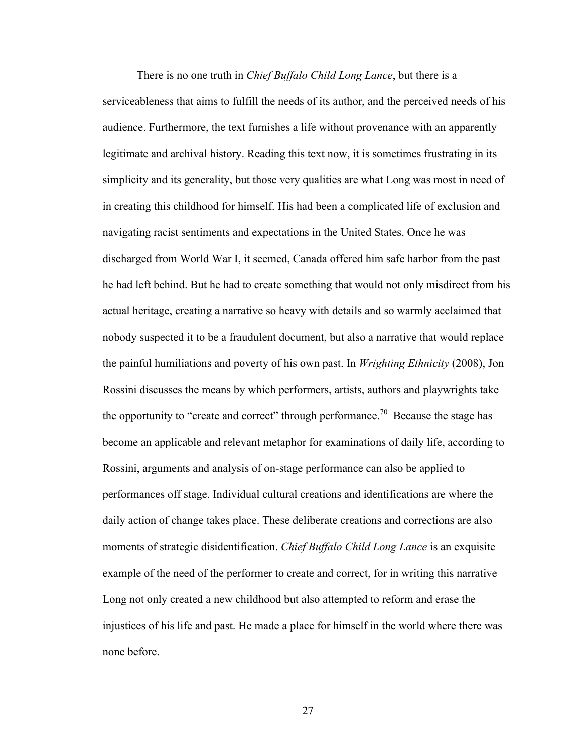There is no one truth in *Chief Buffalo Child Long Lance*, but there is a serviceableness that aims to fulfill the needs of its author, and the perceived needs of his audience. Furthermore, the text furnishes a life without provenance with an apparently legitimate and archival history. Reading this text now, it is sometimes frustrating in its simplicity and its generality, but those very qualities are what Long was most in need of in creating this childhood for himself. His had been a complicated life of exclusion and navigating racist sentiments and expectations in the United States. Once he was discharged from World War I, it seemed, Canada offered him safe harbor from the past he had left behind. But he had to create something that would not only misdirect from his actual heritage, creating a narrative so heavy with details and so warmly acclaimed that nobody suspected it to be a fraudulent document, but also a narrative that would replace the painful humiliations and poverty of his own past. In *Wrighting Ethnicity* (2008), Jon Rossini discusses the means by which performers, artists, authors and playwrights take the opportunity to "create and correct" through performance.<sup>70</sup> Because the stage has become an applicable and relevant metaphor for examinations of daily life, according to Rossini, arguments and analysis of on-stage performance can also be applied to performances off stage. Individual cultural creations and identifications are where the daily action of change takes place. These deliberate creations and corrections are also moments of strategic disidentification. *Chief Buffalo Child Long Lance* is an exquisite example of the need of the performer to create and correct, for in writing this narrative Long not only created a new childhood but also attempted to reform and erase the injustices of his life and past. He made a place for himself in the world where there was none before.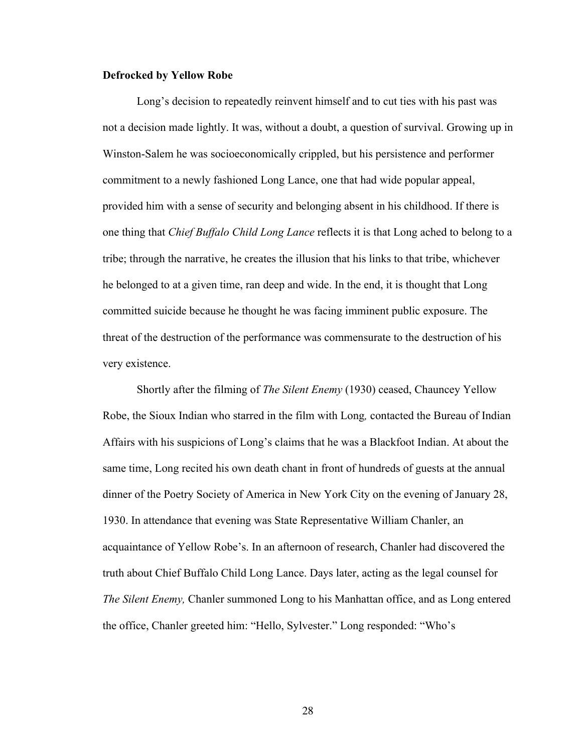### **Defrocked by Yellow Robe**

Long's decision to repeatedly reinvent himself and to cut ties with his past was not a decision made lightly. It was, without a doubt, a question of survival. Growing up in Winston-Salem he was socioeconomically crippled, but his persistence and performer commitment to a newly fashioned Long Lance, one that had wide popular appeal, provided him with a sense of security and belonging absent in his childhood. If there is one thing that *Chief Buffalo Child Long Lance* reflects it is that Long ached to belong to a tribe; through the narrative, he creates the illusion that his links to that tribe, whichever he belonged to at a given time, ran deep and wide. In the end, it is thought that Long committed suicide because he thought he was facing imminent public exposure. The threat of the destruction of the performance was commensurate to the destruction of his very existence.

Shortly after the filming of *The Silent Enemy* (1930) ceased, Chauncey Yellow Robe, the Sioux Indian who starred in the film with Long*,* contacted the Bureau of Indian Affairs with his suspicions of Long's claims that he was a Blackfoot Indian. At about the same time, Long recited his own death chant in front of hundreds of guests at the annual dinner of the Poetry Society of America in New York City on the evening of January 28, 1930. In attendance that evening was State Representative William Chanler, an acquaintance of Yellow Robe's. In an afternoon of research, Chanler had discovered the truth about Chief Buffalo Child Long Lance. Days later, acting as the legal counsel for *The Silent Enemy,* Chanler summoned Long to his Manhattan office, and as Long entered the office, Chanler greeted him: "Hello, Sylvester." Long responded: "Who's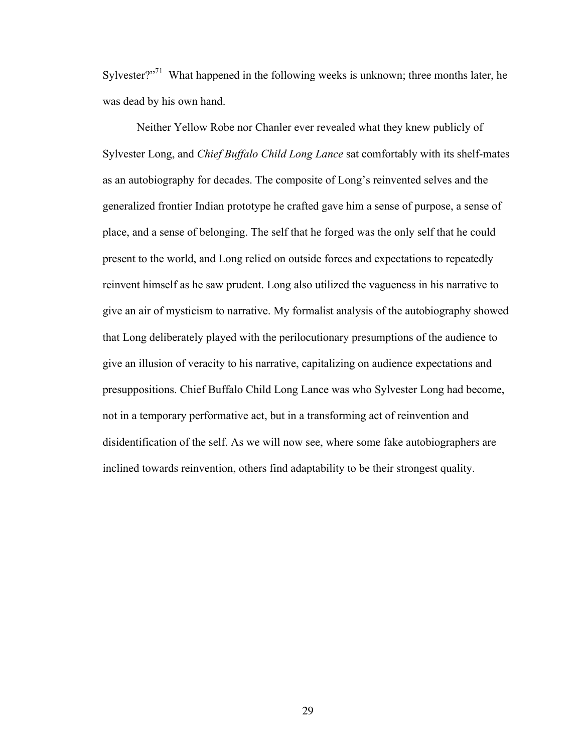Sylvester?"<sup>71</sup> What happened in the following weeks is unknown; three months later, he was dead by his own hand.

Neither Yellow Robe nor Chanler ever revealed what they knew publicly of Sylvester Long, and *Chief Buffalo Child Long Lance* sat comfortably with its shelf-mates as an autobiography for decades. The composite of Long's reinvented selves and the generalized frontier Indian prototype he crafted gave him a sense of purpose, a sense of place, and a sense of belonging. The self that he forged was the only self that he could present to the world, and Long relied on outside forces and expectations to repeatedly reinvent himself as he saw prudent. Long also utilized the vagueness in his narrative to give an air of mysticism to narrative. My formalist analysis of the autobiography showed that Long deliberately played with the perilocutionary presumptions of the audience to give an illusion of veracity to his narrative, capitalizing on audience expectations and presuppositions. Chief Buffalo Child Long Lance was who Sylvester Long had become, not in a temporary performative act, but in a transforming act of reinvention and disidentification of the self. As we will now see, where some fake autobiographers are inclined towards reinvention, others find adaptability to be their strongest quality.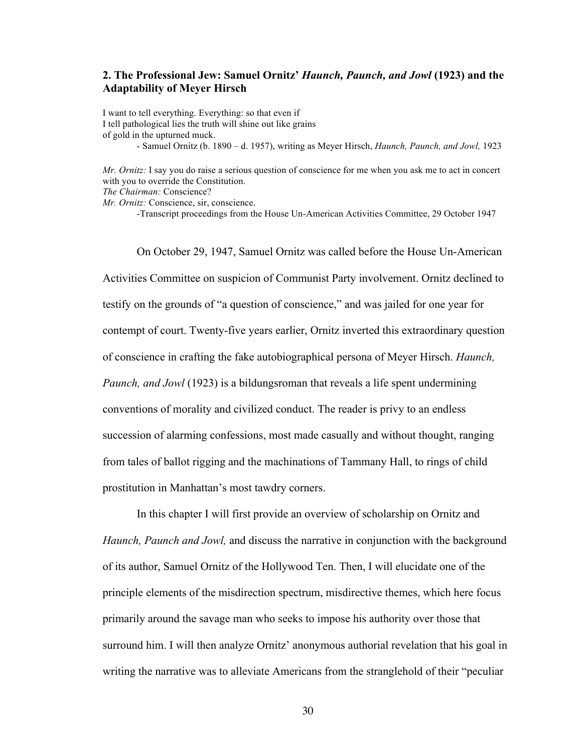# **2. The Professional Jew: Samuel Ornitz'** *Haunch, Paunch, and Jowl* **(1923) and the Adaptability of Meyer Hirsch**

I want to tell everything. Everything: so that even if I tell pathological lies the truth will shine out like grains of gold in the upturned muck. - Samuel Ornitz (b. 1890 – d. 1957), writing as Meyer Hirsch, *Haunch, Paunch, and Jowl,* 1923

*Mr. Ornitz:* I say you do raise a serious question of conscience for me when you ask me to act in concert with you to override the Constitution.

*The Chairman:* Conscience?

*Mr. Ornitz:* Conscience, sir, conscience.

-Transcript proceedings from the House Un-American Activities Committee, 29 October 1947

On October 29, 1947, Samuel Ornitz was called before the House Un-American Activities Committee on suspicion of Communist Party involvement. Ornitz declined to testify on the grounds of "a question of conscience," and was jailed for one year for contempt of court. Twenty-five years earlier, Ornitz inverted this extraordinary question of conscience in crafting the fake autobiographical persona of Meyer Hirsch. *Haunch, Paunch, and Jowl* (1923) is a bildungsroman that reveals a life spent undermining conventions of morality and civilized conduct. The reader is privy to an endless succession of alarming confessions, most made casually and without thought, ranging from tales of ballot rigging and the machinations of Tammany Hall, to rings of child prostitution in Manhattan's most tawdry corners.

In this chapter I will first provide an overview of scholarship on Ornitz and *Haunch, Paunch and Jowl,* and discuss the narrative in conjunction with the background of its author, Samuel Ornitz of the Hollywood Ten. Then, I will elucidate one of the principle elements of the misdirection spectrum, misdirective themes, which here focus primarily around the savage man who seeks to impose his authority over those that surround him. I will then analyze Ornitz' anonymous authorial revelation that his goal in writing the narrative was to alleviate Americans from the stranglehold of their "peculiar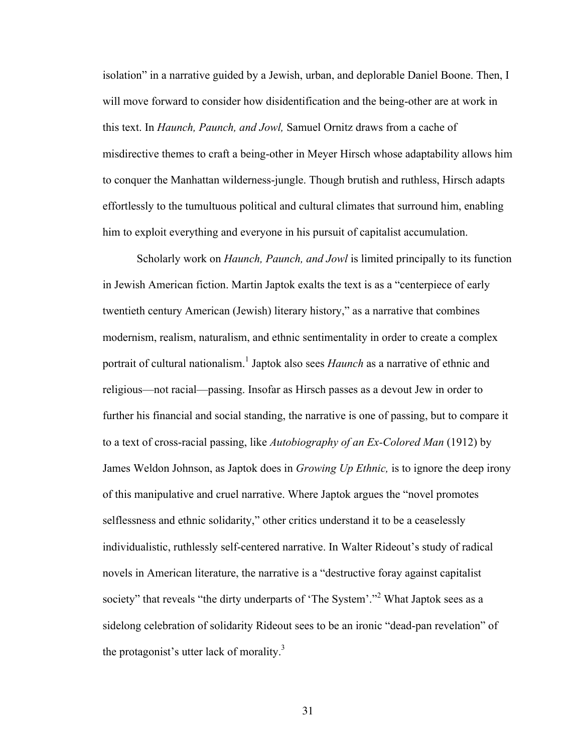isolation" in a narrative guided by a Jewish, urban, and deplorable Daniel Boone. Then, I will move forward to consider how disidentification and the being-other are at work in this text. In *Haunch, Paunch, and Jowl,* Samuel Ornitz draws from a cache of misdirective themes to craft a being-other in Meyer Hirsch whose adaptability allows him to conquer the Manhattan wilderness-jungle. Though brutish and ruthless, Hirsch adapts effortlessly to the tumultuous political and cultural climates that surround him, enabling him to exploit everything and everyone in his pursuit of capitalist accumulation.

Scholarly work on *Haunch, Paunch, and Jowl* is limited principally to its function in Jewish American fiction. Martin Japtok exalts the text is as a "centerpiece of early twentieth century American (Jewish) literary history," as a narrative that combines modernism, realism, naturalism, and ethnic sentimentality in order to create a complex portrait of cultural nationalism.<sup>1</sup> Japtok also sees *Haunch* as a narrative of ethnic and religious—not racial—passing. Insofar as Hirsch passes as a devout Jew in order to further his financial and social standing, the narrative is one of passing, but to compare it to a text of cross-racial passing, like *Autobiography of an Ex-Colored Man* (1912) by James Weldon Johnson, as Japtok does in *Growing Up Ethnic,* is to ignore the deep irony of this manipulative and cruel narrative. Where Japtok argues the "novel promotes selflessness and ethnic solidarity," other critics understand it to be a ceaselessly individualistic, ruthlessly self-centered narrative. In Walter Rideout's study of radical novels in American literature, the narrative is a "destructive foray against capitalist society" that reveals "the dirty underparts of 'The System'."<sup>2</sup> What Japtok sees as a sidelong celebration of solidarity Rideout sees to be an ironic "dead-pan revelation" of the protagonist's utter lack of morality.<sup>3</sup>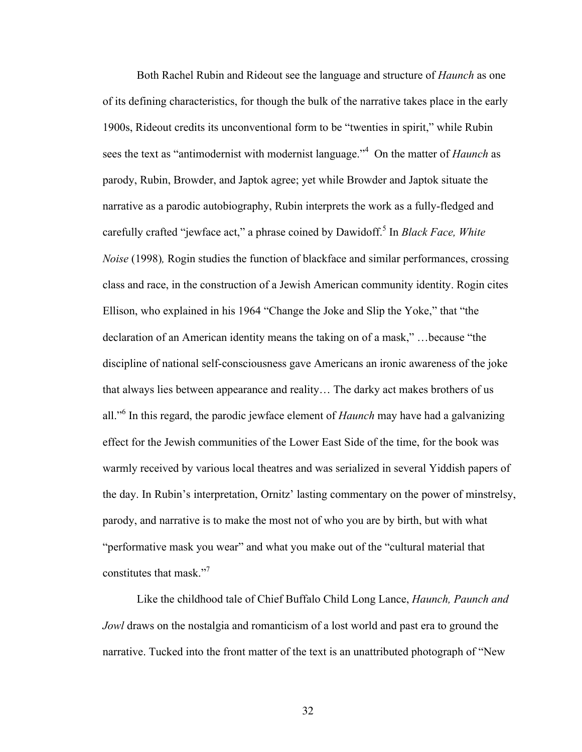Both Rachel Rubin and Rideout see the language and structure of *Haunch* as one of its defining characteristics, for though the bulk of the narrative takes place in the early 1900s, Rideout credits its unconventional form to be "twenties in spirit," while Rubin sees the text as "antimodernist with modernist language."<sup>4</sup> On the matter of *Haunch* as parody, Rubin, Browder, and Japtok agree; yet while Browder and Japtok situate the narrative as a parodic autobiography, Rubin interprets the work as a fully-fledged and carefully crafted "jewface act," a phrase coined by Dawidoff.<sup>5</sup> In *Black Face, White Noise* (1998)*,* Rogin studies the function of blackface and similar performances, crossing class and race, in the construction of a Jewish American community identity. Rogin cites Ellison, who explained in his 1964 "Change the Joke and Slip the Yoke," that "the declaration of an American identity means the taking on of a mask," …because "the discipline of national self-consciousness gave Americans an ironic awareness of the joke that always lies between appearance and reality… The darky act makes brothers of us all."<sup>6</sup> In this regard, the parodic jewface element of *Haunch* may have had a galvanizing effect for the Jewish communities of the Lower East Side of the time, for the book was warmly received by various local theatres and was serialized in several Yiddish papers of the day. In Rubin's interpretation, Ornitz' lasting commentary on the power of minstrelsy, parody, and narrative is to make the most not of who you are by birth, but with what "performative mask you wear" and what you make out of the "cultural material that constitutes that mask."<sup>7</sup>

Like the childhood tale of Chief Buffalo Child Long Lance, *Haunch, Paunch and Jowl* draws on the nostalgia and romanticism of a lost world and past era to ground the narrative. Tucked into the front matter of the text is an unattributed photograph of "New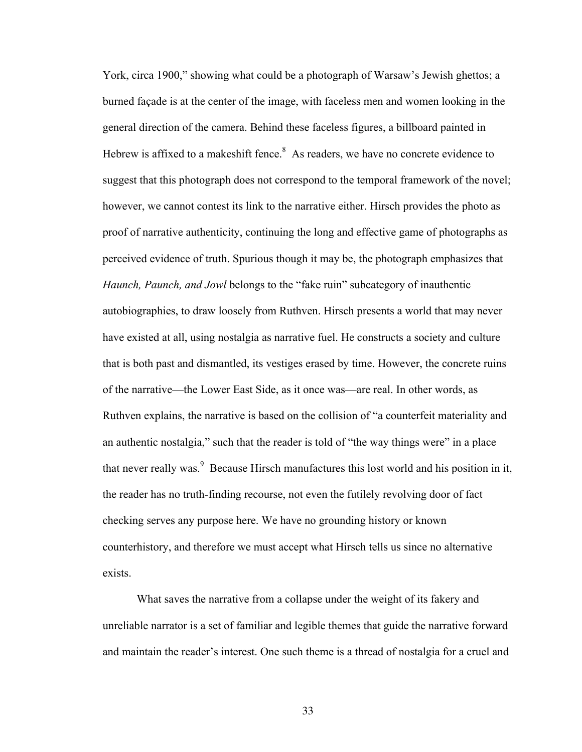York, circa 1900," showing what could be a photograph of Warsaw's Jewish ghettos; a burned façade is at the center of the image, with faceless men and women looking in the general direction of the camera. Behind these faceless figures, a billboard painted in Hebrew is affixed to a makeshift fence.<sup>8</sup> As readers, we have no concrete evidence to suggest that this photograph does not correspond to the temporal framework of the novel; however, we cannot contest its link to the narrative either. Hirsch provides the photo as proof of narrative authenticity, continuing the long and effective game of photographs as perceived evidence of truth. Spurious though it may be, the photograph emphasizes that *Haunch, Paunch, and Jowl* belongs to the "fake ruin" subcategory of inauthentic autobiographies, to draw loosely from Ruthven. Hirsch presents a world that may never have existed at all, using nostalgia as narrative fuel. He constructs a society and culture that is both past and dismantled, its vestiges erased by time. However, the concrete ruins of the narrative—the Lower East Side, as it once was—are real. In other words, as Ruthven explains, the narrative is based on the collision of "a counterfeit materiality and an authentic nostalgia," such that the reader is told of "the way things were" in a place that never really was.<sup>9</sup> Because Hirsch manufactures this lost world and his position in it, the reader has no truth-finding recourse, not even the futilely revolving door of fact checking serves any purpose here. We have no grounding history or known counterhistory, and therefore we must accept what Hirsch tells us since no alternative exists.

What saves the narrative from a collapse under the weight of its fakery and unreliable narrator is a set of familiar and legible themes that guide the narrative forward and maintain the reader's interest. One such theme is a thread of nostalgia for a cruel and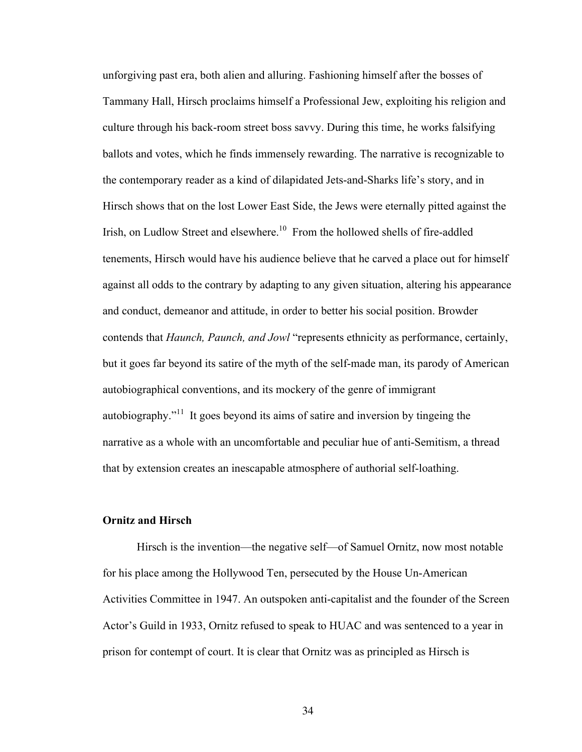unforgiving past era, both alien and alluring. Fashioning himself after the bosses of Tammany Hall, Hirsch proclaims himself a Professional Jew, exploiting his religion and culture through his back-room street boss savvy. During this time, he works falsifying ballots and votes, which he finds immensely rewarding. The narrative is recognizable to the contemporary reader as a kind of dilapidated Jets-and-Sharks life's story, and in Hirsch shows that on the lost Lower East Side, the Jews were eternally pitted against the Irish, on Ludlow Street and elsewhere.<sup>10</sup> From the hollowed shells of fire-addled tenements, Hirsch would have his audience believe that he carved a place out for himself against all odds to the contrary by adapting to any given situation, altering his appearance and conduct, demeanor and attitude, in order to better his social position. Browder contends that *Haunch, Paunch, and Jowl* "represents ethnicity as performance, certainly, but it goes far beyond its satire of the myth of the self-made man, its parody of American autobiographical conventions, and its mockery of the genre of immigrant autobiography."<sup>11</sup> It goes beyond its aims of satire and inversion by tingeing the narrative as a whole with an uncomfortable and peculiar hue of anti-Semitism, a thread that by extension creates an inescapable atmosphere of authorial self-loathing.

### **Ornitz and Hirsch**

Hirsch is the invention—the negative self—of Samuel Ornitz, now most notable for his place among the Hollywood Ten, persecuted by the House Un-American Activities Committee in 1947. An outspoken anti-capitalist and the founder of the Screen Actor's Guild in 1933, Ornitz refused to speak to HUAC and was sentenced to a year in prison for contempt of court. It is clear that Ornitz was as principled as Hirsch is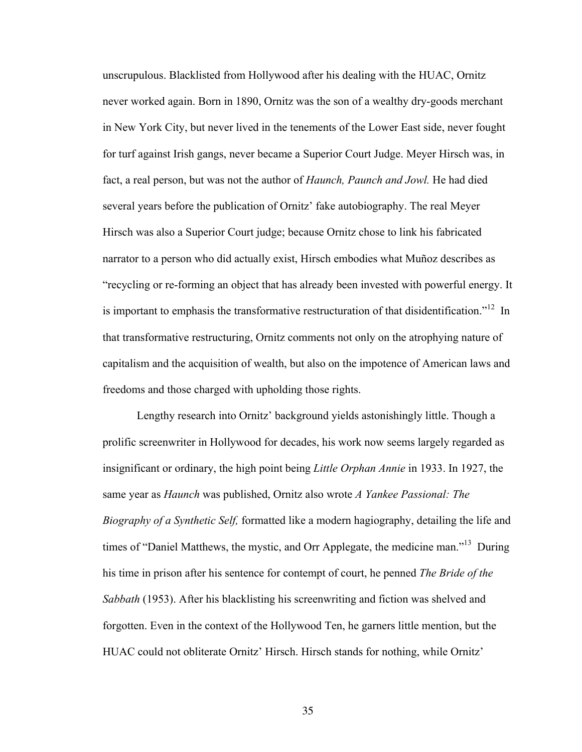unscrupulous. Blacklisted from Hollywood after his dealing with the HUAC, Ornitz never worked again. Born in 1890, Ornitz was the son of a wealthy dry-goods merchant in New York City, but never lived in the tenements of the Lower East side, never fought for turf against Irish gangs, never became a Superior Court Judge. Meyer Hirsch was, in fact, a real person, but was not the author of *Haunch, Paunch and Jowl.* He had died several years before the publication of Ornitz' fake autobiography. The real Meyer Hirsch was also a Superior Court judge; because Ornitz chose to link his fabricated narrator to a person who did actually exist, Hirsch embodies what Muñoz describes as "recycling or re-forming an object that has already been invested with powerful energy. It is important to emphasis the transformative restructuration of that disidentification."<sup>12</sup> In that transformative restructuring, Ornitz comments not only on the atrophying nature of capitalism and the acquisition of wealth, but also on the impotence of American laws and freedoms and those charged with upholding those rights.

Lengthy research into Ornitz' background yields astonishingly little. Though a prolific screenwriter in Hollywood for decades, his work now seems largely regarded as insignificant or ordinary, the high point being *Little Orphan Annie* in 1933. In 1927, the same year as *Haunch* was published, Ornitz also wrote *A Yankee Passional: The Biography of a Synthetic Self,* formatted like a modern hagiography, detailing the life and times of "Daniel Matthews, the mystic, and Orr Applegate, the medicine man."<sup>13</sup> During his time in prison after his sentence for contempt of court, he penned *The Bride of the Sabbath* (1953). After his blacklisting his screenwriting and fiction was shelved and forgotten. Even in the context of the Hollywood Ten, he garners little mention, but the HUAC could not obliterate Ornitz' Hirsch. Hirsch stands for nothing, while Ornitz'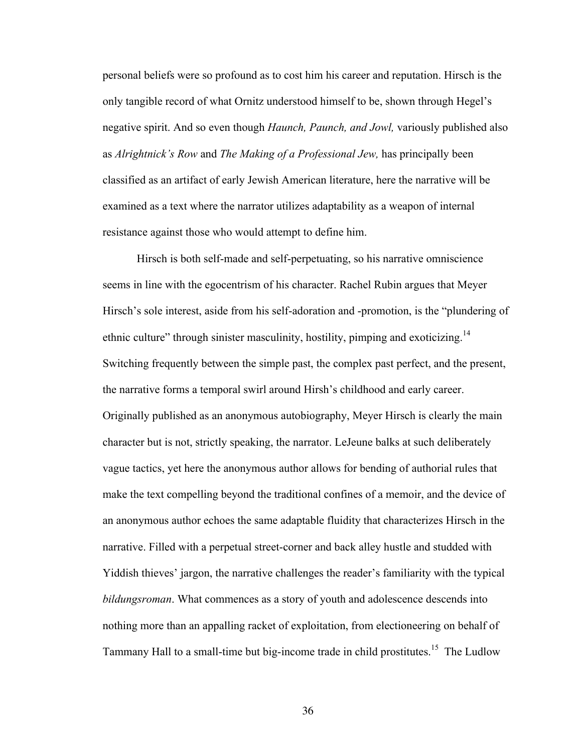personal beliefs were so profound as to cost him his career and reputation. Hirsch is the only tangible record of what Ornitz understood himself to be, shown through Hegel's negative spirit. And so even though *Haunch, Paunch, and Jowl,* variously published also as *Alrightnick's Row* and *The Making of a Professional Jew,* has principally been classified as an artifact of early Jewish American literature, here the narrative will be examined as a text where the narrator utilizes adaptability as a weapon of internal resistance against those who would attempt to define him.

Hirsch is both self-made and self-perpetuating, so his narrative omniscience seems in line with the egocentrism of his character. Rachel Rubin argues that Meyer Hirsch's sole interest, aside from his self-adoration and -promotion, is the "plundering of ethnic culture" through sinister masculinity, hostility, pimping and exoticizing.<sup>14</sup> Switching frequently between the simple past, the complex past perfect, and the present, the narrative forms a temporal swirl around Hirsh's childhood and early career. Originally published as an anonymous autobiography, Meyer Hirsch is clearly the main character but is not, strictly speaking, the narrator. LeJeune balks at such deliberately vague tactics, yet here the anonymous author allows for bending of authorial rules that make the text compelling beyond the traditional confines of a memoir, and the device of an anonymous author echoes the same adaptable fluidity that characterizes Hirsch in the narrative. Filled with a perpetual street-corner and back alley hustle and studded with Yiddish thieves' jargon, the narrative challenges the reader's familiarity with the typical *bildungsroman*. What commences as a story of youth and adolescence descends into nothing more than an appalling racket of exploitation, from electioneering on behalf of Tammany Hall to a small-time but big-income trade in child prostitutes.<sup>15</sup> The Ludlow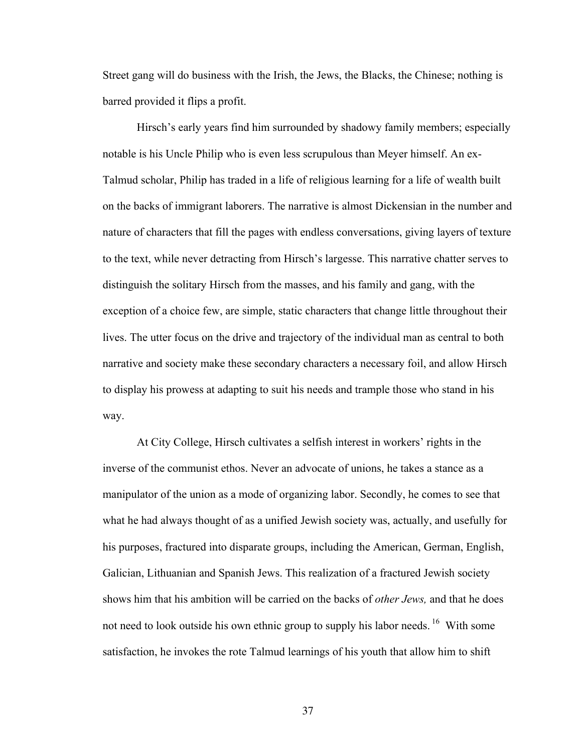Street gang will do business with the Irish, the Jews, the Blacks, the Chinese; nothing is barred provided it flips a profit.

Hirsch's early years find him surrounded by shadowy family members; especially notable is his Uncle Philip who is even less scrupulous than Meyer himself. An ex-Talmud scholar, Philip has traded in a life of religious learning for a life of wealth built on the backs of immigrant laborers. The narrative is almost Dickensian in the number and nature of characters that fill the pages with endless conversations, giving layers of texture to the text, while never detracting from Hirsch's largesse. This narrative chatter serves to distinguish the solitary Hirsch from the masses, and his family and gang, with the exception of a choice few, are simple, static characters that change little throughout their lives. The utter focus on the drive and trajectory of the individual man as central to both narrative and society make these secondary characters a necessary foil, and allow Hirsch to display his prowess at adapting to suit his needs and trample those who stand in his way.

At City College, Hirsch cultivates a selfish interest in workers' rights in the inverse of the communist ethos. Never an advocate of unions, he takes a stance as a manipulator of the union as a mode of organizing labor. Secondly, he comes to see that what he had always thought of as a unified Jewish society was, actually, and usefully for his purposes, fractured into disparate groups, including the American, German, English, Galician, Lithuanian and Spanish Jews. This realization of a fractured Jewish society shows him that his ambition will be carried on the backs of *other Jews,* and that he does not need to look outside his own ethnic group to supply his labor needs. <sup>16</sup> With some satisfaction, he invokes the rote Talmud learnings of his youth that allow him to shift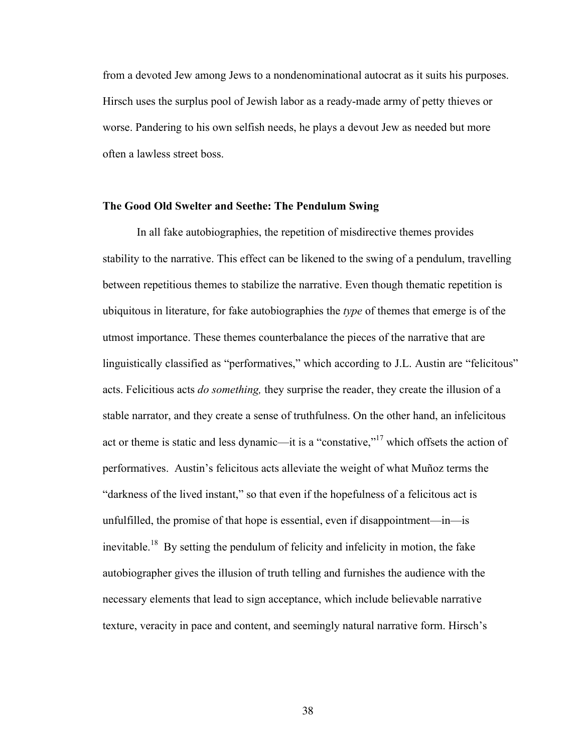from a devoted Jew among Jews to a nondenominational autocrat as it suits his purposes. Hirsch uses the surplus pool of Jewish labor as a ready-made army of petty thieves or worse. Pandering to his own selfish needs, he plays a devout Jew as needed but more often a lawless street boss.

### **The Good Old Swelter and Seethe: The Pendulum Swing**

In all fake autobiographies, the repetition of misdirective themes provides stability to the narrative. This effect can be likened to the swing of a pendulum, travelling between repetitious themes to stabilize the narrative. Even though thematic repetition is ubiquitous in literature, for fake autobiographies the *type* of themes that emerge is of the utmost importance. These themes counterbalance the pieces of the narrative that are linguistically classified as "performatives," which according to J.L. Austin are "felicitous" acts. Felicitious acts *do something,* they surprise the reader, they create the illusion of a stable narrator, and they create a sense of truthfulness. On the other hand, an infelicitous act or theme is static and less dynamic—it is a "constative,"17 which offsets the action of performatives. Austin's felicitous acts alleviate the weight of what Muñoz terms the "darkness of the lived instant," so that even if the hopefulness of a felicitous act is unfulfilled, the promise of that hope is essential, even if disappointment—in—is inevitable.<sup>18</sup> By setting the pendulum of felicity and infelicity in motion, the fake autobiographer gives the illusion of truth telling and furnishes the audience with the necessary elements that lead to sign acceptance, which include believable narrative texture, veracity in pace and content, and seemingly natural narrative form. Hirsch's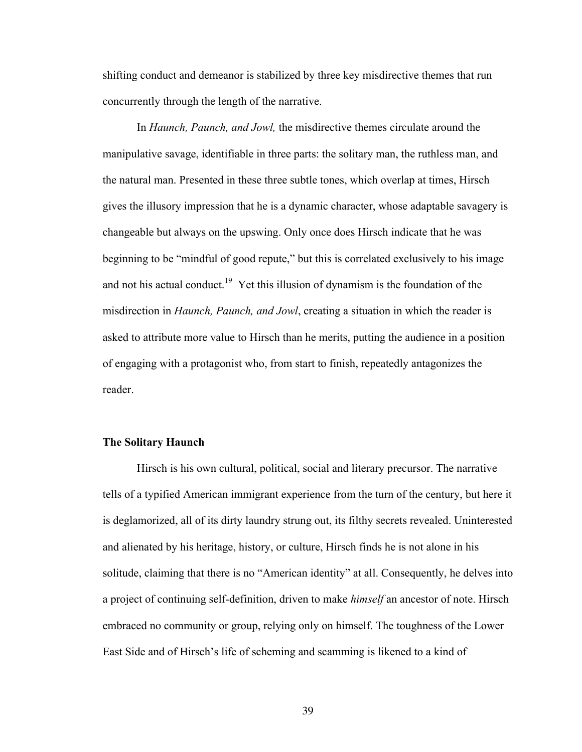shifting conduct and demeanor is stabilized by three key misdirective themes that run concurrently through the length of the narrative.

In *Haunch, Paunch, and Jowl,* the misdirective themes circulate around the manipulative savage, identifiable in three parts: the solitary man, the ruthless man, and the natural man. Presented in these three subtle tones, which overlap at times, Hirsch gives the illusory impression that he is a dynamic character, whose adaptable savagery is changeable but always on the upswing. Only once does Hirsch indicate that he was beginning to be "mindful of good repute," but this is correlated exclusively to his image and not his actual conduct.<sup>19</sup> Yet this illusion of dynamism is the foundation of the misdirection in *Haunch, Paunch, and Jowl*, creating a situation in which the reader is asked to attribute more value to Hirsch than he merits, putting the audience in a position of engaging with a protagonist who, from start to finish, repeatedly antagonizes the reader.

#### **The Solitary Haunch**

Hirsch is his own cultural, political, social and literary precursor. The narrative tells of a typified American immigrant experience from the turn of the century, but here it is deglamorized, all of its dirty laundry strung out, its filthy secrets revealed. Uninterested and alienated by his heritage, history, or culture, Hirsch finds he is not alone in his solitude, claiming that there is no "American identity" at all. Consequently, he delves into a project of continuing self-definition, driven to make *himself* an ancestor of note. Hirsch embraced no community or group, relying only on himself. The toughness of the Lower East Side and of Hirsch's life of scheming and scamming is likened to a kind of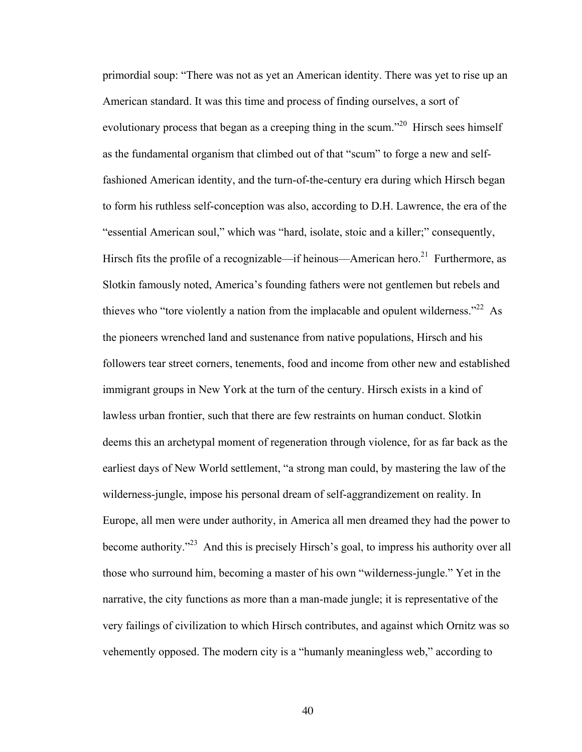primordial soup: "There was not as yet an American identity. There was yet to rise up an American standard. It was this time and process of finding ourselves, a sort of evolutionary process that began as a creeping thing in the scum.<sup> $20$ </sup> Hirsch sees himself as the fundamental organism that climbed out of that "scum" to forge a new and selffashioned American identity, and the turn-of-the-century era during which Hirsch began to form his ruthless self-conception was also, according to D.H. Lawrence, the era of the "essential American soul," which was "hard, isolate, stoic and a killer;" consequently, Hirsch fits the profile of a recognizable—if heinous—American hero.<sup>21</sup> Furthermore, as Slotkin famously noted, America's founding fathers were not gentlemen but rebels and thieves who "tore violently a nation from the implacable and opulent wilderness."<sup>22</sup> As the pioneers wrenched land and sustenance from native populations, Hirsch and his followers tear street corners, tenements, food and income from other new and established immigrant groups in New York at the turn of the century. Hirsch exists in a kind of lawless urban frontier, such that there are few restraints on human conduct. Slotkin deems this an archetypal moment of regeneration through violence, for as far back as the earliest days of New World settlement, "a strong man could, by mastering the law of the wilderness-jungle, impose his personal dream of self-aggrandizement on reality. In Europe, all men were under authority, in America all men dreamed they had the power to become authority."23 And this is precisely Hirsch's goal, to impress his authority over all those who surround him, becoming a master of his own "wilderness-jungle." Yet in the narrative, the city functions as more than a man-made jungle; it is representative of the very failings of civilization to which Hirsch contributes, and against which Ornitz was so vehemently opposed. The modern city is a "humanly meaningless web," according to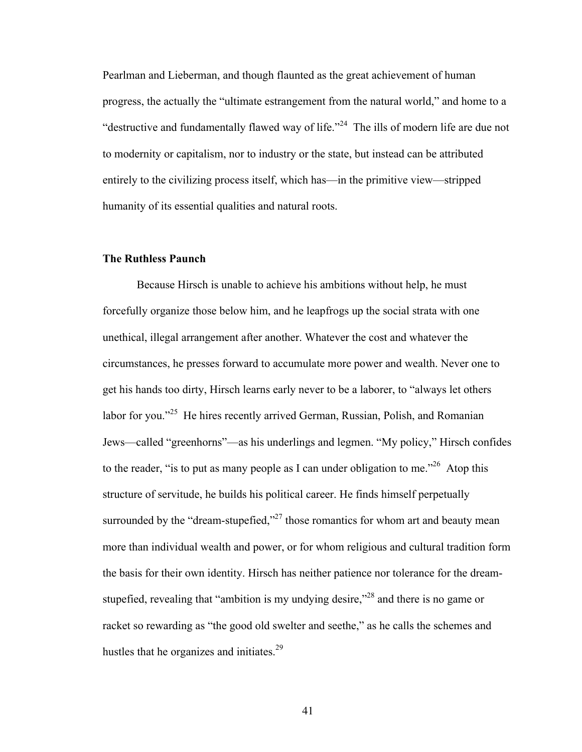Pearlman and Lieberman, and though flaunted as the great achievement of human progress, the actually the "ultimate estrangement from the natural world," and home to a "destructive and fundamentally flawed way of life."<sup>24</sup> The ills of modern life are due not to modernity or capitalism, nor to industry or the state, but instead can be attributed entirely to the civilizing process itself, which has—in the primitive view—stripped humanity of its essential qualities and natural roots.

### **The Ruthless Paunch**

Because Hirsch is unable to achieve his ambitions without help, he must forcefully organize those below him, and he leapfrogs up the social strata with one unethical, illegal arrangement after another. Whatever the cost and whatever the circumstances, he presses forward to accumulate more power and wealth. Never one to get his hands too dirty, Hirsch learns early never to be a laborer, to "always let others labor for you."<sup>25</sup> He hires recently arrived German, Russian, Polish, and Romanian Jews—called "greenhorns"—as his underlings and legmen. "My policy," Hirsch confides to the reader, "is to put as many people as I can under obligation to me."<sup>26</sup> Atop this structure of servitude, he builds his political career. He finds himself perpetually surrounded by the "dream-stupefied," $^{27}$  those romantics for whom art and beauty mean more than individual wealth and power, or for whom religious and cultural tradition form the basis for their own identity. Hirsch has neither patience nor tolerance for the dreamstupefied, revealing that "ambition is my undying desire,"<sup>28</sup> and there is no game or racket so rewarding as "the good old swelter and seethe," as he calls the schemes and hustles that he organizes and initiates.<sup>29</sup>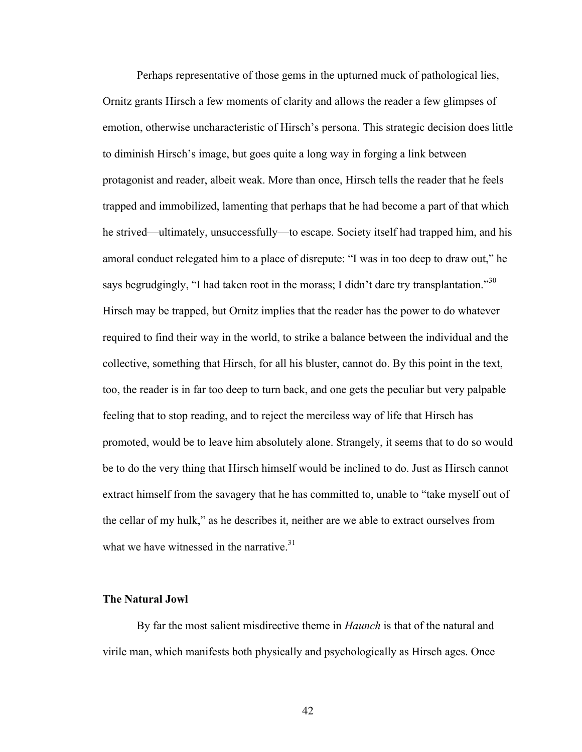Perhaps representative of those gems in the upturned muck of pathological lies, Ornitz grants Hirsch a few moments of clarity and allows the reader a few glimpses of emotion, otherwise uncharacteristic of Hirsch's persona. This strategic decision does little to diminish Hirsch's image, but goes quite a long way in forging a link between protagonist and reader, albeit weak. More than once, Hirsch tells the reader that he feels trapped and immobilized, lamenting that perhaps that he had become a part of that which he strived—ultimately, unsuccessfully—to escape. Society itself had trapped him, and his amoral conduct relegated him to a place of disrepute: "I was in too deep to draw out," he says begrudgingly, "I had taken root in the morass; I didn't dare try transplantation."<sup>30</sup> Hirsch may be trapped, but Ornitz implies that the reader has the power to do whatever required to find their way in the world, to strike a balance between the individual and the collective, something that Hirsch, for all his bluster, cannot do. By this point in the text, too, the reader is in far too deep to turn back, and one gets the peculiar but very palpable feeling that to stop reading, and to reject the merciless way of life that Hirsch has promoted, would be to leave him absolutely alone. Strangely, it seems that to do so would be to do the very thing that Hirsch himself would be inclined to do. Just as Hirsch cannot extract himself from the savagery that he has committed to, unable to "take myself out of the cellar of my hulk," as he describes it, neither are we able to extract ourselves from what we have witnessed in the narrative.<sup>31</sup>

## **The Natural Jowl**

By far the most salient misdirective theme in *Haunch* is that of the natural and virile man, which manifests both physically and psychologically as Hirsch ages. Once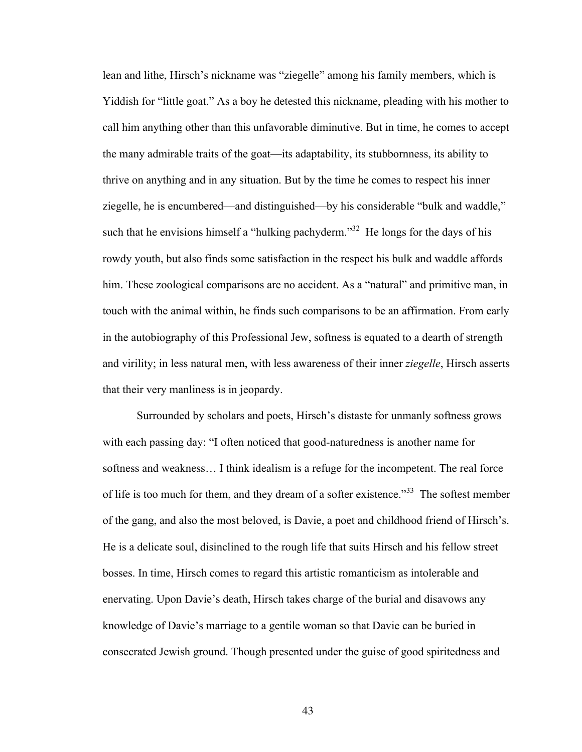lean and lithe, Hirsch's nickname was "ziegelle" among his family members, which is Yiddish for "little goat." As a boy he detested this nickname, pleading with his mother to call him anything other than this unfavorable diminutive. But in time, he comes to accept the many admirable traits of the goat—its adaptability, its stubbornness, its ability to thrive on anything and in any situation. But by the time he comes to respect his inner ziegelle, he is encumbered—and distinguished—by his considerable "bulk and waddle," such that he envisions himself a "hulking pachyderm."<sup>32</sup> He longs for the days of his rowdy youth, but also finds some satisfaction in the respect his bulk and waddle affords him. These zoological comparisons are no accident. As a "natural" and primitive man, in touch with the animal within, he finds such comparisons to be an affirmation. From early in the autobiography of this Professional Jew, softness is equated to a dearth of strength and virility; in less natural men, with less awareness of their inner *ziegelle*, Hirsch asserts that their very manliness is in jeopardy.

Surrounded by scholars and poets, Hirsch's distaste for unmanly softness grows with each passing day: "I often noticed that good-naturedness is another name for softness and weakness… I think idealism is a refuge for the incompetent. The real force of life is too much for them, and they dream of a softer existence.<sup>33</sup> The softest member of the gang, and also the most beloved, is Davie, a poet and childhood friend of Hirsch's. He is a delicate soul, disinclined to the rough life that suits Hirsch and his fellow street bosses. In time, Hirsch comes to regard this artistic romanticism as intolerable and enervating. Upon Davie's death, Hirsch takes charge of the burial and disavows any knowledge of Davie's marriage to a gentile woman so that Davie can be buried in consecrated Jewish ground. Though presented under the guise of good spiritedness and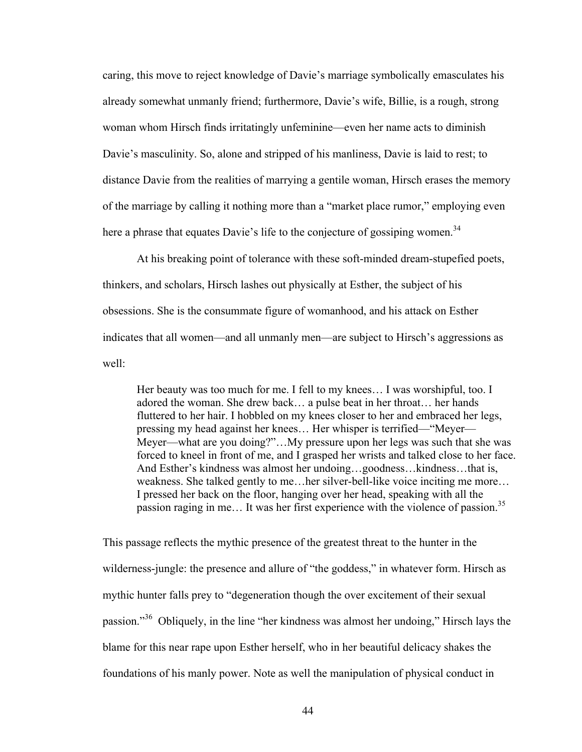caring, this move to reject knowledge of Davie's marriage symbolically emasculates his already somewhat unmanly friend; furthermore, Davie's wife, Billie, is a rough, strong woman whom Hirsch finds irritatingly unfeminine—even her name acts to diminish Davie's masculinity. So, alone and stripped of his manliness, Davie is laid to rest; to distance Davie from the realities of marrying a gentile woman, Hirsch erases the memory of the marriage by calling it nothing more than a "market place rumor," employing even here a phrase that equates Davie's life to the conjecture of gossiping women.<sup>34</sup>

At his breaking point of tolerance with these soft-minded dream-stupefied poets, thinkers, and scholars, Hirsch lashes out physically at Esther, the subject of his obsessions. She is the consummate figure of womanhood, and his attack on Esther indicates that all women—and all unmanly men—are subject to Hirsch's aggressions as well:

Her beauty was too much for me. I fell to my knees… I was worshipful, too. I adored the woman. She drew back… a pulse beat in her throat… her hands fluttered to her hair. I hobbled on my knees closer to her and embraced her legs, pressing my head against her knees… Her whisper is terrified—"Meyer— Meyer—what are you doing?"…My pressure upon her legs was such that she was forced to kneel in front of me, and I grasped her wrists and talked close to her face. And Esther's kindness was almost her undoing…goodness…kindness…that is, weakness. She talked gently to me…her silver-bell-like voice inciting me more… I pressed her back on the floor, hanging over her head, speaking with all the passion raging in me... It was her first experience with the violence of passion.<sup>35</sup>

This passage reflects the mythic presence of the greatest threat to the hunter in the wilderness-jungle: the presence and allure of "the goddess," in whatever form. Hirsch as mythic hunter falls prey to "degeneration though the over excitement of their sexual passion."<sup>36</sup> Obliquely, in the line "her kindness was almost her undoing," Hirsch lays the blame for this near rape upon Esther herself, who in her beautiful delicacy shakes the foundations of his manly power. Note as well the manipulation of physical conduct in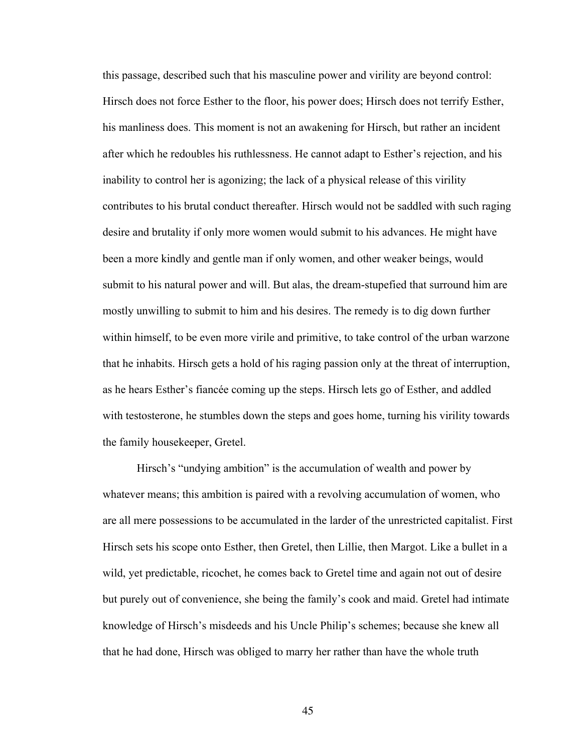this passage, described such that his masculine power and virility are beyond control: Hirsch does not force Esther to the floor, his power does; Hirsch does not terrify Esther, his manliness does. This moment is not an awakening for Hirsch, but rather an incident after which he redoubles his ruthlessness. He cannot adapt to Esther's rejection, and his inability to control her is agonizing; the lack of a physical release of this virility contributes to his brutal conduct thereafter. Hirsch would not be saddled with such raging desire and brutality if only more women would submit to his advances. He might have been a more kindly and gentle man if only women, and other weaker beings, would submit to his natural power and will. But alas, the dream-stupefied that surround him are mostly unwilling to submit to him and his desires. The remedy is to dig down further within himself, to be even more virile and primitive, to take control of the urban warzone that he inhabits. Hirsch gets a hold of his raging passion only at the threat of interruption, as he hears Esther's fiancée coming up the steps. Hirsch lets go of Esther, and addled with testosterone, he stumbles down the steps and goes home, turning his virility towards the family housekeeper, Gretel.

Hirsch's "undying ambition" is the accumulation of wealth and power by whatever means; this ambition is paired with a revolving accumulation of women, who are all mere possessions to be accumulated in the larder of the unrestricted capitalist. First Hirsch sets his scope onto Esther, then Gretel, then Lillie, then Margot. Like a bullet in a wild, yet predictable, ricochet, he comes back to Gretel time and again not out of desire but purely out of convenience, she being the family's cook and maid. Gretel had intimate knowledge of Hirsch's misdeeds and his Uncle Philip's schemes; because she knew all that he had done, Hirsch was obliged to marry her rather than have the whole truth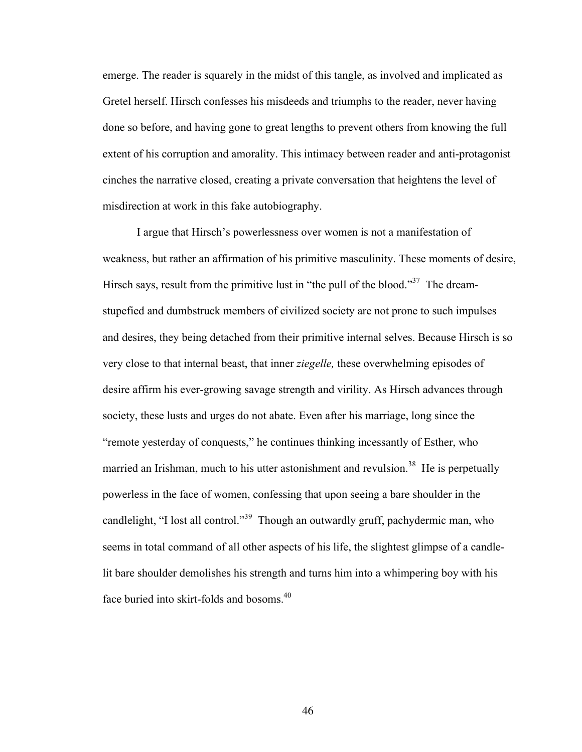emerge. The reader is squarely in the midst of this tangle, as involved and implicated as Gretel herself. Hirsch confesses his misdeeds and triumphs to the reader, never having done so before, and having gone to great lengths to prevent others from knowing the full extent of his corruption and amorality. This intimacy between reader and anti-protagonist cinches the narrative closed, creating a private conversation that heightens the level of misdirection at work in this fake autobiography.

I argue that Hirsch's powerlessness over women is not a manifestation of weakness, but rather an affirmation of his primitive masculinity. These moments of desire, Hirsch says, result from the primitive lust in "the pull of the blood."<sup>37</sup> The dreamstupefied and dumbstruck members of civilized society are not prone to such impulses and desires, they being detached from their primitive internal selves. Because Hirsch is so very close to that internal beast, that inner *ziegelle,* these overwhelming episodes of desire affirm his ever-growing savage strength and virility. As Hirsch advances through society, these lusts and urges do not abate. Even after his marriage, long since the "remote yesterday of conquests," he continues thinking incessantly of Esther, who married an Irishman, much to his utter astonishment and revulsion.<sup>38</sup> He is perpetually powerless in the face of women, confessing that upon seeing a bare shoulder in the candlelight, "I lost all control."<sup>39</sup> Though an outwardly gruff, pachydermic man, who seems in total command of all other aspects of his life, the slightest glimpse of a candlelit bare shoulder demolishes his strength and turns him into a whimpering boy with his face buried into skirt-folds and bosoms.<sup>40</sup>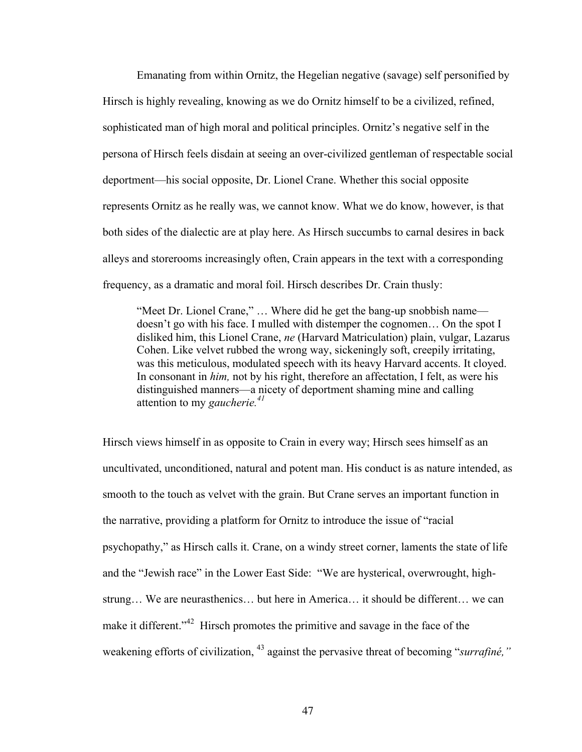Emanating from within Ornitz, the Hegelian negative (savage) self personified by Hirsch is highly revealing, knowing as we do Ornitz himself to be a civilized, refined, sophisticated man of high moral and political principles. Ornitz's negative self in the persona of Hirsch feels disdain at seeing an over-civilized gentleman of respectable social deportment—his social opposite, Dr. Lionel Crane. Whether this social opposite represents Ornitz as he really was, we cannot know. What we do know, however, is that both sides of the dialectic are at play here. As Hirsch succumbs to carnal desires in back alleys and storerooms increasingly often, Crain appears in the text with a corresponding frequency, as a dramatic and moral foil. Hirsch describes Dr. Crain thusly:

"Meet Dr. Lionel Crane," … Where did he get the bang-up snobbish name doesn't go with his face. I mulled with distemper the cognomen… On the spot I disliked him, this Lionel Crane, *ne* (Harvard Matriculation) plain, vulgar, Lazarus Cohen. Like velvet rubbed the wrong way, sickeningly soft, creepily irritating, was this meticulous, modulated speech with its heavy Harvard accents. It cloyed. In consonant in *him,* not by his right, therefore an affectation, I felt, as were his distinguished manners—a nicety of deportment shaming mine and calling attention to my *gaucherie.<sup>41</sup>*

Hirsch views himself in as opposite to Crain in every way; Hirsch sees himself as an uncultivated, unconditioned, natural and potent man. His conduct is as nature intended, as smooth to the touch as velvet with the grain. But Crane serves an important function in the narrative, providing a platform for Ornitz to introduce the issue of "racial psychopathy," as Hirsch calls it. Crane, on a windy street corner, laments the state of life and the "Jewish race" in the Lower East Side: "We are hysterical, overwrought, highstrung… We are neurasthenics… but here in America… it should be different… we can make it different."<sup>42</sup> Hirsch promotes the primitive and savage in the face of the weakening efforts of civilization, <sup>43</sup> against the pervasive threat of becoming "*surrafiné*,"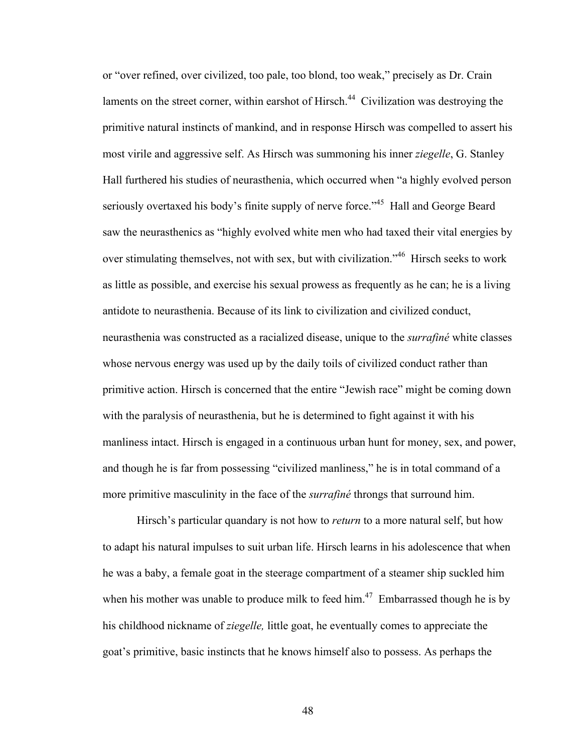or "over refined, over civilized, too pale, too blond, too weak," precisely as Dr. Crain laments on the street corner, within earshot of Hirsch.<sup>44</sup> Civilization was destroying the primitive natural instincts of mankind, and in response Hirsch was compelled to assert his most virile and aggressive self. As Hirsch was summoning his inner *ziegelle*, G. Stanley Hall furthered his studies of neurasthenia, which occurred when "a highly evolved person seriously overtaxed his body's finite supply of nerve force."<sup>45</sup> Hall and George Beard saw the neurasthenics as "highly evolved white men who had taxed their vital energies by over stimulating themselves, not with sex, but with civilization.<sup>346</sup> Hirsch seeks to work as little as possible, and exercise his sexual prowess as frequently as he can; he is a living antidote to neurasthenia. Because of its link to civilization and civilized conduct, neurasthenia was constructed as a racialized disease, unique to the *surrafiné* white classes whose nervous energy was used up by the daily toils of civilized conduct rather than primitive action. Hirsch is concerned that the entire "Jewish race" might be coming down with the paralysis of neurasthenia, but he is determined to fight against it with his manliness intact. Hirsch is engaged in a continuous urban hunt for money, sex, and power, and though he is far from possessing "civilized manliness," he is in total command of a more primitive masculinity in the face of the *surrafiné* throngs that surround him.

Hirsch's particular quandary is not how to *return* to a more natural self, but how to adapt his natural impulses to suit urban life. Hirsch learns in his adolescence that when he was a baby, a female goat in the steerage compartment of a steamer ship suckled him when his mother was unable to produce milk to feed him.<sup>47</sup> Embarrassed though he is by his childhood nickname of *ziegelle,* little goat, he eventually comes to appreciate the goat's primitive, basic instincts that he knows himself also to possess. As perhaps the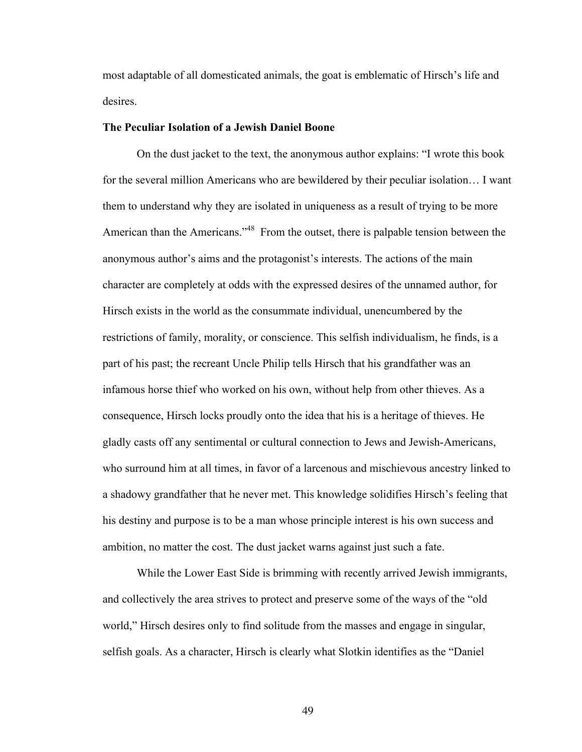most adaptable of all domesticated animals, the goat is emblematic of Hirsch's life and desires.

#### **The Peculiar Isolation of a Jewish Daniel Boone**

On the dust jacket to the text, the anonymous author explains: "I wrote this book for the several million Americans who are bewildered by their peculiar isolation… I want them to understand why they are isolated in uniqueness as a result of trying to be more American than the Americans."<sup>48</sup> From the outset, there is palpable tension between the anonymous author's aims and the protagonist's interests. The actions of the main character are completely at odds with the expressed desires of the unnamed author, for Hirsch exists in the world as the consummate individual, unencumbered by the restrictions of family, morality, or conscience. This selfish individualism, he finds, is a part of his past; the recreant Uncle Philip tells Hirsch that his grandfather was an infamous horse thief who worked on his own, without help from other thieves. As a consequence, Hirsch locks proudly onto the idea that his is a heritage of thieves. He gladly casts off any sentimental or cultural connection to Jews and Jewish-Americans, who surround him at all times, in favor of a larcenous and mischievous ancestry linked to a shadowy grandfather that he never met. This knowledge solidifies Hirsch's feeling that his destiny and purpose is to be a man whose principle interest is his own success and ambition, no matter the cost. The dust jacket warns against just such a fate.

While the Lower East Side is brimming with recently arrived Jewish immigrants, and collectively the area strives to protect and preserve some of the ways of the "old world," Hirsch desires only to find solitude from the masses and engage in singular, selfish goals. As a character, Hirsch is clearly what Slotkin identifies as the "Daniel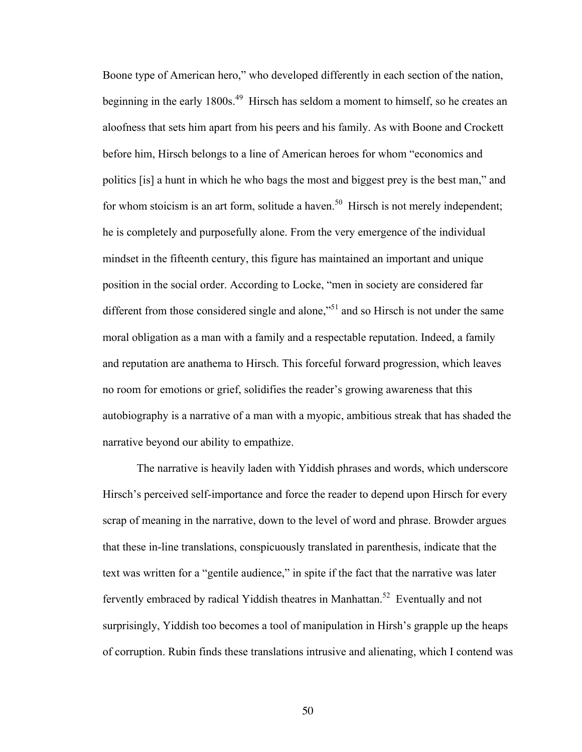Boone type of American hero," who developed differently in each section of the nation, beginning in the early 1800s.<sup>49</sup> Hirsch has seldom a moment to himself, so he creates an aloofness that sets him apart from his peers and his family. As with Boone and Crockett before him, Hirsch belongs to a line of American heroes for whom "economics and politics [is] a hunt in which he who bags the most and biggest prey is the best man," and for whom stoicism is an art form, solitude a haven.<sup>50</sup> Hirsch is not merely independent; he is completely and purposefully alone. From the very emergence of the individual mindset in the fifteenth century, this figure has maintained an important and unique position in the social order. According to Locke, "men in society are considered far different from those considered single and alone,"<sup>51</sup> and so Hirsch is not under the same moral obligation as a man with a family and a respectable reputation. Indeed, a family and reputation are anathema to Hirsch. This forceful forward progression, which leaves no room for emotions or grief, solidifies the reader's growing awareness that this autobiography is a narrative of a man with a myopic, ambitious streak that has shaded the narrative beyond our ability to empathize.

The narrative is heavily laden with Yiddish phrases and words, which underscore Hirsch's perceived self-importance and force the reader to depend upon Hirsch for every scrap of meaning in the narrative, down to the level of word and phrase. Browder argues that these in-line translations, conspicuously translated in parenthesis, indicate that the text was written for a "gentile audience," in spite if the fact that the narrative was later fervently embraced by radical Yiddish theatres in Manhattan.<sup>52</sup> Eventually and not surprisingly, Yiddish too becomes a tool of manipulation in Hirsh's grapple up the heaps of corruption. Rubin finds these translations intrusive and alienating, which I contend was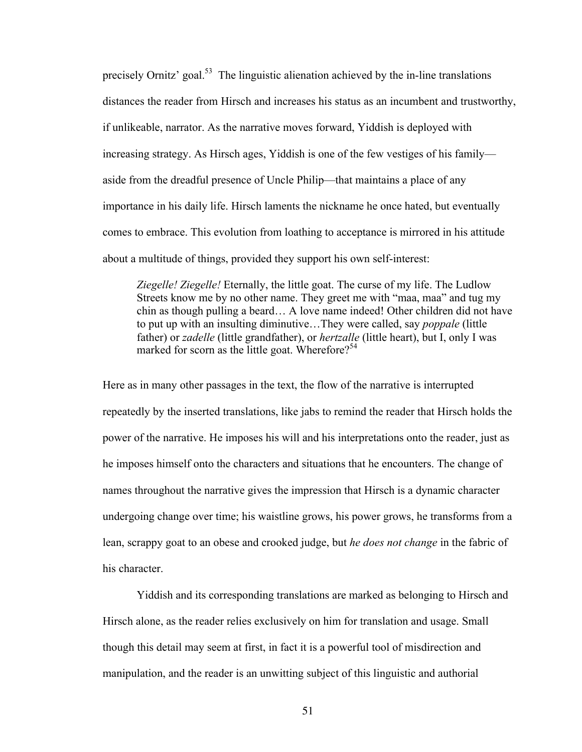precisely Ornitz' goal.<sup>53</sup> The linguistic alienation achieved by the in-line translations distances the reader from Hirsch and increases his status as an incumbent and trustworthy, if unlikeable, narrator. As the narrative moves forward, Yiddish is deployed with increasing strategy. As Hirsch ages, Yiddish is one of the few vestiges of his family aside from the dreadful presence of Uncle Philip—that maintains a place of any importance in his daily life. Hirsch laments the nickname he once hated, but eventually comes to embrace. This evolution from loathing to acceptance is mirrored in his attitude about a multitude of things, provided they support his own self-interest:

*Ziegelle! Ziegelle!* Eternally, the little goat. The curse of my life. The Ludlow Streets know me by no other name. They greet me with "maa, maa" and tug my chin as though pulling a beard… A love name indeed! Other children did not have to put up with an insulting diminutive…They were called, say *poppale* (little father) or *zadelle* (little grandfather), or *hertzalle* (little heart), but I, only I was marked for scorn as the little goat. Wherefore?<sup>54</sup>

Here as in many other passages in the text, the flow of the narrative is interrupted repeatedly by the inserted translations, like jabs to remind the reader that Hirsch holds the power of the narrative. He imposes his will and his interpretations onto the reader, just as he imposes himself onto the characters and situations that he encounters. The change of names throughout the narrative gives the impression that Hirsch is a dynamic character undergoing change over time; his waistline grows, his power grows, he transforms from a lean, scrappy goat to an obese and crooked judge, but *he does not change* in the fabric of his character.

Yiddish and its corresponding translations are marked as belonging to Hirsch and Hirsch alone, as the reader relies exclusively on him for translation and usage. Small though this detail may seem at first, in fact it is a powerful tool of misdirection and manipulation, and the reader is an unwitting subject of this linguistic and authorial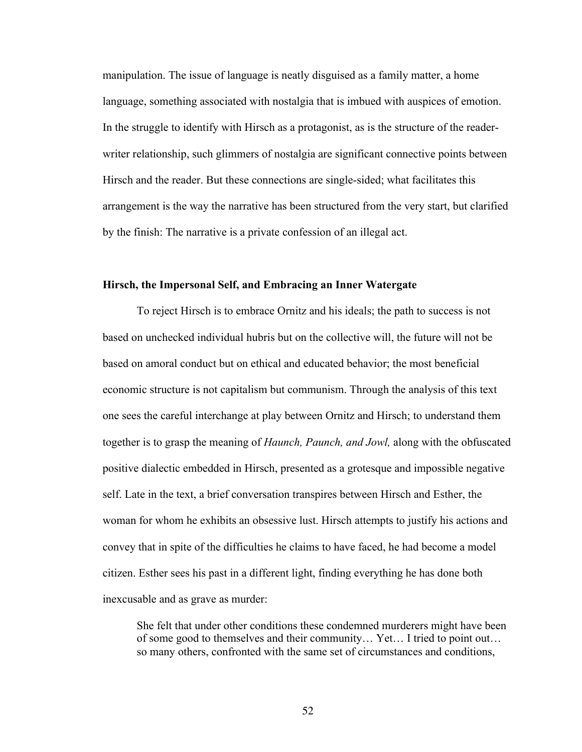manipulation. The issue of language is neatly disguised as a family matter, a home language, something associated with nostalgia that is imbued with auspices of emotion. In the struggle to identify with Hirsch as a protagonist, as is the structure of the readerwriter relationship, such glimmers of nostalgia are significant connective points between Hirsch and the reader. But these connections are single-sided; what facilitates this arrangement is the way the narrative has been structured from the very start, but clarified by the finish: The narrative is a private confession of an illegal act.

## **Hirsch, the Impersonal Self, and Embracing an Inner Watergate**

To reject Hirsch is to embrace Ornitz and his ideals; the path to success is not based on unchecked individual hubris but on the collective will, the future will not be based on amoral conduct but on ethical and educated behavior; the most beneficial economic structure is not capitalism but communism. Through the analysis of this text one sees the careful interchange at play between Ornitz and Hirsch; to understand them together is to grasp the meaning of *Haunch, Paunch, and Jowl,* along with the obfuscated positive dialectic embedded in Hirsch, presented as a grotesque and impossible negative self. Late in the text, a brief conversation transpires between Hirsch and Esther, the woman for whom he exhibits an obsessive lust. Hirsch attempts to justify his actions and convey that in spite of the difficulties he claims to have faced, he had become a model citizen. Esther sees his past in a different light, finding everything he has done both inexcusable and as grave as murder:

She felt that under other conditions these condemned murderers might have been of some good to themselves and their community… Yet… I tried to point out… so many others, confronted with the same set of circumstances and conditions,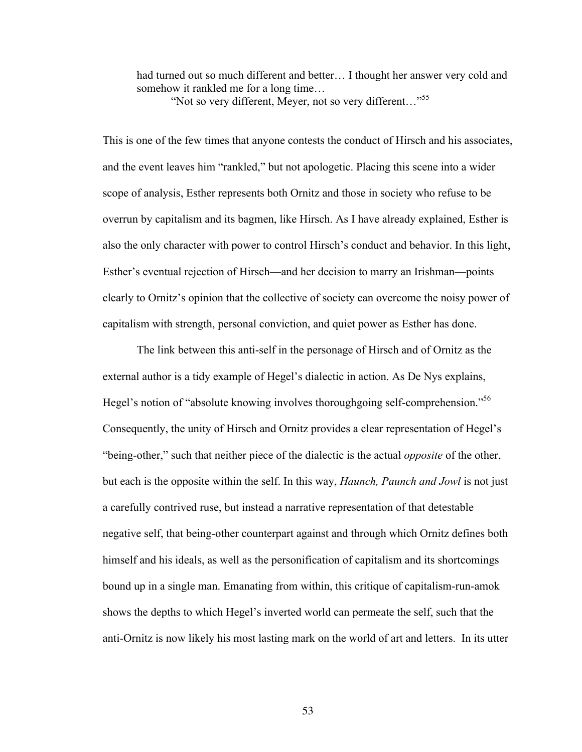had turned out so much different and better… I thought her answer very cold and somehow it rankled me for a long time… "Not so very different, Meyer, not so very different…"<sup>55</sup>

This is one of the few times that anyone contests the conduct of Hirsch and his associates, and the event leaves him "rankled," but not apologetic. Placing this scene into a wider scope of analysis, Esther represents both Ornitz and those in society who refuse to be overrun by capitalism and its bagmen, like Hirsch. As I have already explained, Esther is also the only character with power to control Hirsch's conduct and behavior. In this light, Esther's eventual rejection of Hirsch—and her decision to marry an Irishman—points clearly to Ornitz's opinion that the collective of society can overcome the noisy power of capitalism with strength, personal conviction, and quiet power as Esther has done.

The link between this anti-self in the personage of Hirsch and of Ornitz as the external author is a tidy example of Hegel's dialectic in action. As De Nys explains, Hegel's notion of "absolute knowing involves thoroughgoing self-comprehension."<sup>56</sup> Consequently, the unity of Hirsch and Ornitz provides a clear representation of Hegel's "being-other," such that neither piece of the dialectic is the actual *opposite* of the other, but each is the opposite within the self. In this way, *Haunch, Paunch and Jowl* is not just a carefully contrived ruse, but instead a narrative representation of that detestable negative self, that being-other counterpart against and through which Ornitz defines both himself and his ideals, as well as the personification of capitalism and its shortcomings bound up in a single man. Emanating from within, this critique of capitalism-run-amok shows the depths to which Hegel's inverted world can permeate the self, such that the anti-Ornitz is now likely his most lasting mark on the world of art and letters. In its utter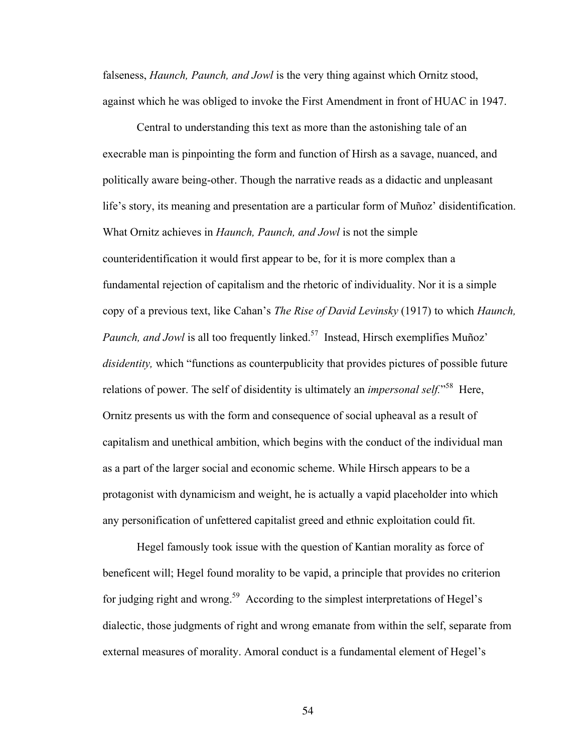falseness, *Haunch, Paunch, and Jowl* is the very thing against which Ornitz stood, against which he was obliged to invoke the First Amendment in front of HUAC in 1947.

Central to understanding this text as more than the astonishing tale of an execrable man is pinpointing the form and function of Hirsh as a savage, nuanced, and politically aware being-other. Though the narrative reads as a didactic and unpleasant life's story, its meaning and presentation are a particular form of Muñoz' disidentification. What Ornitz achieves in *Haunch, Paunch, and Jowl* is not the simple counteridentification it would first appear to be, for it is more complex than a fundamental rejection of capitalism and the rhetoric of individuality. Nor it is a simple copy of a previous text, like Cahan's *The Rise of David Levinsky* (1917) to which *Haunch, Paunch, and Jowl* is all too frequently linked.<sup>57</sup> Instead, Hirsch exemplifies Muñoz' *disidentity,* which "functions as counterpublicity that provides pictures of possible future relations of power. The self of disidentity is ultimately an *impersonal self.*<sup>58</sup> Here, Ornitz presents us with the form and consequence of social upheaval as a result of capitalism and unethical ambition, which begins with the conduct of the individual man as a part of the larger social and economic scheme. While Hirsch appears to be a protagonist with dynamicism and weight, he is actually a vapid placeholder into which any personification of unfettered capitalist greed and ethnic exploitation could fit.

Hegel famously took issue with the question of Kantian morality as force of beneficent will; Hegel found morality to be vapid, a principle that provides no criterion for judging right and wrong.59 According to the simplest interpretations of Hegel's dialectic, those judgments of right and wrong emanate from within the self, separate from external measures of morality. Amoral conduct is a fundamental element of Hegel's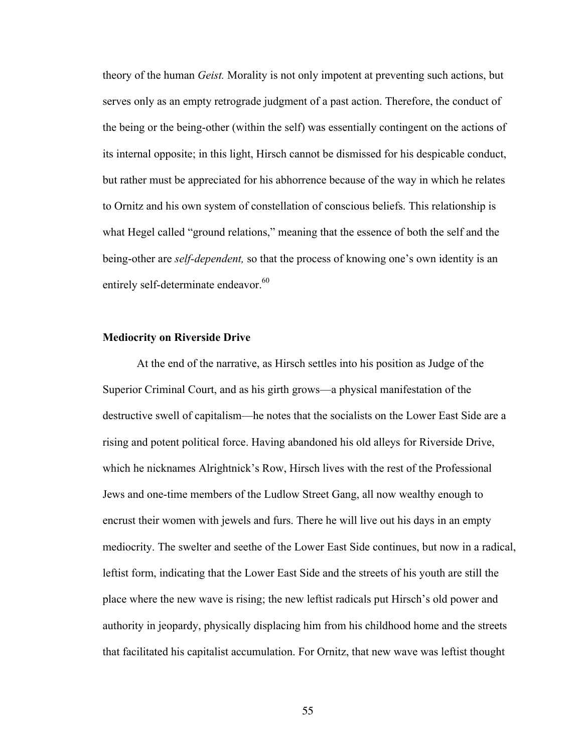theory of the human *Geist.* Morality is not only impotent at preventing such actions, but serves only as an empty retrograde judgment of a past action. Therefore, the conduct of the being or the being-other (within the self) was essentially contingent on the actions of its internal opposite; in this light, Hirsch cannot be dismissed for his despicable conduct, but rather must be appreciated for his abhorrence because of the way in which he relates to Ornitz and his own system of constellation of conscious beliefs. This relationship is what Hegel called "ground relations," meaning that the essence of both the self and the being-other are *self-dependent,* so that the process of knowing one's own identity is an entirely self-determinate endeavor.<sup>60</sup>

#### **Mediocrity on Riverside Drive**

At the end of the narrative, as Hirsch settles into his position as Judge of the Superior Criminal Court, and as his girth grows—a physical manifestation of the destructive swell of capitalism—he notes that the socialists on the Lower East Side are a rising and potent political force. Having abandoned his old alleys for Riverside Drive, which he nicknames Alrightnick's Row, Hirsch lives with the rest of the Professional Jews and one-time members of the Ludlow Street Gang, all now wealthy enough to encrust their women with jewels and furs. There he will live out his days in an empty mediocrity. The swelter and seethe of the Lower East Side continues, but now in a radical, leftist form, indicating that the Lower East Side and the streets of his youth are still the place where the new wave is rising; the new leftist radicals put Hirsch's old power and authority in jeopardy, physically displacing him from his childhood home and the streets that facilitated his capitalist accumulation. For Ornitz, that new wave was leftist thought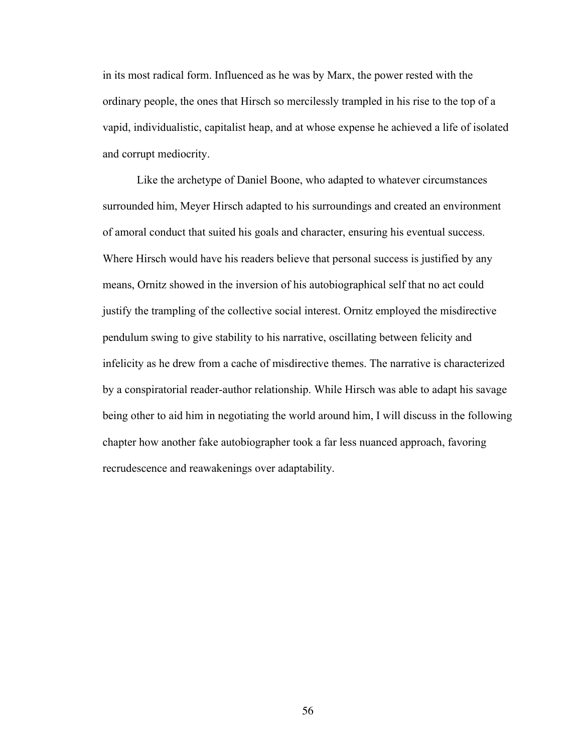in its most radical form. Influenced as he was by Marx, the power rested with the ordinary people, the ones that Hirsch so mercilessly trampled in his rise to the top of a vapid, individualistic, capitalist heap, and at whose expense he achieved a life of isolated and corrupt mediocrity.

Like the archetype of Daniel Boone, who adapted to whatever circumstances surrounded him, Meyer Hirsch adapted to his surroundings and created an environment of amoral conduct that suited his goals and character, ensuring his eventual success. Where Hirsch would have his readers believe that personal success is justified by any means, Ornitz showed in the inversion of his autobiographical self that no act could justify the trampling of the collective social interest. Ornitz employed the misdirective pendulum swing to give stability to his narrative, oscillating between felicity and infelicity as he drew from a cache of misdirective themes. The narrative is characterized by a conspiratorial reader-author relationship. While Hirsch was able to adapt his savage being other to aid him in negotiating the world around him, I will discuss in the following chapter how another fake autobiographer took a far less nuanced approach, favoring recrudescence and reawakenings over adaptability.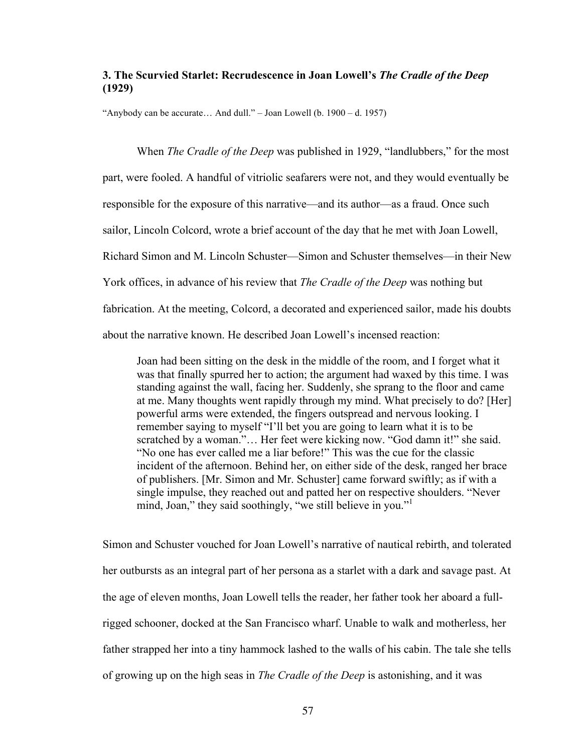# **3. The Scurvied Starlet: Recrudescence in Joan Lowell's** *The Cradle of the Deep* **(1929)**

"Anybody can be accurate… And dull." – Joan Lowell (b. 1900 – d. 1957)

When *The Cradle of the Deep* was published in 1929, "landlubbers," for the most part, were fooled. A handful of vitriolic seafarers were not, and they would eventually be responsible for the exposure of this narrative—and its author—as a fraud. Once such sailor, Lincoln Colcord, wrote a brief account of the day that he met with Joan Lowell, Richard Simon and M. Lincoln Schuster—Simon and Schuster themselves—in their New York offices, in advance of his review that *The Cradle of the Deep* was nothing but fabrication. At the meeting, Colcord, a decorated and experienced sailor, made his doubts about the narrative known. He described Joan Lowell's incensed reaction:

Joan had been sitting on the desk in the middle of the room, and I forget what it was that finally spurred her to action; the argument had waxed by this time. I was standing against the wall, facing her. Suddenly, she sprang to the floor and came at me. Many thoughts went rapidly through my mind. What precisely to do? [Her] powerful arms were extended, the fingers outspread and nervous looking. I remember saying to myself "I'll bet you are going to learn what it is to be scratched by a woman."… Her feet were kicking now. "God damn it!" she said. "No one has ever called me a liar before!" This was the cue for the classic incident of the afternoon. Behind her, on either side of the desk, ranged her brace of publishers. [Mr. Simon and Mr. Schuster] came forward swiftly; as if with a single impulse, they reached out and patted her on respective shoulders. "Never mind, Joan," they said soothingly, "we still believe in you."

Simon and Schuster vouched for Joan Lowell's narrative of nautical rebirth, and tolerated her outbursts as an integral part of her persona as a starlet with a dark and savage past. At the age of eleven months, Joan Lowell tells the reader, her father took her aboard a fullrigged schooner, docked at the San Francisco wharf. Unable to walk and motherless, her father strapped her into a tiny hammock lashed to the walls of his cabin. The tale she tells of growing up on the high seas in *The Cradle of the Deep* is astonishing, and it was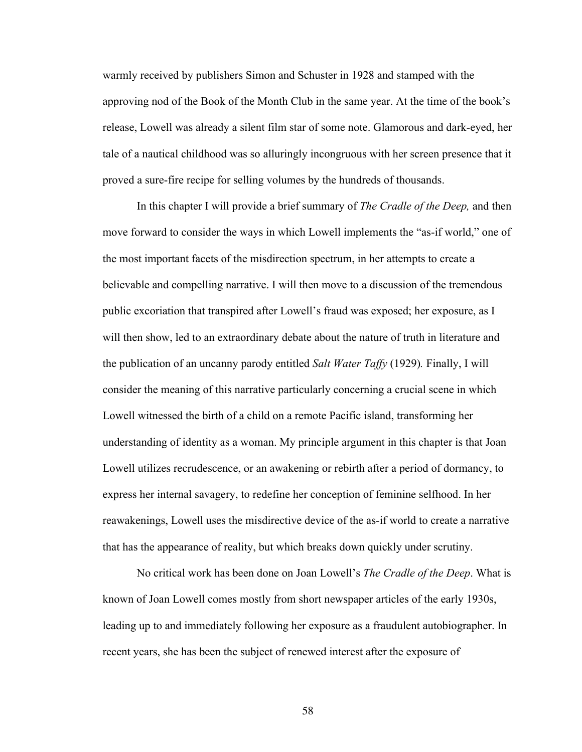warmly received by publishers Simon and Schuster in 1928 and stamped with the approving nod of the Book of the Month Club in the same year. At the time of the book's release, Lowell was already a silent film star of some note. Glamorous and dark-eyed, her tale of a nautical childhood was so alluringly incongruous with her screen presence that it proved a sure-fire recipe for selling volumes by the hundreds of thousands.

In this chapter I will provide a brief summary of *The Cradle of the Deep,* and then move forward to consider the ways in which Lowell implements the "as-if world," one of the most important facets of the misdirection spectrum, in her attempts to create a believable and compelling narrative. I will then move to a discussion of the tremendous public excoriation that transpired after Lowell's fraud was exposed; her exposure, as I will then show, led to an extraordinary debate about the nature of truth in literature and the publication of an uncanny parody entitled *Salt Water Taffy* (1929)*.* Finally, I will consider the meaning of this narrative particularly concerning a crucial scene in which Lowell witnessed the birth of a child on a remote Pacific island, transforming her understanding of identity as a woman. My principle argument in this chapter is that Joan Lowell utilizes recrudescence, or an awakening or rebirth after a period of dormancy, to express her internal savagery, to redefine her conception of feminine selfhood. In her reawakenings, Lowell uses the misdirective device of the as-if world to create a narrative that has the appearance of reality, but which breaks down quickly under scrutiny.

No critical work has been done on Joan Lowell's *The Cradle of the Deep*. What is known of Joan Lowell comes mostly from short newspaper articles of the early 1930s, leading up to and immediately following her exposure as a fraudulent autobiographer. In recent years, she has been the subject of renewed interest after the exposure of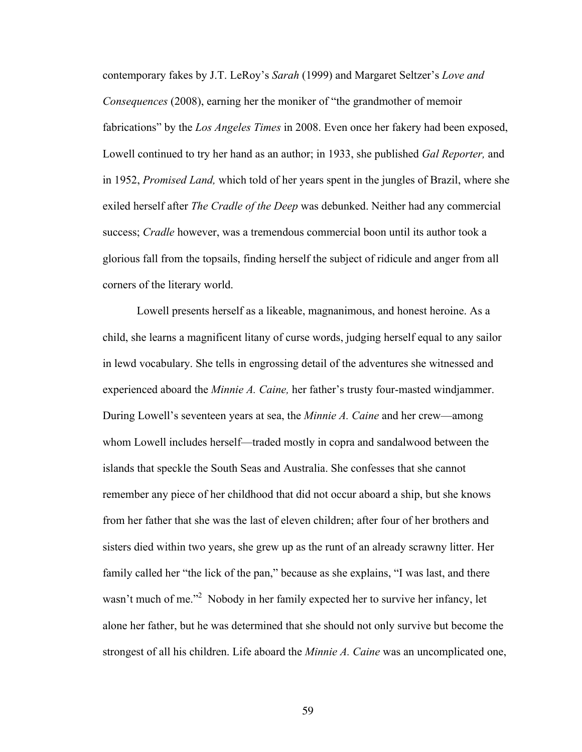contemporary fakes by J.T. LeRoy's *Sarah* (1999) and Margaret Seltzer's *Love and Consequences* (2008), earning her the moniker of "the grandmother of memoir fabrications" by the *Los Angeles Times* in 2008. Even once her fakery had been exposed, Lowell continued to try her hand as an author; in 1933, she published *Gal Reporter,* and in 1952, *Promised Land,* which told of her years spent in the jungles of Brazil, where she exiled herself after *The Cradle of the Deep* was debunked. Neither had any commercial success; *Cradle* however, was a tremendous commercial boon until its author took a glorious fall from the topsails, finding herself the subject of ridicule and anger from all corners of the literary world.

Lowell presents herself as a likeable, magnanimous, and honest heroine. As a child, she learns a magnificent litany of curse words, judging herself equal to any sailor in lewd vocabulary. She tells in engrossing detail of the adventures she witnessed and experienced aboard the *Minnie A. Caine,* her father's trusty four-masted windjammer. During Lowell's seventeen years at sea, the *Minnie A. Caine* and her crew—among whom Lowell includes herself—traded mostly in copra and sandalwood between the islands that speckle the South Seas and Australia. She confesses that she cannot remember any piece of her childhood that did not occur aboard a ship, but she knows from her father that she was the last of eleven children; after four of her brothers and sisters died within two years, she grew up as the runt of an already scrawny litter. Her family called her "the lick of the pan," because as she explains, "I was last, and there wasn't much of me."<sup>2</sup> Nobody in her family expected her to survive her infancy, let alone her father, but he was determined that she should not only survive but become the strongest of all his children. Life aboard the *Minnie A. Caine* was an uncomplicated one,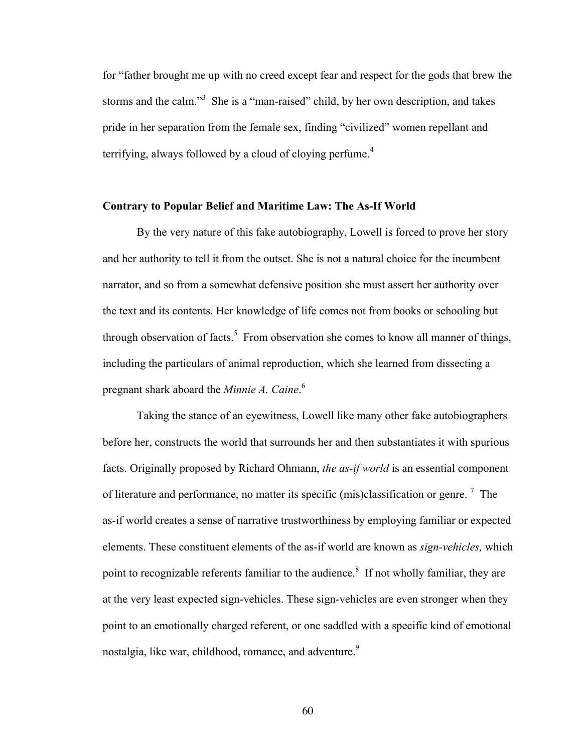for "father brought me up with no creed except fear and respect for the gods that brew the storms and the calm."<sup>3</sup> She is a "man-raised" child, by her own description, and takes pride in her separation from the female sex, finding "civilized" women repellant and terrifying, always followed by a cloud of cloying perfume.<sup>4</sup>

#### **Contrary to Popular Belief and Maritime Law: The As-If World**

By the very nature of this fake autobiography, Lowell is forced to prove her story and her authority to tell it from the outset. She is not a natural choice for the incumbent narrator, and so from a somewhat defensive position she must assert her authority over the text and its contents. Her knowledge of life comes not from books or schooling but through observation of facts.<sup>5</sup> From observation she comes to know all manner of things, including the particulars of animal reproduction, which she learned from dissecting a pregnant shark aboard the *Minnie A. Caine*. 6

Taking the stance of an eyewitness, Lowell like many other fake autobiographers before her, constructs the world that surrounds her and then substantiates it with spurious facts. Originally proposed by Richard Ohmann, *the as-if world* is an essential component of literature and performance, no matter its specific (mis)classification or genre.<sup>7</sup> The as-if world creates a sense of narrative trustworthiness by employing familiar or expected elements. These constituent elements of the as-if world are known as *sign-vehicles,* which point to recognizable referents familiar to the audience.<sup>8</sup> If not wholly familiar, they are at the very least expected sign-vehicles. These sign-vehicles are even stronger when they point to an emotionally charged referent, or one saddled with a specific kind of emotional nostalgia, like war, childhood, romance, and adventure.<sup>9</sup>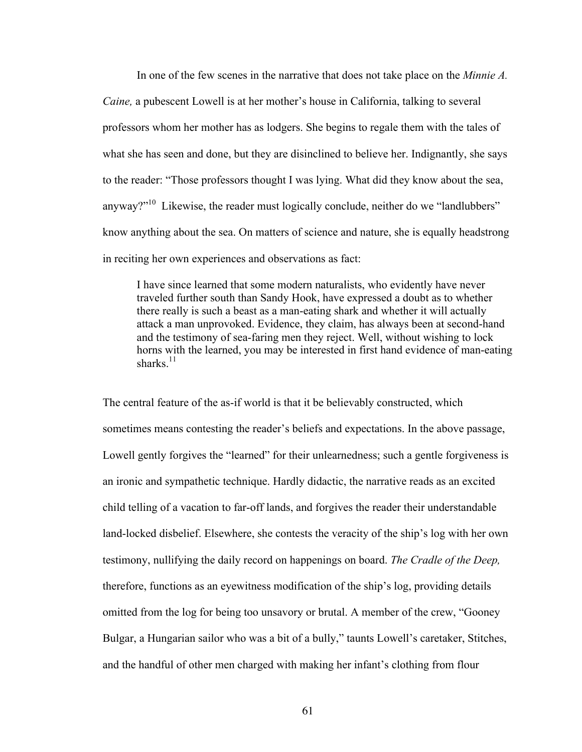In one of the few scenes in the narrative that does not take place on the *Minnie A. Caine,* a pubescent Lowell is at her mother's house in California, talking to several professors whom her mother has as lodgers. She begins to regale them with the tales of what she has seen and done, but they are disinclined to believe her. Indignantly, she says to the reader: "Those professors thought I was lying. What did they know about the sea, anyway?"<sup>10</sup> Likewise, the reader must logically conclude, neither do we "landlubbers" know anything about the sea. On matters of science and nature, she is equally headstrong in reciting her own experiences and observations as fact:

I have since learned that some modern naturalists, who evidently have never traveled further south than Sandy Hook, have expressed a doubt as to whether there really is such a beast as a man-eating shark and whether it will actually attack a man unprovoked. Evidence, they claim, has always been at second-hand and the testimony of sea-faring men they reject. Well, without wishing to lock horns with the learned, you may be interested in first hand evidence of man-eating sharks $11$ 

The central feature of the as-if world is that it be believably constructed, which sometimes means contesting the reader's beliefs and expectations. In the above passage, Lowell gently forgives the "learned" for their unlearnedness; such a gentle forgiveness is an ironic and sympathetic technique. Hardly didactic, the narrative reads as an excited child telling of a vacation to far-off lands, and forgives the reader their understandable land-locked disbelief. Elsewhere, she contests the veracity of the ship's log with her own testimony, nullifying the daily record on happenings on board. *The Cradle of the Deep,*  therefore, functions as an eyewitness modification of the ship's log, providing details omitted from the log for being too unsavory or brutal. A member of the crew, "Gooney Bulgar, a Hungarian sailor who was a bit of a bully," taunts Lowell's caretaker, Stitches, and the handful of other men charged with making her infant's clothing from flour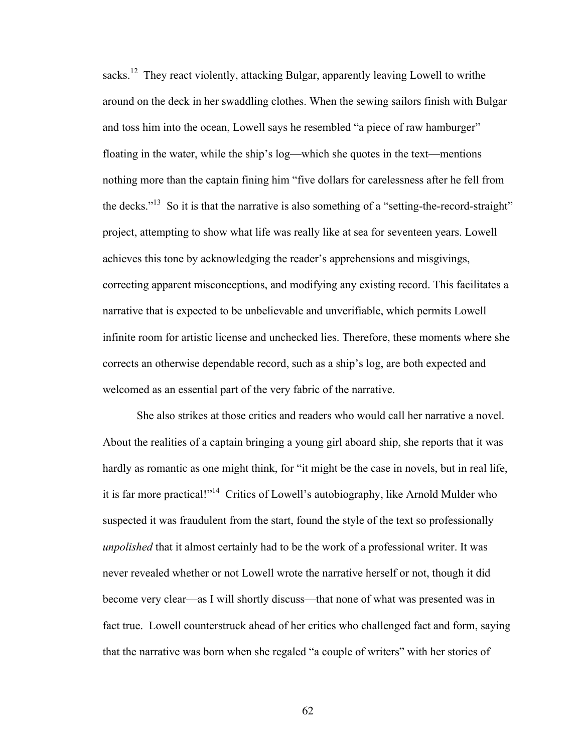sacks.<sup>12</sup> They react violently, attacking Bulgar, apparently leaving Lowell to writhe around on the deck in her swaddling clothes. When the sewing sailors finish with Bulgar and toss him into the ocean, Lowell says he resembled "a piece of raw hamburger" floating in the water, while the ship's log—which she quotes in the text—mentions nothing more than the captain fining him "five dollars for carelessness after he fell from the decks."<sup>13</sup> So it is that the narrative is also something of a "setting-the-record-straight" project, attempting to show what life was really like at sea for seventeen years. Lowell achieves this tone by acknowledging the reader's apprehensions and misgivings, correcting apparent misconceptions, and modifying any existing record. This facilitates a narrative that is expected to be unbelievable and unverifiable, which permits Lowell infinite room for artistic license and unchecked lies. Therefore, these moments where she corrects an otherwise dependable record, such as a ship's log, are both expected and welcomed as an essential part of the very fabric of the narrative.

She also strikes at those critics and readers who would call her narrative a novel. About the realities of a captain bringing a young girl aboard ship, she reports that it was hardly as romantic as one might think, for "it might be the case in novels, but in real life, it is far more practical!"14 Critics of Lowell's autobiography, like Arnold Mulder who suspected it was fraudulent from the start, found the style of the text so professionally *unpolished* that it almost certainly had to be the work of a professional writer. It was never revealed whether or not Lowell wrote the narrative herself or not, though it did become very clear—as I will shortly discuss—that none of what was presented was in fact true. Lowell counterstruck ahead of her critics who challenged fact and form, saying that the narrative was born when she regaled "a couple of writers" with her stories of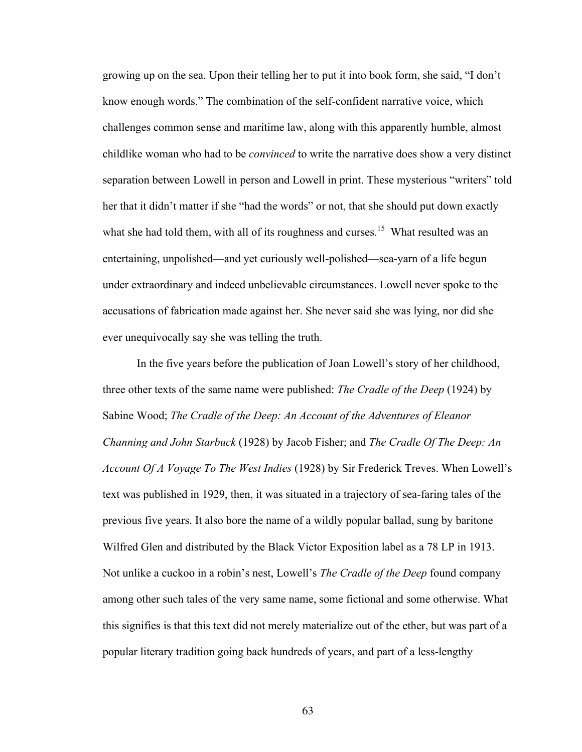growing up on the sea. Upon their telling her to put it into book form, she said, "I don't know enough words." The combination of the self-confident narrative voice, which challenges common sense and maritime law, along with this apparently humble, almost childlike woman who had to be *convinced* to write the narrative does show a very distinct separation between Lowell in person and Lowell in print. These mysterious "writers" told her that it didn't matter if she "had the words" or not, that she should put down exactly what she had told them, with all of its roughness and curses.<sup>15</sup> What resulted was an entertaining, unpolished—and yet curiously well-polished—sea-yarn of a life begun under extraordinary and indeed unbelievable circumstances. Lowell never spoke to the accusations of fabrication made against her. She never said she was lying, nor did she ever unequivocally say she was telling the truth.

In the five years before the publication of Joan Lowell's story of her childhood, three other texts of the same name were published: *The Cradle of the Deep* (1924) by Sabine Wood; *The Cradle of the Deep: An Account of the Adventures of Eleanor Channing and John Starbuck* (1928) by Jacob Fisher; and *The Cradle Of The Deep: An Account Of A Voyage To The West Indies* (1928) by Sir Frederick Treves. When Lowell's text was published in 1929, then, it was situated in a trajectory of sea-faring tales of the previous five years. It also bore the name of a wildly popular ballad, sung by baritone Wilfred Glen and distributed by the Black Victor Exposition label as a 78 LP in 1913. Not unlike a cuckoo in a robin's nest, Lowell's *The Cradle of the Deep* found company among other such tales of the very same name, some fictional and some otherwise. What this signifies is that this text did not merely materialize out of the ether, but was part of a popular literary tradition going back hundreds of years, and part of a less-lengthy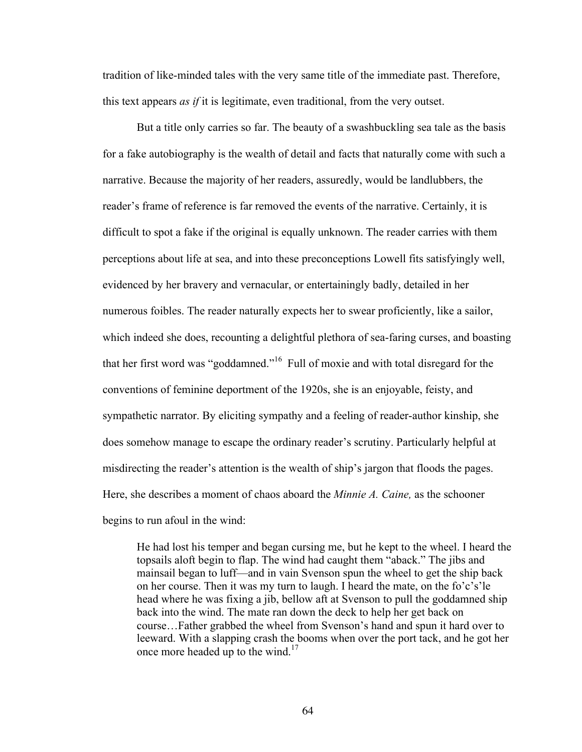tradition of like-minded tales with the very same title of the immediate past. Therefore, this text appears *as if* it is legitimate, even traditional, from the very outset.

But a title only carries so far. The beauty of a swashbuckling sea tale as the basis for a fake autobiography is the wealth of detail and facts that naturally come with such a narrative. Because the majority of her readers, assuredly, would be landlubbers, the reader's frame of reference is far removed the events of the narrative. Certainly, it is difficult to spot a fake if the original is equally unknown. The reader carries with them perceptions about life at sea, and into these preconceptions Lowell fits satisfyingly well, evidenced by her bravery and vernacular, or entertainingly badly, detailed in her numerous foibles. The reader naturally expects her to swear proficiently, like a sailor, which indeed she does, recounting a delightful plethora of sea-faring curses, and boasting that her first word was "goddamned."<sup>16</sup> Full of moxie and with total disregard for the conventions of feminine deportment of the 1920s, she is an enjoyable, feisty, and sympathetic narrator. By eliciting sympathy and a feeling of reader-author kinship, she does somehow manage to escape the ordinary reader's scrutiny. Particularly helpful at misdirecting the reader's attention is the wealth of ship's jargon that floods the pages. Here, she describes a moment of chaos aboard the *Minnie A. Caine,* as the schooner begins to run afoul in the wind:

He had lost his temper and began cursing me, but he kept to the wheel. I heard the topsails aloft begin to flap. The wind had caught them "aback." The jibs and mainsail began to luff—and in vain Svenson spun the wheel to get the ship back on her course. Then it was my turn to laugh. I heard the mate, on the fo'c's'le head where he was fixing a jib, bellow aft at Svenson to pull the goddamned ship back into the wind. The mate ran down the deck to help her get back on course…Father grabbed the wheel from Svenson's hand and spun it hard over to leeward. With a slapping crash the booms when over the port tack, and he got her once more headed up to the wind.<sup>17</sup>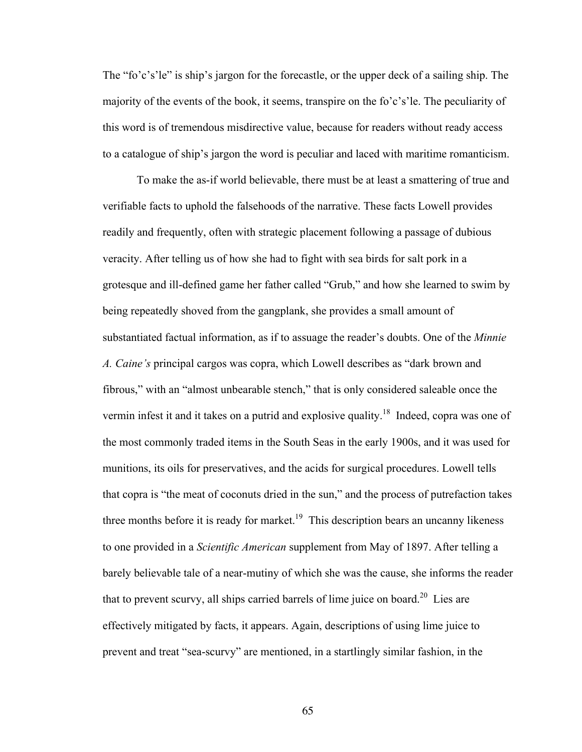The "fo'c's'le" is ship's jargon for the forecastle, or the upper deck of a sailing ship. The majority of the events of the book, it seems, transpire on the fo'c's'le. The peculiarity of this word is of tremendous misdirective value, because for readers without ready access to a catalogue of ship's jargon the word is peculiar and laced with maritime romanticism.

To make the as-if world believable, there must be at least a smattering of true and verifiable facts to uphold the falsehoods of the narrative. These facts Lowell provides readily and frequently, often with strategic placement following a passage of dubious veracity. After telling us of how she had to fight with sea birds for salt pork in a grotesque and ill-defined game her father called "Grub," and how she learned to swim by being repeatedly shoved from the gangplank, she provides a small amount of substantiated factual information, as if to assuage the reader's doubts. One of the *Minnie A. Caine's* principal cargos was copra, which Lowell describes as "dark brown and fibrous," with an "almost unbearable stench," that is only considered saleable once the vermin infest it and it takes on a putrid and explosive quality.<sup>18</sup> Indeed, copra was one of the most commonly traded items in the South Seas in the early 1900s, and it was used for munitions, its oils for preservatives, and the acids for surgical procedures. Lowell tells that copra is "the meat of coconuts dried in the sun," and the process of putrefaction takes three months before it is ready for market.<sup>19</sup> This description bears an uncanny likeness to one provided in a *Scientific American* supplement from May of 1897. After telling a barely believable tale of a near-mutiny of which she was the cause, she informs the reader that to prevent scurvy, all ships carried barrels of lime juice on board.<sup>20</sup> Lies are effectively mitigated by facts, it appears. Again, descriptions of using lime juice to prevent and treat "sea-scurvy" are mentioned, in a startlingly similar fashion, in the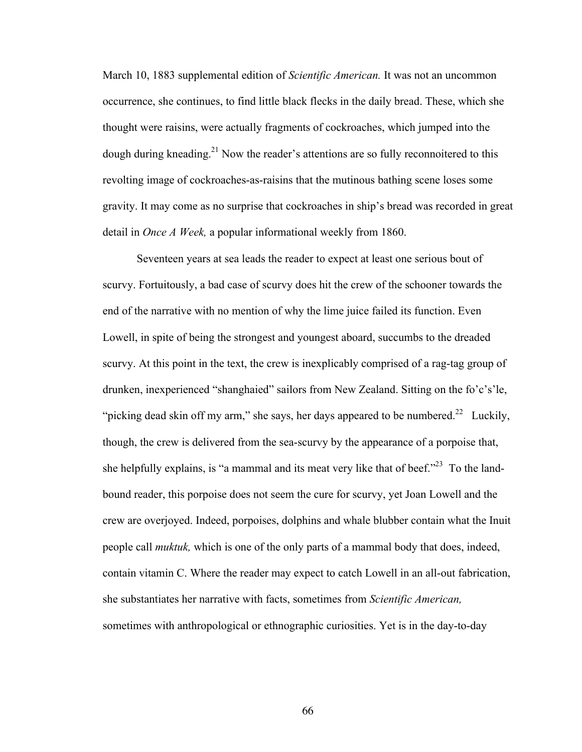March 10, 1883 supplemental edition of *Scientific American.* It was not an uncommon occurrence, she continues, to find little black flecks in the daily bread. These, which she thought were raisins, were actually fragments of cockroaches, which jumped into the dough during kneading.<sup>21</sup> Now the reader's attentions are so fully reconnoitered to this revolting image of cockroaches-as-raisins that the mutinous bathing scene loses some gravity. It may come as no surprise that cockroaches in ship's bread was recorded in great detail in *Once A Week,* a popular informational weekly from 1860.

Seventeen years at sea leads the reader to expect at least one serious bout of scurvy. Fortuitously, a bad case of scurvy does hit the crew of the schooner towards the end of the narrative with no mention of why the lime juice failed its function. Even Lowell, in spite of being the strongest and youngest aboard, succumbs to the dreaded scurvy. At this point in the text, the crew is inexplicably comprised of a rag-tag group of drunken, inexperienced "shanghaied" sailors from New Zealand. Sitting on the fo'c's'le, "picking dead skin off my arm," she says, her days appeared to be numbered.<sup>22</sup> Luckily, though, the crew is delivered from the sea-scurvy by the appearance of a porpoise that, she helpfully explains, is "a mammal and its meat very like that of beef."<sup>23</sup> To the landbound reader, this porpoise does not seem the cure for scurvy, yet Joan Lowell and the crew are overjoyed. Indeed, porpoises, dolphins and whale blubber contain what the Inuit people call *muktuk,* which is one of the only parts of a mammal body that does, indeed, contain vitamin C. Where the reader may expect to catch Lowell in an all-out fabrication, she substantiates her narrative with facts, sometimes from *Scientific American,*  sometimes with anthropological or ethnographic curiosities. Yet is in the day-to-day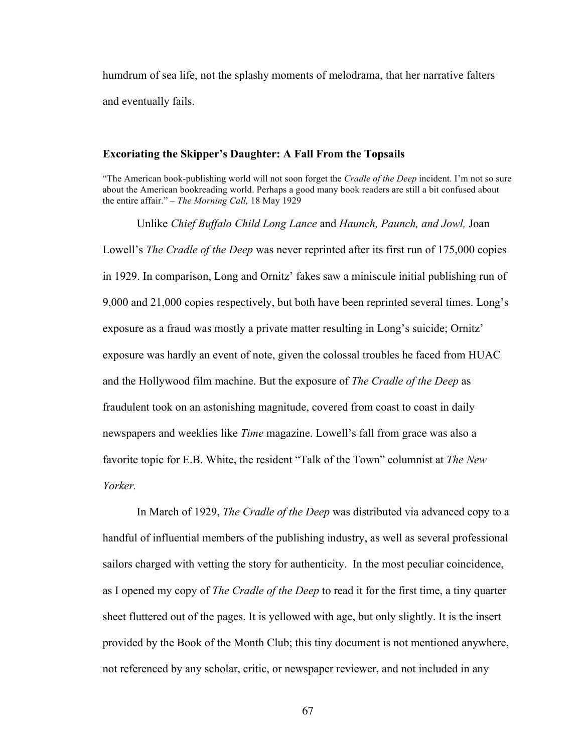humdrum of sea life, not the splashy moments of melodrama, that her narrative falters and eventually fails.

# **Excoriating the Skipper's Daughter: A Fall From the Topsails**

"The American book-publishing world will not soon forget the *Cradle of the Deep* incident. I'm not so sure about the American bookreading world. Perhaps a good many book readers are still a bit confused about the entire affair." – *The Morning Call,* 18 May 1929

Unlike *Chief Buffalo Child Long Lance* and *Haunch, Paunch, and Jowl,* Joan Lowell's *The Cradle of the Deep* was never reprinted after its first run of 175,000 copies in 1929. In comparison, Long and Ornitz' fakes saw a miniscule initial publishing run of 9,000 and 21,000 copies respectively, but both have been reprinted several times. Long's exposure as a fraud was mostly a private matter resulting in Long's suicide; Ornitz' exposure was hardly an event of note, given the colossal troubles he faced from HUAC and the Hollywood film machine. But the exposure of *The Cradle of the Deep* as fraudulent took on an astonishing magnitude, covered from coast to coast in daily newspapers and weeklies like *Time* magazine. Lowell's fall from grace was also a favorite topic for E.B. White, the resident "Talk of the Town" columnist at *The New Yorker.* 

In March of 1929, *The Cradle of the Deep* was distributed via advanced copy to a handful of influential members of the publishing industry, as well as several professional sailors charged with vetting the story for authenticity. In the most peculiar coincidence, as I opened my copy of *The Cradle of the Deep* to read it for the first time, a tiny quarter sheet fluttered out of the pages. It is yellowed with age, but only slightly. It is the insert provided by the Book of the Month Club; this tiny document is not mentioned anywhere, not referenced by any scholar, critic, or newspaper reviewer, and not included in any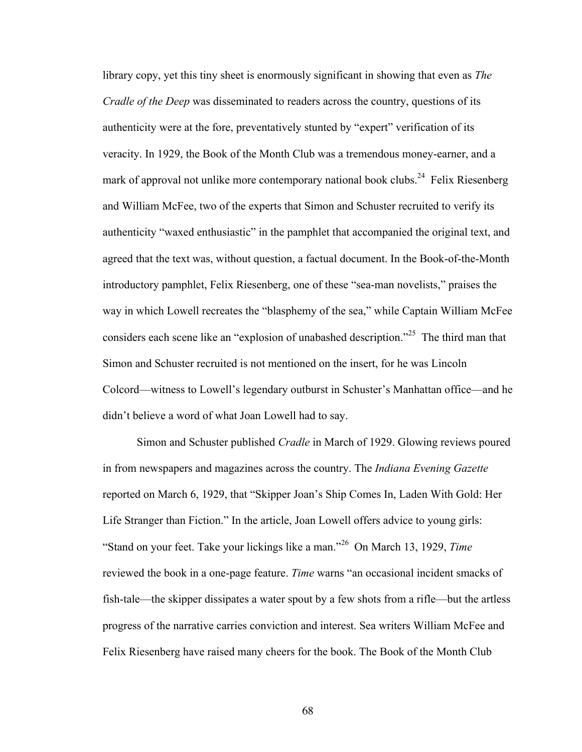library copy, yet this tiny sheet is enormously significant in showing that even as *The Cradle of the Deep* was disseminated to readers across the country, questions of its authenticity were at the fore, preventatively stunted by "expert" verification of its veracity. In 1929, the Book of the Month Club was a tremendous money-earner, and a mark of approval not unlike more contemporary national book clubs.<sup>24</sup> Felix Riesenberg and William McFee, two of the experts that Simon and Schuster recruited to verify its authenticity "waxed enthusiastic" in the pamphlet that accompanied the original text, and agreed that the text was, without question, a factual document. In the Book-of-the-Month introductory pamphlet, Felix Riesenberg, one of these "sea-man novelists," praises the way in which Lowell recreates the "blasphemy of the sea," while Captain William McFee considers each scene like an "explosion of unabashed description."<sup>25</sup> The third man that Simon and Schuster recruited is not mentioned on the insert, for he was Lincoln Colcord—witness to Lowell's legendary outburst in Schuster's Manhattan office—and he didn't believe a word of what Joan Lowell had to say.

Simon and Schuster published *Cradle* in March of 1929. Glowing reviews poured in from newspapers and magazines across the country. The *Indiana Evening Gazette*  reported on March 6, 1929, that "Skipper Joan's Ship Comes In, Laden With Gold: Her Life Stranger than Fiction." In the article, Joan Lowell offers advice to young girls: "Stand on your feet. Take your lickings like a man."26 On March 13, 1929, *Time*  reviewed the book in a one-page feature. *Time* warns "an occasional incident smacks of fish-tale—the skipper dissipates a water spout by a few shots from a rifle—but the artless progress of the narrative carries conviction and interest. Sea writers William McFee and Felix Riesenberg have raised many cheers for the book. The Book of the Month Club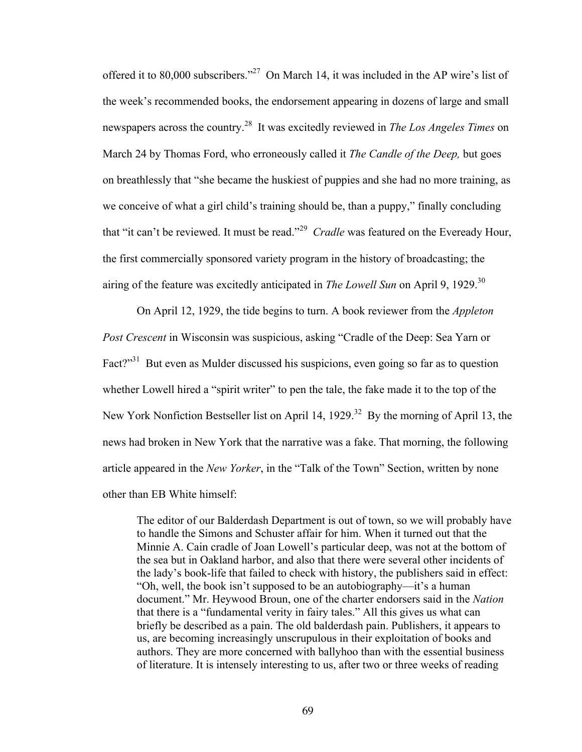offered it to 80,000 subscribers."27 On March 14, it was included in the AP wire's list of the week's recommended books, the endorsement appearing in dozens of large and small newspapers across the country.28 It was excitedly reviewed in *The Los Angeles Times* on March 24 by Thomas Ford, who erroneously called it *The Candle of the Deep,* but goes on breathlessly that "she became the huskiest of puppies and she had no more training, as we conceive of what a girl child's training should be, than a puppy," finally concluding that "it can't be reviewed. It must be read."<sup>29</sup> *Cradle* was featured on the Eveready Hour, the first commercially sponsored variety program in the history of broadcasting; the airing of the feature was excitedly anticipated in *The Lowell Sun* on April 9, 1929.<sup>30</sup>

On April 12, 1929, the tide begins to turn. A book reviewer from the *Appleton Post Crescent* in Wisconsin was suspicious, asking "Cradle of the Deep: Sea Yarn or Fact?"<sup>31</sup> But even as Mulder discussed his suspicions, even going so far as to question whether Lowell hired a "spirit writer" to pen the tale, the fake made it to the top of the New York Nonfiction Bestseller list on April 14, 1929.<sup>32</sup> By the morning of April 13, the news had broken in New York that the narrative was a fake. That morning, the following article appeared in the *New Yorker*, in the "Talk of the Town" Section, written by none other than EB White himself:

The editor of our Balderdash Department is out of town, so we will probably have to handle the Simons and Schuster affair for him. When it turned out that the Minnie A. Cain cradle of Joan Lowell's particular deep, was not at the bottom of the sea but in Oakland harbor, and also that there were several other incidents of the lady's book-life that failed to check with history, the publishers said in effect: "Oh, well, the book isn't supposed to be an autobiography—it's a human document." Mr. Heywood Broun, one of the charter endorsers said in the *Nation*  that there is a "fundamental verity in fairy tales." All this gives us what can briefly be described as a pain. The old balderdash pain. Publishers, it appears to us, are becoming increasingly unscrupulous in their exploitation of books and authors. They are more concerned with ballyhoo than with the essential business of literature. It is intensely interesting to us, after two or three weeks of reading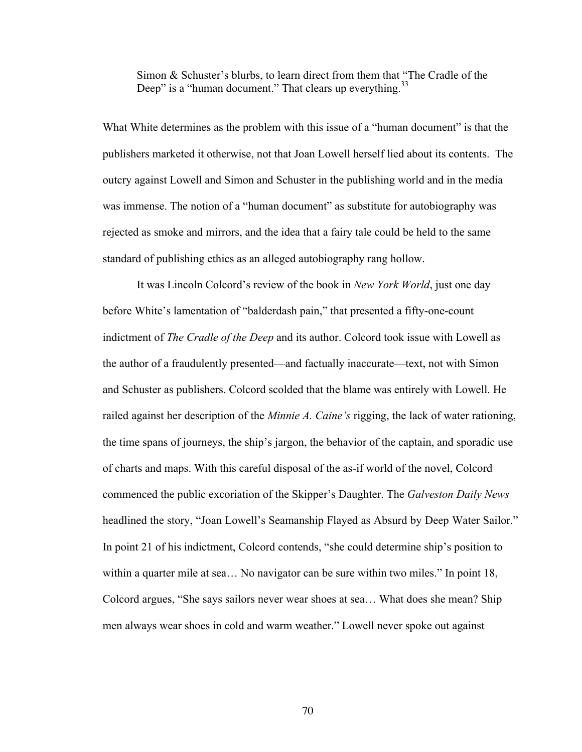Simon & Schuster's blurbs, to learn direct from them that "The Cradle of the Deep" is a "human document." That clears up everything.<sup>33</sup>

What White determines as the problem with this issue of a "human document" is that the publishers marketed it otherwise, not that Joan Lowell herself lied about its contents. The outcry against Lowell and Simon and Schuster in the publishing world and in the media was immense. The notion of a "human document" as substitute for autobiography was rejected as smoke and mirrors, and the idea that a fairy tale could be held to the same standard of publishing ethics as an alleged autobiography rang hollow.

It was Lincoln Colcord's review of the book in *New York World*, just one day before White's lamentation of "balderdash pain," that presented a fifty-one-count indictment of *The Cradle of the Deep* and its author. Colcord took issue with Lowell as the author of a fraudulently presented—and factually inaccurate—text, not with Simon and Schuster as publishers. Colcord scolded that the blame was entirely with Lowell. He railed against her description of the *Minnie A. Caine's* rigging, the lack of water rationing, the time spans of journeys, the ship's jargon, the behavior of the captain, and sporadic use of charts and maps. With this careful disposal of the as-if world of the novel, Colcord commenced the public excoriation of the Skipper's Daughter. The *Galveston Daily News* headlined the story, "Joan Lowell's Seamanship Flayed as Absurd by Deep Water Sailor." In point 21 of his indictment, Colcord contends, "she could determine ship's position to within a quarter mile at sea… No navigator can be sure within two miles." In point 18, Colcord argues, "She says sailors never wear shoes at sea… What does she mean? Ship men always wear shoes in cold and warm weather." Lowell never spoke out against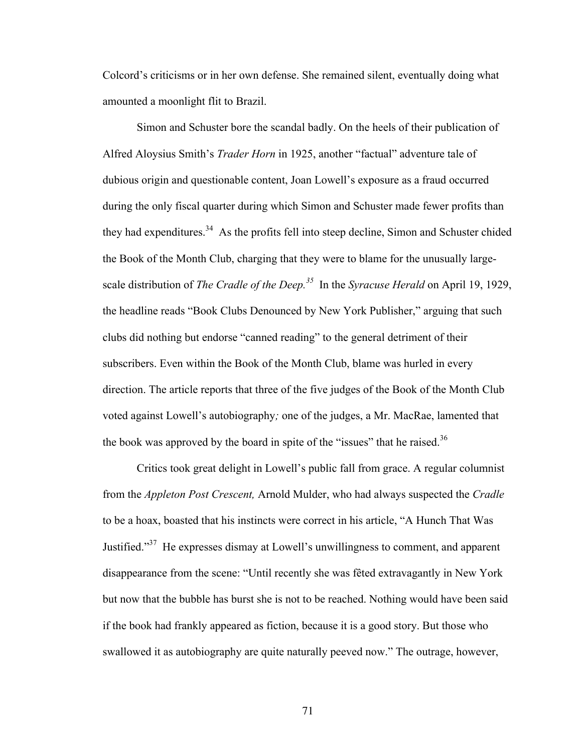Colcord's criticisms or in her own defense. She remained silent, eventually doing what amounted a moonlight flit to Brazil.

Simon and Schuster bore the scandal badly. On the heels of their publication of Alfred Aloysius Smith's *Trader Horn* in 1925, another "factual" adventure tale of dubious origin and questionable content, Joan Lowell's exposure as a fraud occurred during the only fiscal quarter during which Simon and Schuster made fewer profits than they had expenditures.<sup>34</sup> As the profits fell into steep decline, Simon and Schuster chided the Book of the Month Club, charging that they were to blame for the unusually largescale distribution of *The Cradle of the Deep.<sup>35</sup>* In the *Syracuse Herald* on April 19, 1929, the headline reads "Book Clubs Denounced by New York Publisher," arguing that such clubs did nothing but endorse "canned reading" to the general detriment of their subscribers. Even within the Book of the Month Club, blame was hurled in every direction. The article reports that three of the five judges of the Book of the Month Club voted against Lowell's autobiography*;* one of the judges, a Mr. MacRae, lamented that the book was approved by the board in spite of the "issues" that he raised.<sup>36</sup>

Critics took great delight in Lowell's public fall from grace. A regular columnist from the *Appleton Post Crescent,* Arnold Mulder, who had always suspected the *Cradle*  to be a hoax, boasted that his instincts were correct in his article, "A Hunch That Was Justified."37 He expresses dismay at Lowell's unwillingness to comment, and apparent disappearance from the scene: "Until recently she was fêted extravagantly in New York but now that the bubble has burst she is not to be reached. Nothing would have been said if the book had frankly appeared as fiction, because it is a good story. But those who swallowed it as autobiography are quite naturally peeved now." The outrage, however,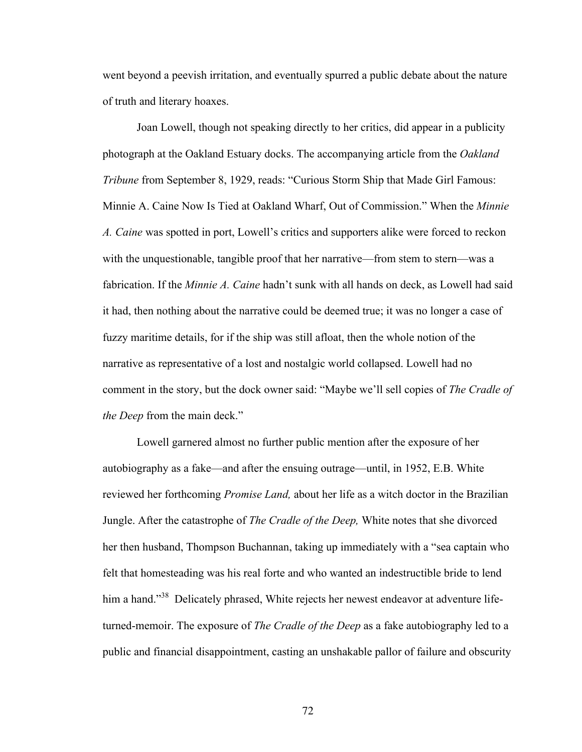went beyond a peevish irritation, and eventually spurred a public debate about the nature of truth and literary hoaxes.

Joan Lowell, though not speaking directly to her critics, did appear in a publicity photograph at the Oakland Estuary docks. The accompanying article from the *Oakland Tribune* from September 8, 1929, reads: "Curious Storm Ship that Made Girl Famous: Minnie A. Caine Now Is Tied at Oakland Wharf, Out of Commission." When the *Minnie A. Caine* was spotted in port, Lowell's critics and supporters alike were forced to reckon with the unquestionable, tangible proof that her narrative—from stem to stern—was a fabrication. If the *Minnie A. Caine* hadn't sunk with all hands on deck, as Lowell had said it had, then nothing about the narrative could be deemed true; it was no longer a case of fuzzy maritime details, for if the ship was still afloat, then the whole notion of the narrative as representative of a lost and nostalgic world collapsed. Lowell had no comment in the story, but the dock owner said: "Maybe we'll sell copies of *The Cradle of the Deep* from the main deck."

Lowell garnered almost no further public mention after the exposure of her autobiography as a fake—and after the ensuing outrage—until, in 1952, E.B. White reviewed her forthcoming *Promise Land,* about her life as a witch doctor in the Brazilian Jungle. After the catastrophe of *The Cradle of the Deep,* White notes that she divorced her then husband, Thompson Buchannan, taking up immediately with a "sea captain who felt that homesteading was his real forte and who wanted an indestructible bride to lend him a hand."<sup>38</sup> Delicately phrased, White rejects her newest endeavor at adventure lifeturned-memoir. The exposure of *The Cradle of the Deep* as a fake autobiography led to a public and financial disappointment, casting an unshakable pallor of failure and obscurity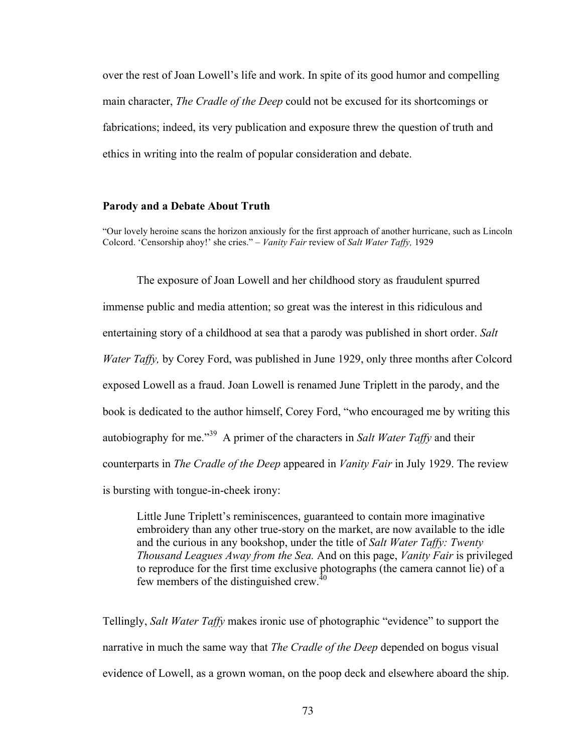over the rest of Joan Lowell's life and work. In spite of its good humor and compelling main character, *The Cradle of the Deep* could not be excused for its shortcomings or fabrications; indeed, its very publication and exposure threw the question of truth and ethics in writing into the realm of popular consideration and debate.

## **Parody and a Debate About Truth**

"Our lovely heroine scans the horizon anxiously for the first approach of another hurricane, such as Lincoln Colcord. 'Censorship ahoy!' she cries." – *Vanity Fair* review of *Salt Water Taffy,* 1929

The exposure of Joan Lowell and her childhood story as fraudulent spurred immense public and media attention; so great was the interest in this ridiculous and entertaining story of a childhood at sea that a parody was published in short order. *Salt Water Taffy,* by Corey Ford, was published in June 1929, only three months after Colcord exposed Lowell as a fraud. Joan Lowell is renamed June Triplett in the parody, and the book is dedicated to the author himself, Corey Ford, "who encouraged me by writing this autobiography for me."39 A primer of the characters in *Salt Water Taffy* and their counterparts in *The Cradle of the Deep* appeared in *Vanity Fair* in July 1929. The review is bursting with tongue-in-cheek irony:

Little June Triplett's reminiscences, guaranteed to contain more imaginative embroidery than any other true-story on the market, are now available to the idle and the curious in any bookshop, under the title of *Salt Water Taffy: Twenty Thousand Leagues Away from the Sea.* And on this page, *Vanity Fair* is privileged to reproduce for the first time exclusive photographs (the camera cannot lie) of a few members of the distinguished crew.<sup>40</sup>

Tellingly, *Salt Water Taffy* makes ironic use of photographic "evidence" to support the narrative in much the same way that *The Cradle of the Deep* depended on bogus visual evidence of Lowell, as a grown woman, on the poop deck and elsewhere aboard the ship.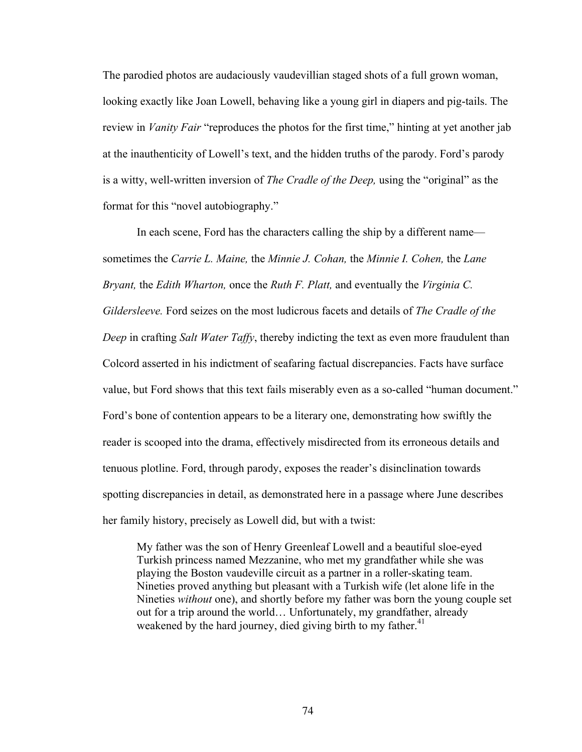The parodied photos are audaciously vaudevillian staged shots of a full grown woman, looking exactly like Joan Lowell, behaving like a young girl in diapers and pig-tails. The review in *Vanity Fair* "reproduces the photos for the first time," hinting at yet another jab at the inauthenticity of Lowell's text, and the hidden truths of the parody. Ford's parody is a witty, well-written inversion of *The Cradle of the Deep,* using the "original" as the format for this "novel autobiography."

In each scene, Ford has the characters calling the ship by a different name sometimes the *Carrie L. Maine,* the *Minnie J. Cohan,* the *Minnie I. Cohen,* the *Lane Bryant,* the *Edith Wharton,* once the *Ruth F. Platt,* and eventually the *Virginia C. Gildersleeve.* Ford seizes on the most ludicrous facets and details of *The Cradle of the Deep* in crafting *Salt Water Taffy*, thereby indicting the text as even more fraudulent than Colcord asserted in his indictment of seafaring factual discrepancies. Facts have surface value, but Ford shows that this text fails miserably even as a so-called "human document." Ford's bone of contention appears to be a literary one, demonstrating how swiftly the reader is scooped into the drama, effectively misdirected from its erroneous details and tenuous plotline. Ford, through parody, exposes the reader's disinclination towards spotting discrepancies in detail, as demonstrated here in a passage where June describes her family history, precisely as Lowell did, but with a twist:

My father was the son of Henry Greenleaf Lowell and a beautiful sloe-eyed Turkish princess named Mezzanine, who met my grandfather while she was playing the Boston vaudeville circuit as a partner in a roller-skating team. Nineties proved anything but pleasant with a Turkish wife (let alone life in the Nineties *without* one), and shortly before my father was born the young couple set out for a trip around the world… Unfortunately, my grandfather, already weakened by the hard journey, died giving birth to my father.<sup>41</sup>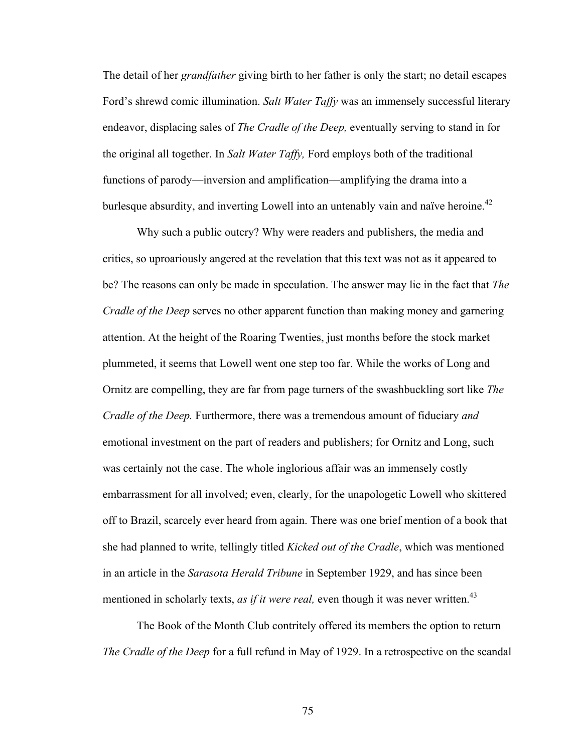The detail of her *grandfather* giving birth to her father is only the start; no detail escapes Ford's shrewd comic illumination. *Salt Water Taffy* was an immensely successful literary endeavor, displacing sales of *The Cradle of the Deep,* eventually serving to stand in for the original all together. In *Salt Water Taffy,* Ford employs both of the traditional functions of parody—inversion and amplification—amplifying the drama into a burlesque absurdity, and inverting Lowell into an untenably vain and naïve heroine.<sup>42</sup>

Why such a public outcry? Why were readers and publishers, the media and critics, so uproariously angered at the revelation that this text was not as it appeared to be? The reasons can only be made in speculation. The answer may lie in the fact that *The Cradle of the Deep* serves no other apparent function than making money and garnering attention. At the height of the Roaring Twenties, just months before the stock market plummeted, it seems that Lowell went one step too far. While the works of Long and Ornitz are compelling, they are far from page turners of the swashbuckling sort like *The Cradle of the Deep.* Furthermore, there was a tremendous amount of fiduciary *and*  emotional investment on the part of readers and publishers; for Ornitz and Long, such was certainly not the case. The whole inglorious affair was an immensely costly embarrassment for all involved; even, clearly, for the unapologetic Lowell who skittered off to Brazil, scarcely ever heard from again. There was one brief mention of a book that she had planned to write, tellingly titled *Kicked out of the Cradle*, which was mentioned in an article in the *Sarasota Herald Tribune* in September 1929, and has since been mentioned in scholarly texts, *as if it were real*, even though it was never written.<sup>43</sup>

The Book of the Month Club contritely offered its members the option to return *The Cradle of the Deep* for a full refund in May of 1929. In a retrospective on the scandal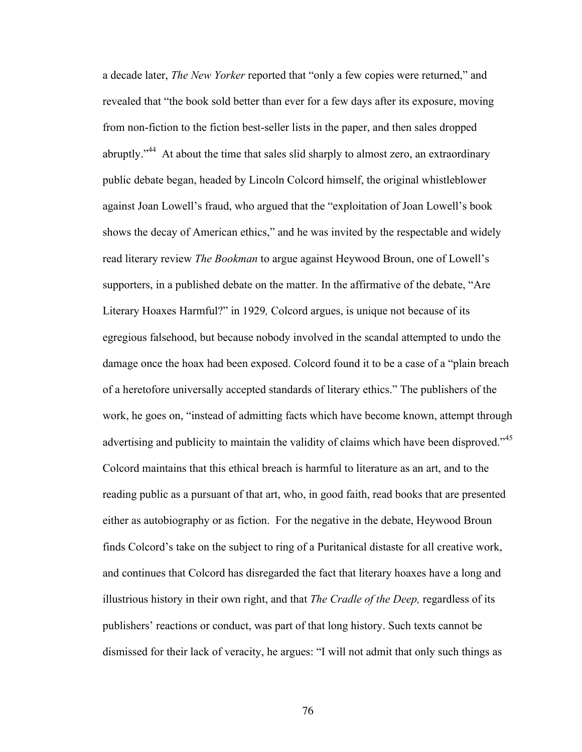a decade later, *The New Yorker* reported that "only a few copies were returned," and revealed that "the book sold better than ever for a few days after its exposure, moving from non-fiction to the fiction best-seller lists in the paper, and then sales dropped abruptly."<sup>44</sup> At about the time that sales slid sharply to almost zero, an extraordinary public debate began, headed by Lincoln Colcord himself, the original whistleblower against Joan Lowell's fraud, who argued that the "exploitation of Joan Lowell's book shows the decay of American ethics," and he was invited by the respectable and widely read literary review *The Bookman* to argue against Heywood Broun, one of Lowell's supporters, in a published debate on the matter. In the affirmative of the debate, "Are Literary Hoaxes Harmful?" in 1929*,* Colcord argues, is unique not because of its egregious falsehood, but because nobody involved in the scandal attempted to undo the damage once the hoax had been exposed. Colcord found it to be a case of a "plain breach of a heretofore universally accepted standards of literary ethics." The publishers of the work, he goes on, "instead of admitting facts which have become known, attempt through advertising and publicity to maintain the validity of claims which have been disproved."<sup>45</sup> Colcord maintains that this ethical breach is harmful to literature as an art, and to the reading public as a pursuant of that art, who, in good faith, read books that are presented either as autobiography or as fiction. For the negative in the debate, Heywood Broun finds Colcord's take on the subject to ring of a Puritanical distaste for all creative work, and continues that Colcord has disregarded the fact that literary hoaxes have a long and illustrious history in their own right, and that *The Cradle of the Deep,* regardless of its publishers' reactions or conduct, was part of that long history. Such texts cannot be dismissed for their lack of veracity, he argues: "I will not admit that only such things as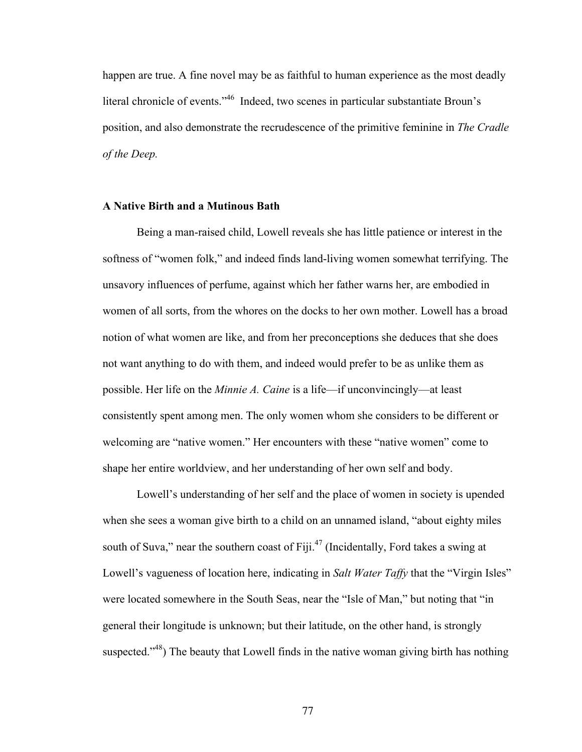happen are true. A fine novel may be as faithful to human experience as the most deadly literal chronicle of events."46 Indeed, two scenes in particular substantiate Broun's position, and also demonstrate the recrudescence of the primitive feminine in *The Cradle of the Deep.* 

# **A Native Birth and a Mutinous Bath**

Being a man-raised child, Lowell reveals she has little patience or interest in the softness of "women folk," and indeed finds land-living women somewhat terrifying. The unsavory influences of perfume, against which her father warns her, are embodied in women of all sorts, from the whores on the docks to her own mother. Lowell has a broad notion of what women are like, and from her preconceptions she deduces that she does not want anything to do with them, and indeed would prefer to be as unlike them as possible. Her life on the *Minnie A. Caine* is a life—if unconvincingly—at least consistently spent among men. The only women whom she considers to be different or welcoming are "native women." Her encounters with these "native women" come to shape her entire worldview, and her understanding of her own self and body.

Lowell's understanding of her self and the place of women in society is upended when she sees a woman give birth to a child on an unnamed island, "about eighty miles south of Suva," near the southern coast of Fiji. $47$  (Incidentally, Ford takes a swing at Lowell's vagueness of location here, indicating in *Salt Water Taffy* that the "Virgin Isles" were located somewhere in the South Seas, near the "Isle of Man," but noting that "in general their longitude is unknown; but their latitude, on the other hand, is strongly suspected. $148$ <sup>3</sup>) The beauty that Lowell finds in the native woman giving birth has nothing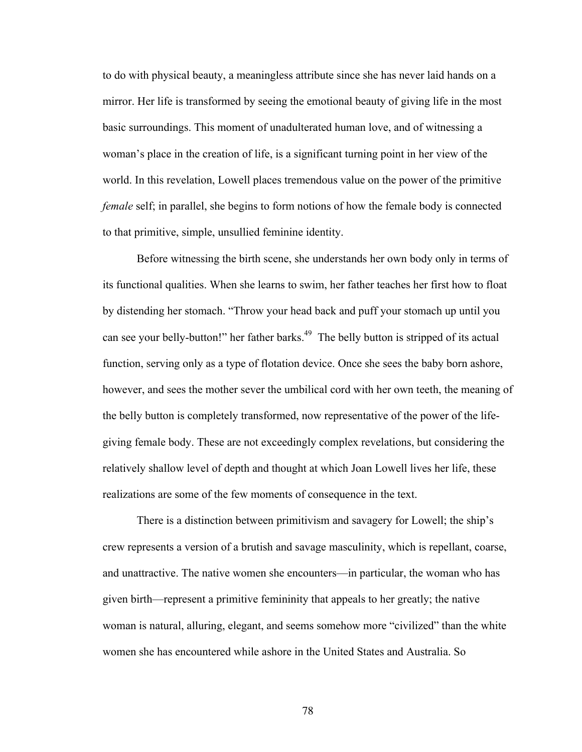to do with physical beauty, a meaningless attribute since she has never laid hands on a mirror. Her life is transformed by seeing the emotional beauty of giving life in the most basic surroundings. This moment of unadulterated human love, and of witnessing a woman's place in the creation of life, is a significant turning point in her view of the world. In this revelation, Lowell places tremendous value on the power of the primitive *female* self; in parallel, she begins to form notions of how the female body is connected to that primitive, simple, unsullied feminine identity.

Before witnessing the birth scene, she understands her own body only in terms of its functional qualities. When she learns to swim, her father teaches her first how to float by distending her stomach. "Throw your head back and puff your stomach up until you can see your belly-button!" her father barks.<sup>49</sup> The belly button is stripped of its actual function, serving only as a type of flotation device. Once she sees the baby born ashore, however, and sees the mother sever the umbilical cord with her own teeth, the meaning of the belly button is completely transformed, now representative of the power of the lifegiving female body. These are not exceedingly complex revelations, but considering the relatively shallow level of depth and thought at which Joan Lowell lives her life, these realizations are some of the few moments of consequence in the text.

There is a distinction between primitivism and savagery for Lowell; the ship's crew represents a version of a brutish and savage masculinity, which is repellant, coarse, and unattractive. The native women she encounters—in particular, the woman who has given birth—represent a primitive femininity that appeals to her greatly; the native woman is natural, alluring, elegant, and seems somehow more "civilized" than the white women she has encountered while ashore in the United States and Australia. So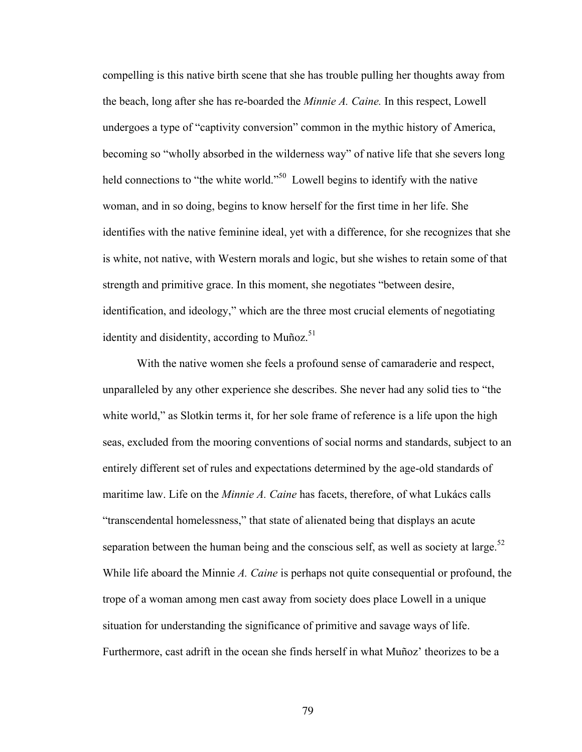compelling is this native birth scene that she has trouble pulling her thoughts away from the beach, long after she has re-boarded the *Minnie A. Caine.* In this respect, Lowell undergoes a type of "captivity conversion" common in the mythic history of America, becoming so "wholly absorbed in the wilderness way" of native life that she severs long held connections to "the white world."<sup>50</sup> Lowell begins to identify with the native woman, and in so doing, begins to know herself for the first time in her life. She identifies with the native feminine ideal, yet with a difference, for she recognizes that she is white, not native, with Western morals and logic, but she wishes to retain some of that strength and primitive grace. In this moment, she negotiates "between desire, identification, and ideology," which are the three most crucial elements of negotiating identity and disidentity, according to Muñoz. $51$ 

With the native women she feels a profound sense of camaraderie and respect, unparalleled by any other experience she describes. She never had any solid ties to "the white world," as Slotkin terms it, for her sole frame of reference is a life upon the high seas, excluded from the mooring conventions of social norms and standards, subject to an entirely different set of rules and expectations determined by the age-old standards of maritime law. Life on the *Minnie A. Caine* has facets, therefore, of what Lukács calls "transcendental homelessness," that state of alienated being that displays an acute separation between the human being and the conscious self, as well as society at large.<sup>52</sup> While life aboard the Minnie *A. Caine* is perhaps not quite consequential or profound, the trope of a woman among men cast away from society does place Lowell in a unique situation for understanding the significance of primitive and savage ways of life. Furthermore, cast adrift in the ocean she finds herself in what Muñoz' theorizes to be a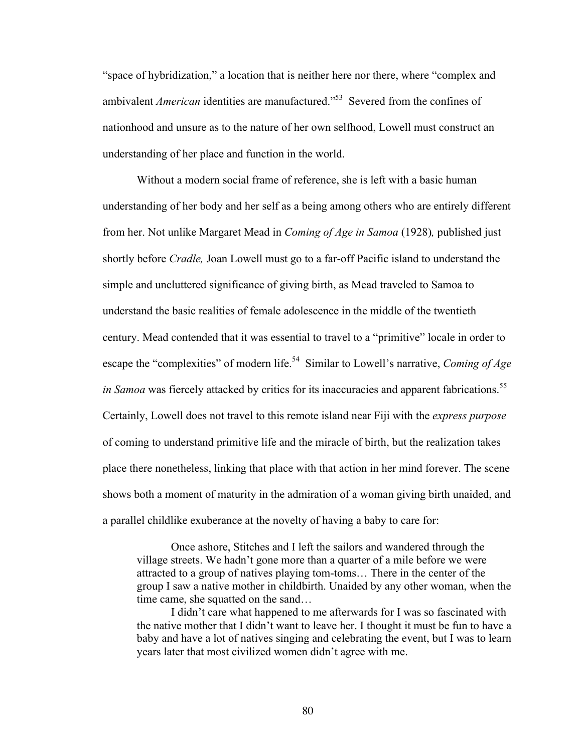"space of hybridization," a location that is neither here nor there, where "complex and ambivalent *American* identities are manufactured.<sup>553</sup> Severed from the confines of nationhood and unsure as to the nature of her own selfhood, Lowell must construct an understanding of her place and function in the world.

Without a modern social frame of reference, she is left with a basic human understanding of her body and her self as a being among others who are entirely different from her. Not unlike Margaret Mead in *Coming of Age in Samoa* (1928)*,* published just shortly before *Cradle,* Joan Lowell must go to a far-off Pacific island to understand the simple and uncluttered significance of giving birth, as Mead traveled to Samoa to understand the basic realities of female adolescence in the middle of the twentieth century. Mead contended that it was essential to travel to a "primitive" locale in order to escape the "complexities" of modern life.<sup>54</sup> Similar to Lowell's narrative, *Coming of Age in Samoa* was fiercely attacked by critics for its inaccuracies and apparent fabrications.<sup>55</sup> Certainly, Lowell does not travel to this remote island near Fiji with the *express purpose*  of coming to understand primitive life and the miracle of birth, but the realization takes place there nonetheless, linking that place with that action in her mind forever. The scene shows both a moment of maturity in the admiration of a woman giving birth unaided, and a parallel childlike exuberance at the novelty of having a baby to care for:

Once ashore, Stitches and I left the sailors and wandered through the village streets. We hadn't gone more than a quarter of a mile before we were attracted to a group of natives playing tom-toms… There in the center of the group I saw a native mother in childbirth. Unaided by any other woman, when the time came, she squatted on the sand…

I didn't care what happened to me afterwards for I was so fascinated with the native mother that I didn't want to leave her. I thought it must be fun to have a baby and have a lot of natives singing and celebrating the event, but I was to learn years later that most civilized women didn't agree with me.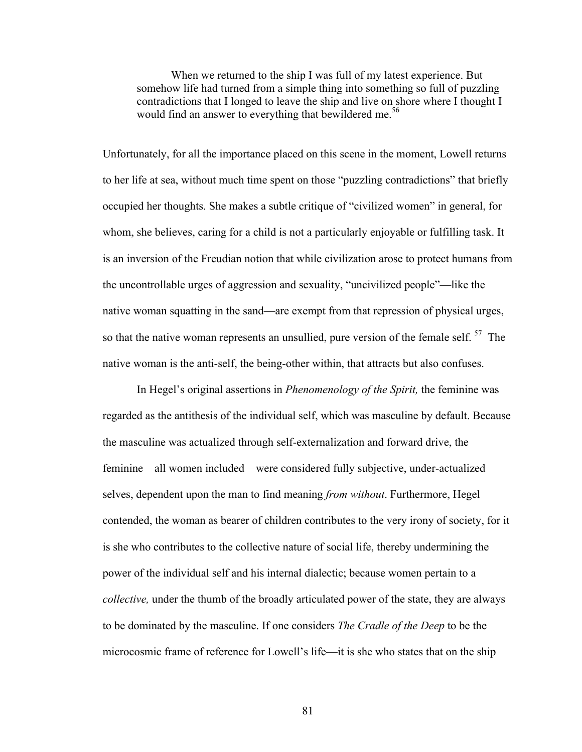When we returned to the ship I was full of my latest experience. But somehow life had turned from a simple thing into something so full of puzzling contradictions that I longed to leave the ship and live on shore where I thought I would find an answer to everything that bewildered me.<sup>56</sup>

Unfortunately, for all the importance placed on this scene in the moment, Lowell returns to her life at sea, without much time spent on those "puzzling contradictions" that briefly occupied her thoughts. She makes a subtle critique of "civilized women" in general, for whom, she believes, caring for a child is not a particularly enjoyable or fulfilling task. It is an inversion of the Freudian notion that while civilization arose to protect humans from the uncontrollable urges of aggression and sexuality, "uncivilized people"—like the native woman squatting in the sand—are exempt from that repression of physical urges, so that the native woman represents an unsullied, pure version of the female self.  $57$  The native woman is the anti-self, the being-other within, that attracts but also confuses.

In Hegel's original assertions in *Phenomenology of the Spirit,* the feminine was regarded as the antithesis of the individual self, which was masculine by default. Because the masculine was actualized through self-externalization and forward drive, the feminine—all women included—were considered fully subjective, under-actualized selves, dependent upon the man to find meaning *from without*. Furthermore, Hegel contended, the woman as bearer of children contributes to the very irony of society, for it is she who contributes to the collective nature of social life, thereby undermining the power of the individual self and his internal dialectic; because women pertain to a *collective,* under the thumb of the broadly articulated power of the state, they are always to be dominated by the masculine. If one considers *The Cradle of the Deep* to be the microcosmic frame of reference for Lowell's life—it is she who states that on the ship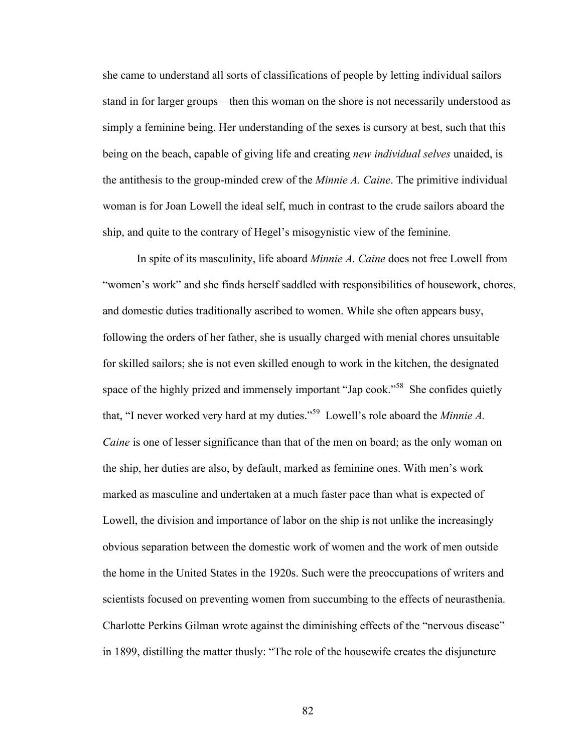she came to understand all sorts of classifications of people by letting individual sailors stand in for larger groups—then this woman on the shore is not necessarily understood as simply a feminine being. Her understanding of the sexes is cursory at best, such that this being on the beach, capable of giving life and creating *new individual selves* unaided, is the antithesis to the group-minded crew of the *Minnie A. Caine*. The primitive individual woman is for Joan Lowell the ideal self, much in contrast to the crude sailors aboard the ship, and quite to the contrary of Hegel's misogynistic view of the feminine.

In spite of its masculinity, life aboard *Minnie A. Caine* does not free Lowell from "women's work" and she finds herself saddled with responsibilities of housework, chores, and domestic duties traditionally ascribed to women. While she often appears busy, following the orders of her father, she is usually charged with menial chores unsuitable for skilled sailors; she is not even skilled enough to work in the kitchen, the designated space of the highly prized and immensely important "Jap cook."<sup>58</sup> She confides quietly that, "I never worked very hard at my duties." <sup>59</sup> Lowell's role aboard the *Minnie A. Caine* is one of lesser significance than that of the men on board; as the only woman on the ship, her duties are also, by default, marked as feminine ones. With men's work marked as masculine and undertaken at a much faster pace than what is expected of Lowell, the division and importance of labor on the ship is not unlike the increasingly obvious separation between the domestic work of women and the work of men outside the home in the United States in the 1920s. Such were the preoccupations of writers and scientists focused on preventing women from succumbing to the effects of neurasthenia. Charlotte Perkins Gilman wrote against the diminishing effects of the "nervous disease" in 1899, distilling the matter thusly: "The role of the housewife creates the disjuncture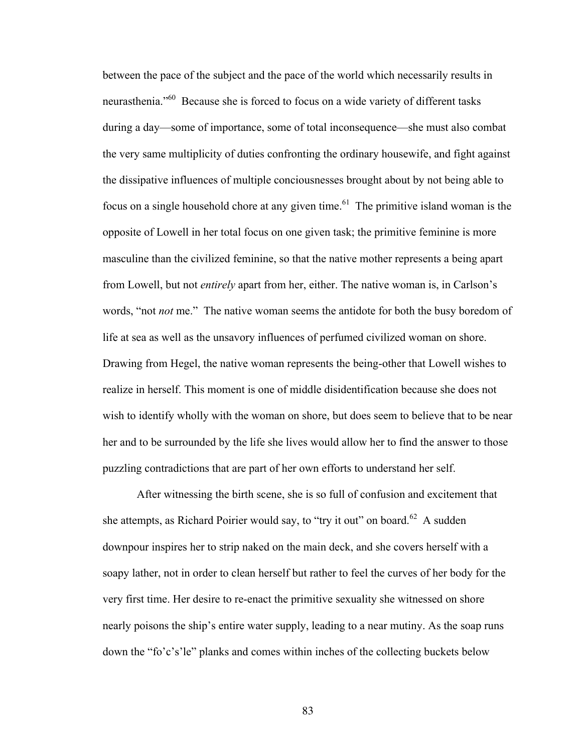between the pace of the subject and the pace of the world which necessarily results in neurasthenia."<sup>60</sup> Because she is forced to focus on a wide variety of different tasks during a day—some of importance, some of total inconsequence—she must also combat the very same multiplicity of duties confronting the ordinary housewife, and fight against the dissipative influences of multiple conciousnesses brought about by not being able to focus on a single household chore at any given time.<sup>61</sup> The primitive island woman is the opposite of Lowell in her total focus on one given task; the primitive feminine is more masculine than the civilized feminine, so that the native mother represents a being apart from Lowell, but not *entirely* apart from her, either. The native woman is, in Carlson's words, "not *not* me." The native woman seems the antidote for both the busy boredom of life at sea as well as the unsavory influences of perfumed civilized woman on shore. Drawing from Hegel, the native woman represents the being-other that Lowell wishes to realize in herself. This moment is one of middle disidentification because she does not wish to identify wholly with the woman on shore, but does seem to believe that to be near her and to be surrounded by the life she lives would allow her to find the answer to those puzzling contradictions that are part of her own efforts to understand her self.

After witnessing the birth scene, she is so full of confusion and excitement that she attempts, as Richard Poirier would say, to "try it out" on board.<sup>62</sup> A sudden downpour inspires her to strip naked on the main deck, and she covers herself with a soapy lather, not in order to clean herself but rather to feel the curves of her body for the very first time. Her desire to re-enact the primitive sexuality she witnessed on shore nearly poisons the ship's entire water supply, leading to a near mutiny. As the soap runs down the "fo'c's'le" planks and comes within inches of the collecting buckets below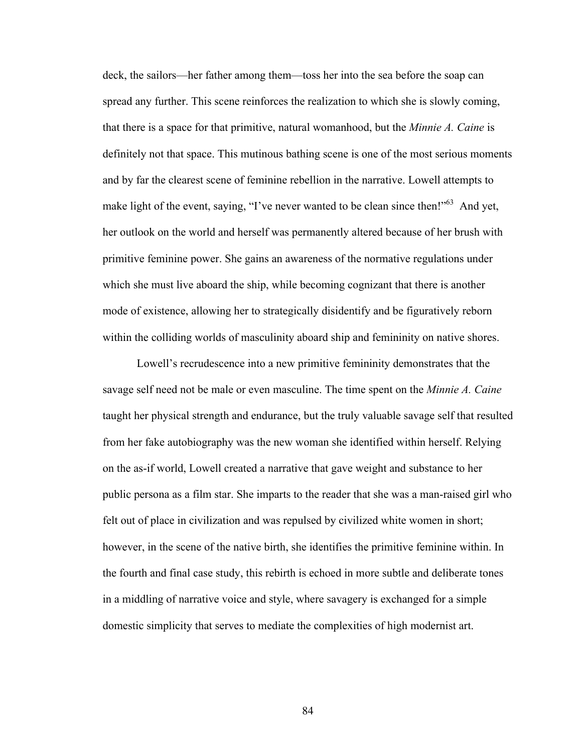deck, the sailors—her father among them—toss her into the sea before the soap can spread any further. This scene reinforces the realization to which she is slowly coming, that there is a space for that primitive, natural womanhood, but the *Minnie A. Caine* is definitely not that space. This mutinous bathing scene is one of the most serious moments and by far the clearest scene of feminine rebellion in the narrative. Lowell attempts to make light of the event, saying, "I've never wanted to be clean since then!"<sup>63</sup> And yet, her outlook on the world and herself was permanently altered because of her brush with primitive feminine power. She gains an awareness of the normative regulations under which she must live aboard the ship, while becoming cognizant that there is another mode of existence, allowing her to strategically disidentify and be figuratively reborn within the colliding worlds of masculinity aboard ship and femininity on native shores.

Lowell's recrudescence into a new primitive femininity demonstrates that the savage self need not be male or even masculine. The time spent on the *Minnie A. Caine*  taught her physical strength and endurance, but the truly valuable savage self that resulted from her fake autobiography was the new woman she identified within herself. Relying on the as-if world, Lowell created a narrative that gave weight and substance to her public persona as a film star. She imparts to the reader that she was a man-raised girl who felt out of place in civilization and was repulsed by civilized white women in short; however, in the scene of the native birth, she identifies the primitive feminine within. In the fourth and final case study, this rebirth is echoed in more subtle and deliberate tones in a middling of narrative voice and style, where savagery is exchanged for a simple domestic simplicity that serves to mediate the complexities of high modernist art.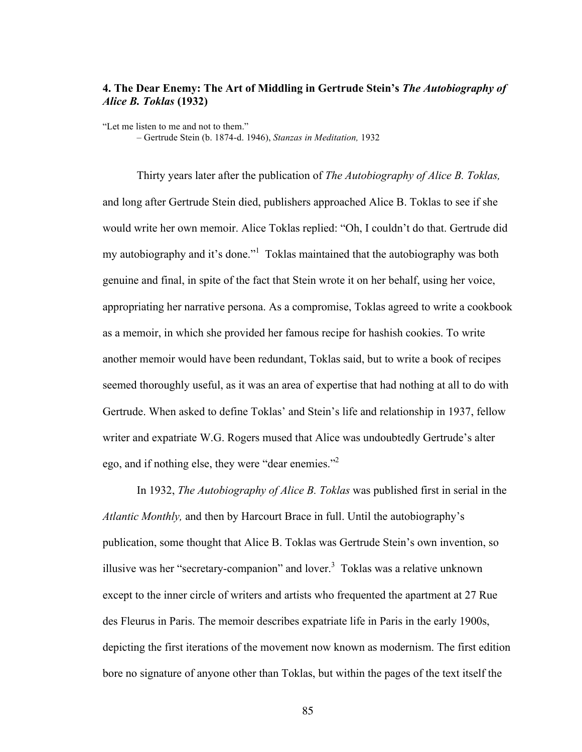# **4. The Dear Enemy: The Art of Middling in Gertrude Stein's** *The Autobiography of Alice B. Toklas* **(1932)**

"Let me listen to me and not to them." – Gertrude Stein (b. 1874-d. 1946), *Stanzas in Meditation,* 1932

Thirty years later after the publication of *The Autobiography of Alice B. Toklas,*  and long after Gertrude Stein died, publishers approached Alice B. Toklas to see if she would write her own memoir. Alice Toklas replied: "Oh, I couldn't do that. Gertrude did my autobiography and it's done."<sup>1</sup> Toklas maintained that the autobiography was both genuine and final, in spite of the fact that Stein wrote it on her behalf, using her voice, appropriating her narrative persona. As a compromise, Toklas agreed to write a cookbook as a memoir, in which she provided her famous recipe for hashish cookies. To write another memoir would have been redundant, Toklas said, but to write a book of recipes seemed thoroughly useful, as it was an area of expertise that had nothing at all to do with Gertrude. When asked to define Toklas' and Stein's life and relationship in 1937, fellow writer and expatriate W.G. Rogers mused that Alice was undoubtedly Gertrude's alter ego, and if nothing else, they were "dear enemies."2

In 1932, *The Autobiography of Alice B. Toklas* was published first in serial in the *Atlantic Monthly,* and then by Harcourt Brace in full. Until the autobiography's publication, some thought that Alice B. Toklas was Gertrude Stein's own invention, so illusive was her "secretary-companion" and lover. $3$  Toklas was a relative unknown except to the inner circle of writers and artists who frequented the apartment at 27 Rue des Fleurus in Paris. The memoir describes expatriate life in Paris in the early 1900s, depicting the first iterations of the movement now known as modernism. The first edition bore no signature of anyone other than Toklas, but within the pages of the text itself the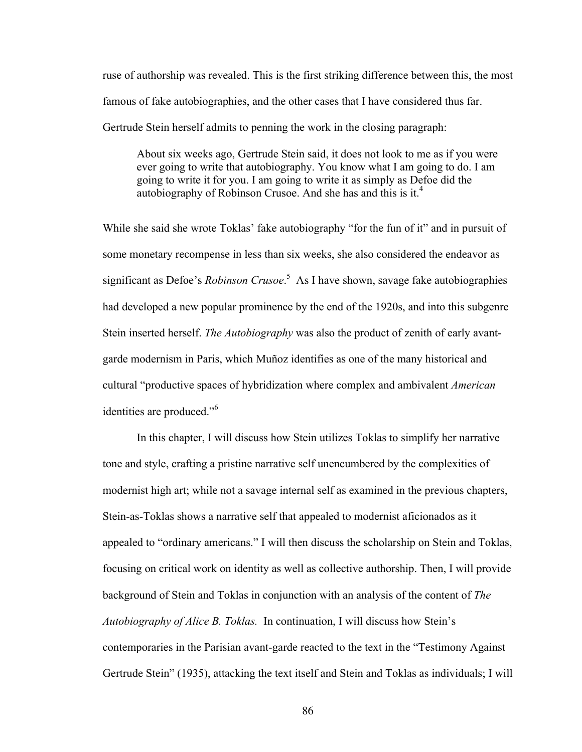ruse of authorship was revealed. This is the first striking difference between this, the most famous of fake autobiographies, and the other cases that I have considered thus far. Gertrude Stein herself admits to penning the work in the closing paragraph:

About six weeks ago, Gertrude Stein said, it does not look to me as if you were ever going to write that autobiography. You know what I am going to do. I am going to write it for you. I am going to write it as simply as Defoe did the autobiography of Robinson Crusoe. And she has and this is it.<sup>4</sup>

While she said she wrote Toklas' fake autobiography "for the fun of it" and in pursuit of some monetary recompense in less than six weeks, she also considered the endeavor as significant as Defoe's *Robinson Crusoe*. <sup>5</sup> As I have shown, savage fake autobiographies had developed a new popular prominence by the end of the 1920s, and into this subgenre Stein inserted herself. *The Autobiography* was also the product of zenith of early avantgarde modernism in Paris, which Muñoz identifies as one of the many historical and cultural "productive spaces of hybridization where complex and ambivalent *American*  identities are produced."6

In this chapter, I will discuss how Stein utilizes Toklas to simplify her narrative tone and style, crafting a pristine narrative self unencumbered by the complexities of modernist high art; while not a savage internal self as examined in the previous chapters, Stein-as-Toklas shows a narrative self that appealed to modernist aficionados as it appealed to "ordinary americans." I will then discuss the scholarship on Stein and Toklas, focusing on critical work on identity as well as collective authorship. Then, I will provide background of Stein and Toklas in conjunction with an analysis of the content of *The Autobiography of Alice B. Toklas.* In continuation, I will discuss how Stein's contemporaries in the Parisian avant-garde reacted to the text in the "Testimony Against Gertrude Stein" (1935), attacking the text itself and Stein and Toklas as individuals; I will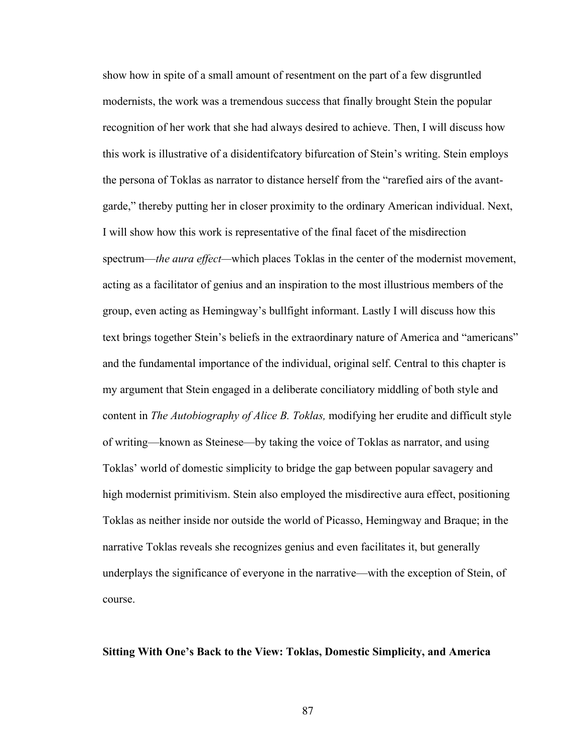show how in spite of a small amount of resentment on the part of a few disgruntled modernists, the work was a tremendous success that finally brought Stein the popular recognition of her work that she had always desired to achieve. Then, I will discuss how this work is illustrative of a disidentifcatory bifurcation of Stein's writing. Stein employs the persona of Toklas as narrator to distance herself from the "rarefied airs of the avantgarde," thereby putting her in closer proximity to the ordinary American individual. Next, I will show how this work is representative of the final facet of the misdirection spectrum—*the aura effect—*which places Toklas in the center of the modernist movement, acting as a facilitator of genius and an inspiration to the most illustrious members of the group, even acting as Hemingway's bullfight informant. Lastly I will discuss how this text brings together Stein's beliefs in the extraordinary nature of America and "americans" and the fundamental importance of the individual, original self. Central to this chapter is my argument that Stein engaged in a deliberate conciliatory middling of both style and content in *The Autobiography of Alice B. Toklas,* modifying her erudite and difficult style of writing—known as Steinese—by taking the voice of Toklas as narrator, and using Toklas' world of domestic simplicity to bridge the gap between popular savagery and high modernist primitivism. Stein also employed the misdirective aura effect, positioning Toklas as neither inside nor outside the world of Picasso, Hemingway and Braque; in the narrative Toklas reveals she recognizes genius and even facilitates it, but generally underplays the significance of everyone in the narrative—with the exception of Stein, of course.

## **Sitting With One's Back to the View: Toklas, Domestic Simplicity, and America**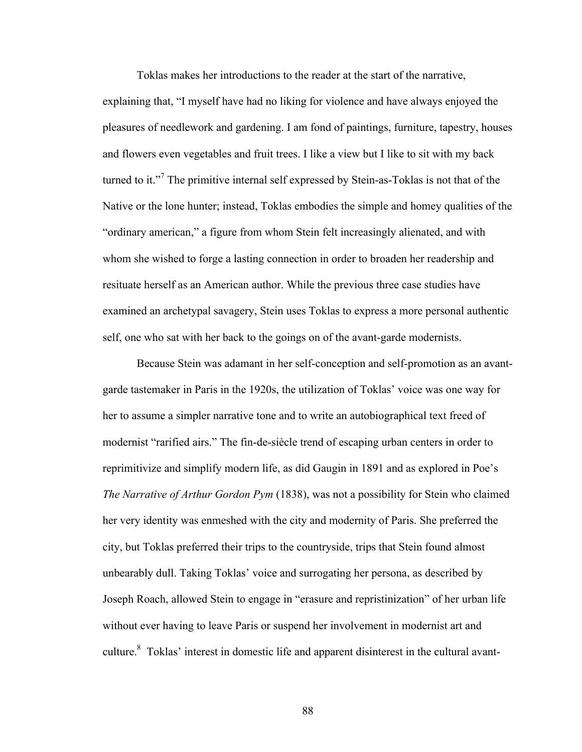Toklas makes her introductions to the reader at the start of the narrative, explaining that, "I myself have had no liking for violence and have always enjoyed the pleasures of needlework and gardening. I am fond of paintings, furniture, tapestry, houses and flowers even vegetables and fruit trees. I like a view but I like to sit with my back turned to it."<sup>7</sup> The primitive internal self expressed by Stein-as-Toklas is not that of the Native or the lone hunter; instead, Toklas embodies the simple and homey qualities of the "ordinary american," a figure from whom Stein felt increasingly alienated, and with whom she wished to forge a lasting connection in order to broaden her readership and resituate herself as an American author. While the previous three case studies have examined an archetypal savagery, Stein uses Toklas to express a more personal authentic self, one who sat with her back to the goings on of the avant-garde modernists.

Because Stein was adamant in her self-conception and self-promotion as an avantgarde tastemaker in Paris in the 1920s, the utilization of Toklas' voice was one way for her to assume a simpler narrative tone and to write an autobiographical text freed of modernist "rarified airs." The fin-de-siècle trend of escaping urban centers in order to reprimitivize and simplify modern life, as did Gaugin in 1891 and as explored in Poe's *The Narrative of Arthur Gordon Pym* (1838), was not a possibility for Stein who claimed her very identity was enmeshed with the city and modernity of Paris. She preferred the city, but Toklas preferred their trips to the countryside, trips that Stein found almost unbearably dull. Taking Toklas' voice and surrogating her persona, as described by Joseph Roach, allowed Stein to engage in "erasure and repristinization" of her urban life without ever having to leave Paris or suspend her involvement in modernist art and culture.8 Toklas' interest in domestic life and apparent disinterest in the cultural avant-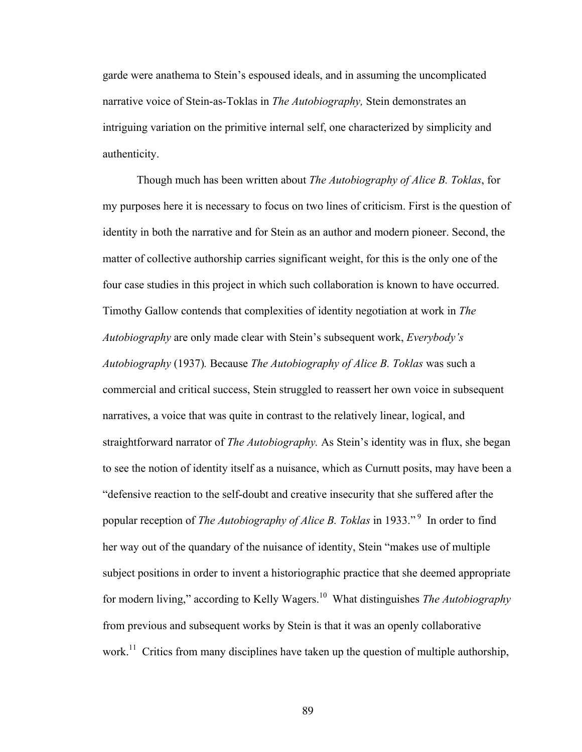garde were anathema to Stein's espoused ideals, and in assuming the uncomplicated narrative voice of Stein-as-Toklas in *The Autobiography,* Stein demonstrates an intriguing variation on the primitive internal self, one characterized by simplicity and authenticity.

Though much has been written about *The Autobiography of Alice B. Toklas*, for my purposes here it is necessary to focus on two lines of criticism. First is the question of identity in both the narrative and for Stein as an author and modern pioneer. Second, the matter of collective authorship carries significant weight, for this is the only one of the four case studies in this project in which such collaboration is known to have occurred. Timothy Gallow contends that complexities of identity negotiation at work in *The Autobiography* are only made clear with Stein's subsequent work, *Everybody's Autobiography* (1937)*.* Because *The Autobiography of Alice B. Toklas* was such a commercial and critical success, Stein struggled to reassert her own voice in subsequent narratives, a voice that was quite in contrast to the relatively linear, logical, and straightforward narrator of *The Autobiography.* As Stein's identity was in flux, she began to see the notion of identity itself as a nuisance, which as Curnutt posits, may have been a "defensive reaction to the self-doubt and creative insecurity that she suffered after the popular reception of *The Autobiography of Alice B. Toklas* in 1933." <sup>9</sup> In order to find her way out of the quandary of the nuisance of identity, Stein "makes use of multiple subject positions in order to invent a historiographic practice that she deemed appropriate for modern living," according to Kelly Wagers.<sup>10</sup> What distinguishes *The Autobiography*  from previous and subsequent works by Stein is that it was an openly collaborative work.<sup>11</sup> Critics from many disciplines have taken up the question of multiple authorship,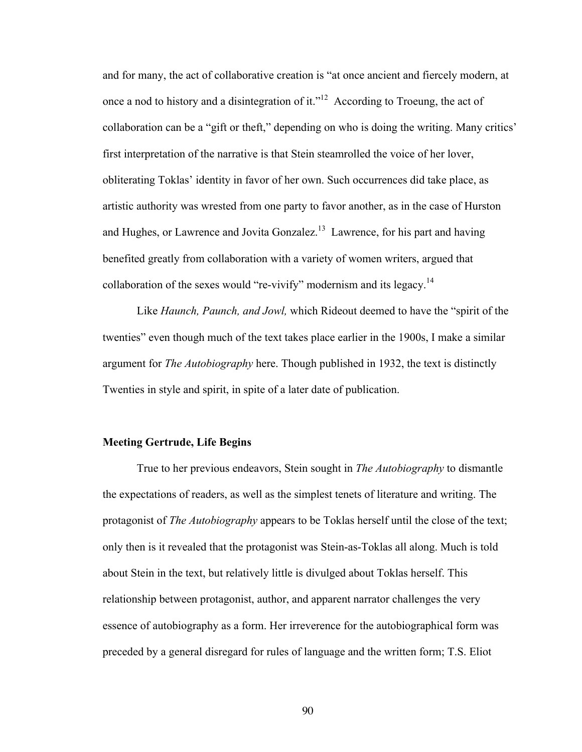and for many, the act of collaborative creation is "at once ancient and fiercely modern, at once a nod to history and a disintegration of it."<sup>12</sup> According to Troeung, the act of collaboration can be a "gift or theft," depending on who is doing the writing. Many critics' first interpretation of the narrative is that Stein steamrolled the voice of her lover, obliterating Toklas' identity in favor of her own. Such occurrences did take place, as artistic authority was wrested from one party to favor another, as in the case of Hurston and Hughes, or Lawrence and Jovita Gonzalez.<sup>13</sup> Lawrence, for his part and having benefited greatly from collaboration with a variety of women writers, argued that collaboration of the sexes would "re-vivify" modernism and its legacy.<sup>14</sup>

Like *Haunch, Paunch, and Jowl,* which Rideout deemed to have the "spirit of the twenties" even though much of the text takes place earlier in the 1900s, I make a similar argument for *The Autobiography* here. Though published in 1932, the text is distinctly Twenties in style and spirit, in spite of a later date of publication.

## **Meeting Gertrude, Life Begins**

True to her previous endeavors, Stein sought in *The Autobiography* to dismantle the expectations of readers, as well as the simplest tenets of literature and writing. The protagonist of *The Autobiography* appears to be Toklas herself until the close of the text; only then is it revealed that the protagonist was Stein-as-Toklas all along. Much is told about Stein in the text, but relatively little is divulged about Toklas herself. This relationship between protagonist, author, and apparent narrator challenges the very essence of autobiography as a form. Her irreverence for the autobiographical form was preceded by a general disregard for rules of language and the written form; T.S. Eliot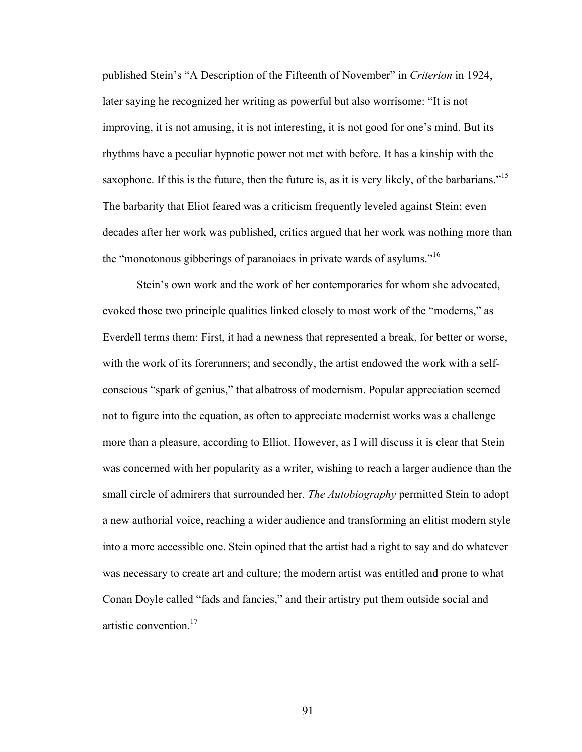published Stein's "A Description of the Fifteenth of November" in *Criterion* in 1924, later saying he recognized her writing as powerful but also worrisome: "It is not improving, it is not amusing, it is not interesting, it is not good for one's mind. But its rhythms have a peculiar hypnotic power not met with before. It has a kinship with the saxophone. If this is the future, then the future is, as it is very likely, of the barbarians."<sup>15</sup> The barbarity that Eliot feared was a criticism frequently leveled against Stein; even decades after her work was published, critics argued that her work was nothing more than the "monotonous gibberings of paranoiacs in private wards of asylums."<sup>16</sup>

Stein's own work and the work of her contemporaries for whom she advocated, evoked those two principle qualities linked closely to most work of the "moderns," as Everdell terms them: First, it had a newness that represented a break, for better or worse, with the work of its forerunners; and secondly, the artist endowed the work with a selfconscious "spark of genius," that albatross of modernism. Popular appreciation seemed not to figure into the equation, as often to appreciate modernist works was a challenge more than a pleasure, according to Elliot. However, as I will discuss it is clear that Stein was concerned with her popularity as a writer, wishing to reach a larger audience than the small circle of admirers that surrounded her. *The Autobiography* permitted Stein to adopt a new authorial voice, reaching a wider audience and transforming an elitist modern style into a more accessible one. Stein opined that the artist had a right to say and do whatever was necessary to create art and culture; the modern artist was entitled and prone to what Conan Doyle called "fads and fancies," and their artistry put them outside social and artistic convention.<sup>17</sup>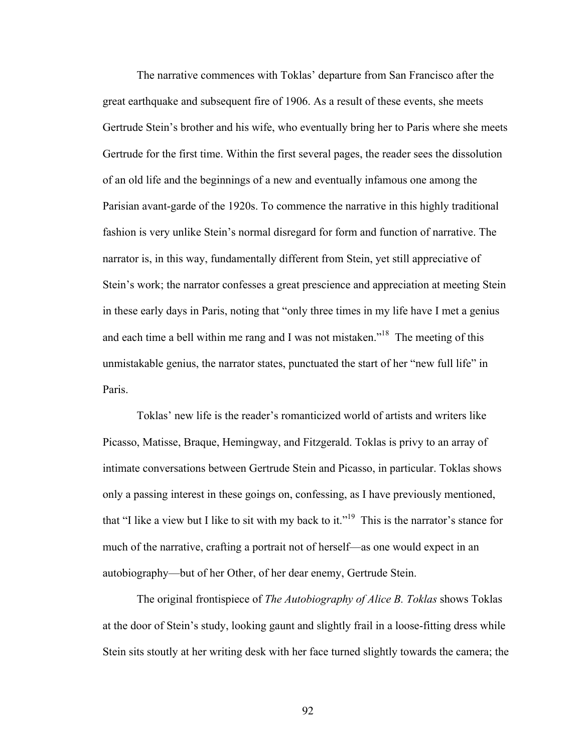The narrative commences with Toklas' departure from San Francisco after the great earthquake and subsequent fire of 1906. As a result of these events, she meets Gertrude Stein's brother and his wife, who eventually bring her to Paris where she meets Gertrude for the first time. Within the first several pages, the reader sees the dissolution of an old life and the beginnings of a new and eventually infamous one among the Parisian avant-garde of the 1920s. To commence the narrative in this highly traditional fashion is very unlike Stein's normal disregard for form and function of narrative. The narrator is, in this way, fundamentally different from Stein, yet still appreciative of Stein's work; the narrator confesses a great prescience and appreciation at meeting Stein in these early days in Paris, noting that "only three times in my life have I met a genius and each time a bell within me rang and I was not mistaken."<sup>18</sup> The meeting of this unmistakable genius, the narrator states, punctuated the start of her "new full life" in Paris.

Toklas' new life is the reader's romanticized world of artists and writers like Picasso, Matisse, Braque, Hemingway, and Fitzgerald. Toklas is privy to an array of intimate conversations between Gertrude Stein and Picasso, in particular. Toklas shows only a passing interest in these goings on, confessing, as I have previously mentioned, that "I like a view but I like to sit with my back to it."<sup>19</sup> This is the narrator's stance for much of the narrative, crafting a portrait not of herself—as one would expect in an autobiography—but of her Other, of her dear enemy, Gertrude Stein.

The original frontispiece of *The Autobiography of Alice B. Toklas* shows Toklas at the door of Stein's study, looking gaunt and slightly frail in a loose-fitting dress while Stein sits stoutly at her writing desk with her face turned slightly towards the camera; the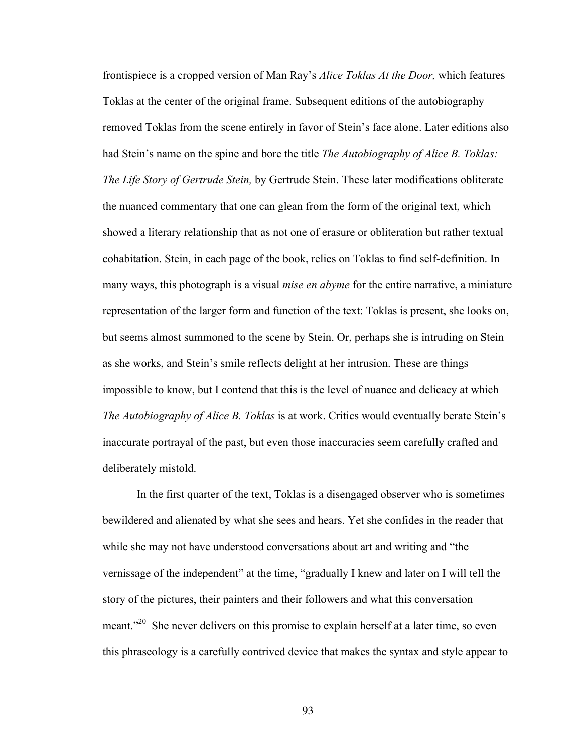frontispiece is a cropped version of Man Ray's *Alice Toklas At the Door,* which features Toklas at the center of the original frame. Subsequent editions of the autobiography removed Toklas from the scene entirely in favor of Stein's face alone. Later editions also had Stein's name on the spine and bore the title *The Autobiography of Alice B. Toklas: The Life Story of Gertrude Stein,* by Gertrude Stein. These later modifications obliterate the nuanced commentary that one can glean from the form of the original text, which showed a literary relationship that as not one of erasure or obliteration but rather textual cohabitation. Stein, in each page of the book, relies on Toklas to find self-definition. In many ways, this photograph is a visual *mise en abyme* for the entire narrative, a miniature representation of the larger form and function of the text: Toklas is present, she looks on, but seems almost summoned to the scene by Stein. Or, perhaps she is intruding on Stein as she works, and Stein's smile reflects delight at her intrusion. These are things impossible to know, but I contend that this is the level of nuance and delicacy at which *The Autobiography of Alice B. Toklas* is at work. Critics would eventually berate Stein's inaccurate portrayal of the past, but even those inaccuracies seem carefully crafted and deliberately mistold.

In the first quarter of the text, Toklas is a disengaged observer who is sometimes bewildered and alienated by what she sees and hears. Yet she confides in the reader that while she may not have understood conversations about art and writing and "the vernissage of the independent" at the time, "gradually I knew and later on I will tell the story of the pictures, their painters and their followers and what this conversation meant.<sup>220</sup> She never delivers on this promise to explain herself at a later time, so even this phraseology is a carefully contrived device that makes the syntax and style appear to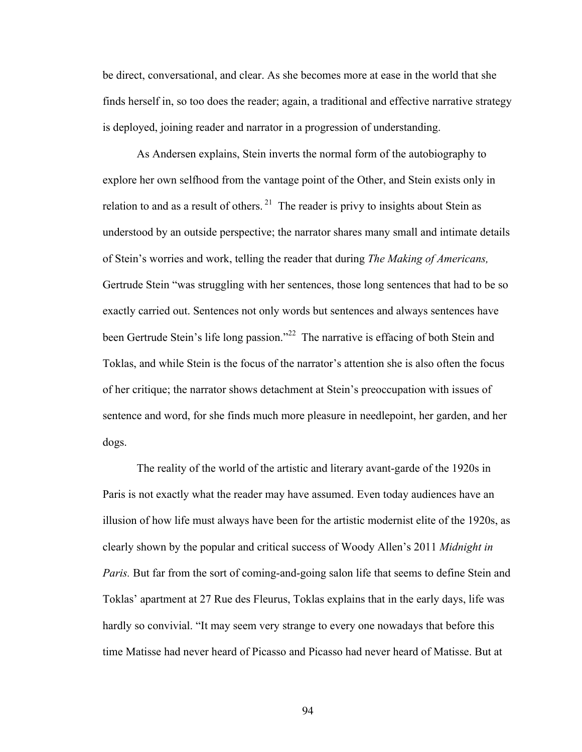be direct, conversational, and clear. As she becomes more at ease in the world that she finds herself in, so too does the reader; again, a traditional and effective narrative strategy is deployed, joining reader and narrator in a progression of understanding.

As Andersen explains, Stein inverts the normal form of the autobiography to explore her own selfhood from the vantage point of the Other, and Stein exists only in relation to and as a result of others.  $21$  The reader is privy to insights about Stein as understood by an outside perspective; the narrator shares many small and intimate details of Stein's worries and work, telling the reader that during *The Making of Americans,*  Gertrude Stein "was struggling with her sentences, those long sentences that had to be so exactly carried out. Sentences not only words but sentences and always sentences have been Gertrude Stein's life long passion."<sup>22</sup> The narrative is effacing of both Stein and Toklas, and while Stein is the focus of the narrator's attention she is also often the focus of her critique; the narrator shows detachment at Stein's preoccupation with issues of sentence and word, for she finds much more pleasure in needlepoint, her garden, and her dogs.

The reality of the world of the artistic and literary avant-garde of the 1920s in Paris is not exactly what the reader may have assumed. Even today audiences have an illusion of how life must always have been for the artistic modernist elite of the 1920s, as clearly shown by the popular and critical success of Woody Allen's 2011 *Midnight in Paris.* But far from the sort of coming-and-going salon life that seems to define Stein and Toklas' apartment at 27 Rue des Fleurus, Toklas explains that in the early days, life was hardly so convivial. "It may seem very strange to every one nowadays that before this time Matisse had never heard of Picasso and Picasso had never heard of Matisse. But at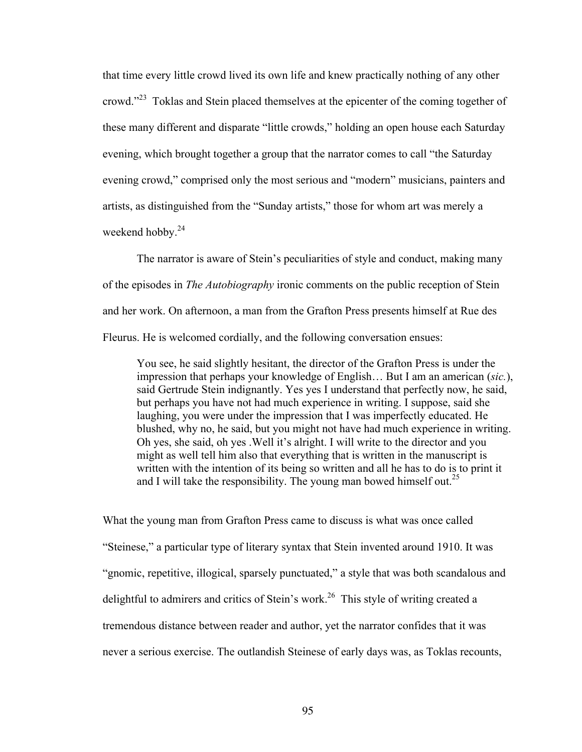that time every little crowd lived its own life and knew practically nothing of any other crowd."<sup>23</sup> Toklas and Stein placed themselves at the epicenter of the coming together of these many different and disparate "little crowds," holding an open house each Saturday evening, which brought together a group that the narrator comes to call "the Saturday evening crowd," comprised only the most serious and "modern" musicians, painters and artists, as distinguished from the "Sunday artists," those for whom art was merely a weekend hobby.<sup>24</sup>

The narrator is aware of Stein's peculiarities of style and conduct, making many of the episodes in *The Autobiography* ironic comments on the public reception of Stein and her work. On afternoon, a man from the Grafton Press presents himself at Rue des Fleurus. He is welcomed cordially, and the following conversation ensues:

You see, he said slightly hesitant, the director of the Grafton Press is under the impression that perhaps your knowledge of English… But I am an american (*sic.*), said Gertrude Stein indignantly. Yes yes I understand that perfectly now, he said, but perhaps you have not had much experience in writing. I suppose, said she laughing, you were under the impression that I was imperfectly educated. He blushed, why no, he said, but you might not have had much experience in writing. Oh yes, she said, oh yes .Well it's alright. I will write to the director and you might as well tell him also that everything that is written in the manuscript is written with the intention of its being so written and all he has to do is to print it and I will take the responsibility. The young man bowed himself out.<sup>25</sup>

What the young man from Grafton Press came to discuss is what was once called "Steinese," a particular type of literary syntax that Stein invented around 1910. It was "gnomic, repetitive, illogical, sparsely punctuated," a style that was both scandalous and delightful to admirers and critics of Stein's work.<sup>26</sup> This style of writing created a tremendous distance between reader and author, yet the narrator confides that it was never a serious exercise. The outlandish Steinese of early days was, as Toklas recounts,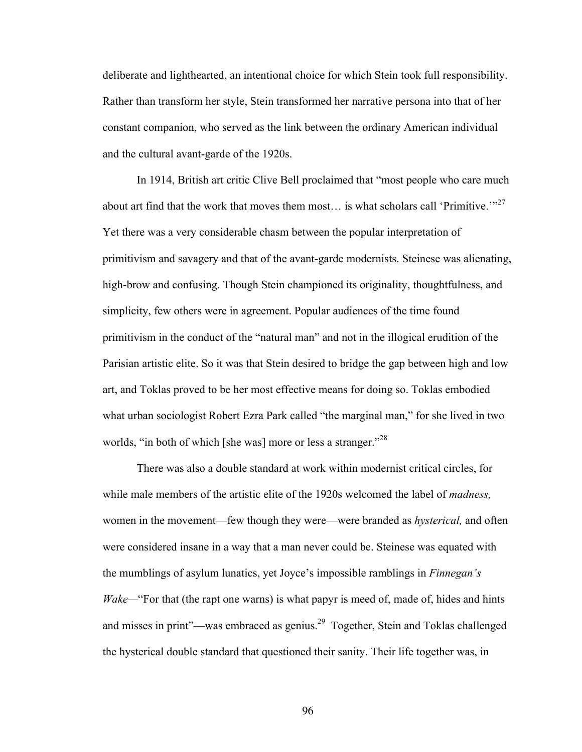deliberate and lighthearted, an intentional choice for which Stein took full responsibility. Rather than transform her style, Stein transformed her narrative persona into that of her constant companion, who served as the link between the ordinary American individual and the cultural avant-garde of the 1920s.

In 1914, British art critic Clive Bell proclaimed that "most people who care much about art find that the work that moves them most... is what scholars call 'Primitive.'"<sup>27</sup> Yet there was a very considerable chasm between the popular interpretation of primitivism and savagery and that of the avant-garde modernists. Steinese was alienating, high-brow and confusing. Though Stein championed its originality, thoughtfulness, and simplicity, few others were in agreement. Popular audiences of the time found primitivism in the conduct of the "natural man" and not in the illogical erudition of the Parisian artistic elite. So it was that Stein desired to bridge the gap between high and low art, and Toklas proved to be her most effective means for doing so. Toklas embodied what urban sociologist Robert Ezra Park called "the marginal man," for she lived in two worlds, "in both of which [she was] more or less a stranger."<sup>28</sup>

There was also a double standard at work within modernist critical circles, for while male members of the artistic elite of the 1920s welcomed the label of *madness,*  women in the movement—few though they were—were branded as *hysterical,* and often were considered insane in a way that a man never could be. Steinese was equated with the mumblings of asylum lunatics, yet Joyce's impossible ramblings in *Finnegan's Wake—*"For that (the rapt one warns) is what papyr is meed of, made of, hides and hints and misses in print"—was embraced as genius.<sup>29</sup> Together, Stein and Toklas challenged the hysterical double standard that questioned their sanity. Their life together was, in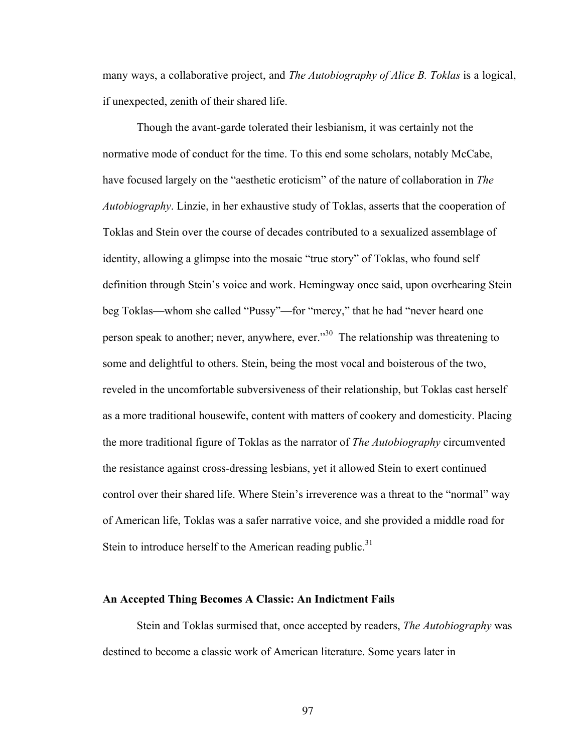many ways, a collaborative project, and *The Autobiography of Alice B. Toklas* is a logical, if unexpected, zenith of their shared life.

Though the avant-garde tolerated their lesbianism, it was certainly not the normative mode of conduct for the time. To this end some scholars, notably McCabe, have focused largely on the "aesthetic eroticism" of the nature of collaboration in *The Autobiography*. Linzie, in her exhaustive study of Toklas, asserts that the cooperation of Toklas and Stein over the course of decades contributed to a sexualized assemblage of identity, allowing a glimpse into the mosaic "true story" of Toklas, who found self definition through Stein's voice and work. Hemingway once said, upon overhearing Stein beg Toklas—whom she called "Pussy"—for "mercy," that he had "never heard one person speak to another; never, anywhere, ever."<sup>30</sup> The relationship was threatening to some and delightful to others. Stein, being the most vocal and boisterous of the two, reveled in the uncomfortable subversiveness of their relationship, but Toklas cast herself as a more traditional housewife, content with matters of cookery and domesticity. Placing the more traditional figure of Toklas as the narrator of *The Autobiography* circumvented the resistance against cross-dressing lesbians, yet it allowed Stein to exert continued control over their shared life. Where Stein's irreverence was a threat to the "normal" way of American life, Toklas was a safer narrative voice, and she provided a middle road for Stein to introduce herself to the American reading public. $31$ 

#### **An Accepted Thing Becomes A Classic: An Indictment Fails**

Stein and Toklas surmised that, once accepted by readers, *The Autobiography* was destined to become a classic work of American literature. Some years later in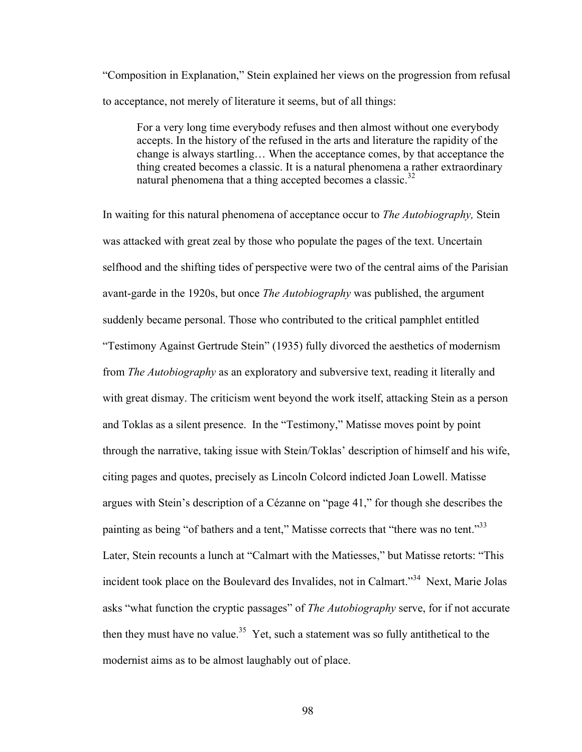"Composition in Explanation," Stein explained her views on the progression from refusal to acceptance, not merely of literature it seems, but of all things:

For a very long time everybody refuses and then almost without one everybody accepts. In the history of the refused in the arts and literature the rapidity of the change is always startling… When the acceptance comes, by that acceptance the thing created becomes a classic. It is a natural phenomena a rather extraordinary natural phenomena that a thing accepted becomes a classic. $32$ 

In waiting for this natural phenomena of acceptance occur to *The Autobiography,* Stein was attacked with great zeal by those who populate the pages of the text. Uncertain selfhood and the shifting tides of perspective were two of the central aims of the Parisian avant-garde in the 1920s, but once *The Autobiography* was published, the argument suddenly became personal. Those who contributed to the critical pamphlet entitled "Testimony Against Gertrude Stein" (1935) fully divorced the aesthetics of modernism from *The Autobiography* as an exploratory and subversive text, reading it literally and with great dismay. The criticism went beyond the work itself, attacking Stein as a person and Toklas as a silent presence. In the "Testimony," Matisse moves point by point through the narrative, taking issue with Stein/Toklas' description of himself and his wife, citing pages and quotes, precisely as Lincoln Colcord indicted Joan Lowell. Matisse argues with Stein's description of a Cézanne on "page 41," for though she describes the painting as being "of bathers and a tent," Matisse corrects that "there was no tent."<sup>33</sup> Later, Stein recounts a lunch at "Calmart with the Matiesses," but Matisse retorts: "This incident took place on the Boulevard des Invalides, not in Calmart."<sup>34</sup> Next, Marie Jolas asks "what function the cryptic passages" of *The Autobiography* serve, for if not accurate then they must have no value.<sup>35</sup> Yet, such a statement was so fully antithetical to the modernist aims as to be almost laughably out of place.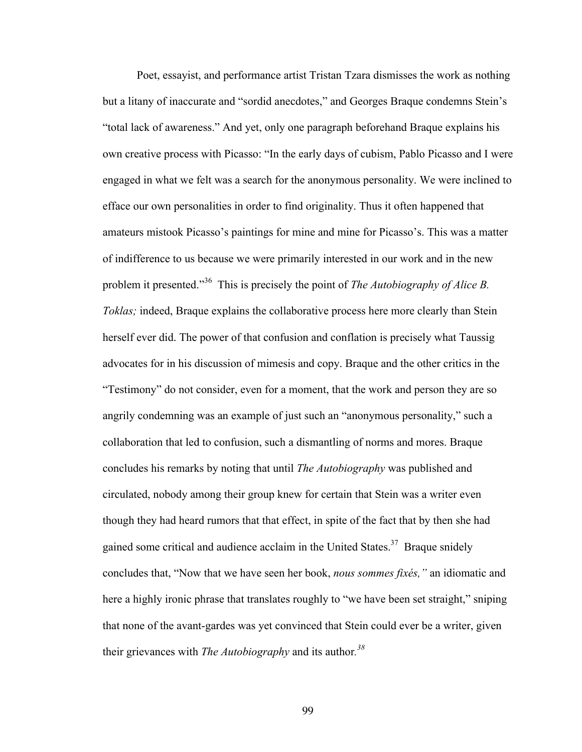Poet, essayist, and performance artist Tristan Tzara dismisses the work as nothing but a litany of inaccurate and "sordid anecdotes," and Georges Braque condemns Stein's "total lack of awareness." And yet, only one paragraph beforehand Braque explains his own creative process with Picasso: "In the early days of cubism, Pablo Picasso and I were engaged in what we felt was a search for the anonymous personality. We were inclined to efface our own personalities in order to find originality. Thus it often happened that amateurs mistook Picasso's paintings for mine and mine for Picasso's. This was a matter of indifference to us because we were primarily interested in our work and in the new problem it presented."<sup>36</sup> This is precisely the point of *The Autobiography of Alice B. Toklas;* indeed, Braque explains the collaborative process here more clearly than Stein herself ever did. The power of that confusion and conflation is precisely what Taussig advocates for in his discussion of mimesis and copy. Braque and the other critics in the "Testimony" do not consider, even for a moment, that the work and person they are so angrily condemning was an example of just such an "anonymous personality," such a collaboration that led to confusion, such a dismantling of norms and mores. Braque concludes his remarks by noting that until *The Autobiography* was published and circulated, nobody among their group knew for certain that Stein was a writer even though they had heard rumors that that effect, in spite of the fact that by then she had gained some critical and audience acclaim in the United States. $37$  Braque snidely concludes that, "Now that we have seen her book, *nous sommes fixés,"* an idiomatic and here a highly ironic phrase that translates roughly to "we have been set straight," sniping that none of the avant-gardes was yet convinced that Stein could ever be a writer, given their grievances with *The Autobiography* and its author*. 38*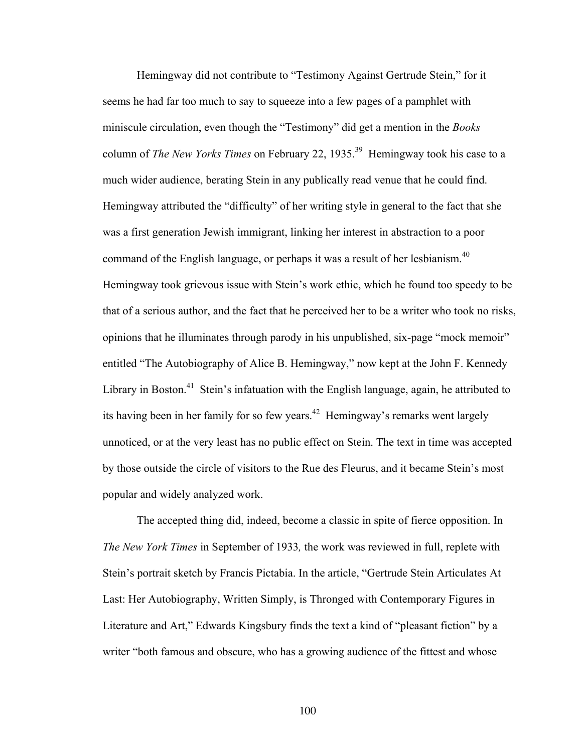Hemingway did not contribute to "Testimony Against Gertrude Stein," for it seems he had far too much to say to squeeze into a few pages of a pamphlet with miniscule circulation, even though the "Testimony" did get a mention in the *Books*  column of *The New Yorks Times* on February 22, 1935.<sup>39</sup> Hemingway took his case to a much wider audience, berating Stein in any publically read venue that he could find. Hemingway attributed the "difficulty" of her writing style in general to the fact that she was a first generation Jewish immigrant, linking her interest in abstraction to a poor command of the English language, or perhaps it was a result of her lesbianism.<sup>40</sup> Hemingway took grievous issue with Stein's work ethic, which he found too speedy to be that of a serious author, and the fact that he perceived her to be a writer who took no risks, opinions that he illuminates through parody in his unpublished, six-page "mock memoir" entitled "The Autobiography of Alice B. Hemingway," now kept at the John F. Kennedy Library in Boston.<sup>41</sup> Stein's infatuation with the English language, again, he attributed to its having been in her family for so few years.<sup>42</sup> Hemingway's remarks went largely unnoticed, or at the very least has no public effect on Stein. The text in time was accepted by those outside the circle of visitors to the Rue des Fleurus, and it became Stein's most popular and widely analyzed work.

The accepted thing did, indeed, become a classic in spite of fierce opposition. In *The New York Times* in September of 1933*,* the work was reviewed in full, replete with Stein's portrait sketch by Francis Pictabia. In the article, "Gertrude Stein Articulates At Last: Her Autobiography, Written Simply, is Thronged with Contemporary Figures in Literature and Art," Edwards Kingsbury finds the text a kind of "pleasant fiction" by a writer "both famous and obscure, who has a growing audience of the fittest and whose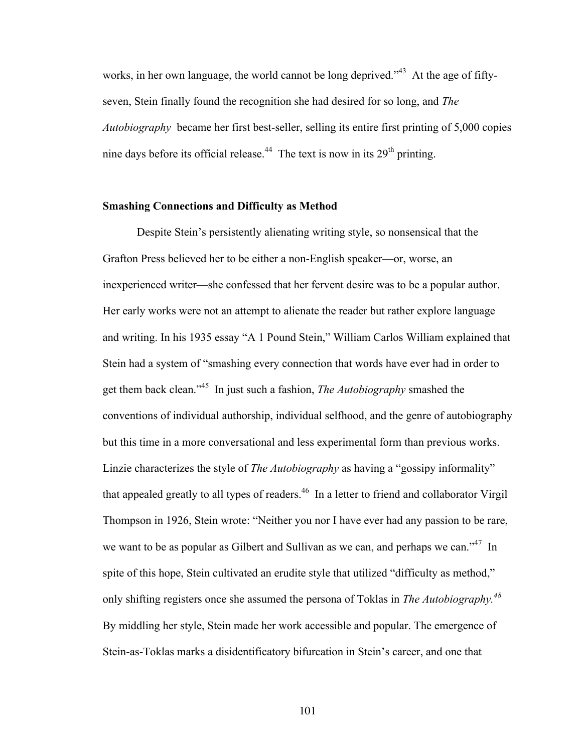works, in her own language, the world cannot be long deprived.<sup>343</sup> At the age of fiftyseven, Stein finally found the recognition she had desired for so long, and *The Autobiography* became her first best-seller, selling its entire first printing of 5,000 copies nine days before its official release.<sup>44</sup> The text is now in its  $29<sup>th</sup>$  printing.

## **Smashing Connections and Difficulty as Method**

Despite Stein's persistently alienating writing style, so nonsensical that the Grafton Press believed her to be either a non-English speaker—or, worse, an inexperienced writer—she confessed that her fervent desire was to be a popular author. Her early works were not an attempt to alienate the reader but rather explore language and writing. In his 1935 essay "A 1 Pound Stein," William Carlos William explained that Stein had a system of "smashing every connection that words have ever had in order to get them back clean."45 In just such a fashion, *The Autobiography* smashed the conventions of individual authorship, individual selfhood, and the genre of autobiography but this time in a more conversational and less experimental form than previous works. Linzie characterizes the style of *The Autobiography* as having a "gossipy informality" that appealed greatly to all types of readers.<sup>46</sup> In a letter to friend and collaborator Virgil Thompson in 1926, Stein wrote: "Neither you nor I have ever had any passion to be rare, we want to be as popular as Gilbert and Sullivan as we can, and perhaps we can."<sup>47</sup> In spite of this hope, Stein cultivated an erudite style that utilized "difficulty as method," only shifting registers once she assumed the persona of Toklas in *The Autobiography.48* By middling her style, Stein made her work accessible and popular. The emergence of Stein-as-Toklas marks a disidentificatory bifurcation in Stein's career, and one that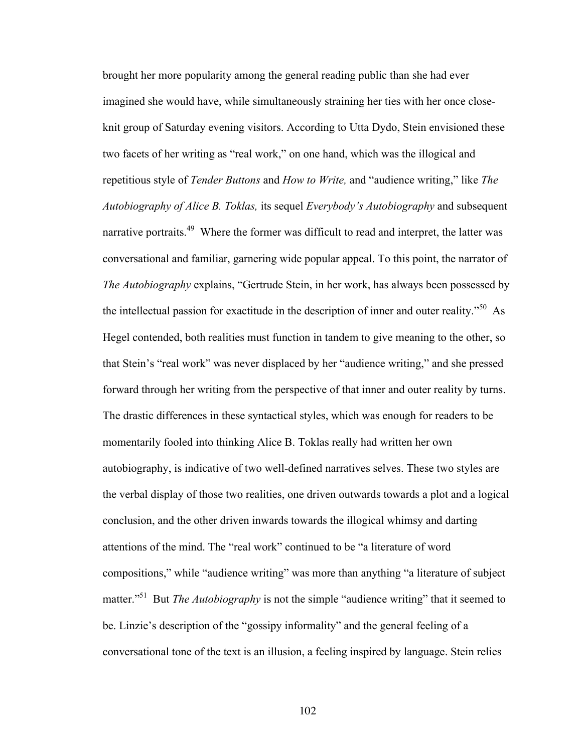brought her more popularity among the general reading public than she had ever imagined she would have, while simultaneously straining her ties with her once closeknit group of Saturday evening visitors. According to Utta Dydo, Stein envisioned these two facets of her writing as "real work," on one hand, which was the illogical and repetitious style of *Tender Buttons* and *How to Write,* and "audience writing," like *The Autobiography of Alice B. Toklas,* its sequel *Everybody's Autobiography* and subsequent narrative portraits.<sup>49</sup> Where the former was difficult to read and interpret, the latter was conversational and familiar, garnering wide popular appeal. To this point, the narrator of *The Autobiography* explains, "Gertrude Stein, in her work, has always been possessed by the intellectual passion for exactitude in the description of inner and outer reality."<sup>50</sup> As Hegel contended, both realities must function in tandem to give meaning to the other, so that Stein's "real work" was never displaced by her "audience writing," and she pressed forward through her writing from the perspective of that inner and outer reality by turns. The drastic differences in these syntactical styles, which was enough for readers to be momentarily fooled into thinking Alice B. Toklas really had written her own autobiography, is indicative of two well-defined narratives selves. These two styles are the verbal display of those two realities, one driven outwards towards a plot and a logical conclusion, and the other driven inwards towards the illogical whimsy and darting attentions of the mind. The "real work" continued to be "a literature of word compositions," while "audience writing" was more than anything "a literature of subject matter."<sup>51</sup> But *The Autobiography* is not the simple "audience writing" that it seemed to be. Linzie's description of the "gossipy informality" and the general feeling of a conversational tone of the text is an illusion, a feeling inspired by language. Stein relies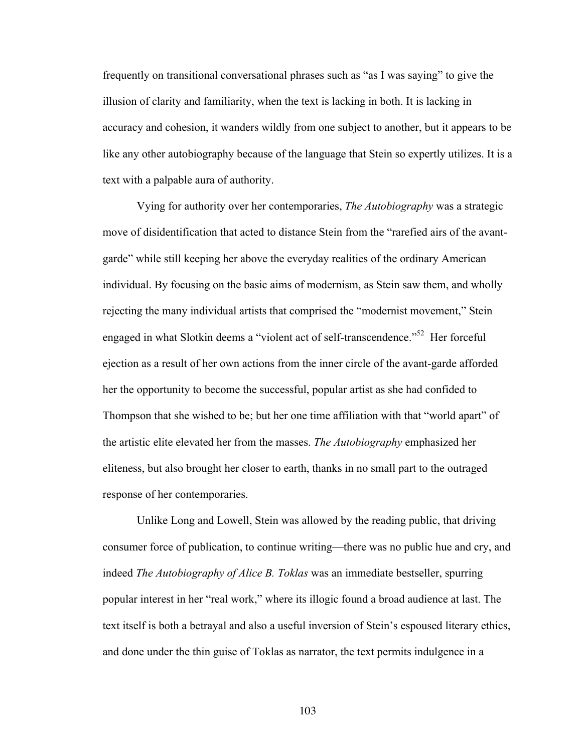frequently on transitional conversational phrases such as "as I was saying" to give the illusion of clarity and familiarity, when the text is lacking in both. It is lacking in accuracy and cohesion, it wanders wildly from one subject to another, but it appears to be like any other autobiography because of the language that Stein so expertly utilizes. It is a text with a palpable aura of authority.

Vying for authority over her contemporaries, *The Autobiography* was a strategic move of disidentification that acted to distance Stein from the "rarefied airs of the avantgarde" while still keeping her above the everyday realities of the ordinary American individual. By focusing on the basic aims of modernism, as Stein saw them, and wholly rejecting the many individual artists that comprised the "modernist movement," Stein engaged in what Slotkin deems a "violent act of self-transcendence."52 Her forceful ejection as a result of her own actions from the inner circle of the avant-garde afforded her the opportunity to become the successful, popular artist as she had confided to Thompson that she wished to be; but her one time affiliation with that "world apart" of the artistic elite elevated her from the masses. *The Autobiography* emphasized her eliteness, but also brought her closer to earth, thanks in no small part to the outraged response of her contemporaries.

Unlike Long and Lowell, Stein was allowed by the reading public, that driving consumer force of publication, to continue writing—there was no public hue and cry, and indeed *The Autobiography of Alice B. Toklas* was an immediate bestseller, spurring popular interest in her "real work," where its illogic found a broad audience at last. The text itself is both a betrayal and also a useful inversion of Stein's espoused literary ethics, and done under the thin guise of Toklas as narrator, the text permits indulgence in a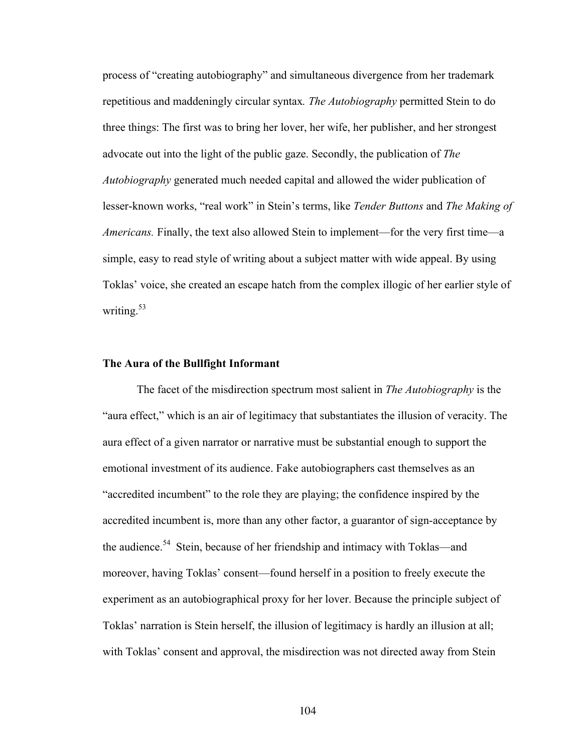process of "creating autobiography" and simultaneous divergence from her trademark repetitious and maddeningly circular syntax*. The Autobiography* permitted Stein to do three things: The first was to bring her lover, her wife, her publisher, and her strongest advocate out into the light of the public gaze. Secondly, the publication of *The Autobiography* generated much needed capital and allowed the wider publication of lesser-known works, "real work" in Stein's terms, like *Tender Buttons* and *The Making of Americans.* Finally, the text also allowed Stein to implement—for the very first time—a simple, easy to read style of writing about a subject matter with wide appeal. By using Toklas' voice, she created an escape hatch from the complex illogic of her earlier style of writing. $53$ 

# **The Aura of the Bullfight Informant**

The facet of the misdirection spectrum most salient in *The Autobiography* is the "aura effect," which is an air of legitimacy that substantiates the illusion of veracity. The aura effect of a given narrator or narrative must be substantial enough to support the emotional investment of its audience. Fake autobiographers cast themselves as an "accredited incumbent" to the role they are playing; the confidence inspired by the accredited incumbent is, more than any other factor, a guarantor of sign-acceptance by the audience.<sup>54</sup> Stein, because of her friendship and intimacy with Toklas—and moreover, having Toklas' consent—found herself in a position to freely execute the experiment as an autobiographical proxy for her lover. Because the principle subject of Toklas' narration is Stein herself, the illusion of legitimacy is hardly an illusion at all; with Toklas' consent and approval, the misdirection was not directed away from Stein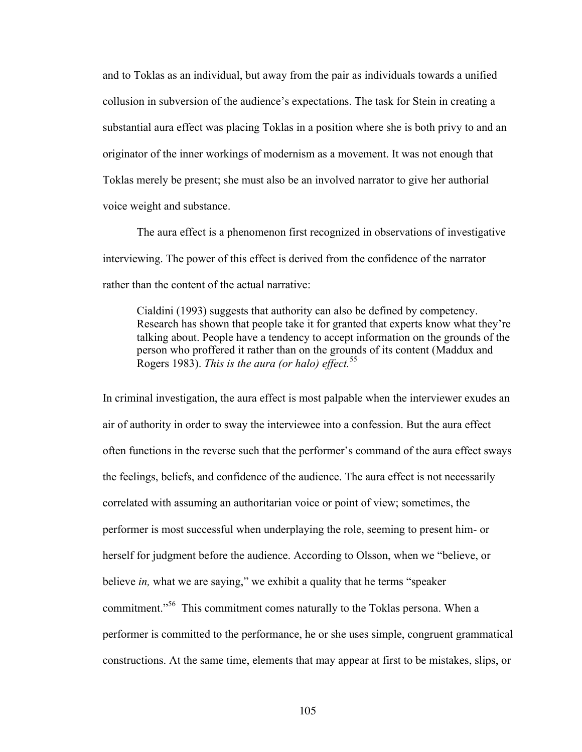and to Toklas as an individual, but away from the pair as individuals towards a unified collusion in subversion of the audience's expectations. The task for Stein in creating a substantial aura effect was placing Toklas in a position where she is both privy to and an originator of the inner workings of modernism as a movement. It was not enough that Toklas merely be present; she must also be an involved narrator to give her authorial voice weight and substance.

The aura effect is a phenomenon first recognized in observations of investigative interviewing. The power of this effect is derived from the confidence of the narrator rather than the content of the actual narrative:

Cialdini (1993) suggests that authority can also be defined by competency. Research has shown that people take it for granted that experts know what they're talking about. People have a tendency to accept information on the grounds of the person who proffered it rather than on the grounds of its content (Maddux and Rogers 1983). *This is the aura (or halo) effect.*<sup>55</sup>

In criminal investigation, the aura effect is most palpable when the interviewer exudes an air of authority in order to sway the interviewee into a confession. But the aura effect often functions in the reverse such that the performer's command of the aura effect sways the feelings, beliefs, and confidence of the audience. The aura effect is not necessarily correlated with assuming an authoritarian voice or point of view; sometimes, the performer is most successful when underplaying the role, seeming to present him- or herself for judgment before the audience. According to Olsson, when we "believe, or believe *in,* what we are saying," we exhibit a quality that he terms "speaker commitment."<sup>56</sup> This commitment comes naturally to the Toklas persona. When a performer is committed to the performance, he or she uses simple, congruent grammatical constructions. At the same time, elements that may appear at first to be mistakes, slips, or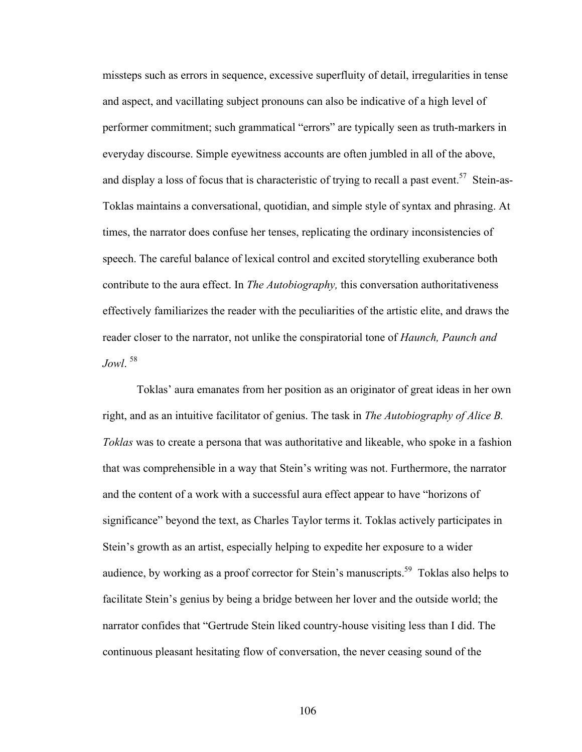missteps such as errors in sequence, excessive superfluity of detail, irregularities in tense and aspect, and vacillating subject pronouns can also be indicative of a high level of performer commitment; such grammatical "errors" are typically seen as truth-markers in everyday discourse. Simple eyewitness accounts are often jumbled in all of the above, and display a loss of focus that is characteristic of trying to recall a past event.<sup>57</sup> Stein-as-Toklas maintains a conversational, quotidian, and simple style of syntax and phrasing. At times, the narrator does confuse her tenses, replicating the ordinary inconsistencies of speech. The careful balance of lexical control and excited storytelling exuberance both contribute to the aura effect. In *The Autobiography,* this conversation authoritativeness effectively familiarizes the reader with the peculiarities of the artistic elite, and draws the reader closer to the narrator, not unlike the conspiratorial tone of *Haunch, Paunch and Jowl*. 58

Toklas' aura emanates from her position as an originator of great ideas in her own right, and as an intuitive facilitator of genius. The task in *The Autobiography of Alice B. Toklas* was to create a persona that was authoritative and likeable, who spoke in a fashion that was comprehensible in a way that Stein's writing was not. Furthermore, the narrator and the content of a work with a successful aura effect appear to have "horizons of significance" beyond the text, as Charles Taylor terms it. Toklas actively participates in Stein's growth as an artist, especially helping to expedite her exposure to a wider audience, by working as a proof corrector for Stein's manuscripts.<sup>59</sup> Toklas also helps to facilitate Stein's genius by being a bridge between her lover and the outside world; the narrator confides that "Gertrude Stein liked country-house visiting less than I did. The continuous pleasant hesitating flow of conversation, the never ceasing sound of the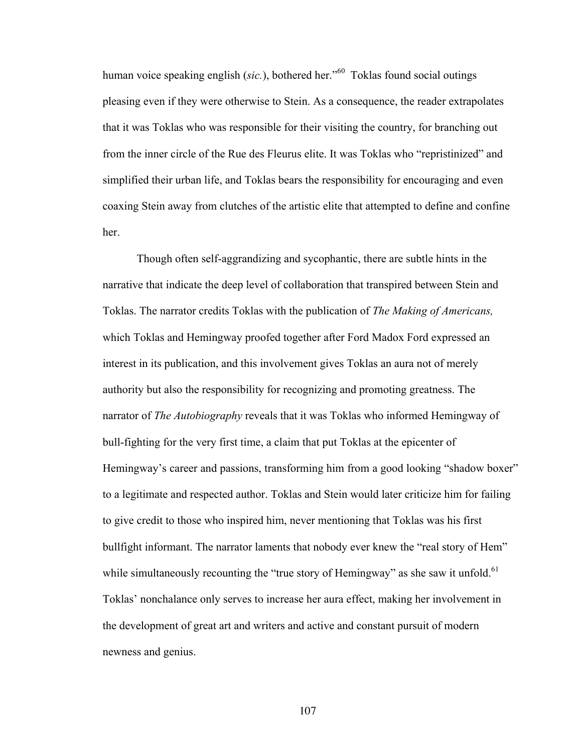human voice speaking english (*sic.*), bothered her.<sup>"60</sup> Toklas found social outings pleasing even if they were otherwise to Stein. As a consequence, the reader extrapolates that it was Toklas who was responsible for their visiting the country, for branching out from the inner circle of the Rue des Fleurus elite. It was Toklas who "repristinized" and simplified their urban life, and Toklas bears the responsibility for encouraging and even coaxing Stein away from clutches of the artistic elite that attempted to define and confine her.

Though often self-aggrandizing and sycophantic, there are subtle hints in the narrative that indicate the deep level of collaboration that transpired between Stein and Toklas. The narrator credits Toklas with the publication of *The Making of Americans,*  which Toklas and Hemingway proofed together after Ford Madox Ford expressed an interest in its publication, and this involvement gives Toklas an aura not of merely authority but also the responsibility for recognizing and promoting greatness. The narrator of *The Autobiography* reveals that it was Toklas who informed Hemingway of bull-fighting for the very first time, a claim that put Toklas at the epicenter of Hemingway's career and passions, transforming him from a good looking "shadow boxer" to a legitimate and respected author. Toklas and Stein would later criticize him for failing to give credit to those who inspired him, never mentioning that Toklas was his first bullfight informant. The narrator laments that nobody ever knew the "real story of Hem" while simultaneously recounting the "true story of Hemingway" as she saw it unfold.<sup>61</sup> Toklas' nonchalance only serves to increase her aura effect, making her involvement in the development of great art and writers and active and constant pursuit of modern newness and genius.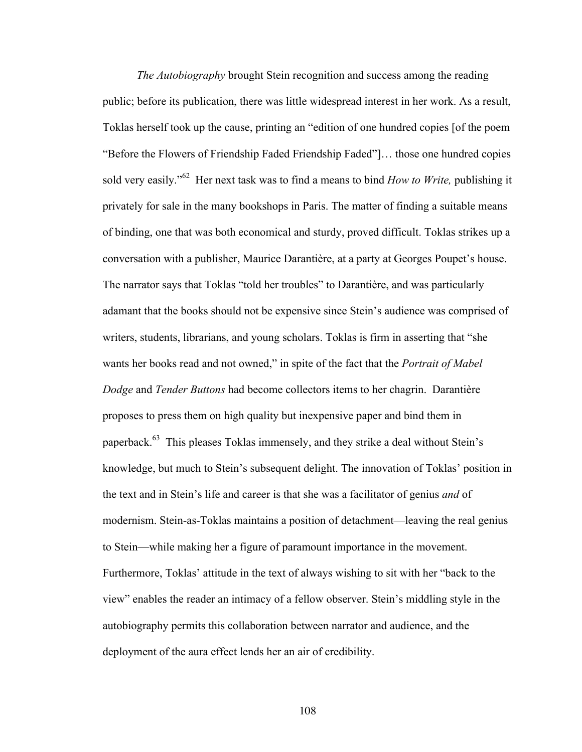*The Autobiography* brought Stein recognition and success among the reading public; before its publication, there was little widespread interest in her work. As a result, Toklas herself took up the cause, printing an "edition of one hundred copies [of the poem "Before the Flowers of Friendship Faded Friendship Faded"]… those one hundred copies sold very easily."<sup>62</sup> Her next task was to find a means to bind *How to Write,* publishing it privately for sale in the many bookshops in Paris. The matter of finding a suitable means of binding, one that was both economical and sturdy, proved difficult. Toklas strikes up a conversation with a publisher, Maurice Darantière, at a party at Georges Poupet's house. The narrator says that Toklas "told her troubles" to Darantière, and was particularly adamant that the books should not be expensive since Stein's audience was comprised of writers, students, librarians, and young scholars. Toklas is firm in asserting that "she wants her books read and not owned," in spite of the fact that the *Portrait of Mabel Dodge* and *Tender Buttons* had become collectors items to her chagrin. Darantière proposes to press them on high quality but inexpensive paper and bind them in paperback.<sup>63</sup> This pleases Toklas immensely, and they strike a deal without Stein's knowledge, but much to Stein's subsequent delight. The innovation of Toklas' position in the text and in Stein's life and career is that she was a facilitator of genius *and* of modernism. Stein-as-Toklas maintains a position of detachment—leaving the real genius to Stein—while making her a figure of paramount importance in the movement. Furthermore, Toklas' attitude in the text of always wishing to sit with her "back to the view" enables the reader an intimacy of a fellow observer. Stein's middling style in the autobiography permits this collaboration between narrator and audience, and the deployment of the aura effect lends her an air of credibility.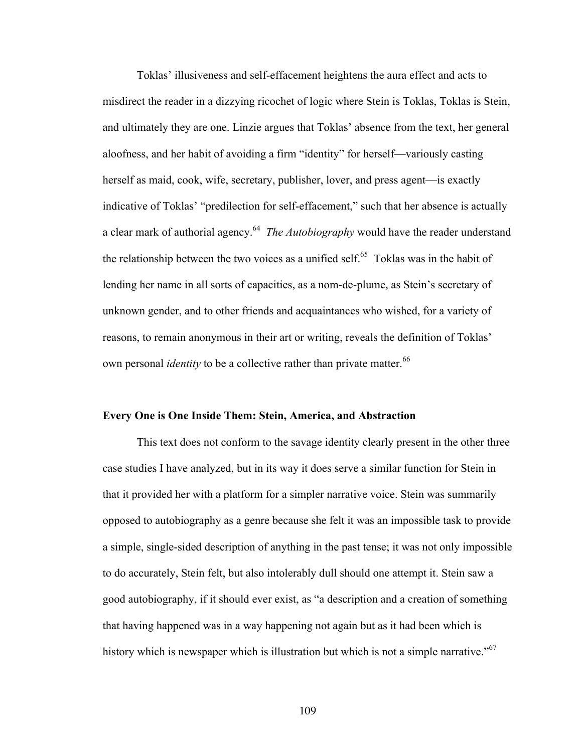Toklas' illusiveness and self-effacement heightens the aura effect and acts to misdirect the reader in a dizzying ricochet of logic where Stein is Toklas, Toklas is Stein, and ultimately they are one. Linzie argues that Toklas' absence from the text, her general aloofness, and her habit of avoiding a firm "identity" for herself—variously casting herself as maid, cook, wife, secretary, publisher, lover, and press agent—is exactly indicative of Toklas' "predilection for self-effacement," such that her absence is actually a clear mark of authorial agency.<sup>64</sup> *The Autobiography* would have the reader understand the relationship between the two voices as a unified self.<sup>65</sup> Toklas was in the habit of lending her name in all sorts of capacities, as a nom-de-plume, as Stein's secretary of unknown gender, and to other friends and acquaintances who wished, for a variety of reasons, to remain anonymous in their art or writing, reveals the definition of Toklas' own personal *identity* to be a collective rather than private matter.<sup>66</sup>

#### **Every One is One Inside Them: Stein, America, and Abstraction**

This text does not conform to the savage identity clearly present in the other three case studies I have analyzed, but in its way it does serve a similar function for Stein in that it provided her with a platform for a simpler narrative voice. Stein was summarily opposed to autobiography as a genre because she felt it was an impossible task to provide a simple, single-sided description of anything in the past tense; it was not only impossible to do accurately, Stein felt, but also intolerably dull should one attempt it. Stein saw a good autobiography, if it should ever exist, as "a description and a creation of something that having happened was in a way happening not again but as it had been which is history which is newspaper which is illustration but which is not a simple narrative."<sup>67</sup>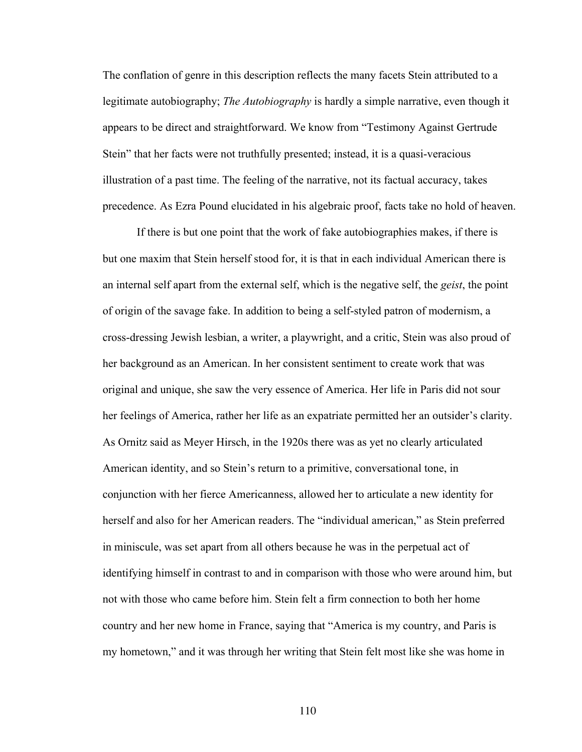The conflation of genre in this description reflects the many facets Stein attributed to a legitimate autobiography; *The Autobiography* is hardly a simple narrative, even though it appears to be direct and straightforward. We know from "Testimony Against Gertrude Stein" that her facts were not truthfully presented; instead, it is a quasi-veracious illustration of a past time. The feeling of the narrative, not its factual accuracy, takes precedence. As Ezra Pound elucidated in his algebraic proof, facts take no hold of heaven.

If there is but one point that the work of fake autobiographies makes, if there is but one maxim that Stein herself stood for, it is that in each individual American there is an internal self apart from the external self, which is the negative self, the *geist*, the point of origin of the savage fake. In addition to being a self-styled patron of modernism, a cross-dressing Jewish lesbian, a writer, a playwright, and a critic, Stein was also proud of her background as an American. In her consistent sentiment to create work that was original and unique, she saw the very essence of America. Her life in Paris did not sour her feelings of America, rather her life as an expatriate permitted her an outsider's clarity. As Ornitz said as Meyer Hirsch, in the 1920s there was as yet no clearly articulated American identity, and so Stein's return to a primitive, conversational tone, in conjunction with her fierce Americanness, allowed her to articulate a new identity for herself and also for her American readers. The "individual american," as Stein preferred in miniscule, was set apart from all others because he was in the perpetual act of identifying himself in contrast to and in comparison with those who were around him, but not with those who came before him. Stein felt a firm connection to both her home country and her new home in France, saying that "America is my country, and Paris is my hometown," and it was through her writing that Stein felt most like she was home in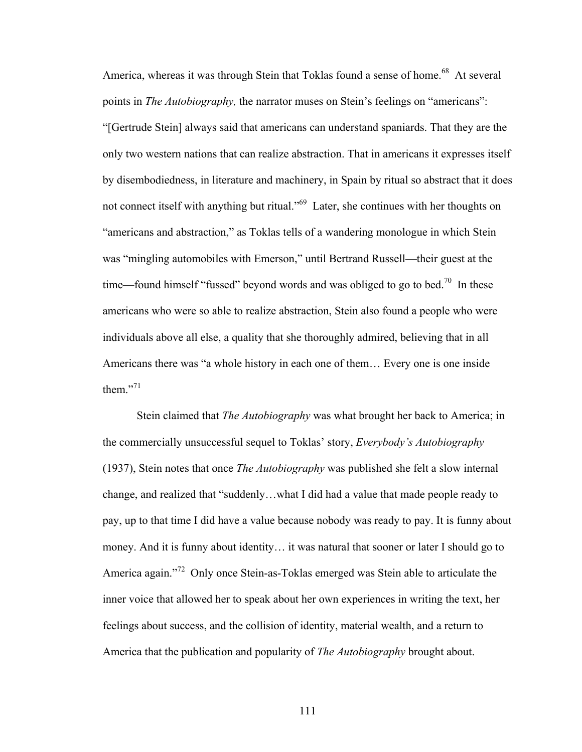America, whereas it was through Stein that Toklas found a sense of home.<sup>68</sup> At several points in *The Autobiography,* the narrator muses on Stein's feelings on "americans": "[Gertrude Stein] always said that americans can understand spaniards. That they are the only two western nations that can realize abstraction. That in americans it expresses itself by disembodiedness, in literature and machinery, in Spain by ritual so abstract that it does not connect itself with anything but ritual."69 Later, she continues with her thoughts on "americans and abstraction," as Toklas tells of a wandering monologue in which Stein was "mingling automobiles with Emerson," until Bertrand Russell—their guest at the time—found himself "fussed" beyond words and was obliged to go to bed.<sup>70</sup> In these americans who were so able to realize abstraction, Stein also found a people who were individuals above all else, a quality that she thoroughly admired, believing that in all Americans there was "a whole history in each one of them… Every one is one inside them $^{,71}$ 

Stein claimed that *The Autobiography* was what brought her back to America; in the commercially unsuccessful sequel to Toklas' story, *Everybody's Autobiography*  (1937), Stein notes that once *The Autobiography* was published she felt a slow internal change, and realized that "suddenly…what I did had a value that made people ready to pay, up to that time I did have a value because nobody was ready to pay. It is funny about money. And it is funny about identity… it was natural that sooner or later I should go to America again."<sup>72</sup> Only once Stein-as-Toklas emerged was Stein able to articulate the inner voice that allowed her to speak about her own experiences in writing the text, her feelings about success, and the collision of identity, material wealth, and a return to America that the publication and popularity of *The Autobiography* brought about.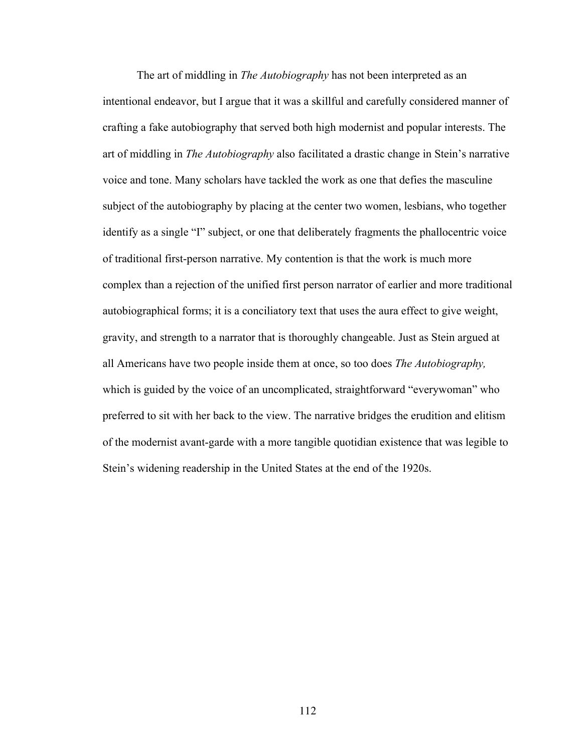The art of middling in *The Autobiography* has not been interpreted as an intentional endeavor, but I argue that it was a skillful and carefully considered manner of crafting a fake autobiography that served both high modernist and popular interests. The art of middling in *The Autobiography* also facilitated a drastic change in Stein's narrative voice and tone. Many scholars have tackled the work as one that defies the masculine subject of the autobiography by placing at the center two women, lesbians, who together identify as a single "I" subject, or one that deliberately fragments the phallocentric voice of traditional first-person narrative. My contention is that the work is much more complex than a rejection of the unified first person narrator of earlier and more traditional autobiographical forms; it is a conciliatory text that uses the aura effect to give weight, gravity, and strength to a narrator that is thoroughly changeable. Just as Stein argued at all Americans have two people inside them at once, so too does *The Autobiography,*  which is guided by the voice of an uncomplicated, straightforward "everywoman" who preferred to sit with her back to the view. The narrative bridges the erudition and elitism of the modernist avant-garde with a more tangible quotidian existence that was legible to Stein's widening readership in the United States at the end of the 1920s.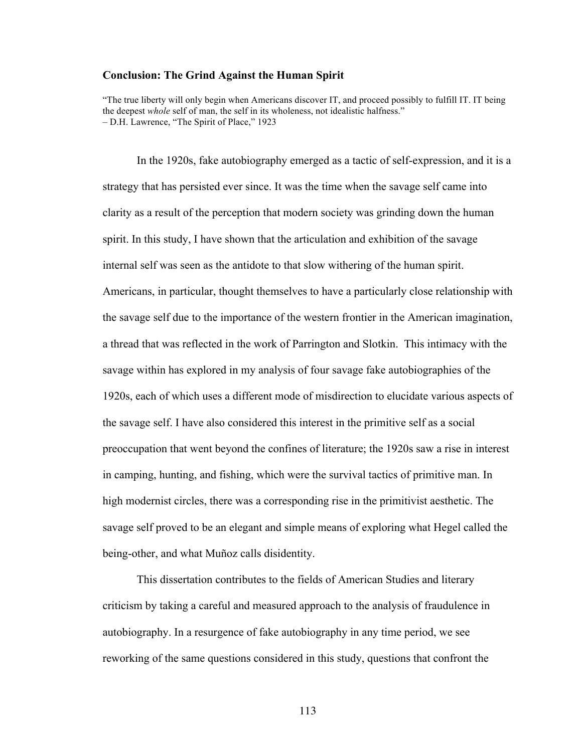#### **Conclusion: The Grind Against the Human Spirit**

"The true liberty will only begin when Americans discover IT, and proceed possibly to fulfill IT. IT being the deepest *whole* self of man, the self in its wholeness, not idealistic halfness." – D.H. Lawrence, "The Spirit of Place," 1923

In the 1920s, fake autobiography emerged as a tactic of self-expression, and it is a strategy that has persisted ever since. It was the time when the savage self came into clarity as a result of the perception that modern society was grinding down the human spirit. In this study, I have shown that the articulation and exhibition of the savage internal self was seen as the antidote to that slow withering of the human spirit. Americans, in particular, thought themselves to have a particularly close relationship with the savage self due to the importance of the western frontier in the American imagination, a thread that was reflected in the work of Parrington and Slotkin. This intimacy with the savage within has explored in my analysis of four savage fake autobiographies of the 1920s, each of which uses a different mode of misdirection to elucidate various aspects of the savage self. I have also considered this interest in the primitive self as a social preoccupation that went beyond the confines of literature; the 1920s saw a rise in interest in camping, hunting, and fishing, which were the survival tactics of primitive man. In high modernist circles, there was a corresponding rise in the primitivist aesthetic. The savage self proved to be an elegant and simple means of exploring what Hegel called the being-other, and what Muñoz calls disidentity.

This dissertation contributes to the fields of American Studies and literary criticism by taking a careful and measured approach to the analysis of fraudulence in autobiography. In a resurgence of fake autobiography in any time period, we see reworking of the same questions considered in this study, questions that confront the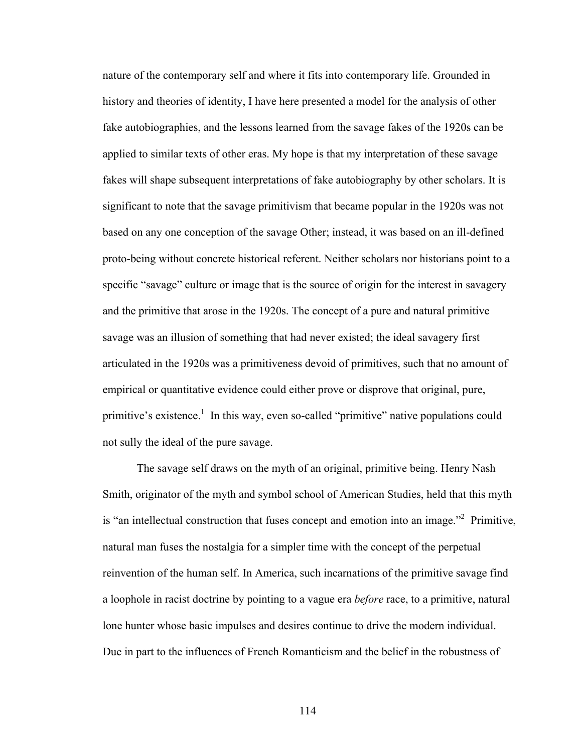nature of the contemporary self and where it fits into contemporary life. Grounded in history and theories of identity, I have here presented a model for the analysis of other fake autobiographies, and the lessons learned from the savage fakes of the 1920s can be applied to similar texts of other eras. My hope is that my interpretation of these savage fakes will shape subsequent interpretations of fake autobiography by other scholars. It is significant to note that the savage primitivism that became popular in the 1920s was not based on any one conception of the savage Other; instead, it was based on an ill-defined proto-being without concrete historical referent. Neither scholars nor historians point to a specific "savage" culture or image that is the source of origin for the interest in savagery and the primitive that arose in the 1920s. The concept of a pure and natural primitive savage was an illusion of something that had never existed; the ideal savagery first articulated in the 1920s was a primitiveness devoid of primitives, such that no amount of empirical or quantitative evidence could either prove or disprove that original, pure, primitive's existence.<sup>1</sup> In this way, even so-called "primitive" native populations could not sully the ideal of the pure savage.

The savage self draws on the myth of an original, primitive being. Henry Nash Smith, originator of the myth and symbol school of American Studies, held that this myth is "an intellectual construction that fuses concept and emotion into an image."<sup>2</sup> Primitive, natural man fuses the nostalgia for a simpler time with the concept of the perpetual reinvention of the human self. In America, such incarnations of the primitive savage find a loophole in racist doctrine by pointing to a vague era *before* race, to a primitive, natural lone hunter whose basic impulses and desires continue to drive the modern individual. Due in part to the influences of French Romanticism and the belief in the robustness of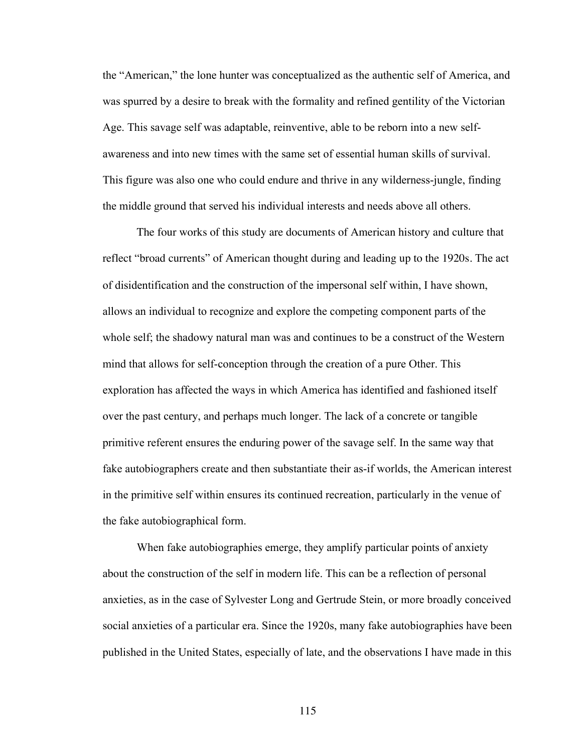the "American," the lone hunter was conceptualized as the authentic self of America, and was spurred by a desire to break with the formality and refined gentility of the Victorian Age. This savage self was adaptable, reinventive, able to be reborn into a new selfawareness and into new times with the same set of essential human skills of survival. This figure was also one who could endure and thrive in any wilderness-jungle, finding the middle ground that served his individual interests and needs above all others.

The four works of this study are documents of American history and culture that reflect "broad currents" of American thought during and leading up to the 1920s. The act of disidentification and the construction of the impersonal self within, I have shown, allows an individual to recognize and explore the competing component parts of the whole self; the shadowy natural man was and continues to be a construct of the Western mind that allows for self-conception through the creation of a pure Other. This exploration has affected the ways in which America has identified and fashioned itself over the past century, and perhaps much longer. The lack of a concrete or tangible primitive referent ensures the enduring power of the savage self. In the same way that fake autobiographers create and then substantiate their as-if worlds, the American interest in the primitive self within ensures its continued recreation, particularly in the venue of the fake autobiographical form.

When fake autobiographies emerge, they amplify particular points of anxiety about the construction of the self in modern life. This can be a reflection of personal anxieties, as in the case of Sylvester Long and Gertrude Stein, or more broadly conceived social anxieties of a particular era. Since the 1920s, many fake autobiographies have been published in the United States, especially of late, and the observations I have made in this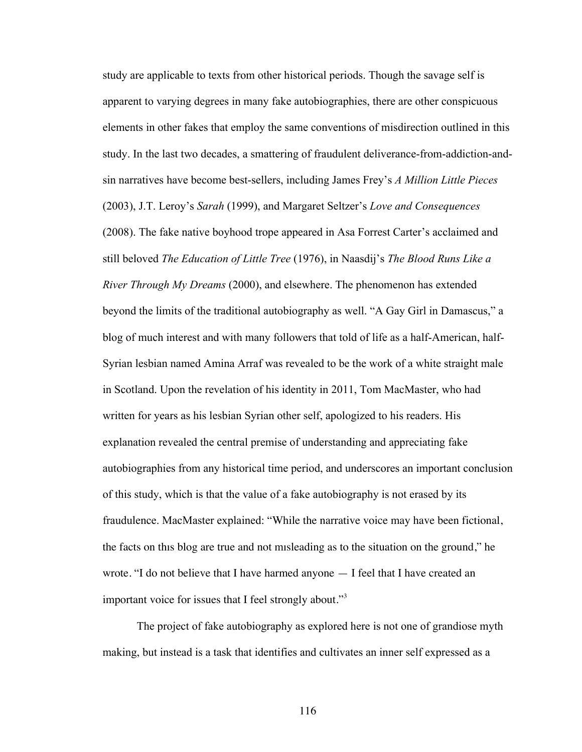study are applicable to texts from other historical periods. Though the savage self is apparent to varying degrees in many fake autobiographies, there are other conspicuous elements in other fakes that employ the same conventions of misdirection outlined in this study. In the last two decades, a smattering of fraudulent deliverance-from-addiction-andsin narratives have become best-sellers, including James Frey's *A Million Little Pieces*  (2003), J.T. Leroy's *Sarah* (1999), and Margaret Seltzer's *Love and Consequences*  (2008). The fake native boyhood trope appeared in Asa Forrest Carter's acclaimed and still beloved *The Education of Little Tree* (1976), in Naasdij's *The Blood Runs Like a River Through My Dreams* (2000), and elsewhere. The phenomenon has extended beyond the limits of the traditional autobiography as well. "A Gay Girl in Damascus," a blog of much interest and with many followers that told of life as a half-American, half-Syrian lesbian named Amina Arraf was revealed to be the work of a white straight male in Scotland. Upon the revelation of his identity in 2011, Tom MacMaster, who had written for years as his lesbian Syrian other self, apologized to his readers. His explanation revealed the central premise of understanding and appreciating fake autobiographies from any historical time period, and underscores an important conclusion of this study, which is that the value of a fake autobiography is not erased by its fraudulence. MacMaster explained: "While the narrative voice may have been fictional, the facts on thıs blog are true and not mısleading as to the situation on the ground," he wrote. "I do not believe that I have harmed anyone — I feel that I have created an important voice for issues that I feel strongly about."<sup>3</sup>

The project of fake autobiography as explored here is not one of grandiose myth making, but instead is a task that identifies and cultivates an inner self expressed as a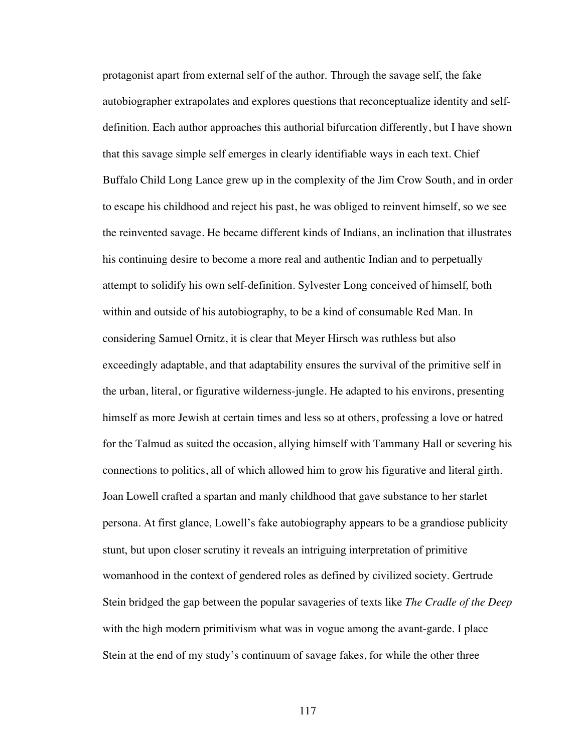protagonist apart from external self of the author. Through the savage self, the fake autobiographer extrapolates and explores questions that reconceptualize identity and selfdefinition. Each author approaches this authorial bifurcation differently, but I have shown that this savage simple self emerges in clearly identifiable ways in each text. Chief Buffalo Child Long Lance grew up in the complexity of the Jim Crow South, and in order to escape his childhood and reject his past, he was obliged to reinvent himself, so we see the reinvented savage. He became different kinds of Indians, an inclination that illustrates his continuing desire to become a more real and authentic Indian and to perpetually attempt to solidify his own self-definition. Sylvester Long conceived of himself, both within and outside of his autobiography, to be a kind of consumable Red Man. In considering Samuel Ornitz, it is clear that Meyer Hirsch was ruthless but also exceedingly adaptable, and that adaptability ensures the survival of the primitive self in the urban, literal, or figurative wilderness-jungle. He adapted to his environs, presenting himself as more Jewish at certain times and less so at others, professing a love or hatred for the Talmud as suited the occasion, allying himself with Tammany Hall or severing his connections to politics, all of which allowed him to grow his figurative and literal girth. Joan Lowell crafted a spartan and manly childhood that gave substance to her starlet persona. At first glance, Lowell's fake autobiography appears to be a grandiose publicity stunt, but upon closer scrutiny it reveals an intriguing interpretation of primitive womanhood in the context of gendered roles as defined by civilized society. Gertrude Stein bridged the gap between the popular savageries of texts like *The Cradle of the Deep*  with the high modern primitivism what was in vogue among the avant-garde. I place Stein at the end of my study's continuum of savage fakes, for while the other three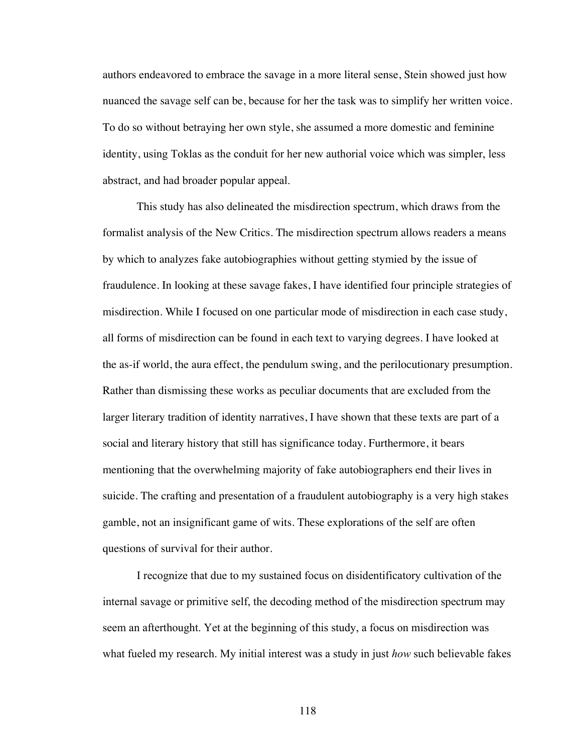authors endeavored to embrace the savage in a more literal sense, Stein showed just how nuanced the savage self can be, because for her the task was to simplify her written voice. To do so without betraying her own style, she assumed a more domestic and feminine identity, using Toklas as the conduit for her new authorial voice which was simpler, less abstract, and had broader popular appeal.

This study has also delineated the misdirection spectrum, which draws from the formalist analysis of the New Critics. The misdirection spectrum allows readers a means by which to analyzes fake autobiographies without getting stymied by the issue of fraudulence. In looking at these savage fakes, I have identified four principle strategies of misdirection. While I focused on one particular mode of misdirection in each case study, all forms of misdirection can be found in each text to varying degrees. I have looked at the as-if world, the aura effect, the pendulum swing, and the perilocutionary presumption. Rather than dismissing these works as peculiar documents that are excluded from the larger literary tradition of identity narratives, I have shown that these texts are part of a social and literary history that still has significance today. Furthermore, it bears mentioning that the overwhelming majority of fake autobiographers end their lives in suicide. The crafting and presentation of a fraudulent autobiography is a very high stakes gamble, not an insignificant game of wits. These explorations of the self are often questions of survival for their author.

I recognize that due to my sustained focus on disidentificatory cultivation of the internal savage or primitive self, the decoding method of the misdirection spectrum may seem an afterthought. Yet at the beginning of this study, a focus on misdirection was what fueled my research. My initial interest was a study in just *how* such believable fakes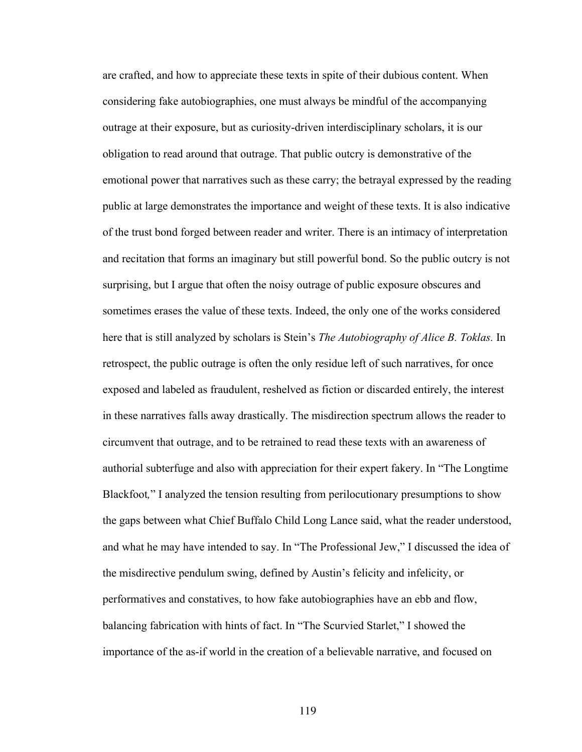are crafted, and how to appreciate these texts in spite of their dubious content. When considering fake autobiographies, one must always be mindful of the accompanying outrage at their exposure, but as curiosity-driven interdisciplinary scholars, it is our obligation to read around that outrage. That public outcry is demonstrative of the emotional power that narratives such as these carry; the betrayal expressed by the reading public at large demonstrates the importance and weight of these texts. It is also indicative of the trust bond forged between reader and writer. There is an intimacy of interpretation and recitation that forms an imaginary but still powerful bond. So the public outcry is not surprising, but I argue that often the noisy outrage of public exposure obscures and sometimes erases the value of these texts. Indeed, the only one of the works considered here that is still analyzed by scholars is Stein's *The Autobiography of Alice B. Toklas.* In retrospect, the public outrage is often the only residue left of such narratives, for once exposed and labeled as fraudulent, reshelved as fiction or discarded entirely, the interest in these narratives falls away drastically. The misdirection spectrum allows the reader to circumvent that outrage, and to be retrained to read these texts with an awareness of authorial subterfuge and also with appreciation for their expert fakery. In "The Longtime Blackfoot*,*" I analyzed the tension resulting from perilocutionary presumptions to show the gaps between what Chief Buffalo Child Long Lance said, what the reader understood, and what he may have intended to say. In "The Professional Jew," I discussed the idea of the misdirective pendulum swing, defined by Austin's felicity and infelicity, or performatives and constatives, to how fake autobiographies have an ebb and flow, balancing fabrication with hints of fact. In "The Scurvied Starlet," I showed the importance of the as-if world in the creation of a believable narrative, and focused on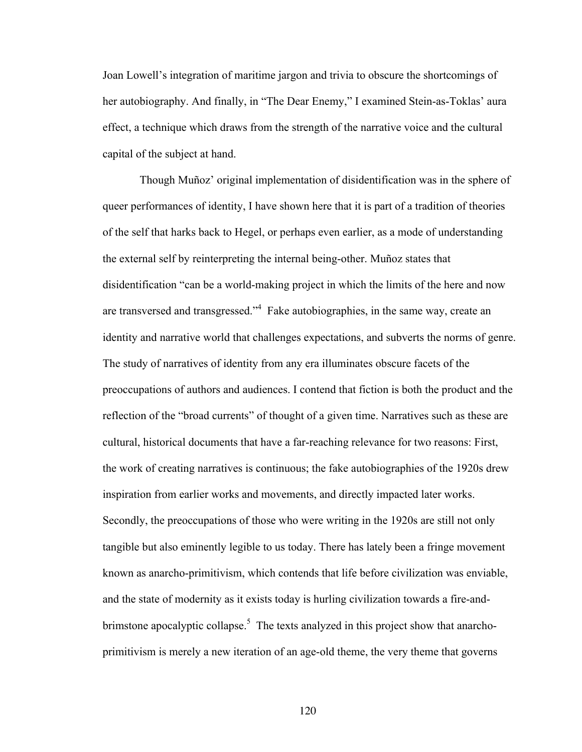Joan Lowell's integration of maritime jargon and trivia to obscure the shortcomings of her autobiography. And finally, in "The Dear Enemy," I examined Stein-as-Toklas' aura effect, a technique which draws from the strength of the narrative voice and the cultural capital of the subject at hand.

Though Muñoz' original implementation of disidentification was in the sphere of queer performances of identity, I have shown here that it is part of a tradition of theories of the self that harks back to Hegel, or perhaps even earlier, as a mode of understanding the external self by reinterpreting the internal being-other. Muñoz states that disidentification "can be a world-making project in which the limits of the here and now are transversed and transgressed."4 Fake autobiographies, in the same way, create an identity and narrative world that challenges expectations, and subverts the norms of genre. The study of narratives of identity from any era illuminates obscure facets of the preoccupations of authors and audiences. I contend that fiction is both the product and the reflection of the "broad currents" of thought of a given time. Narratives such as these are cultural, historical documents that have a far-reaching relevance for two reasons: First, the work of creating narratives is continuous; the fake autobiographies of the 1920s drew inspiration from earlier works and movements, and directly impacted later works. Secondly, the preoccupations of those who were writing in the 1920s are still not only tangible but also eminently legible to us today. There has lately been a fringe movement known as anarcho-primitivism, which contends that life before civilization was enviable, and the state of modernity as it exists today is hurling civilization towards a fire-andbrimstone apocalyptic collapse.<sup>5</sup> The texts analyzed in this project show that anarchoprimitivism is merely a new iteration of an age-old theme, the very theme that governs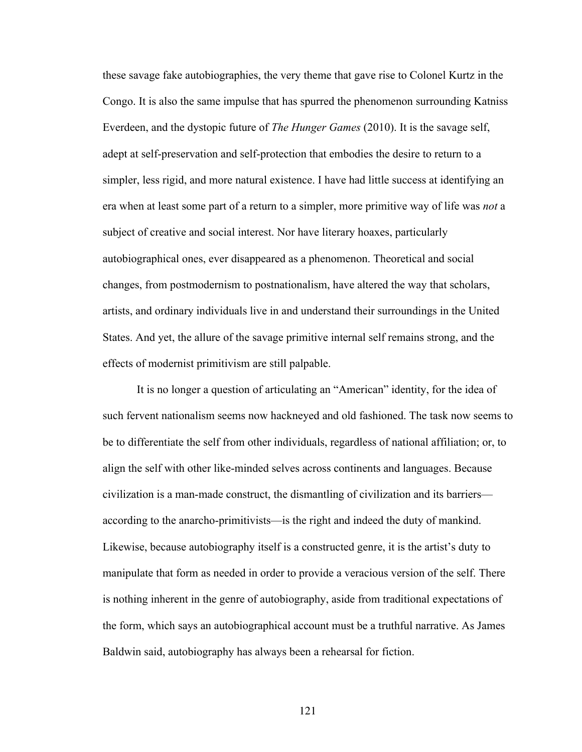these savage fake autobiographies, the very theme that gave rise to Colonel Kurtz in the Congo. It is also the same impulse that has spurred the phenomenon surrounding Katniss Everdeen, and the dystopic future of *The Hunger Games* (2010). It is the savage self, adept at self-preservation and self-protection that embodies the desire to return to a simpler, less rigid, and more natural existence. I have had little success at identifying an era when at least some part of a return to a simpler, more primitive way of life was *not* a subject of creative and social interest. Nor have literary hoaxes, particularly autobiographical ones, ever disappeared as a phenomenon. Theoretical and social changes, from postmodernism to postnationalism, have altered the way that scholars, artists, and ordinary individuals live in and understand their surroundings in the United States. And yet, the allure of the savage primitive internal self remains strong, and the effects of modernist primitivism are still palpable.

It is no longer a question of articulating an "American" identity, for the idea of such fervent nationalism seems now hackneyed and old fashioned. The task now seems to be to differentiate the self from other individuals, regardless of national affiliation; or, to align the self with other like-minded selves across continents and languages. Because civilization is a man-made construct, the dismantling of civilization and its barriers according to the anarcho-primitivists—is the right and indeed the duty of mankind. Likewise, because autobiography itself is a constructed genre, it is the artist's duty to manipulate that form as needed in order to provide a veracious version of the self. There is nothing inherent in the genre of autobiography, aside from traditional expectations of the form, which says an autobiographical account must be a truthful narrative. As James Baldwin said, autobiography has always been a rehearsal for fiction.

121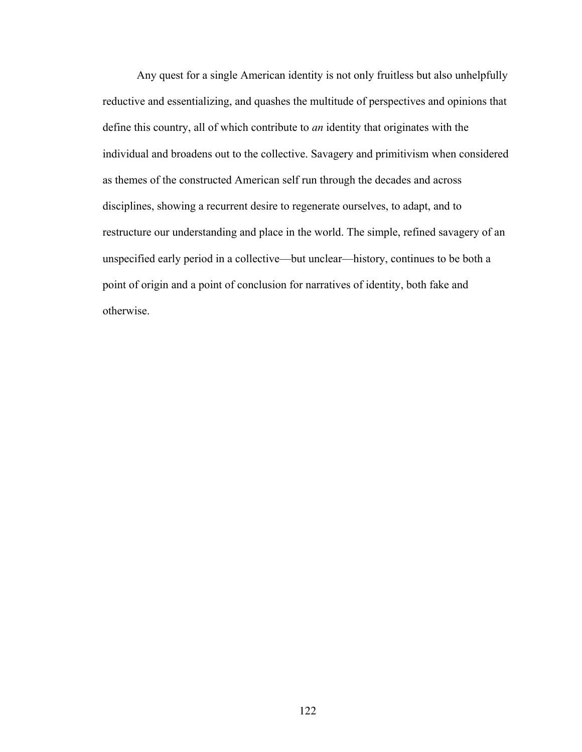Any quest for a single American identity is not only fruitless but also unhelpfully reductive and essentializing, and quashes the multitude of perspectives and opinions that define this country, all of which contribute to *an* identity that originates with the individual and broadens out to the collective. Savagery and primitivism when considered as themes of the constructed American self run through the decades and across disciplines, showing a recurrent desire to regenerate ourselves, to adapt, and to restructure our understanding and place in the world. The simple, refined savagery of an unspecified early period in a collective—but unclear—history, continues to be both a point of origin and a point of conclusion for narratives of identity, both fake and otherwise.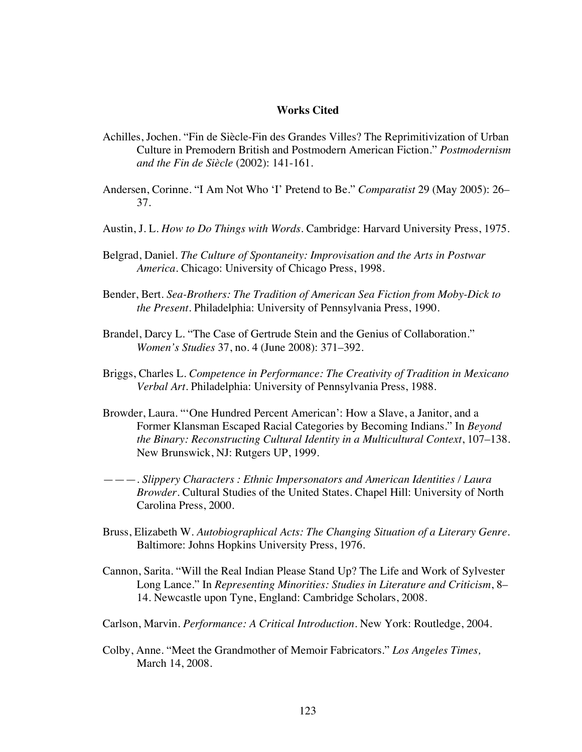# **Works Cited**

- Achilles, Jochen. "Fin de Siècle-Fin des Grandes Villes? The Reprimitivization of Urban Culture in Premodern British and Postmodern American Fiction." *Postmodernism and the Fin de Siècle* (2002): 141-161.
- Andersen, Corinne. "I Am Not Who 'I' Pretend to Be." *Comparatist* 29 (May 2005): 26– 37.
- Austin, J. L. *How to Do Things with Words*. Cambridge: Harvard University Press, 1975.
- Belgrad, Daniel. *The Culture of Spontaneity: Improvisation and the Arts in Postwar America*. Chicago: University of Chicago Press, 1998.
- Bender, Bert. *Sea-Brothers: The Tradition of American Sea Fiction from Moby-Dick to the Present*. Philadelphia: University of Pennsylvania Press, 1990.
- Brandel, Darcy L. "The Case of Gertrude Stein and the Genius of Collaboration." *Women's Studies* 37, no. 4 (June 2008): 371–392.
- Briggs, Charles L. *Competence in Performance: The Creativity of Tradition in Mexicano Verbal Art*. Philadelphia: University of Pennsylvania Press, 1988.
- Browder, Laura. "'One Hundred Percent American': How a Slave, a Janitor, and a Former Klansman Escaped Racial Categories by Becoming Indians." In *Beyond the Binary: Reconstructing Cultural Identity in a Multicultural Context*, 107–138. New Brunswick, NJ: Rutgers UP, 1999.
- ———. *Slippery Characters : Ethnic Impersonators and American Identities / Laura Browder*. Cultural Studies of the United States. Chapel Hill: University of North Carolina Press, 2000.
- Bruss, Elizabeth W. *Autobiographical Acts: The Changing Situation of a Literary Genre*. Baltimore: Johns Hopkins University Press, 1976.
- Cannon, Sarita. "Will the Real Indian Please Stand Up? The Life and Work of Sylvester Long Lance." In *Representing Minorities: Studies in Literature and Criticism*, 8– 14. Newcastle upon Tyne, England: Cambridge Scholars, 2008.
- Carlson, Marvin. *Performance: A Critical Introduction.* New York: Routledge, 2004.
- Colby, Anne. "Meet the Grandmother of Memoir Fabricators." *Los Angeles Times,* March 14, 2008.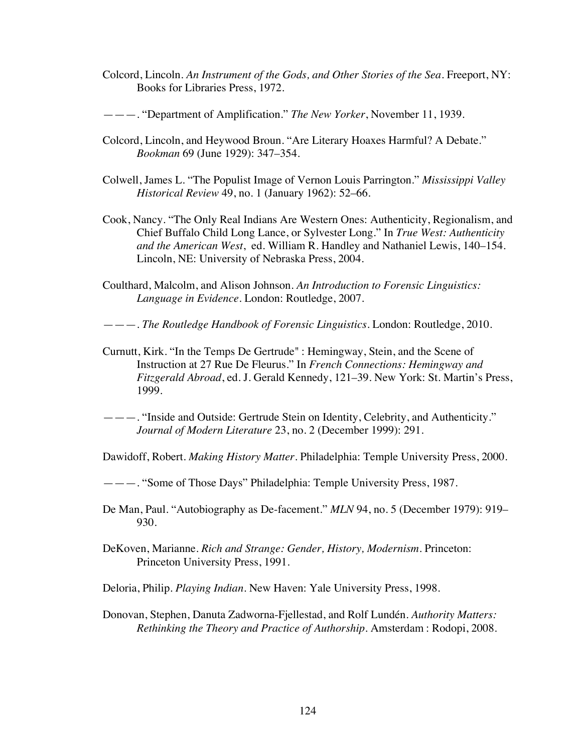Colcord, Lincoln. *An Instrument of the Gods, and Other Stories of the Sea.* Freeport, NY: Books for Libraries Press, 1972.

———. "Department of Amplification." *The New Yorker*, November 11, 1939.

- Colcord, Lincoln, and Heywood Broun. "Are Literary Hoaxes Harmful? A Debate." *Bookman* 69 (June 1929): 347–354.
- Colwell, James L. "The Populist Image of Vernon Louis Parrington." *Mississippi Valley Historical Review* 49, no. 1 (January 1962): 52–66.
- Cook, Nancy. "The Only Real Indians Are Western Ones: Authenticity, Regionalism, and Chief Buffalo Child Long Lance, or Sylvester Long." In *True West: Authenticity and the American West*, ed. William R. Handley and Nathaniel Lewis, 140–154. Lincoln, NE: University of Nebraska Press, 2004.
- Coulthard, Malcolm, and Alison Johnson. *An Introduction to Forensic Linguistics: Language in Evidence*. London: Routledge, 2007.

———. *The Routledge Handbook of Forensic Linguistics*. London: Routledge, 2010.

- Curnutt, Kirk. "In the Temps De Gertrude" : Hemingway, Stein, and the Scene of Instruction at 27 Rue De Fleurus." In *French Connections: Hemingway and Fitzgerald Abroad*, ed. J. Gerald Kennedy, 121–39. New York: St. Martin's Press, 1999.
- ———. "Inside and Outside: Gertrude Stein on Identity, Celebrity, and Authenticity." *Journal of Modern Literature* 23, no. 2 (December 1999): 291.

Dawidoff, Robert. *Making History Matter*. Philadelphia: Temple University Press, 2000.

———. "Some of Those Days" Philadelphia: Temple University Press, 1987.

De Man, Paul. "Autobiography as De-facement." *MLN* 94, no. 5 (December 1979): 919– 930.

- DeKoven, Marianne. *Rich and Strange: Gender, History, Modernism*. Princeton: Princeton University Press, 1991.
- Deloria, Philip. *Playing Indian*. New Haven: Yale University Press, 1998.
- Donovan, Stephen, Danuta Zadworna-Fjellestad, and Rolf Lundén. *Authority Matters: Rethinking the Theory and Practice of Authorship.* Amsterdam : Rodopi, 2008.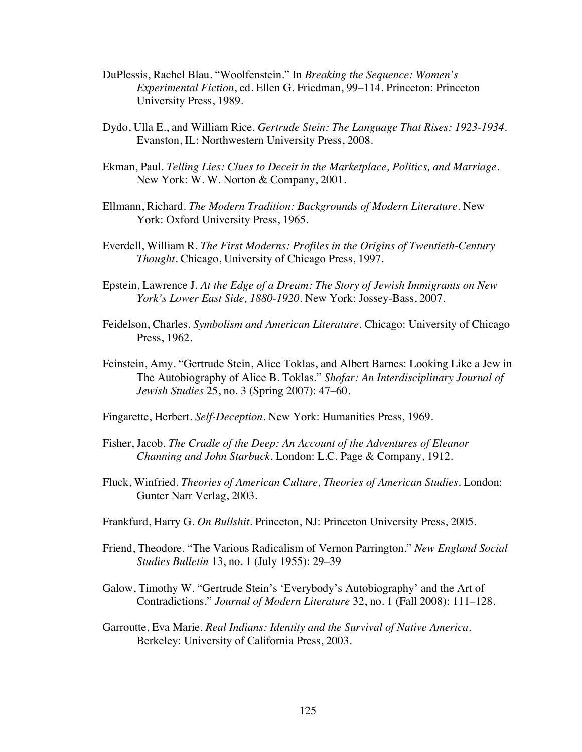- DuPlessis, Rachel Blau. "Woolfenstein." In *Breaking the Sequence: Women's Experimental Fiction*, ed. Ellen G. Friedman, 99–114. Princeton: Princeton University Press, 1989.
- Dydo, Ulla E., and William Rice. *Gertrude Stein: The Language That Rises: 1923-1934.*  Evanston, IL: Northwestern University Press, 2008.
- Ekman, Paul. *Telling Lies: Clues to Deceit in the Marketplace, Politics, and Marriage*. New York: W. W. Norton & Company, 2001.
- Ellmann, Richard. *The Modern Tradition: Backgrounds of Modern Literature*. New York: Oxford University Press, 1965.
- Everdell, William R. *The First Moderns: Profiles in the Origins of Twentieth-Century Thought.* Chicago, University of Chicago Press, 1997.
- Epstein, Lawrence J. *At the Edge of a Dream: The Story of Jewish Immigrants on New York's Lower East Side, 1880-1920*. New York: Jossey-Bass, 2007.
- Feidelson, Charles. *Symbolism and American Literature*. Chicago: University of Chicago Press, 1962.
- Feinstein, Amy. "Gertrude Stein, Alice Toklas, and Albert Barnes: Looking Like a Jew in The Autobiography of Alice B. Toklas." *Shofar: An Interdisciplinary Journal of Jewish Studies* 25, no. 3 (Spring 2007): 47–60.
- Fingarette, Herbert. *Self-Deception*. New York: Humanities Press, 1969.
- Fisher, Jacob. *The Cradle of the Deep: An Account of the Adventures of Eleanor Channing and John Starbuck*. London: L.C. Page & Company, 1912.
- Fluck, Winfried. *Theories of American Culture, Theories of American Studies*. London: Gunter Narr Verlag, 2003.
- Frankfurd, Harry G. *On Bullshit.* Princeton, NJ: Princeton University Press, 2005.
- Friend, Theodore. "The Various Radicalism of Vernon Parrington." *New England Social Studies Bulletin* 13, no. 1 (July 1955): 29–39
- Galow, Timothy W. "Gertrude Stein's 'Everybody's Autobiography' and the Art of Contradictions." *Journal of Modern Literature* 32, no. 1 (Fall 2008): 111–128.
- Garroutte, Eva Marie. *Real Indians: Identity and the Survival of Native America*. Berkeley: University of California Press, 2003.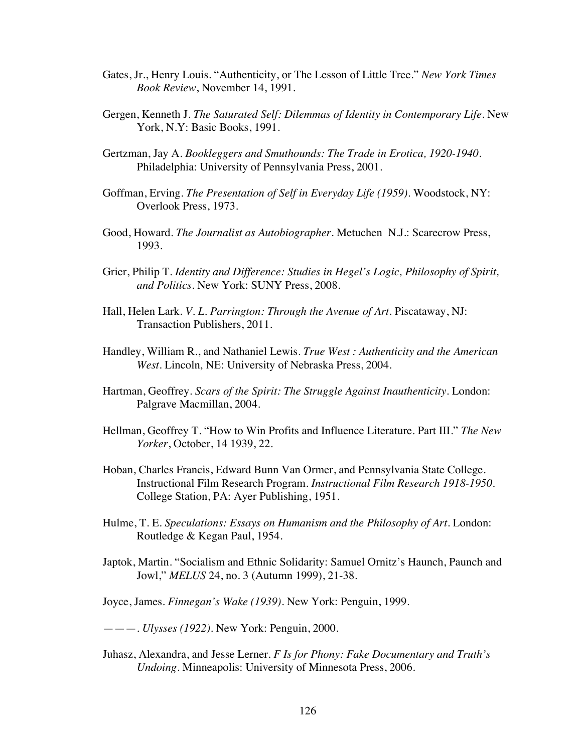- Gates, Jr., Henry Louis. "Authenticity, or The Lesson of Little Tree." *New York Times Book Review*, November 14, 1991.
- Gergen, Kenneth J. *The Saturated Self: Dilemmas of Identity in Contemporary Life*. New York, N.Y: Basic Books, 1991.
- Gertzman, Jay A. *Bookleggers and Smuthounds: The Trade in Erotica, 1920-1940*. Philadelphia: University of Pennsylvania Press, 2001.
- Goffman, Erving. *The Presentation of Self in Everyday Life (1959).* Woodstock, NY: Overlook Press, 1973.
- Good, Howard. *The Journalist as Autobiographer*. Metuchen N.J.: Scarecrow Press, 1993.
- Grier, Philip T. *Identity and Difference: Studies in Hegel's Logic, Philosophy of Spirit, and Politics*. New York: SUNY Press, 2008.
- Hall, Helen Lark. *V. L. Parrington: Through the Avenue of Art*. Piscataway, NJ: Transaction Publishers, 2011.
- Handley, William R., and Nathaniel Lewis. *True West : Authenticity and the American West. Lincoln, NE: University of Nebraska Press, 2004.*
- Hartman, Geoffrey. *Scars of the Spirit: The Struggle Against Inauthenticity*. London: Palgrave Macmillan, 2004.
- Hellman, Geoffrey T. "How to Win Profits and Influence Literature. Part III." *The New Yorker*, October, 14 1939, 22.
- Hoban, Charles Francis, Edward Bunn Van Ormer, and Pennsylvania State College. Instructional Film Research Program. *Instructional Film Research 1918-1950*. College Station, PA: Ayer Publishing, 1951.
- Hulme, T. E. *Speculations: Essays on Humanism and the Philosophy of Art*. London: Routledge & Kegan Paul, 1954.
- Japtok, Martin. "Socialism and Ethnic Solidarity: Samuel Ornitz's Haunch, Paunch and Jowl," *MELUS* 24, no. 3 (Autumn 1999), 21-38.
- Joyce, James. *Finnegan's Wake (1939)*. New York: Penguin, 1999.
- ———. *Ulysses (1922)*. New York: Penguin, 2000.
- Juhasz, Alexandra, and Jesse Lerner. *F Is for Phony: Fake Documentary and Truth's Undoing*. Minneapolis: University of Minnesota Press, 2006.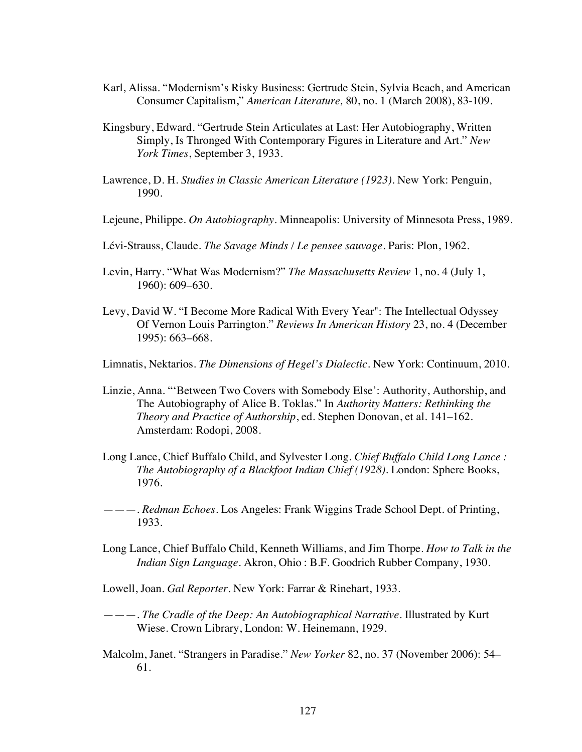- Karl, Alissa. "Modernism's Risky Business: Gertrude Stein, Sylvia Beach, and American Consumer Capitalism," *American Literature,* 80, no. 1 (March 2008), 83-109.
- Kingsbury, Edward. "Gertrude Stein Articulates at Last: Her Autobiography, Written Simply, Is Thronged With Contemporary Figures in Literature and Art." *New York Times*, September 3, 1933.
- Lawrence, D. H. *Studies in Classic American Literature (1923)*. New York: Penguin, 1990.
- Lejeune, Philippe. *On Autobiography*. Minneapolis: University of Minnesota Press, 1989.
- Lévi-Strauss, Claude. *The Savage Minds / Le pensee sauvage.* Paris: Plon, 1962.
- Levin, Harry. "What Was Modernism?" *The Massachusetts Review* 1, no. 4 (July 1, 1960): 609–630.
- Levy, David W. "I Become More Radical With Every Year": The Intellectual Odyssey Of Vernon Louis Parrington." *Reviews In American History* 23, no. 4 (December 1995): 663–668.
- Limnatis, Nektarios. *The Dimensions of Hegel's Dialectic*. New York: Continuum, 2010.
- Linzie, Anna. "'Between Two Covers with Somebody Else': Authority, Authorship, and The Autobiography of Alice B. Toklas." In *Authority Matters: Rethinking the Theory and Practice of Authorship*, ed. Stephen Donovan, et al. 141–162. Amsterdam: Rodopi, 2008.
- Long Lance, Chief Buffalo Child, and Sylvester Long. *Chief Buffalo Child Long Lance : The Autobiography of a Blackfoot Indian Chief (1928)*. London: Sphere Books, 1976.
- ———. *Redman Echoes*. Los Angeles: Frank Wiggins Trade School Dept. of Printing, 1933.
- Long Lance, Chief Buffalo Child, Kenneth Williams, and Jim Thorpe. *How to Talk in the Indian Sign Language*. Akron, Ohio : B.F. Goodrich Rubber Company, 1930.
- Lowell, Joan. *Gal Reporter*. New York: Farrar & Rinehart, 1933.
- ———. *The Cradle of the Deep: An Autobiographical Narrative.* Illustrated by Kurt Wiese. Crown Library, London: W. Heinemann, 1929.
- Malcolm, Janet. "Strangers in Paradise." *New Yorker* 82, no. 37 (November 2006): 54– 61.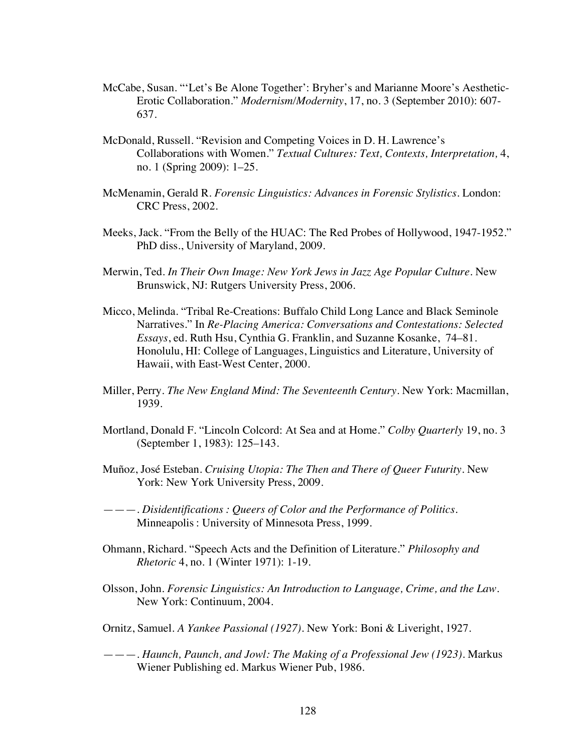- McCabe, Susan. "'Let's Be Alone Together': Bryher's and Marianne Moore's Aesthetic-Erotic Collaboration." *Modernism/Modernity*, 17, no. 3 (September 2010): 607- 637.
- McDonald, Russell. "Revision and Competing Voices in D. H. Lawrence's Collaborations with Women." *Textual Cultures: Text, Contexts, Interpretation,* 4, no. 1 (Spring 2009): 1–25.
- McMenamin, Gerald R. *Forensic Linguistics: Advances in Forensic Stylistics*. London: CRC Press, 2002.
- Meeks, Jack. "From the Belly of the HUAC: The Red Probes of Hollywood, 1947-1952." PhD diss., University of Maryland, 2009.
- Merwin, Ted. *In Their Own Image: New York Jews in Jazz Age Popular Culture*. New Brunswick, NJ: Rutgers University Press, 2006.
- Micco, Melinda. "Tribal Re-Creations: Buffalo Child Long Lance and Black Seminole Narratives." In *Re-Placing America: Conversations and Contestations: Selected Essays*, ed. Ruth Hsu, Cynthia G. Franklin, and Suzanne Kosanke, 74–81. Honolulu, HI: College of Languages, Linguistics and Literature, University of Hawaii, with East-West Center, 2000.
- Miller, Perry. *The New England Mind: The Seventeenth Century*. New York: Macmillan, 1939.
- Mortland, Donald F. "Lincoln Colcord: At Sea and at Home." *Colby Quarterly* 19, no. 3 (September 1, 1983): 125–143.
- Muñoz, José Esteban. *Cruising Utopia: The Then and There of Queer Futurity.* New York: New York University Press, 2009.
- ———. *Disidentifications : Queers of Color and the Performance of Politics.* Minneapolis : University of Minnesota Press, 1999.
- Ohmann, Richard. "Speech Acts and the Definition of Literature." *Philosophy and Rhetoric* 4, no. 1 (Winter 1971): 1-19.
- Olsson, John. *Forensic Linguistics: An Introduction to Language, Crime, and the Law.*  New York: Continuum, 2004.
- Ornitz, Samuel. *A Yankee Passional (1927).* New York: Boni & Liveright, 1927.
- ———. *Haunch, Paunch, and Jowl: The Making of a Professional Jew (1923)*. Markus Wiener Publishing ed. Markus Wiener Pub, 1986.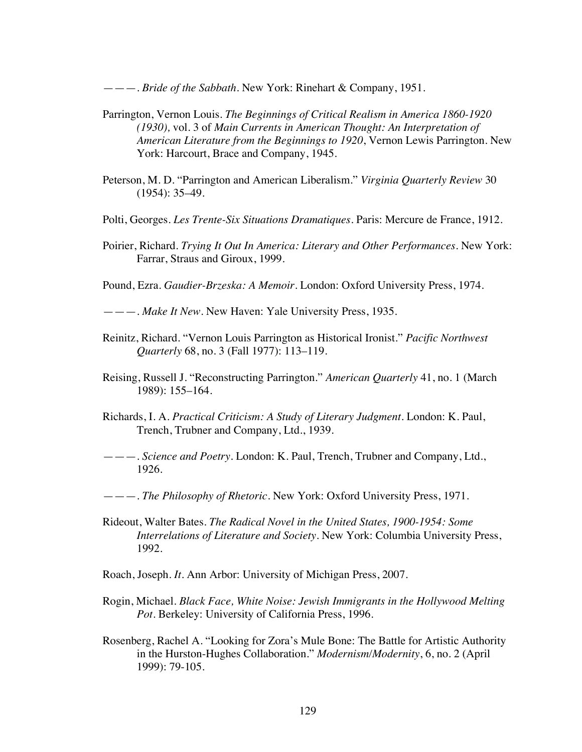———. *Bride of the Sabbath*. New York: Rinehart & Company, 1951.

- Parrington, Vernon Louis. *The Beginnings of Critical Realism in America 1860-1920 (1930),* vol. 3 of *Main Currents in American Thought: An Interpretation of American Literature from the Beginnings to 1920*, Vernon Lewis Parrington. New York: Harcourt, Brace and Company, 1945.
- Peterson, M. D. "Parrington and American Liberalism." *Virginia Quarterly Review* 30 (1954): 35–49.
- Polti, Georges. *Les Trente-Six Situations Dramatiques*. Paris: Mercure de France, 1912.
- Poirier, Richard. *Trying It Out In America: Literary and Other Performances*. New York: Farrar, Straus and Giroux, 1999.

Pound, Ezra. *Gaudier-Brzeska: A Memoir*. London: Oxford University Press, 1974.

———. *Make It New*. New Haven: Yale University Press, 1935.

- Reinitz, Richard. "Vernon Louis Parrington as Historical Ironist." *Pacific Northwest Quarterly* 68, no. 3 (Fall 1977): 113–119.
- Reising, Russell J. "Reconstructing Parrington." *American Quarterly* 41, no. 1 (March 1989): 155–164.
- Richards, I. A. *Practical Criticism: A Study of Literary Judgment*. London: K. Paul, Trench, Trubner and Company, Ltd., 1939.

———. *Science and Poetry*. London: K. Paul, Trench, Trubner and Company, Ltd., 1926.

———. *The Philosophy of Rhetoric*. New York: Oxford University Press, 1971.

- Rideout, Walter Bates. *The Radical Novel in the United States, 1900-1954: Some Interrelations of Literature and Society*. New York: Columbia University Press, 1992.
- Roach, Joseph. *It.* Ann Arbor: University of Michigan Press, 2007.
- Rogin, Michael. *Black Face, White Noise: Jewish Immigrants in the Hollywood Melting Pot*. Berkeley: University of California Press, 1996.
- Rosenberg, Rachel A. "Looking for Zora's Mule Bone: The Battle for Artistic Authority in the Hurston-Hughes Collaboration." *Modernism/Modernity*, 6, no. 2 (April 1999): 79-105.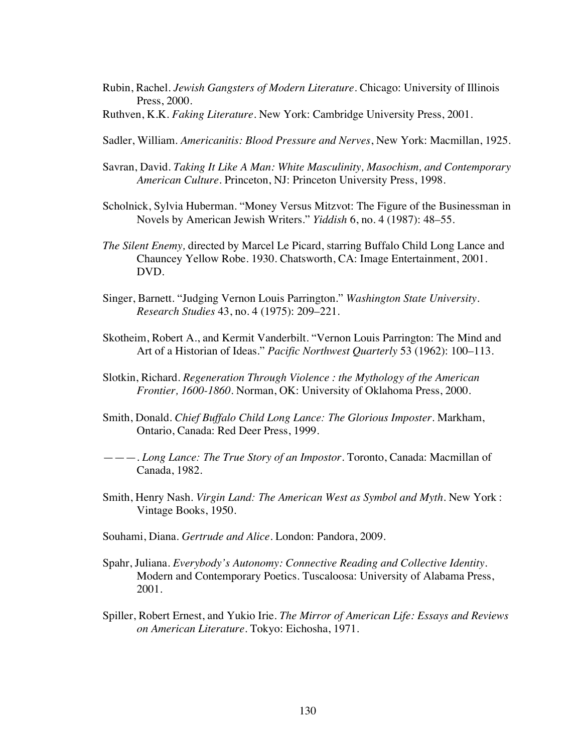- Rubin, Rachel. *Jewish Gangsters of Modern Literature*. Chicago: University of Illinois Press, 2000.
- Ruthven, K.K. *Faking Literature.* New York: Cambridge University Press, 2001.
- Sadler, William. *Americanitis: Blood Pressure and Nerves*, New York: Macmillan, 1925.
- Savran, David. *Taking It Like A Man: White Masculinity, Masochism, and Contemporary American Culture.* Princeton, NJ: Princeton University Press, 1998.
- Scholnick, Sylvia Huberman. "Money Versus Mitzvot: The Figure of the Businessman in Novels by American Jewish Writers." *Yiddish* 6, no. 4 (1987): 48–55.
- *The Silent Enemy,* directed by Marcel Le Picard, starring Buffalo Child Long Lance and Chauncey Yellow Robe. 1930. Chatsworth, CA: Image Entertainment, 2001. DVD.
- Singer, Barnett. "Judging Vernon Louis Parrington." *Washington State University. Research Studies* 43, no. 4 (1975): 209–221.
- Skotheim, Robert A., and Kermit Vanderbilt. "Vernon Louis Parrington: The Mind and Art of a Historian of Ideas." *Pacific Northwest Quarterly* 53 (1962): 100–113.
- Slotkin, Richard. *Regeneration Through Violence : the Mythology of the American Frontier, 1600-1860.* Norman, OK: University of Oklahoma Press, 2000.
- Smith, Donald. *Chief Buffalo Child Long Lance: The Glorious Imposter*. Markham, Ontario, Canada: Red Deer Press, 1999.

———. *Long Lance: The True Story of an Impostor*. Toronto, Canada: Macmillan of Canada, 1982.

- Smith, Henry Nash. *Virgin Land: The American West as Symbol and Myth.* New York : Vintage Books, 1950.
- Souhami, Diana. *Gertrude and Alice*. London: Pandora, 2009.
- Spahr, Juliana. *Everybody's Autonomy: Connective Reading and Collective Identity*. Modern and Contemporary Poetics. Tuscaloosa: University of Alabama Press, 2001.
- Spiller, Robert Ernest, and Yukio Irie. *The Mirror of American Life: Essays and Reviews on American Literature*. Tokyo: Eichosha, 1971.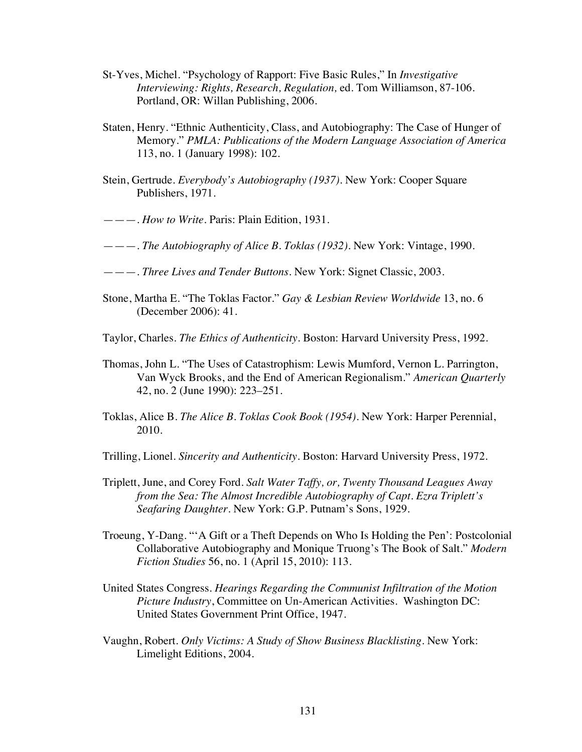- St-Yves, Michel. "Psychology of Rapport: Five Basic Rules," In *Investigative Interviewing: Rights, Research, Regulation,* ed. Tom Williamson, 87-106. Portland, OR: Willan Publishing, 2006.
- Staten, Henry. "Ethnic Authenticity, Class, and Autobiography: The Case of Hunger of Memory." *PMLA: Publications of the Modern Language Association of America* 113, no. 1 (January 1998): 102.
- Stein, Gertrude. *Everybody's Autobiography (1937)*. New York: Cooper Square Publishers, 1971.
- ———. *How to Write*. Paris: Plain Edition, 1931.
- ———. *The Autobiography of Alice B. Toklas (1932)*. New York: Vintage, 1990.
- ———. *Three Lives and Tender Buttons.* New York: Signet Classic, 2003.
- Stone, Martha E. "The Toklas Factor." *Gay & Lesbian Review Worldwide* 13, no. 6 (December 2006): 41.
- Taylor, Charles. *The Ethics of Authenticity*. Boston: Harvard University Press, 1992.
- Thomas, John L. "The Uses of Catastrophism: Lewis Mumford, Vernon L. Parrington, Van Wyck Brooks, and the End of American Regionalism." *American Quarterly* 42, no. 2 (June 1990): 223–251.
- Toklas, Alice B. *The Alice B. Toklas Cook Book (1954)*. New York: Harper Perennial, 2010.
- Trilling, Lionel. *Sincerity and Authenticity*. Boston: Harvard University Press, 1972.
- Triplett, June, and Corey Ford. *Salt Water Taffy, or, Twenty Thousand Leagues Away from the Sea: The Almost Incredible Autobiography of Capt. Ezra Triplett's Seafaring Daughter*. New York: G.P. Putnam's Sons, 1929.
- Troeung, Y-Dang. "'A Gift or a Theft Depends on Who Is Holding the Pen': Postcolonial Collaborative Autobiography and Monique Truong's The Book of Salt." *Modern Fiction Studies* 56, no. 1 (April 15, 2010): 113.
- United States Congress. *Hearings Regarding the Communist Infiltration of the Motion Picture Industry*, Committee on Un-American Activities. Washington DC: United States Government Print Office, 1947.
- Vaughn, Robert. *Only Victims: A Study of Show Business Blacklisting*. New York: Limelight Editions, 2004.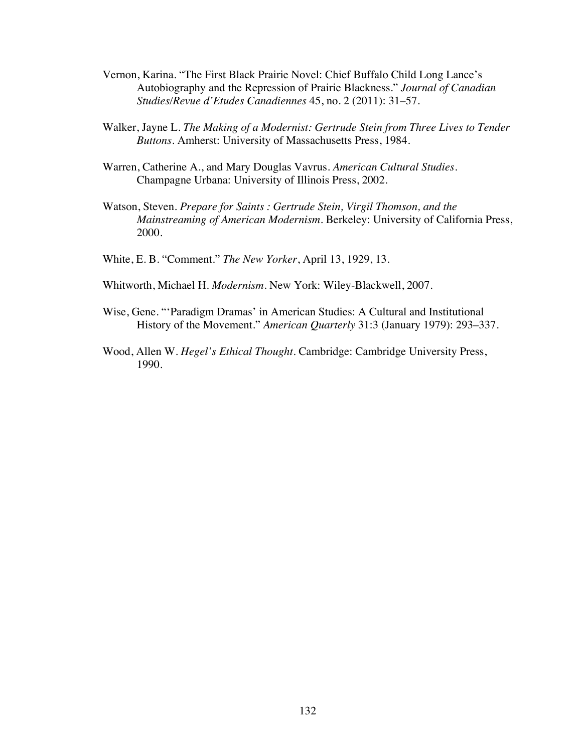- Vernon, Karina. "The First Black Prairie Novel: Chief Buffalo Child Long Lance's Autobiography and the Repression of Prairie Blackness." *Journal of Canadian Studies/Revue d'Etudes Canadiennes* 45, no. 2 (2011): 31–57.
- Walker, Jayne L. *The Making of a Modernist: Gertrude Stein from Three Lives to Tender Buttons*. Amherst: University of Massachusetts Press, 1984.
- Warren, Catherine A., and Mary Douglas Vavrus. *American Cultural Studies*. Champagne Urbana: University of Illinois Press, 2002.
- Watson, Steven. *Prepare for Saints : Gertrude Stein, Virgil Thomson, and the Mainstreaming of American Modernism.* Berkeley: University of California Press, 2000.
- White, E. B. "Comment." *The New Yorker*, April 13, 1929, 13.
- Whitworth, Michael H. *Modernism*. New York: Wiley-Blackwell, 2007.
- Wise, Gene. "'Paradigm Dramas' in American Studies: A Cultural and Institutional History of the Movement." *American Quarterly* 31:3 (January 1979): 293–337.
- Wood, Allen W. *Hegel's Ethical Thought*. Cambridge: Cambridge University Press, 1990.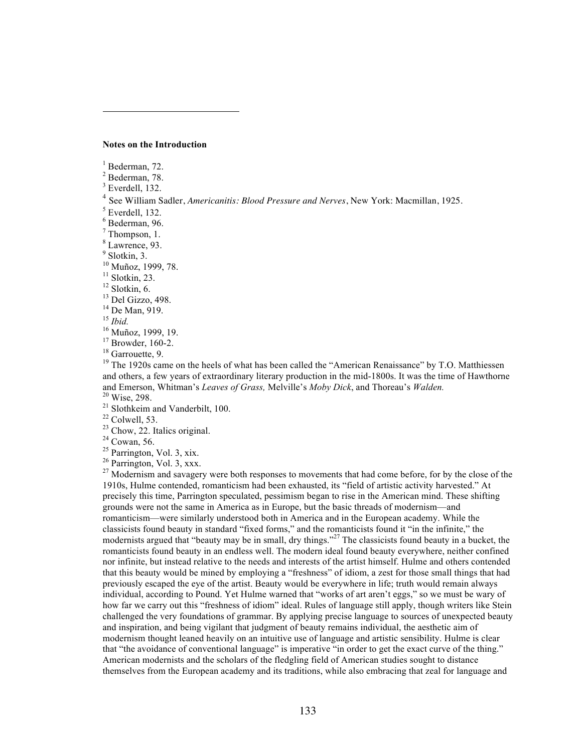#### **Notes on the Introduction**

 $<sup>1</sup>$  Bederman, 72.</sup>

 $\overline{a}$ 

 $2$  Bederman, 78.

 $3$  Everdell, 132.

<sup>4</sup> See William Sadler, *Americanitis: Blood Pressure and Nerves*, New York: Macmillan, 1925.

 $<sup>5</sup>$  Everdell, 132.</sup>

 $6$  Bederman, 96.

 $<sup>7</sup>$  Thompson, 1.</sup>

<sup>8</sup> Lawrence, 93.

 $<sup>9</sup>$  Slotkin, 3.<br><sup>10</sup> Muñoz, 1999, 78.</sup>

<sup>11</sup> Slotkin, 23.<br>
<sup>12</sup> Slotkin, 6.<br>
<sup>13</sup> Del Gizzo, 498.<br>
<sup>14</sup> De Man, 919.<br>
<sup>15</sup> Ibid.<br>
<sup>16</sup> Muñoz, 1999, 19.<br>
<sup>17</sup> Browder, 160-2.<br>
<sup>18</sup> Garrouette, 9.<br>
<sup>19</sup> The 1920s came on the heels of what has been called the "Ame and others, a few years of extraordinary literary production in the mid-1800s. It was the time of Hawthorne and Emerson, Whitman's Leaves of Grass, Melville's Moby Dick, and Thoreau's Walden.

<sup>20</sup> Wise, 298.<br>
<sup>21</sup> Slothkeim and Vanderbilt, 100.<br>
<sup>22</sup> Colwell, 53.<br>
<sup>23</sup> Chow, 22. Italics original.<br>
<sup>24</sup> Cowan, 56.<br>
<sup>25</sup> Parrington, Vol. 3, xix.<br>
<sup>25</sup> Parrington, Vol. 3, xxx.<br>
<sup>26</sup> Parrington, Vol. 3, xxx. 1910s, Hulme contended, romanticism had been exhausted, its "field of artistic activity harvested." At precisely this time, Parrington speculated, pessimism began to rise in the American mind. These shifting grounds were not the same in America as in Europe, but the basic threads of modernism—and romanticism—were similarly understood both in America and in the European academy. While the classicists found beauty in standard "fixed forms," and the romanticists found it "in the infinite," the modernists argued that "beauty may be in small, dry things."<sup>27</sup> The classicists found beauty in a bucket, the romanticists found beauty in an endless well. The modern ideal found beauty everywhere, neither confined nor infinite, but instead relative to the needs and interests of the artist himself. Hulme and others contended that this beauty would be mined by employing a "freshness" of idiom, a zest for those small things that had previously escaped the eye of the artist. Beauty would be everywhere in life; truth would remain always individual, according to Pound. Yet Hulme warned that "works of art aren't eggs," so we must be wary of how far we carry out this "freshness of idiom" ideal. Rules of language still apply, though writers like Stein challenged the very foundations of grammar. By applying precise language to sources of unexpected beauty and inspiration, and being vigilant that judgment of beauty remains individual, the aesthetic aim of modernism thought leaned heavily on an intuitive use of language and artistic sensibility. Hulme is clear that "the avoidance of conventional language" is imperative "in order to get the exact curve of the thing." American modernists and the scholars of the fledgling field of American studies sought to distance themselves from the European academy and its traditions, while also embracing that zeal for language and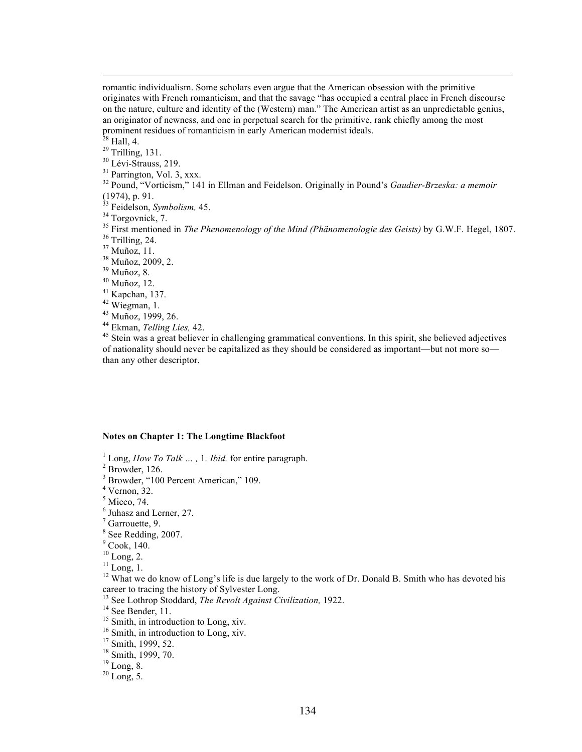romantic individualism. Some scholars even argue that the American obsession with the primitive originates with French romanticism, and that the savage "has occupied a central place in French discourse on the nature, culture and identity of the (Western) man." The American artist as an unpredictable genius, an originator of newness, and one in perpetual search for the primitive, rank chiefly among the most prominent residues of romanticism in early American modernist ideals.<br><sup>28</sup> Hall, 4.

 $\overline{a}$ 

29 Trilling, 131.<br><sup>30</sup> Lévi-Strauss, 219.<br><sup>31</sup> Parrington, Vol. 3, xxx.<br><sup>32</sup> Pound, "Vorticism," 141 in Ellman and Feidelson. Originally in Pound's *Gaudier-Brzeska: a memoir* (1974), p. 91.<br><sup>33</sup> Feidelson, *Symbolism*, 45.

<sup>33</sup> Feidelson, *Symbolism*, 45.<br><sup>34</sup> Torgovnick, 7.<br><sup>36</sup> First mentioned in *The Phenomenology of the Mind (Phänomenologie des Geists)* by G.W.F. Hegel, 1807.<br><sup>36</sup> Trilling, 24.<br><sup>37</sup> Muñoz, 11.<br><sup>37</sup> Muñoz, 2009, 2.<br><sup>49</sup> M

of nationality should never be capitalized as they should be considered as important—but not more so than any other descriptor.

### **Notes on Chapter 1: The Longtime Blackfoot**

<sup>1</sup> Long, *How To Talk ...*, 1*. Ibid.* for entire paragraph.<sup>2</sup> Browder, 126.

<sup>3</sup> Browder, "100 Percent American," 109.

 $4$  Vernon, 32.

 $<sup>5</sup>$  Micco, 74.</sup>

 $<sup>6</sup>$  Juhasz and Lerner, 27.</sup>

 $<sup>7</sup>$  Garrouette, 9.</sup>

<sup>8</sup> See Redding, 2007.

 $^{9}$  Cook, 140.<br><sup>10</sup> Long, 2.

<sup>11</sup> Long, 1.<br><sup>12</sup> What we do know of Long's life is due largely to the work of Dr. Donald B. Smith who has devoted his career to tracing the history of Sylvester Long.

<sup>13</sup> See Lothrop Stoddard, *The Revolt Against Civilization*, 1922.<br><sup>14</sup> See Bender, 11.<br><sup>15</sup> Smith, in introduction to Long, xiv.<br><sup>16</sup> Smith, in introduction to Long, xiv.<br><sup>17</sup> Smith, 1999, 52.<br><sup>18</sup> Smith, 1999, 70.<br><sup>19</sup>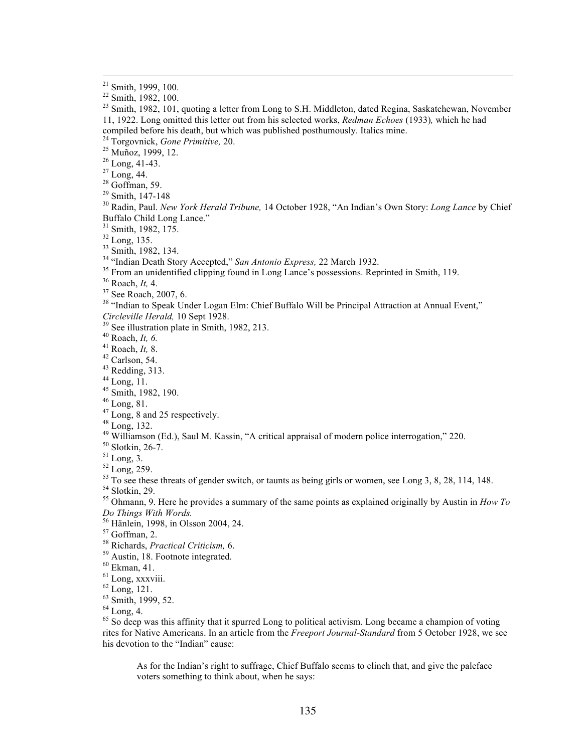<sup>24</sup> Torgovnick, *Gone Primitive*, 20.<br>
<sup>25</sup> Muñoz, 1999, 12.<br>
<sup>26</sup> Long, 41-43.<br>
<sup>27</sup> Long, 44.<br>
<sup>28</sup> Goffman, 59.<br>
<sup>29</sup> Smith, 147-148<br>
<sup>29</sup> Smith, 147-148<br>
<sup>29</sup> Radin, Paul. *New York Herald Tribune*, 14 October 1928,

- 
- Buffalo Child Long Lance."<br>
<sup>31</sup> Smith, 1982, 175.<br>
<sup>32</sup> Long, 135.<br>
<sup>33</sup> Smith, 1982, 134.<br>
<sup>34</sup> "Indian Death Story Accepted," *San Antonio Express*, 22 March 1932.<br>
<sup>35</sup> From an unidentified clipping found in Long Lance

- 
- 
- 
- 
- 
- 
- 
- 
- 
- 
- 
- 

- Circleville Herald, 10 Sept 1928.<br>
<sup>49</sup> Roach, *It*, 6.<br>
<sup>40</sup> Roach, *It*, 6.<br>
<sup>41</sup> Roach, *It*, 6.<br>
<sup>41</sup> Roach, *It*, 8.<br>
<sup>43</sup> Redding, 313.<br>
<sup>44</sup> Long, 81.<br>
<sup>45</sup> Long, 8.<br>
<sup>45</sup> Long, 8.<br>
<sup>46</sup> Long, 8.<br>
<sup>47</sup> Long, 8.<br>
<sup>4</sup> *Do Things With Words.*
- 

- 
- 
- 
- 
- 
- 

<sup>57</sup> Goffman, 2.<br><sup>58</sup> Richards, *Practical Criticism*, 6.<br><sup>59</sup> Austin, 18. Footnote integrated.<br><sup>60</sup> Ekman, 41.<br><sup>61</sup> Long, xxxviii.<br><sup>63</sup> Sommulary 121.<br><sup>63</sup> Smith, 1999, 52.<br><sup>64</sup> Long, 4.<br><sup>65</sup> So deep was this affinity th rites for Native Americans. In an article from the *Freeport Journal-Standard* from 5 October 1928, we see his devotion to the "Indian" cause:

As for the Indian's right to suffrage, Chief Buffalo seems to clinch that, and give the paleface voters something to think about, when he says:

<sup>&</sup>lt;sup>21</sup> Smith, 1999, 100.<br><sup>22</sup> Smith, 1982, 100.<br><sup>23</sup> Smith, 1982, 101, quoting a letter from Long to S.H. Middleton, dated Regina, Saskatchewan, November 11, 1922. Long omitted this letter out from his selected works, *Redman Echoes* (1933)*,* which he had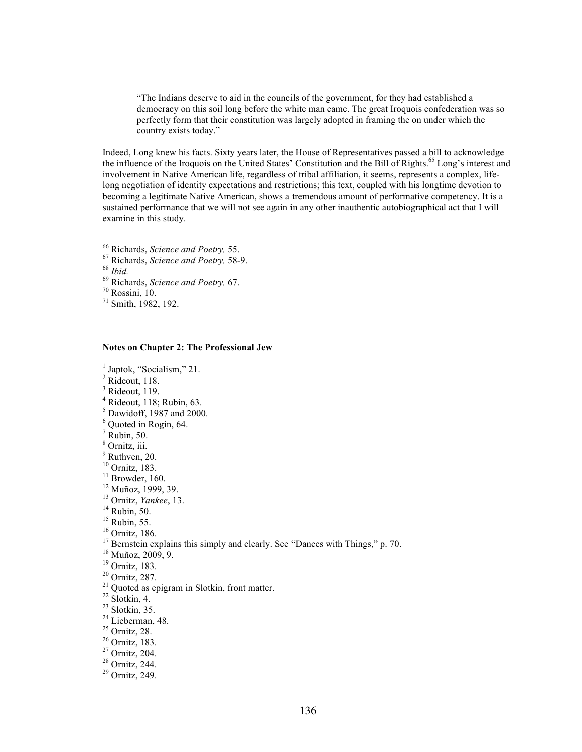"The Indians deserve to aid in the councils of the government, for they had established a democracy on this soil long before the white man came. The great Iroquois confederation was so perfectly form that their constitution was largely adopted in framing the on under which the country exists today."

Indeed, Long knew his facts. Sixty years later, the House of Representatives passed a bill to acknowledge the influence of the Iroquois on the United States' Constitution and the Bill of Rights.<sup>65</sup> Long's interest and involvement in Native American life, regardless of tribal affiliation, it seems, represents a complex, lifelong negotiation of identity expectations and restrictions; this text, coupled with his longtime devotion to becoming a legitimate Native American, shows a tremendous amount of performative competency. It is a sustained performance that we will not see again in any other inauthentic autobiographical act that I will examine in this study.

- <sup>66</sup> Richards, *Science and Poetry, 55.* <sup>67</sup> Richards, *Science and Poetry, 58-9.* <sup>69</sup> Richards, *Science and Poetry, 67.* <sup>70</sup> Rossini, 10. <sup>71</sup> Smith, 1982, 192.
- 
- 

 $\overline{a}$ 

- 
- 
- 

#### **Notes on Chapter 2: The Professional Jew**

<sup>1</sup> Japtok, "Socialism," 21.

- $2$  Rideout, 118.
- $3$  Rideout, 119.
- $4$  Rideout, 118; Rubin, 63.
- <sup>5</sup> Dawidoff, 1987 and 2000.
- <sup>6</sup> Quoted in Rogin, 64.
- $7$  Rubin, 50.
- <sup>8</sup> Ornitz, iii.
- 
- $<sup>9</sup>$  Ruthven, 20.<br><sup>10</sup> Ornitz, 183.</sup>
- 
- 
- 
- 
- 
- 
- 
- <sup>10</sup> Ornitz, 183.<br>
<sup>11</sup> Nuñoz, 1999, 39.<br>
<sup>12</sup> Nuñoz, 1999, 39.<br>
<sup>13</sup> Nuñoz, 1999, 39.<br>
<sup>14</sup> Rubin, 50.<br>
<sup>15</sup> Bernstein explains this simply and clearly. See "Dances with Things," p. 70.<br>
<sup>17</sup> Bernstein explains this simp
- 
- 
- 
- 
- 
- 
- 
- 
- 
- 
- 
-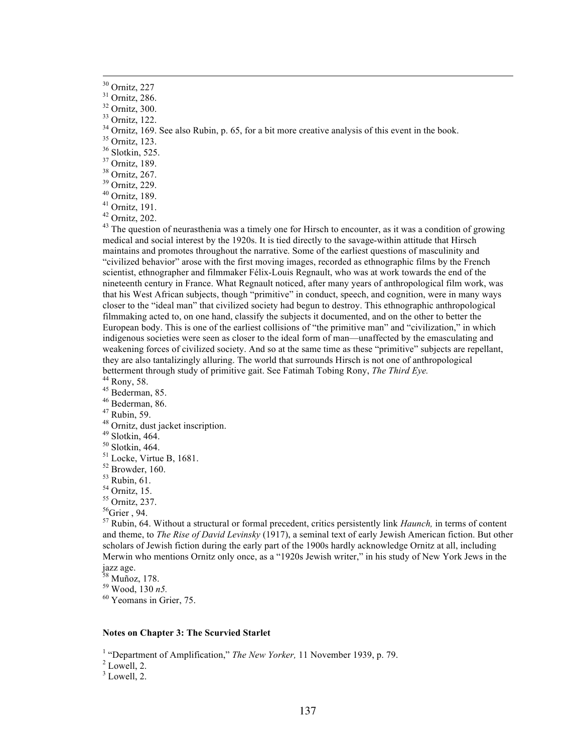- 
- 
- 
- 
- 
- 
- 

<sup>30</sup> Ornitz, 227<br><sup>31</sup> Ornitz, 286.<br><sup>32</sup> Ornitz, 300.<br><sup>33</sup> Ornitz, 122.<br><sup>34</sup> Ornitz, 122.<br><sup>34</sup> Ornitz, 123.<br><sup>36</sup> Slokkin, 525.<br><sup>35</sup> Ornitz, 189.<br><sup>36</sup> Ornitz, 189.<br><sup>40</sup> Ornitz, 189.<br><sup>40</sup> Ornitz, 129.<br><sup>41</sup> Ornitz, 122.<br><sup>41</sup> medical and social interest by the 1920s. It is tied directly to the savage-within attitude that Hirsch maintains and promotes throughout the narrative. Some of the earliest questions of masculinity and "civilized behavior" arose with the first moving images, recorded as ethnographic films by the French scientist, ethnographer and filmmaker Félix-Louis Regnault, who was at work towards the end of the nineteenth century in France. What Regnault noticed, after many years of anthropological film work, was that his West African subjects, though "primitive" in conduct, speech, and cognition, were in many ways closer to the "ideal man" that civilized society had begun to destroy. This ethnographic anthropological filmmaking acted to, on one hand, classify the subjects it documented, and on the other to better the European body. This is one of the earliest collisions of "the primitive man" and "civilization," in which indigenous societies were seen as closer to the ideal form of man—unaffected by the emasculating and weakening forces of civilized society. And so at the same time as these "primitive" subjects are repellant, they are also tantalizingly alluring. The world that surrounds Hirsch is not one of anthropological<br>betterment through study of primitive gait. See Fatimah Tobing Rony, *The Third Eye*. betterment through study of primitive gait. See Fatimah Tobing Rony, *The Third Eye*.<br><sup>44</sup> Rony, 58.<br><sup>45</sup> Bederman, 85.<br><sup>45</sup> Bederman, 86.<br><sup>47</sup> Rubin, 59.<br><sup>48</sup> Ornitz, dust jacket inscription.<br><sup>49</sup> Slotkin, 464.<br><sup>50</sup> Slotk

- 
- 
- 
- 
- 
- 
- 
- 
- 
- 
- 
- 
- 

<sup>57</sup> Rubin, 64. Without a structural or formal precedent, critics persistently link *Haunch,* in terms of content and theme, to *The Rise of David Levinsky* (1917), a seminal text of early Jewish American fiction. But other scholars of Jewish fiction during the early part of the 1900s hardly acknowledge Ornitz at all, including Merwin who mentions Ornitz only once, as a "1920s Jewish writer," in his study of New York Jews in the jazz age.

<sup>58</sup> Muñoz, 178.<br><sup>59</sup> Wood, 130 *n5*.<br><sup>60</sup> Yeomans in Grier. 75.

## **Notes on Chapter 3: The Scurvied Starlet**

<sup>1</sup> "Department of Amplification," *The New Yorker*, 11 November 1939, p. 79.<br><sup>2</sup> Lowell. 2.

 $3$  Lowell, 2.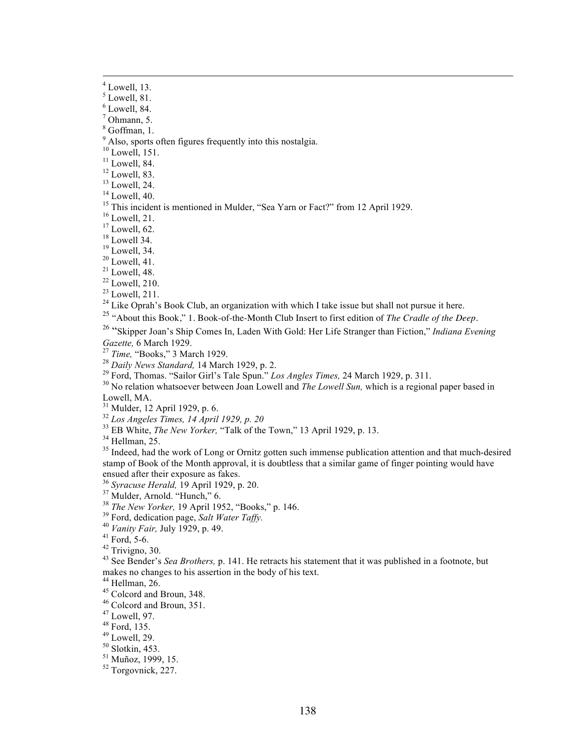$<sup>7</sup>$  Ohmann, 5.</sup>

<sup>8</sup> Goffman, 1.

 $9^9$  Also, sports often figures frequently into this nostalgia.<br><sup>10</sup> Lowell, 151.

<sup>10</sup> Lowell, 151.<br>
<sup>11</sup> Lowell, 84.<br>
<sup>12</sup> Lowell, 83.<br>
<sup>13</sup> Lowell, 24.<br>
<sup>14</sup> Lowell, 24.<br>
<sup>14</sup> Lowell, 21.<br>
<sup>15</sup> This incident is mentioned in Mulder, "Sea Yarn or Fact?" from 12 April 1929.<br>
<sup>17</sup> Lowell, 21.<br>
<sup>17</sup> Lowel

<sup>25</sup> "About this Book," 1. Book-of-the-Month Club Insert to first edition of *The Cradle of the Deep.* 

<sup>26</sup> "Skipper Joan's Ship Comes In, Laden With Gold: Her Life Stranger than Fiction," *Indiana Evening*  Gazette, 6 March 1929.<br><sup>27</sup> Time, "Books," 3 March 1929.<br><sup>28</sup> Daily News Standard, 14 March 1929, p. 2.<br><sup>29</sup> Ford, Thomas. "Sailor Girl's Tale Spun." *Los Angles Times*, 24 March 1929, p. 311.<br><sup>30</sup> No relation whatsoever b

Lowell, MA.<br><sup>31</sup> Mulder, 12 April 1929, p. 6.

 $^{32}$ <br>  $^{33}$  EB White, *The New Yorker*, "Talk of the Town," 13 April 1929, p. 13.<br>  $^{34}$  Hellman, 25.<br>  $^{35}$  Indeed, had the work of Long or Ornitz gotten such immense publication attention and that much-desired<br>  $^{3$ stamp of Book of the Month approval, it is doubtless that a similar game of finger pointing would have

ensued after their exposure as fakes.<br><sup>36</sup> Syracuse Herald, 19 April 1929, p. 20.

<sup>37</sup> Mulder, Arnold. "Hunch," 6.<br>
<sup>38</sup> The New Yorker, 19 April 1952, "Books," p. 146.<br>
<sup>39</sup> Ford, dedication page, *Salt Water Taffy.*<br>
<sup>40</sup> Vanity Fair, July 1929, p. 49.<br>
<sup>41</sup> Ford, 5-6.<br>
<sup>42</sup> Trivigno, 30.<br>
<sup>43</sup> See B makes no changes to his assertion in the body of his text.<br><sup>44</sup> Hellman, 26.

<sup>45</sup> Colcord and Broun, 348.  $46$  Colcord and Broun, 351.  $47$  Lowell, 97.  $48$  Ford, 135.  $49$  Lowell, 29.  $50$  Slotkin, 453.  $51$  Muñoz, 1999, 15.  $52$  Torgovnick, 227.

 $<sup>4</sup>$  Lowell, 13.</sup>

 $<sup>5</sup>$  Lowell, 81.</sup>

 $<sup>6</sup>$  Lowell, 84.</sup>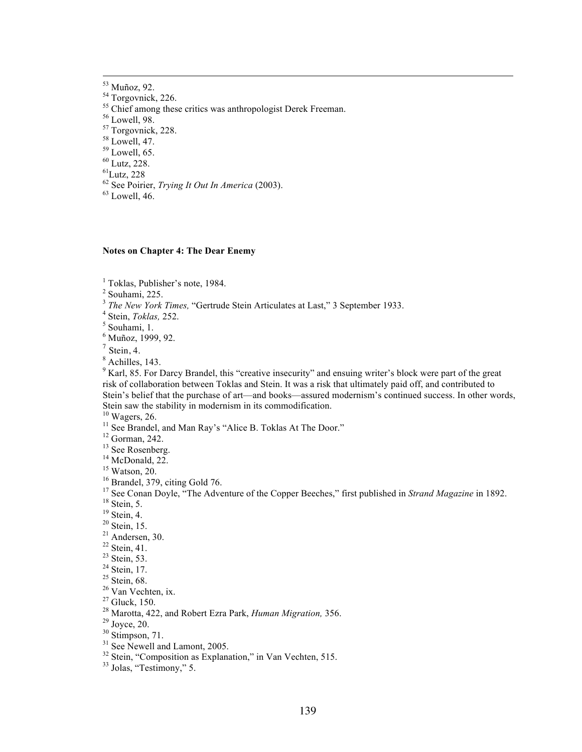- 
- <sup>53</sup> Muñoz, 92.<br>
<sup>54</sup> Torgovnick, 226.<br>
<sup>55</sup> Chief among these critics was anthropologist Derek Freeman.<br>
<sup>56</sup> Lowell, 98.<br>
<sup>57</sup> Torgovnick, 228.<br>
<sup>58</sup> Lowell, 47.<br>
<sup>59</sup> Lowell, 65.<br>
<sup>60</sup> Lutz, 228.<br>
<sup>61</sup>Lutz, 228
- 

- 
- 

<sup>62</sup> See Poirier, *Trying It Out In America* (2003). <sup>63</sup> Lowell, 46.

### **Notes on Chapter 4: The Dear Enemy**

<sup>1</sup> Toklas, Publisher's note, 1984.

 $2$  Souhami, 225.

<sup>3</sup> *The New York Times,* "Gertrude Stein Articulates at Last," 3 September 1933.<br><sup>4</sup> Stein, *Toklas*, 252.<br><sup>5</sup> Souhami, 1.

<sup>6</sup> Muñoz, 1999, 92.

 $<sup>7</sup>$  Stein, 4.</sup>

<sup>8</sup> Achilles, 143.

<sup>9</sup> Karl, 85. For Darcy Brandel, this "creative insecurity" and ensuing writer's block were part of the great risk of collaboration between Toklas and Stein. It was a risk that ultimately paid off, and contributed to Stein's belief that the purchase of art—and books—assured modernism's continued success. In other words, Stein saw the stability in modernism in its commodification.<br> $^{10}$  Wagers, 26.

- 
- <sup>10</sup> Wagers, 26:<br>
<sup>11</sup> Nee Brandel, and Man Ray's "Alice B. Toklas At The Door."<br>
<sup>11</sup> See Rosenberg.<br>
<sup>12</sup> Geo Rosenberg.<br>
<sup>14</sup> McDonald, 22.<br>
<sup>14</sup> McDonald, 22.<br>
<sup>15</sup> Neard, 379, citing Gold 76.<br>
<sup>17</sup> See Conan Doyle, "T

- 
-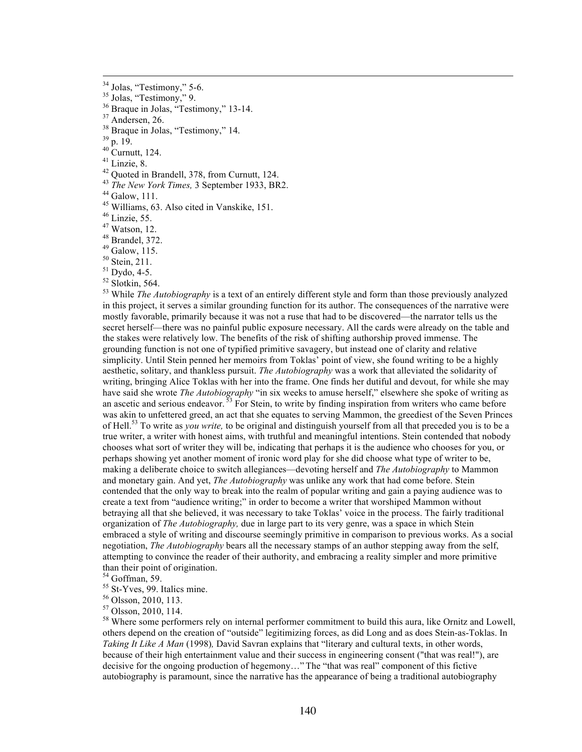<sup>34</sup> Jolas, "Testimony," 5-6.<br>
<sup>35</sup> Jolas, "Testimony," 9.<br>
<sup>36</sup> Drague in Jolas, "Testimony," 13-14.<br>
<sup>37</sup> Andersen, 26.<br>
<sup>38</sup> Braque in Jolas, "Testimony," 14.<br>
<sup>40</sup> Curnutt, 124.<br>
<sup>40</sup> Curnutt, 124.<br>
<sup>41</sup> Linzie, 8.<br>
<sup>4</sup> in this project, it serves a similar grounding function for its author. The consequences of the narrative were mostly favorable, primarily because it was not a ruse that had to be discovered—the narrator tells us the secret herself—there was no painful public exposure necessary. All the cards were already on the table and the stakes were relatively low. The benefits of the risk of shifting authorship proved immense. The grounding function is not one of typified primitive savagery, but instead one of clarity and relative simplicity. Until Stein penned her memoirs from Toklas' point of view, she found writing to be a highly aesthetic, solitary, and thankless pursuit. *The Autobiography* was a work that alleviated the solidarity of writing, bringing Alice Toklas with her into the frame. One finds her dutiful and devout, for while she may have said she wrote *The Autobiography* "in six weeks to amuse herself," elsewhere she spoke of writing as an ascetic and serious endeavor.<sup>33</sup> For Stein, to write by finding inspiration from writers who came before was akin to unfettered greed, an act that she equates to serving Mammon, the greediest of the Seven Princes of Hell.53 To write as *you write,* to be original and distinguish yourself from all that preceded you is to be a true writer, a writer with honest aims, with truthful and meaningful intentions. Stein contended that nobody chooses what sort of writer they will be, indicating that perhaps it is the audience who chooses for you, or perhaps showing yet another moment of ironic word play for she did choose what type of writer to be, making a deliberate choice to switch allegiances—devoting herself and *The Autobiography* to Mammon and monetary gain. And yet, *The Autobiography* was unlike any work that had come before. Stein contended that the only way to break into the realm of popular writing and gain a paying audience was to create a text from "audience writing;" in order to become a writer that worshiped Mammon without betraying all that she believed, it was necessary to take Toklas' voice in the process. The fairly traditional organization of *The Autobiography,* due in large part to its very genre, was a space in which Stein embraced a style of writing and discourse seemingly primitive in comparison to previous works. As a social negotiation, *The Autobiography* bears all the necessary stamps of an author stepping away from the self, attempting to convince the reader of their authority, and embracing a reality simpler and more primitive than their point of origination.

<sup>54</sup> Goffman, 59.<br>
<sup>55</sup> St-Yves, 99. Italics mine.<br>
<sup>56</sup> Olsson, 2010, 113.<br>
<sup>57</sup> Olsson, 2010, 114.<br>
<sup>58</sup> Where some performers rely on internal performer commitment to build this aura, like Ornitz and Lowell, others depend on the creation of "outside" legitimizing forces, as did Long and as does Stein-as-Toklas. In *Taking It Like A Man* (1998), David Savran explains that "literary and cultural texts, in other words, because of their high entertainment value and their success in engineering consent ("that was real!"), are decisive for the ongoing production of hegemony…" The "that was real" component of this fictive autobiography is paramount, since the narrative has the appearance of being a traditional autobiography